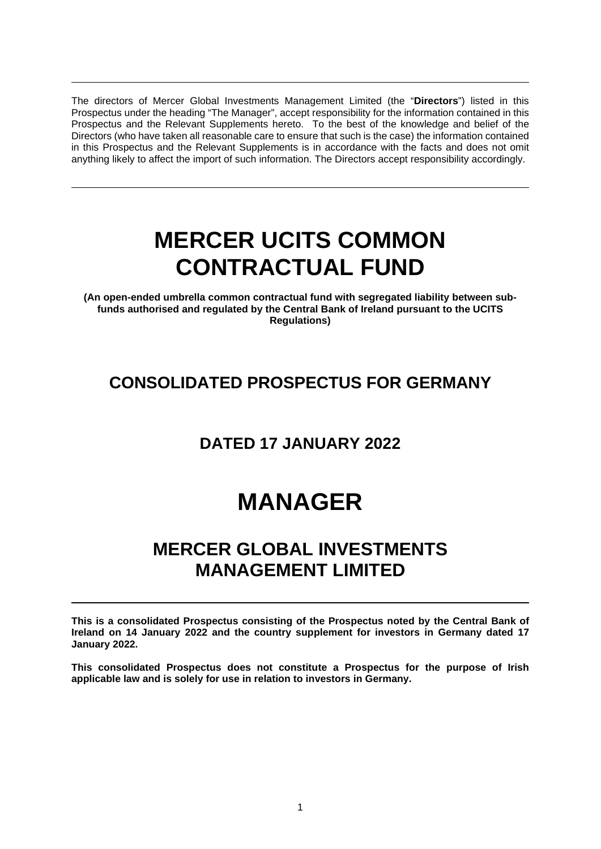The directors of Mercer Global Investments Management Limited (the "**Directors**") listed in this Prospectus under the heading "The Manager", accept responsibility for the information contained in this Prospectus and the Relevant Supplements hereto. To the best of the knowledge and belief of the Directors (who have taken all reasonable care to ensure that such is the case) the information contained in this Prospectus and the Relevant Supplements is in accordance with the facts and does not omit anything likely to affect the import of such information. The Directors accept responsibility accordingly.

# **MERCER UCITS COMMON CONTRACTUAL FUND**

**(An open-ended umbrella common contractual fund with segregated liability between subfunds authorised and regulated by the Central Bank of Ireland pursuant to the UCITS Regulations)** 

# **CONSOLIDATED PROSPECTUS FOR GERMANY**

# **DATED 17 JANUARY 2022**

# **MANAGER**

# **MERCER GLOBAL INVESTMENTS MANAGEMENT LIMITED**

**This is a consolidated Prospectus consisting of the Prospectus noted by the Central Bank of Ireland on 14 January 2022 and the country supplement for investors in Germany dated 17 January 2022.** 

**This consolidated Prospectus does not constitute a Prospectus for the purpose of Irish applicable law and is solely for use in relation to investors in Germany.**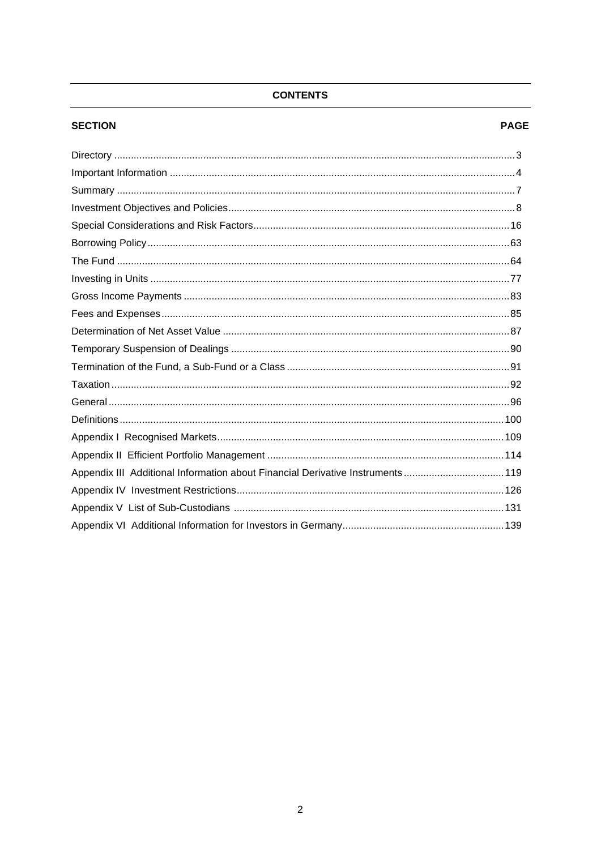# **CONTENTS**

# **SECTION**

#### **PAGE**

| Appendix III Additional Information about Financial Derivative Instruments119 |  |
|-------------------------------------------------------------------------------|--|
|                                                                               |  |
|                                                                               |  |
|                                                                               |  |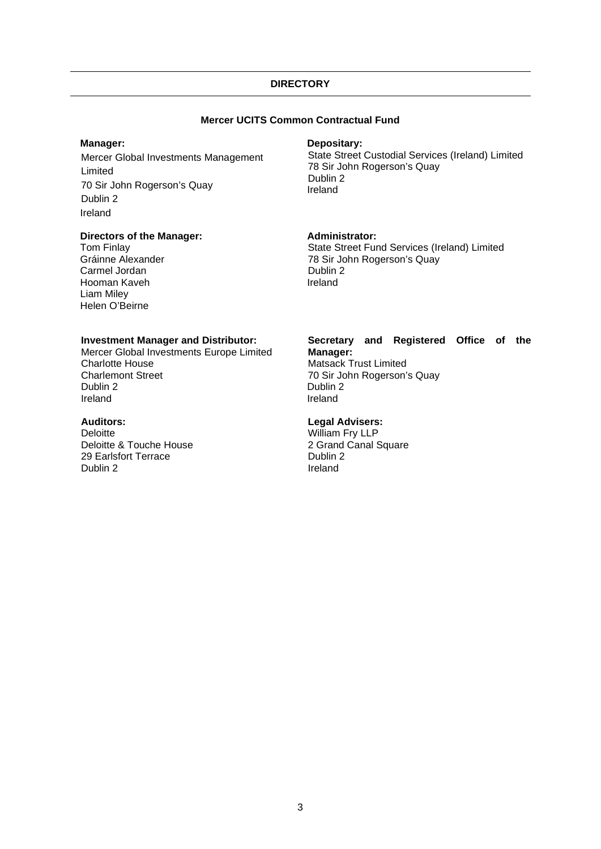# **DIRECTORY**

# **Mercer UCITS Common Contractual Fund**

#### **Manager:**

Mercer Global Investments Management Limited 70 Sir John Rogerson's Quay Dublin 2 Ireland

#### **Directors of the Manager:**

 Tom Finlay Gráinne Alexander Carmel Jordan Hooman Kaveh Liam Miley Helen O'Beirne

#### **Depositary:**

State Street Custodial Services (Ireland) Limited 78 Sir John Rogerson's Quay Dublin 2 Ireland

#### **Administrator:**

State Street Fund Services (Ireland) Limited 78 Sir John Rogerson's Quay Dublin 2 Ireland

#### **Investment Manager and Distributor:**

Mercer Global Investments Europe Limited Charlotte House Charlemont Street Dublin 2 Ireland

#### **Auditors:**

**Deloitte** Deloitte & Touche House 29 Earlsfort Terrace Dublin 2

#### **Secretary and Registered Office of the Manager:**

Matsack Trust Limited 70 Sir John Rogerson's Quay Dublin 2 Ireland

#### **Legal Advisers:**

William Fry LLP 2 Grand Canal Square Dublin 2 Ireland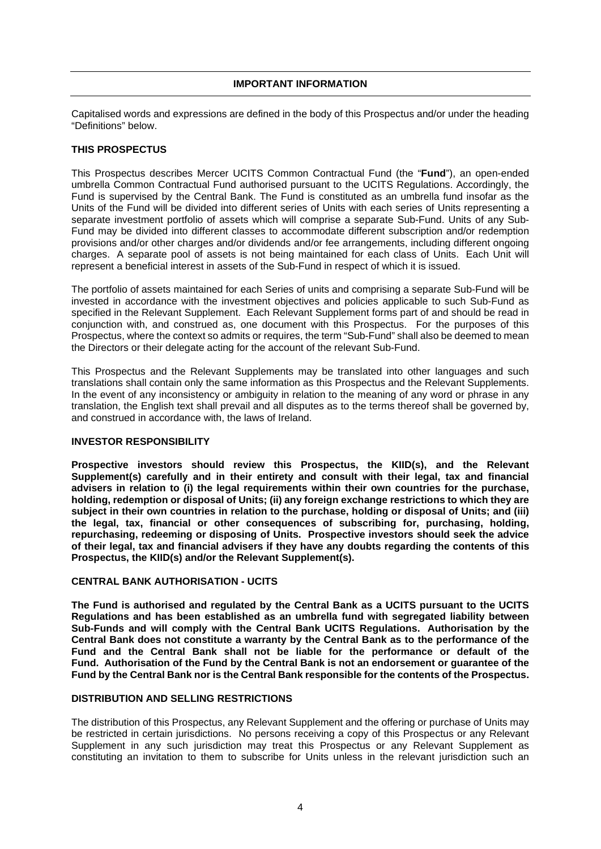#### **IMPORTANT INFORMATION**

Capitalised words and expressions are defined in the body of this Prospectus and/or under the heading "Definitions" below.

# **THIS PROSPECTUS**

This Prospectus describes Mercer UCITS Common Contractual Fund (the "**Fund**"), an open-ended umbrella Common Contractual Fund authorised pursuant to the UCITS Regulations. Accordingly, the Fund is supervised by the Central Bank. The Fund is constituted as an umbrella fund insofar as the Units of the Fund will be divided into different series of Units with each series of Units representing a separate investment portfolio of assets which will comprise a separate Sub-Fund. Units of any Sub-Fund may be divided into different classes to accommodate different subscription and/or redemption provisions and/or other charges and/or dividends and/or fee arrangements, including different ongoing charges. A separate pool of assets is not being maintained for each class of Units. Each Unit will represent a beneficial interest in assets of the Sub-Fund in respect of which it is issued.

The portfolio of assets maintained for each Series of units and comprising a separate Sub-Fund will be invested in accordance with the investment objectives and policies applicable to such Sub-Fund as specified in the Relevant Supplement. Each Relevant Supplement forms part of and should be read in conjunction with, and construed as, one document with this Prospectus. For the purposes of this Prospectus, where the context so admits or requires, the term "Sub-Fund" shall also be deemed to mean the Directors or their delegate acting for the account of the relevant Sub-Fund.

This Prospectus and the Relevant Supplements may be translated into other languages and such translations shall contain only the same information as this Prospectus and the Relevant Supplements. In the event of any inconsistency or ambiguity in relation to the meaning of any word or phrase in any translation, the English text shall prevail and all disputes as to the terms thereof shall be governed by, and construed in accordance with, the laws of Ireland.

#### **INVESTOR RESPONSIBILITY**

**Prospective investors should review this Prospectus, the KIID(s), and the Relevant Supplement(s) carefully and in their entirety and consult with their legal, tax and financial advisers in relation to (i) the legal requirements within their own countries for the purchase, holding, redemption or disposal of Units; (ii) any foreign exchange restrictions to which they are subject in their own countries in relation to the purchase, holding or disposal of Units; and (iii) the legal, tax, financial or other consequences of subscribing for, purchasing, holding, repurchasing, redeeming or disposing of Units. Prospective investors should seek the advice of their legal, tax and financial advisers if they have any doubts regarding the contents of this Prospectus, the KIID(s) and/or the Relevant Supplement(s).** 

# **CENTRAL BANK AUTHORISATION - UCITS**

**The Fund is authorised and regulated by the Central Bank as a UCITS pursuant to the UCITS Regulations and has been established as an umbrella fund with segregated liability between Sub-Funds and will comply with the Central Bank UCITS Regulations. Authorisation by the Central Bank does not constitute a warranty by the Central Bank as to the performance of the Fund and the Central Bank shall not be liable for the performance or default of the Fund. Authorisation of the Fund by the Central Bank is not an endorsement or guarantee of the Fund by the Central Bank nor is the Central Bank responsible for the contents of the Prospectus.** 

#### **DISTRIBUTION AND SELLING RESTRICTIONS**

The distribution of this Prospectus, any Relevant Supplement and the offering or purchase of Units may be restricted in certain jurisdictions. No persons receiving a copy of this Prospectus or any Relevant Supplement in any such jurisdiction may treat this Prospectus or any Relevant Supplement as constituting an invitation to them to subscribe for Units unless in the relevant jurisdiction such an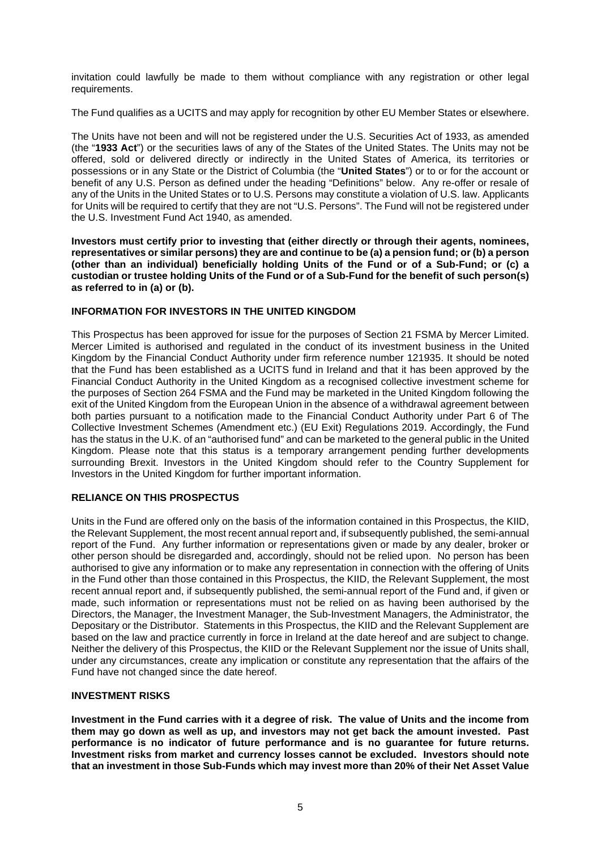invitation could lawfully be made to them without compliance with any registration or other legal requirements.

The Fund qualifies as a UCITS and may apply for recognition by other EU Member States or elsewhere.

The Units have not been and will not be registered under the U.S. Securities Act of 1933, as amended (the "**1933 Act**") or the securities laws of any of the States of the United States. The Units may not be offered, sold or delivered directly or indirectly in the United States of America, its territories or possessions or in any State or the District of Columbia (the "**United States**") or to or for the account or benefit of any U.S. Person as defined under the heading "Definitions" below. Any re-offer or resale of any of the Units in the United States or to U.S. Persons may constitute a violation of U.S. law. Applicants for Units will be required to certify that they are not "U.S. Persons". The Fund will not be registered under the U.S. Investment Fund Act 1940, as amended.

**Investors must certify prior to investing that (either directly or through their agents, nominees, representatives or similar persons) they are and continue to be (a) a pension fund; or (b) a person (other than an individual) beneficially holding Units of the Fund or of a Sub-Fund; or (c) a custodian or trustee holding Units of the Fund or of a Sub-Fund for the benefit of such person(s) as referred to in (a) or (b).** 

#### **INFORMATION FOR INVESTORS IN THE UNITED KINGDOM**

This Prospectus has been approved for issue for the purposes of Section 21 FSMA by Mercer Limited. Mercer Limited is authorised and regulated in the conduct of its investment business in the United Kingdom by the Financial Conduct Authority under firm reference number 121935. It should be noted that the Fund has been established as a UCITS fund in Ireland and that it has been approved by the Financial Conduct Authority in the United Kingdom as a recognised collective investment scheme for the purposes of Section 264 FSMA and the Fund may be marketed in the United Kingdom following the exit of the United Kingdom from the European Union in the absence of a withdrawal agreement between both parties pursuant to a notification made to the Financial Conduct Authority under Part 6 of The Collective Investment Schemes (Amendment etc.) (EU Exit) Regulations 2019. Accordingly, the Fund has the status in the U.K. of an "authorised fund" and can be marketed to the general public in the United Kingdom. Please note that this status is a temporary arrangement pending further developments surrounding Brexit. Investors in the United Kingdom should refer to the Country Supplement for Investors in the United Kingdom for further important information.

# **RELIANCE ON THIS PROSPECTUS**

Units in the Fund are offered only on the basis of the information contained in this Prospectus, the KIID, the Relevant Supplement, the most recent annual report and, if subsequently published, the semi-annual report of the Fund. Any further information or representations given or made by any dealer, broker or other person should be disregarded and, accordingly, should not be relied upon. No person has been authorised to give any information or to make any representation in connection with the offering of Units in the Fund other than those contained in this Prospectus, the KIID, the Relevant Supplement, the most recent annual report and, if subsequently published, the semi-annual report of the Fund and, if given or made, such information or representations must not be relied on as having been authorised by the Directors, the Manager, the Investment Manager, the Sub-Investment Managers, the Administrator, the Depositary or the Distributor. Statements in this Prospectus, the KIID and the Relevant Supplement are based on the law and practice currently in force in Ireland at the date hereof and are subject to change. Neither the delivery of this Prospectus, the KIID or the Relevant Supplement nor the issue of Units shall, under any circumstances, create any implication or constitute any representation that the affairs of the Fund have not changed since the date hereof.

#### **INVESTMENT RISKS**

**Investment in the Fund carries with it a degree of risk. The value of Units and the income from them may go down as well as up, and investors may not get back the amount invested. Past performance is no indicator of future performance and is no guarantee for future returns. Investment risks from market and currency losses cannot be excluded. Investors should note that an investment in those Sub-Funds which may invest more than 20% of their Net Asset Value**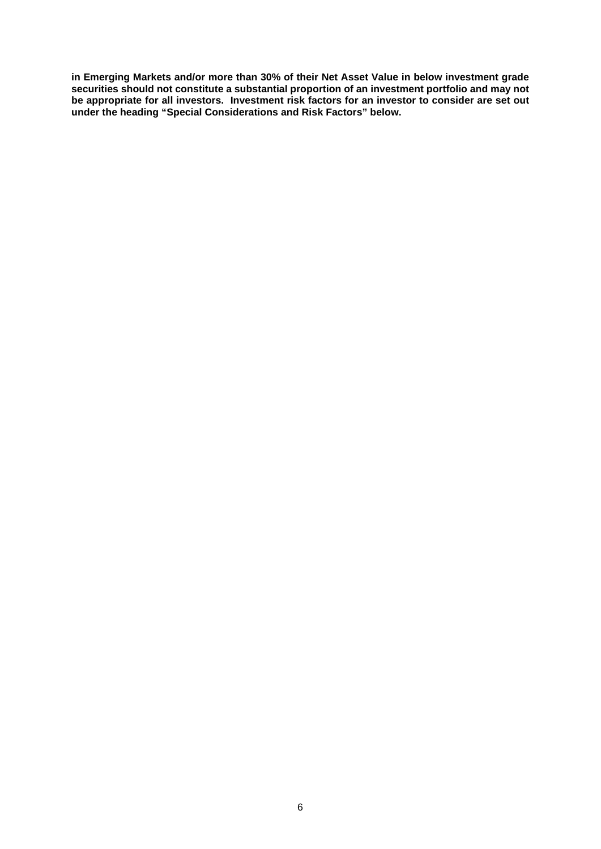**in Emerging Markets and/or more than 30% of their Net Asset Value in below investment grade securities should not constitute a substantial proportion of an investment portfolio and may not be appropriate for all investors. Investment risk factors for an investor to consider are set out under the heading "Special Considerations and Risk Factors" below.**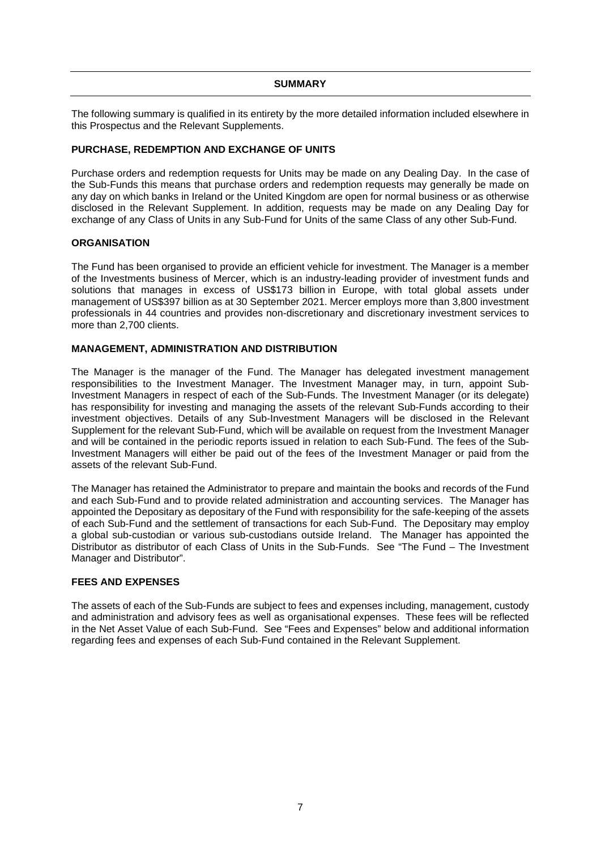#### **SUMMARY**

The following summary is qualified in its entirety by the more detailed information included elsewhere in this Prospectus and the Relevant Supplements.

#### **PURCHASE, REDEMPTION AND EXCHANGE OF UNITS**

Purchase orders and redemption requests for Units may be made on any Dealing Day. In the case of the Sub-Funds this means that purchase orders and redemption requests may generally be made on any day on which banks in Ireland or the United Kingdom are open for normal business or as otherwise disclosed in the Relevant Supplement. In addition, requests may be made on any Dealing Day for exchange of any Class of Units in any Sub-Fund for Units of the same Class of any other Sub-Fund.

#### **ORGANISATION**

The Fund has been organised to provide an efficient vehicle for investment. The Manager is a member of the Investments business of Mercer, which is an industry-leading provider of investment funds and solutions that manages in excess of US\$173 billion in Europe, with total global assets under management of US\$397 billion as at 30 September 2021. Mercer employs more than 3,800 investment professionals in 44 countries and provides non-discretionary and discretionary investment services to more than 2,700 clients.

#### **MANAGEMENT, ADMINISTRATION AND DISTRIBUTION**

The Manager is the manager of the Fund. The Manager has delegated investment management responsibilities to the Investment Manager. The Investment Manager may, in turn, appoint Sub-Investment Managers in respect of each of the Sub-Funds. The Investment Manager (or its delegate) has responsibility for investing and managing the assets of the relevant Sub-Funds according to their investment objectives. Details of any Sub-Investment Managers will be disclosed in the Relevant Supplement for the relevant Sub-Fund, which will be available on request from the Investment Manager and will be contained in the periodic reports issued in relation to each Sub-Fund. The fees of the Sub-Investment Managers will either be paid out of the fees of the Investment Manager or paid from the assets of the relevant Sub-Fund.

The Manager has retained the Administrator to prepare and maintain the books and records of the Fund and each Sub-Fund and to provide related administration and accounting services. The Manager has appointed the Depositary as depositary of the Fund with responsibility for the safe-keeping of the assets of each Sub-Fund and the settlement of transactions for each Sub-Fund. The Depositary may employ a global sub-custodian or various sub-custodians outside Ireland. The Manager has appointed the Distributor as distributor of each Class of Units in the Sub-Funds. See "The Fund – The Investment Manager and Distributor".

#### **FEES AND EXPENSES**

The assets of each of the Sub-Funds are subject to fees and expenses including, management, custody and administration and advisory fees as well as organisational expenses. These fees will be reflected in the Net Asset Value of each Sub-Fund. See "Fees and Expenses" below and additional information regarding fees and expenses of each Sub-Fund contained in the Relevant Supplement.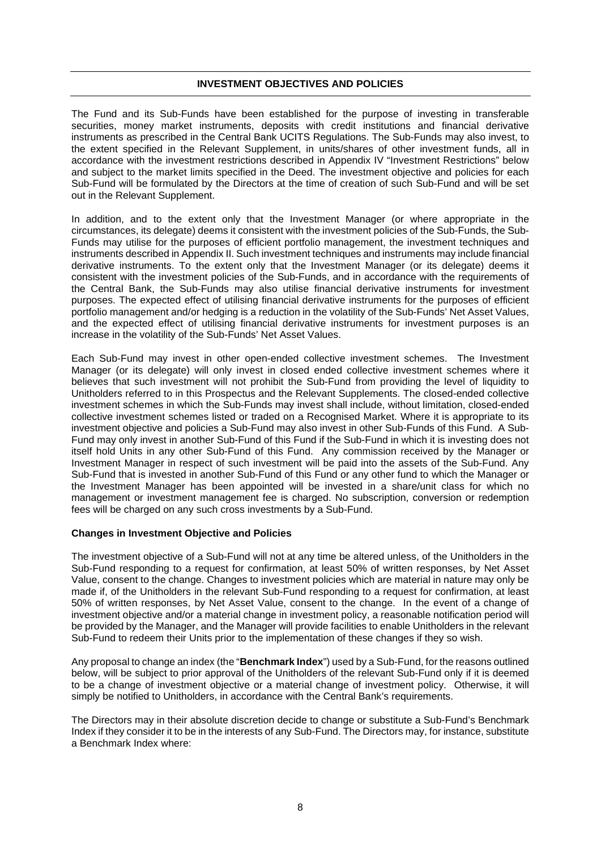#### **INVESTMENT OBJECTIVES AND POLICIES**

The Fund and its Sub-Funds have been established for the purpose of investing in transferable securities, money market instruments, deposits with credit institutions and financial derivative instruments as prescribed in the Central Bank UCITS Regulations. The Sub-Funds may also invest, to the extent specified in the Relevant Supplement, in units/shares of other investment funds, all in accordance with the investment restrictions described in Appendix IV "Investment Restrictions" below and subject to the market limits specified in the Deed. The investment objective and policies for each Sub-Fund will be formulated by the Directors at the time of creation of such Sub-Fund and will be set out in the Relevant Supplement.

In addition, and to the extent only that the Investment Manager (or where appropriate in the circumstances, its delegate) deems it consistent with the investment policies of the Sub-Funds, the Sub-Funds may utilise for the purposes of efficient portfolio management, the investment techniques and instruments described in Appendix II. Such investment techniques and instruments may include financial derivative instruments. To the extent only that the Investment Manager (or its delegate) deems it consistent with the investment policies of the Sub-Funds, and in accordance with the requirements of the Central Bank, the Sub-Funds may also utilise financial derivative instruments for investment purposes. The expected effect of utilising financial derivative instruments for the purposes of efficient portfolio management and/or hedging is a reduction in the volatility of the Sub-Funds' Net Asset Values, and the expected effect of utilising financial derivative instruments for investment purposes is an increase in the volatility of the Sub-Funds' Net Asset Values.

Each Sub-Fund may invest in other open-ended collective investment schemes. The Investment Manager (or its delegate) will only invest in closed ended collective investment schemes where it believes that such investment will not prohibit the Sub-Fund from providing the level of liquidity to Unitholders referred to in this Prospectus and the Relevant Supplements. The closed-ended collective investment schemes in which the Sub-Funds may invest shall include, without limitation, closed-ended collective investment schemes listed or traded on a Recognised Market. Where it is appropriate to its investment objective and policies a Sub-Fund may also invest in other Sub-Funds of this Fund. A Sub-Fund may only invest in another Sub-Fund of this Fund if the Sub-Fund in which it is investing does not itself hold Units in any other Sub-Fund of this Fund. Any commission received by the Manager or Investment Manager in respect of such investment will be paid into the assets of the Sub-Fund. Any Sub-Fund that is invested in another Sub-Fund of this Fund or any other fund to which the Manager or the Investment Manager has been appointed will be invested in a share/unit class for which no management or investment management fee is charged. No subscription, conversion or redemption fees will be charged on any such cross investments by a Sub-Fund.

#### **Changes in Investment Objective and Policies**

The investment objective of a Sub-Fund will not at any time be altered unless, of the Unitholders in the Sub-Fund responding to a request for confirmation, at least 50% of written responses, by Net Asset Value, consent to the change. Changes to investment policies which are material in nature may only be made if, of the Unitholders in the relevant Sub-Fund responding to a request for confirmation, at least 50% of written responses, by Net Asset Value, consent to the change. In the event of a change of investment objective and/or a material change in investment policy, a reasonable notification period will be provided by the Manager, and the Manager will provide facilities to enable Unitholders in the relevant Sub-Fund to redeem their Units prior to the implementation of these changes if they so wish.

Any proposal to change an index (the "**Benchmark Index**") used by a Sub-Fund, for the reasons outlined below, will be subject to prior approval of the Unitholders of the relevant Sub-Fund only if it is deemed to be a change of investment objective or a material change of investment policy. Otherwise, it will simply be notified to Unitholders, in accordance with the Central Bank's requirements.

The Directors may in their absolute discretion decide to change or substitute a Sub-Fund's Benchmark Index if they consider it to be in the interests of any Sub-Fund. The Directors may, for instance, substitute a Benchmark Index where: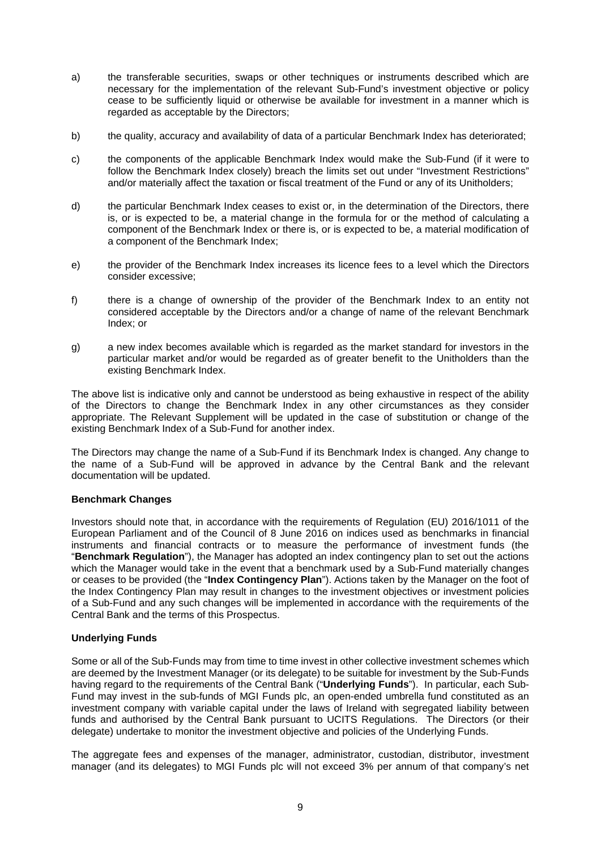- a) the transferable securities, swaps or other techniques or instruments described which are necessary for the implementation of the relevant Sub-Fund's investment objective or policy cease to be sufficiently liquid or otherwise be available for investment in a manner which is regarded as acceptable by the Directors;
- b) the quality, accuracy and availability of data of a particular Benchmark Index has deteriorated;
- c) the components of the applicable Benchmark Index would make the Sub-Fund (if it were to follow the Benchmark Index closely) breach the limits set out under "Investment Restrictions" and/or materially affect the taxation or fiscal treatment of the Fund or any of its Unitholders;
- d) the particular Benchmark Index ceases to exist or, in the determination of the Directors, there is, or is expected to be, a material change in the formula for or the method of calculating a component of the Benchmark Index or there is, or is expected to be, a material modification of a component of the Benchmark Index;
- e) the provider of the Benchmark Index increases its licence fees to a level which the Directors consider excessive;
- f) there is a change of ownership of the provider of the Benchmark Index to an entity not considered acceptable by the Directors and/or a change of name of the relevant Benchmark Index; or
- g) a new index becomes available which is regarded as the market standard for investors in the particular market and/or would be regarded as of greater benefit to the Unitholders than the existing Benchmark Index.

The above list is indicative only and cannot be understood as being exhaustive in respect of the ability of the Directors to change the Benchmark Index in any other circumstances as they consider appropriate. The Relevant Supplement will be updated in the case of substitution or change of the existing Benchmark Index of a Sub-Fund for another index.

The Directors may change the name of a Sub-Fund if its Benchmark Index is changed. Any change to the name of a Sub-Fund will be approved in advance by the Central Bank and the relevant documentation will be updated.

# **Benchmark Changes**

Investors should note that, in accordance with the requirements of Regulation (EU) 2016/1011 of the European Parliament and of the Council of 8 June 2016 on indices used as benchmarks in financial instruments and financial contracts or to measure the performance of investment funds (the "**Benchmark Regulation**"), the Manager has adopted an index contingency plan to set out the actions which the Manager would take in the event that a benchmark used by a Sub-Fund materially changes or ceases to be provided (the "**Index Contingency Plan**"). Actions taken by the Manager on the foot of the Index Contingency Plan may result in changes to the investment objectives or investment policies of a Sub-Fund and any such changes will be implemented in accordance with the requirements of the Central Bank and the terms of this Prospectus.

# **Underlying Funds**

Some or all of the Sub-Funds may from time to time invest in other collective investment schemes which are deemed by the Investment Manager (or its delegate) to be suitable for investment by the Sub-Funds having regard to the requirements of the Central Bank ("**Underlying Funds**"). In particular, each Sub-Fund may invest in the sub-funds of MGI Funds plc, an open-ended umbrella fund constituted as an investment company with variable capital under the laws of Ireland with segregated liability between funds and authorised by the Central Bank pursuant to UCITS Regulations. The Directors (or their delegate) undertake to monitor the investment objective and policies of the Underlying Funds.

The aggregate fees and expenses of the manager, administrator, custodian, distributor, investment manager (and its delegates) to MGI Funds plc will not exceed 3% per annum of that company's net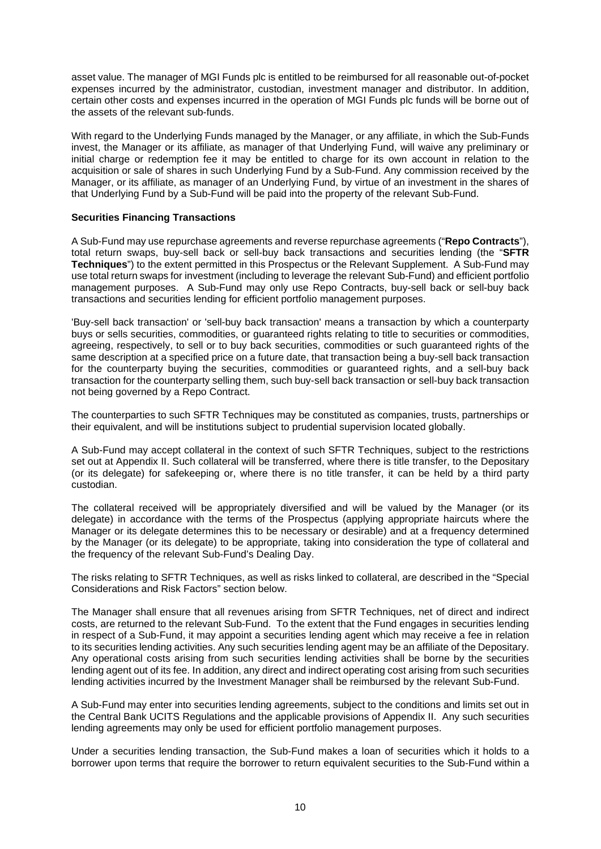asset value. The manager of MGI Funds plc is entitled to be reimbursed for all reasonable out-of-pocket expenses incurred by the administrator, custodian, investment manager and distributor. In addition, certain other costs and expenses incurred in the operation of MGI Funds plc funds will be borne out of the assets of the relevant sub-funds.

With regard to the Underlying Funds managed by the Manager, or any affiliate, in which the Sub-Funds invest, the Manager or its affiliate, as manager of that Underlying Fund, will waive any preliminary or initial charge or redemption fee it may be entitled to charge for its own account in relation to the acquisition or sale of shares in such Underlying Fund by a Sub-Fund. Any commission received by the Manager, or its affiliate, as manager of an Underlying Fund, by virtue of an investment in the shares of that Underlying Fund by a Sub-Fund will be paid into the property of the relevant Sub-Fund.

#### **Securities Financing Transactions**

A Sub-Fund may use repurchase agreements and reverse repurchase agreements ("**Repo Contracts**"), total return swaps, buy-sell back or sell-buy back transactions and securities lending (the "**SFTR Techniques**") to the extent permitted in this Prospectus or the Relevant Supplement. A Sub-Fund may use total return swaps for investment (including to leverage the relevant Sub-Fund) and efficient portfolio management purposes. A Sub-Fund may only use Repo Contracts, buy-sell back or sell-buy back transactions and securities lending for efficient portfolio management purposes.

'Buy-sell back transaction' or 'sell-buy back transaction' means a transaction by which a counterparty buys or sells securities, commodities, or guaranteed rights relating to title to securities or commodities, agreeing, respectively, to sell or to buy back securities, commodities or such guaranteed rights of the same description at a specified price on a future date, that transaction being a buy-sell back transaction for the counterparty buying the securities, commodities or guaranteed rights, and a sell-buy back transaction for the counterparty selling them, such buy-sell back transaction or sell-buy back transaction not being governed by a Repo Contract.

The counterparties to such SFTR Techniques may be constituted as companies, trusts, partnerships or their equivalent, and will be institutions subject to prudential supervision located globally.

A Sub-Fund may accept collateral in the context of such SFTR Techniques, subject to the restrictions set out at Appendix II. Such collateral will be transferred, where there is title transfer, to the Depositary (or its delegate) for safekeeping or, where there is no title transfer, it can be held by a third party custodian.

The collateral received will be appropriately diversified and will be valued by the Manager (or its delegate) in accordance with the terms of the Prospectus (applying appropriate haircuts where the Manager or its delegate determines this to be necessary or desirable) and at a frequency determined by the Manager (or its delegate) to be appropriate, taking into consideration the type of collateral and the frequency of the relevant Sub-Fund's Dealing Day.

The risks relating to SFTR Techniques, as well as risks linked to collateral, are described in the "Special Considerations and Risk Factors" section below.

The Manager shall ensure that all revenues arising from SFTR Techniques, net of direct and indirect costs, are returned to the relevant Sub-Fund. To the extent that the Fund engages in securities lending in respect of a Sub-Fund, it may appoint a securities lending agent which may receive a fee in relation to its securities lending activities. Any such securities lending agent may be an affiliate of the Depositary. Any operational costs arising from such securities lending activities shall be borne by the securities lending agent out of its fee. In addition, any direct and indirect operating cost arising from such securities lending activities incurred by the Investment Manager shall be reimbursed by the relevant Sub-Fund.

A Sub-Fund may enter into securities lending agreements, subject to the conditions and limits set out in the Central Bank UCITS Regulations and the applicable provisions of Appendix II. Any such securities lending agreements may only be used for efficient portfolio management purposes.

Under a securities lending transaction, the Sub-Fund makes a loan of securities which it holds to a borrower upon terms that require the borrower to return equivalent securities to the Sub-Fund within a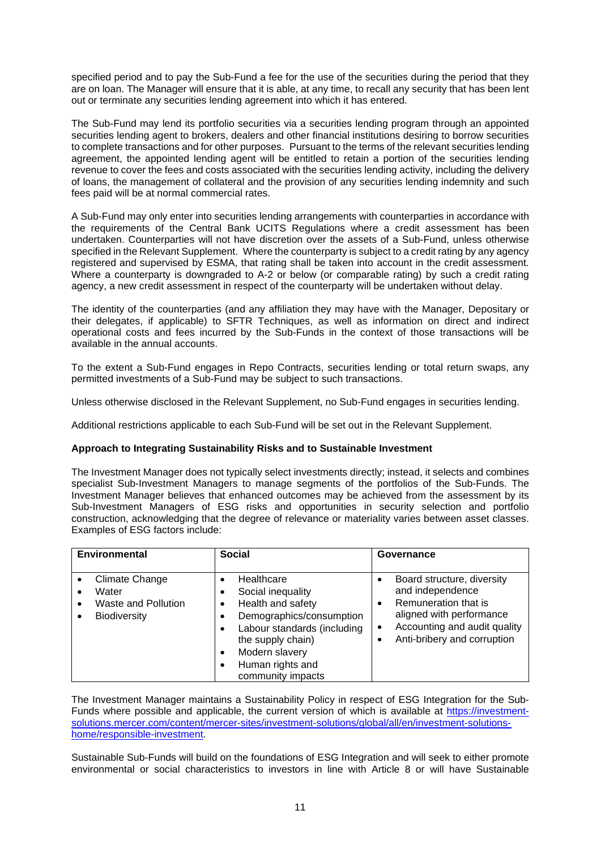specified period and to pay the Sub-Fund a fee for the use of the securities during the period that they are on loan. The Manager will ensure that it is able, at any time, to recall any security that has been lent out or terminate any securities lending agreement into which it has entered.

The Sub-Fund may lend its portfolio securities via a securities lending program through an appointed securities lending agent to brokers, dealers and other financial institutions desiring to borrow securities to complete transactions and for other purposes. Pursuant to the terms of the relevant securities lending agreement, the appointed lending agent will be entitled to retain a portion of the securities lending revenue to cover the fees and costs associated with the securities lending activity, including the delivery of loans, the management of collateral and the provision of any securities lending indemnity and such fees paid will be at normal commercial rates.

A Sub-Fund may only enter into securities lending arrangements with counterparties in accordance with the requirements of the Central Bank UCITS Regulations where a credit assessment has been undertaken. Counterparties will not have discretion over the assets of a Sub-Fund, unless otherwise specified in the Relevant Supplement. Where the counterparty is subject to a credit rating by any agency registered and supervised by ESMA, that rating shall be taken into account in the credit assessment. Where a counterparty is downgraded to A-2 or below (or comparable rating) by such a credit rating agency, a new credit assessment in respect of the counterparty will be undertaken without delay.

The identity of the counterparties (and any affiliation they may have with the Manager, Depositary or their delegates, if applicable) to SFTR Techniques, as well as information on direct and indirect operational costs and fees incurred by the Sub-Funds in the context of those transactions will be available in the annual accounts.

To the extent a Sub-Fund engages in Repo Contracts, securities lending or total return swaps, any permitted investments of a Sub-Fund may be subject to such transactions.

Unless otherwise disclosed in the Relevant Supplement, no Sub-Fund engages in securities lending.

Additional restrictions applicable to each Sub-Fund will be set out in the Relevant Supplement.

#### **Approach to Integrating Sustainability Risks and to Sustainable Investment**

The Investment Manager does not typically select investments directly; instead, it selects and combines specialist Sub-Investment Managers to manage segments of the portfolios of the Sub-Funds. The Investment Manager believes that enhanced outcomes may be achieved from the assessment by its Sub-Investment Managers of ESG risks and opportunities in security selection and portfolio construction, acknowledging that the degree of relevance or materiality varies between asset classes. Examples of ESG factors include:

| <b>Environmental</b>                                                                | <b>Social</b>                                                                                                                                                                                                  | Governance                                                                                                                                                                                  |
|-------------------------------------------------------------------------------------|----------------------------------------------------------------------------------------------------------------------------------------------------------------------------------------------------------------|---------------------------------------------------------------------------------------------------------------------------------------------------------------------------------------------|
| <b>Climate Change</b><br>Water<br><b>Waste and Pollution</b><br><b>Biodiversity</b> | Healthcare<br>٠<br>Social inequality<br>Health and safety<br>٠<br>Demographics/consumption<br>Labour standards (including<br>the supply chain)<br>Modern slavery<br>٠<br>Human rights and<br>community impacts | Board structure, diversity<br>and independence<br>Remuneration that is<br>$\bullet$<br>aligned with performance<br>Accounting and audit quality<br>$\bullet$<br>Anti-bribery and corruption |

The Investment Manager maintains a Sustainability Policy in respect of ESG Integration for the Sub-Funds where possible and applicable, the current version of which is available at [https://investment](https://investment-solutions.mercer.com/content/mercer-sites/investment-solutions/global/all/en/investment-solutions-home/responsible-investment)[solutions.mercer.com/content/mercer-sites/investment-solutions/global/all/en/investment-solutions](https://investment-solutions.mercer.com/content/mercer-sites/investment-solutions/global/all/en/investment-solutions-home/responsible-investment)[home/responsible-investment.](https://investment-solutions.mercer.com/content/mercer-sites/investment-solutions/global/all/en/investment-solutions-home/responsible-investment)

Sustainable Sub-Funds will build on the foundations of ESG Integration and will seek to either promote environmental or social characteristics to investors in line with Article 8 or will have Sustainable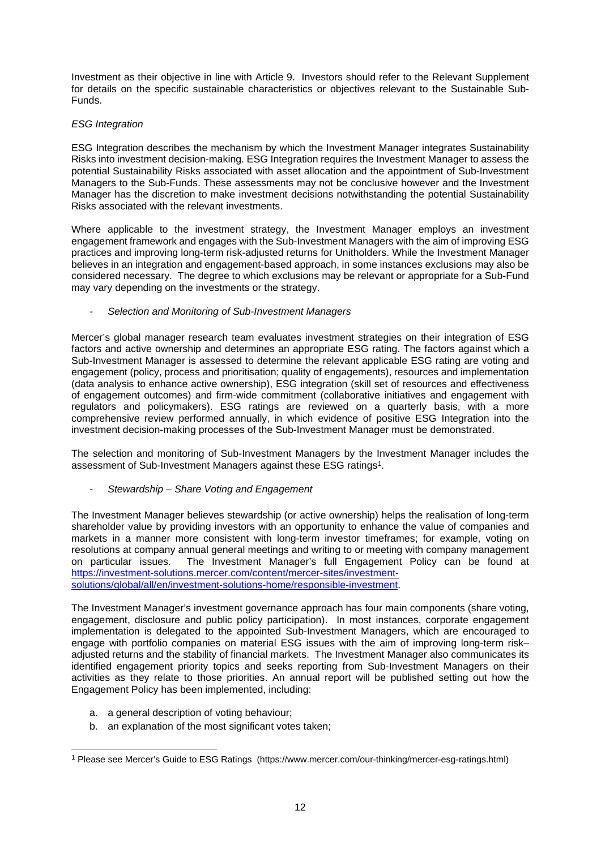Investment as their objective in line with Article 9. Investors should refer to the Relevant Supplement for details on the specific sustainable characteristics or objectives relevant to the Sustainable Sub-Funds.

# *ESG Integration*

ESG Integration describes the mechanism by which the Investment Manager integrates Sustainability Risks into investment decision-making. ESG Integration requires the Investment Manager to assess the potential Sustainability Risks associated with asset allocation and the appointment of Sub-Investment Managers to the Sub-Funds. These assessments may not be conclusive however and the Investment Manager has the discretion to make investment decisions notwithstanding the potential Sustainability Risks associated with the relevant investments.

Where applicable to the investment strategy, the Investment Manager employs an investment engagement framework and engages with the Sub-Investment Managers with the aim of improving ESG practices and improving long-term risk-adjusted returns for Unitholders. While the Investment Manager believes in an integration and engagement-based approach, in some instances exclusions may also be considered necessary. The degree to which exclusions may be relevant or appropriate for a Sub-Fund may vary depending on the investments or the strategy.

#### *- Selection and Monitoring of Sub-Investment Managers*

Mercer's global manager research team evaluates investment strategies on their integration of ESG factors and active ownership and determines an appropriate ESG rating. The factors against which a Sub-Investment Manager is assessed to determine the relevant applicable ESG rating are voting and engagement (policy, process and prioritisation; quality of engagements), resources and implementation (data analysis to enhance active ownership), ESG integration (skill set of resources and effectiveness of engagement outcomes) and firm-wide commitment (collaborative initiatives and engagement with regulators and policymakers). ESG ratings are reviewed on a quarterly basis, with a more comprehensive review performed annually, in which evidence of positive ESG Integration into the investment decision-making processes of the Sub-Investment Manager must be demonstrated.

The selection and monitoring of Sub-Investment Managers by the Investment Manager includes the assessment of Sub-Investment Managers against these ESG ratings<sup>1</sup>.

*- Stewardship – Share Voting and Engagement* 

The Investment Manager believes stewardship (or active ownership) helps the realisation of long-term shareholder value by providing investors with an opportunity to enhance the value of companies and markets in a manner more consistent with long-term investor timeframes; for example, voting on resolutions at company annual general meetings and writing to or meeting with company management on particular issues. The Investment Manager's full Engagement Policy can be found at [https://investment-solutions.mercer.com/content/mercer-sites/investment](https://investment-solutions.mercer.com/content/mercer-sites/investment-solutions/global/all/en/investment-solutions-home/responsible-investment)[solutions/global/all/en/investment-solutions-home/responsible-investment.](https://investment-solutions.mercer.com/content/mercer-sites/investment-solutions/global/all/en/investment-solutions-home/responsible-investment)

The Investment Manager's investment governance approach has four main components (share voting, engagement, disclosure and public policy participation). In most instances, corporate engagement implementation is delegated to the appointed Sub-Investment Managers, which are encouraged to engage with portfolio companies on material ESG issues with the aim of improving long-term risk– adjusted returns and the stability of financial markets. The Investment Manager also communicates its identified engagement priority topics and seeks reporting from Sub-Investment Managers on their activities as they relate to those priorities. An annual report will be published setting out how the Engagement Policy has been implemented, including:

- a. a general description of voting behaviour;
- b. an explanation of the most significant votes taken;

<sup>1</sup> Please see Mercer's Guide to ESG Ratings (https://www.mercer.com/our-thinking/mercer-esg-ratings.html)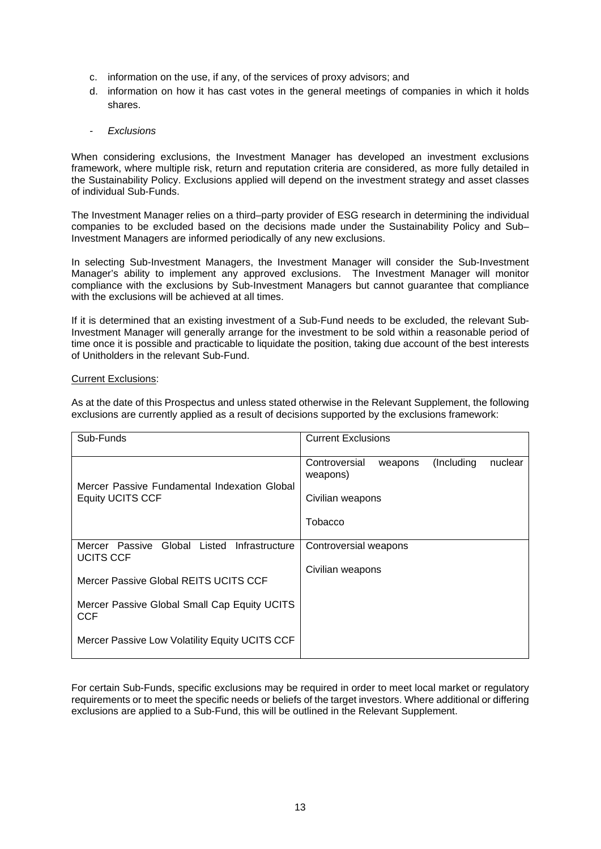- c. information on the use, if any, of the services of proxy advisors; and
- d. information on how it has cast votes in the general meetings of companies in which it holds shares.
- *Exclusions*

When considering exclusions, the Investment Manager has developed an investment exclusions framework, where multiple risk, return and reputation criteria are considered, as more fully detailed in the Sustainability Policy. Exclusions applied will depend on the investment strategy and asset classes of individual Sub-Funds.

The Investment Manager relies on a third–party provider of ESG research in determining the individual companies to be excluded based on the decisions made under the Sustainability Policy and Sub– Investment Managers are informed periodically of any new exclusions.

In selecting Sub-Investment Managers, the Investment Manager will consider the Sub-Investment Manager's ability to implement any approved exclusions. The Investment Manager will monitor compliance with the exclusions by Sub-Investment Managers but cannot guarantee that compliance with the exclusions will be achieved at all times.

If it is determined that an existing investment of a Sub-Fund needs to be excluded, the relevant Sub-Investment Manager will generally arrange for the investment to be sold within a reasonable period of time once it is possible and practicable to liquidate the position, taking due account of the best interests of Unitholders in the relevant Sub-Fund.

#### Current Exclusions:

As at the date of this Prospectus and unless stated otherwise in the Relevant Supplement, the following exclusions are currently applied as a result of decisions supported by the exclusions framework:

| Sub-Funds                                                               | <b>Current Exclusions</b>                                                                     |
|-------------------------------------------------------------------------|-----------------------------------------------------------------------------------------------|
| Mercer Passive Fundamental Indexation Global<br><b>Equity UCITS CCF</b> | Controversial<br>(Including)<br>nuclear<br>weapons<br>weapons)<br>Civilian weapons<br>Tobacco |
| Global Listed Infrastructure<br>Mercer Passive<br><b>UCITS CCF</b>      | Controversial weapons                                                                         |
| Mercer Passive Global REITS UCITS CCF                                   | Civilian weapons                                                                              |
| Mercer Passive Global Small Cap Equity UCITS<br><b>CCF</b>              |                                                                                               |
| Mercer Passive Low Volatility Equity UCITS CCF                          |                                                                                               |

For certain Sub-Funds, specific exclusions may be required in order to meet local market or regulatory requirements or to meet the specific needs or beliefs of the target investors. Where additional or differing exclusions are applied to a Sub-Fund, this will be outlined in the Relevant Supplement.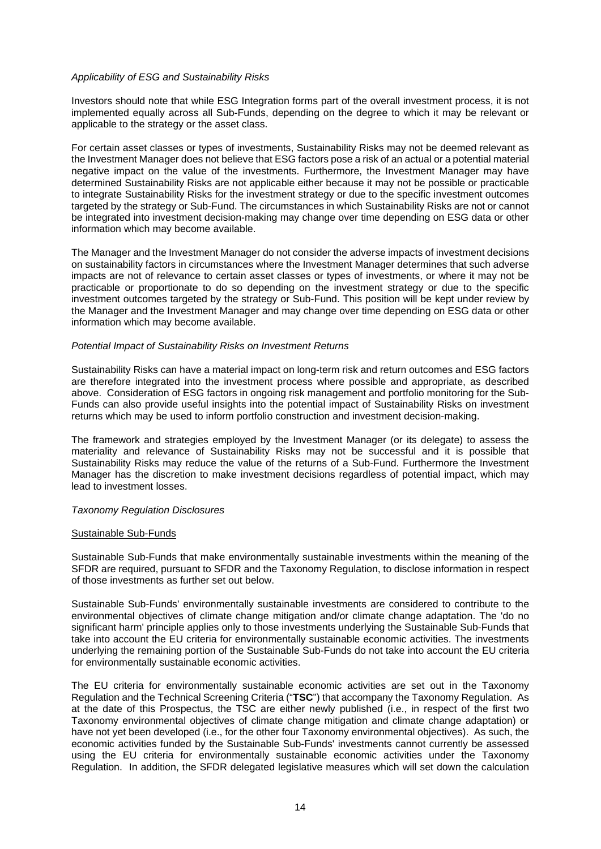#### *Applicability of ESG and Sustainability Risks*

Investors should note that while ESG Integration forms part of the overall investment process, it is not implemented equally across all Sub-Funds, depending on the degree to which it may be relevant or applicable to the strategy or the asset class.

For certain asset classes or types of investments, Sustainability Risks may not be deemed relevant as the Investment Manager does not believe that ESG factors pose a risk of an actual or a potential material negative impact on the value of the investments. Furthermore, the Investment Manager may have determined Sustainability Risks are not applicable either because it may not be possible or practicable to integrate Sustainability Risks for the investment strategy or due to the specific investment outcomes targeted by the strategy or Sub-Fund. The circumstances in which Sustainability Risks are not or cannot be integrated into investment decision-making may change over time depending on ESG data or other information which may become available.

The Manager and the Investment Manager do not consider the adverse impacts of investment decisions on sustainability factors in circumstances where the Investment Manager determines that such adverse impacts are not of relevance to certain asset classes or types of investments, or where it may not be practicable or proportionate to do so depending on the investment strategy or due to the specific investment outcomes targeted by the strategy or Sub-Fund. This position will be kept under review by the Manager and the Investment Manager and may change over time depending on ESG data or other information which may become available.

#### *Potential Impact of Sustainability Risks on Investment Returns*

Sustainability Risks can have a material impact on long-term risk and return outcomes and ESG factors are therefore integrated into the investment process where possible and appropriate, as described above. Consideration of ESG factors in ongoing risk management and portfolio monitoring for the Sub-Funds can also provide useful insights into the potential impact of Sustainability Risks on investment returns which may be used to inform portfolio construction and investment decision-making.

The framework and strategies employed by the Investment Manager (or its delegate) to assess the materiality and relevance of Sustainability Risks may not be successful and it is possible that Sustainability Risks may reduce the value of the returns of a Sub-Fund. Furthermore the Investment Manager has the discretion to make investment decisions regardless of potential impact, which may lead to investment losses.

#### *Taxonomy Regulation Disclosures*

#### Sustainable Sub-Funds

Sustainable Sub-Funds that make environmentally sustainable investments within the meaning of the SFDR are required, pursuant to SFDR and the Taxonomy Regulation, to disclose information in respect of those investments as further set out below.

Sustainable Sub-Funds' environmentally sustainable investments are considered to contribute to the environmental objectives of climate change mitigation and/or climate change adaptation. The 'do no significant harm' principle applies only to those investments underlying the Sustainable Sub-Funds that take into account the EU criteria for environmentally sustainable economic activities. The investments underlying the remaining portion of the Sustainable Sub-Funds do not take into account the EU criteria for environmentally sustainable economic activities.

The EU criteria for environmentally sustainable economic activities are set out in the Taxonomy Regulation and the Technical Screening Criteria ("**TSC**") that accompany the Taxonomy Regulation. As at the date of this Prospectus, the TSC are either newly published (i.e., in respect of the first two Taxonomy environmental objectives of climate change mitigation and climate change adaptation) or have not yet been developed (i.e., for the other four Taxonomy environmental objectives). As such, the economic activities funded by the Sustainable Sub-Funds' investments cannot currently be assessed using the EU criteria for environmentally sustainable economic activities under the Taxonomy Regulation. In addition, the SFDR delegated legislative measures which will set down the calculation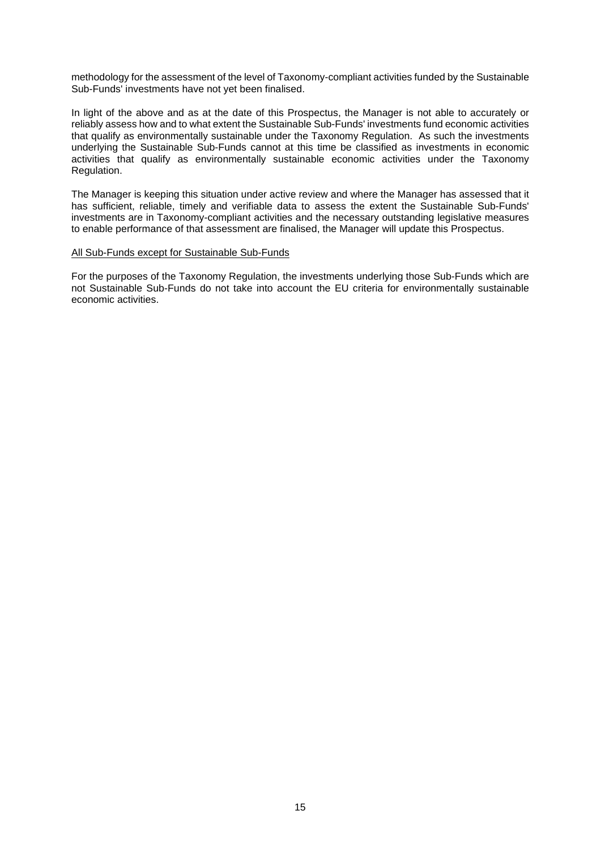methodology for the assessment of the level of Taxonomy-compliant activities funded by the Sustainable Sub-Funds' investments have not yet been finalised.

In light of the above and as at the date of this Prospectus, the Manager is not able to accurately or reliably assess how and to what extent the Sustainable Sub-Funds' investments fund economic activities that qualify as environmentally sustainable under the Taxonomy Regulation. As such the investments underlying the Sustainable Sub-Funds cannot at this time be classified as investments in economic activities that qualify as environmentally sustainable economic activities under the Taxonomy Regulation.

The Manager is keeping this situation under active review and where the Manager has assessed that it has sufficient, reliable, timely and verifiable data to assess the extent the Sustainable Sub-Funds' investments are in Taxonomy-compliant activities and the necessary outstanding legislative measures to enable performance of that assessment are finalised, the Manager will update this Prospectus.

#### All Sub-Funds except for Sustainable Sub-Funds

For the purposes of the Taxonomy Regulation, the investments underlying those Sub-Funds which are not Sustainable Sub-Funds do not take into account the EU criteria for environmentally sustainable economic activities.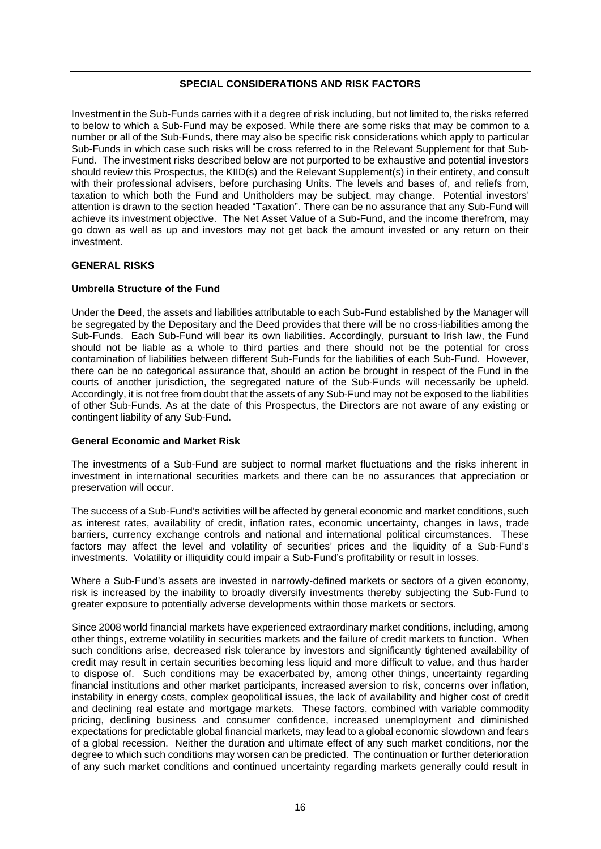#### **SPECIAL CONSIDERATIONS AND RISK FACTORS**

Investment in the Sub-Funds carries with it a degree of risk including, but not limited to, the risks referred to below to which a Sub-Fund may be exposed. While there are some risks that may be common to a number or all of the Sub-Funds, there may also be specific risk considerations which apply to particular Sub-Funds in which case such risks will be cross referred to in the Relevant Supplement for that Sub-Fund. The investment risks described below are not purported to be exhaustive and potential investors should review this Prospectus, the KIID(s) and the Relevant Supplement(s) in their entirety, and consult with their professional advisers, before purchasing Units. The levels and bases of, and reliefs from, taxation to which both the Fund and Unitholders may be subject, may change. Potential investors' attention is drawn to the section headed "Taxation". There can be no assurance that any Sub-Fund will achieve its investment objective. The Net Asset Value of a Sub-Fund, and the income therefrom, may go down as well as up and investors may not get back the amount invested or any return on their investment.

#### **GENERAL RISKS**

#### **Umbrella Structure of the Fund**

Under the Deed, the assets and liabilities attributable to each Sub-Fund established by the Manager will be segregated by the Depositary and the Deed provides that there will be no cross-liabilities among the Sub-Funds. Each Sub-Fund will bear its own liabilities. Accordingly, pursuant to Irish law, the Fund should not be liable as a whole to third parties and there should not be the potential for cross contamination of liabilities between different Sub-Funds for the liabilities of each Sub-Fund. However, there can be no categorical assurance that, should an action be brought in respect of the Fund in the courts of another jurisdiction, the segregated nature of the Sub-Funds will necessarily be upheld. Accordingly, it is not free from doubt that the assets of any Sub-Fund may not be exposed to the liabilities of other Sub-Funds. As at the date of this Prospectus, the Directors are not aware of any existing or contingent liability of any Sub-Fund.

#### **General Economic and Market Risk**

The investments of a Sub-Fund are subject to normal market fluctuations and the risks inherent in investment in international securities markets and there can be no assurances that appreciation or preservation will occur.

The success of a Sub-Fund's activities will be affected by general economic and market conditions, such as interest rates, availability of credit, inflation rates, economic uncertainty, changes in laws, trade barriers, currency exchange controls and national and international political circumstances. These factors may affect the level and volatility of securities' prices and the liquidity of a Sub-Fund's investments. Volatility or illiquidity could impair a Sub-Fund's profitability or result in losses.

Where a Sub-Fund's assets are invested in narrowly-defined markets or sectors of a given economy, risk is increased by the inability to broadly diversify investments thereby subjecting the Sub-Fund to greater exposure to potentially adverse developments within those markets or sectors.

Since 2008 world financial markets have experienced extraordinary market conditions, including, among other things, extreme volatility in securities markets and the failure of credit markets to function. When such conditions arise, decreased risk tolerance by investors and significantly tightened availability of credit may result in certain securities becoming less liquid and more difficult to value, and thus harder to dispose of. Such conditions may be exacerbated by, among other things, uncertainty regarding financial institutions and other market participants, increased aversion to risk, concerns over inflation, instability in energy costs, complex geopolitical issues, the lack of availability and higher cost of credit and declining real estate and mortgage markets. These factors, combined with variable commodity pricing, declining business and consumer confidence, increased unemployment and diminished expectations for predictable global financial markets, may lead to a global economic slowdown and fears of a global recession. Neither the duration and ultimate effect of any such market conditions, nor the degree to which such conditions may worsen can be predicted. The continuation or further deterioration of any such market conditions and continued uncertainty regarding markets generally could result in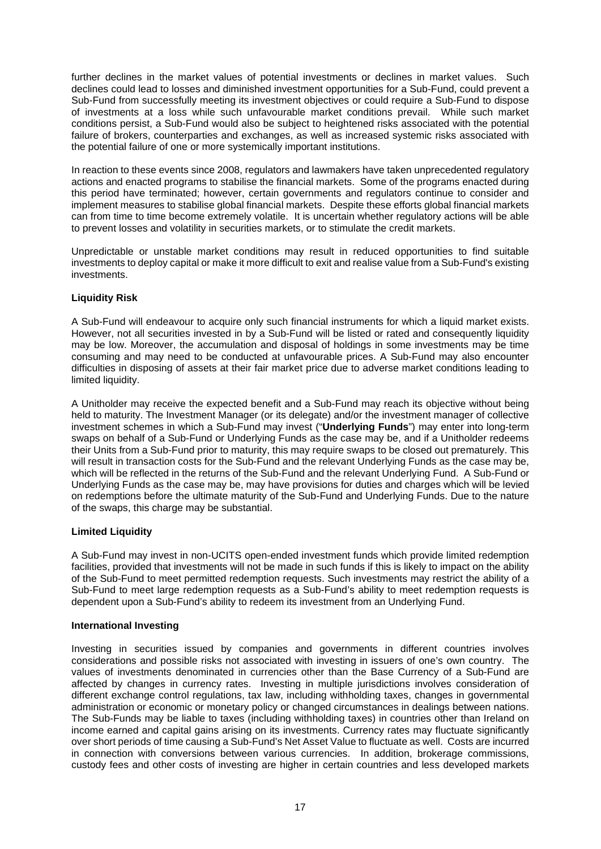further declines in the market values of potential investments or declines in market values. Such declines could lead to losses and diminished investment opportunities for a Sub-Fund, could prevent a Sub-Fund from successfully meeting its investment objectives or could require a Sub-Fund to dispose of investments at a loss while such unfavourable market conditions prevail. While such market conditions persist, a Sub-Fund would also be subject to heightened risks associated with the potential failure of brokers, counterparties and exchanges, as well as increased systemic risks associated with the potential failure of one or more systemically important institutions.

In reaction to these events since 2008, regulators and lawmakers have taken unprecedented regulatory actions and enacted programs to stabilise the financial markets. Some of the programs enacted during this period have terminated; however, certain governments and regulators continue to consider and implement measures to stabilise global financial markets. Despite these efforts global financial markets can from time to time become extremely volatile. It is uncertain whether regulatory actions will be able to prevent losses and volatility in securities markets, or to stimulate the credit markets.

Unpredictable or unstable market conditions may result in reduced opportunities to find suitable investments to deploy capital or make it more difficult to exit and realise value from a Sub-Fund's existing investments.

# **Liquidity Risk**

A Sub-Fund will endeavour to acquire only such financial instruments for which a liquid market exists. However, not all securities invested in by a Sub-Fund will be listed or rated and consequently liquidity may be low. Moreover, the accumulation and disposal of holdings in some investments may be time consuming and may need to be conducted at unfavourable prices. A Sub-Fund may also encounter difficulties in disposing of assets at their fair market price due to adverse market conditions leading to limited liquidity.

A Unitholder may receive the expected benefit and a Sub-Fund may reach its objective without being held to maturity. The Investment Manager (or its delegate) and/or the investment manager of collective investment schemes in which a Sub-Fund may invest ("**Underlying Funds**") may enter into long-term swaps on behalf of a Sub-Fund or Underlying Funds as the case may be, and if a Unitholder redeems their Units from a Sub-Fund prior to maturity, this may require swaps to be closed out prematurely. This will result in transaction costs for the Sub-Fund and the relevant Underlying Funds as the case may be, which will be reflected in the returns of the Sub-Fund and the relevant Underlying Fund. A Sub-Fund or Underlying Funds as the case may be, may have provisions for duties and charges which will be levied on redemptions before the ultimate maturity of the Sub-Fund and Underlying Funds. Due to the nature of the swaps, this charge may be substantial.

# **Limited Liquidity**

A Sub-Fund may invest in non-UCITS open-ended investment funds which provide limited redemption facilities, provided that investments will not be made in such funds if this is likely to impact on the ability of the Sub-Fund to meet permitted redemption requests. Such investments may restrict the ability of a Sub-Fund to meet large redemption requests as a Sub-Fund's ability to meet redemption requests is dependent upon a Sub-Fund's ability to redeem its investment from an Underlying Fund.

# **International Investing**

Investing in securities issued by companies and governments in different countries involves considerations and possible risks not associated with investing in issuers of one's own country. The values of investments denominated in currencies other than the Base Currency of a Sub-Fund are affected by changes in currency rates. Investing in multiple jurisdictions involves consideration of different exchange control regulations, tax law, including withholding taxes, changes in governmental administration or economic or monetary policy or changed circumstances in dealings between nations. The Sub-Funds may be liable to taxes (including withholding taxes) in countries other than Ireland on income earned and capital gains arising on its investments. Currency rates may fluctuate significantly over short periods of time causing a Sub-Fund's Net Asset Value to fluctuate as well. Costs are incurred in connection with conversions between various currencies. In addition, brokerage commissions, custody fees and other costs of investing are higher in certain countries and less developed markets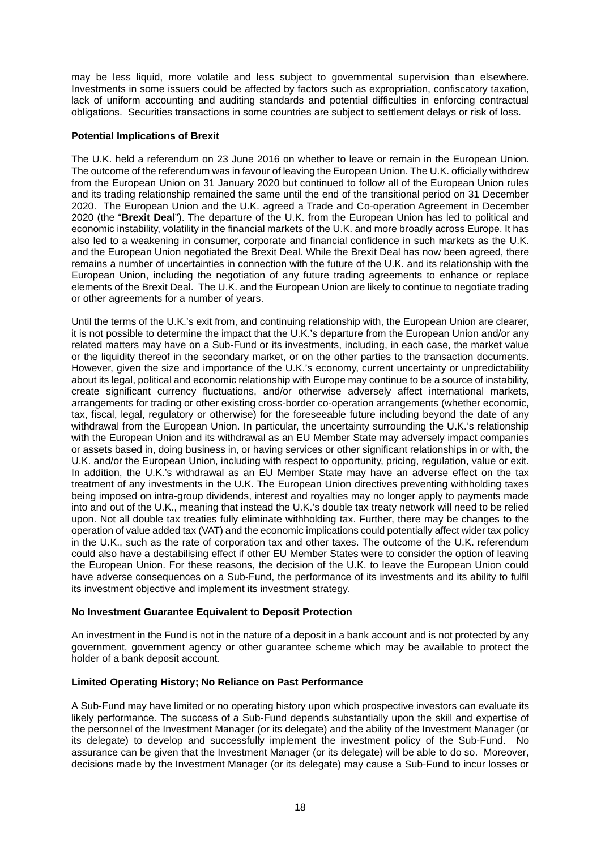may be less liquid, more volatile and less subject to governmental supervision than elsewhere. Investments in some issuers could be affected by factors such as expropriation, confiscatory taxation, lack of uniform accounting and auditing standards and potential difficulties in enforcing contractual obligations. Securities transactions in some countries are subject to settlement delays or risk of loss.

#### **Potential Implications of Brexit**

The U.K. held a referendum on 23 June 2016 on whether to leave or remain in the European Union. The outcome of the referendum was in favour of leaving the European Union. The U.K. officially withdrew from the European Union on 31 January 2020 but continued to follow all of the European Union rules and its trading relationship remained the same until the end of the transitional period on 31 December 2020. The European Union and the U.K. agreed a Trade and Co-operation Agreement in December 2020 (the "**Brexit Deal**"). The departure of the U.K. from the European Union has led to political and economic instability, volatility in the financial markets of the U.K. and more broadly across Europe. It has also led to a weakening in consumer, corporate and financial confidence in such markets as the U.K. and the European Union negotiated the Brexit Deal. While the Brexit Deal has now been agreed, there remains a number of uncertainties in connection with the future of the U.K. and its relationship with the European Union, including the negotiation of any future trading agreements to enhance or replace elements of the Brexit Deal. The U.K. and the European Union are likely to continue to negotiate trading or other agreements for a number of years.

Until the terms of the U.K.'s exit from, and continuing relationship with, the European Union are clearer, it is not possible to determine the impact that the U.K.'s departure from the European Union and/or any related matters may have on a Sub-Fund or its investments, including, in each case, the market value or the liquidity thereof in the secondary market, or on the other parties to the transaction documents. However, given the size and importance of the U.K.'s economy, current uncertainty or unpredictability about its legal, political and economic relationship with Europe may continue to be a source of instability, create significant currency fluctuations, and/or otherwise adversely affect international markets, arrangements for trading or other existing cross-border co-operation arrangements (whether economic, tax, fiscal, legal, regulatory or otherwise) for the foreseeable future including beyond the date of any withdrawal from the European Union. In particular, the uncertainty surrounding the U.K.'s relationship with the European Union and its withdrawal as an EU Member State may adversely impact companies or assets based in, doing business in, or having services or other significant relationships in or with, the U.K. and/or the European Union, including with respect to opportunity, pricing, regulation, value or exit. In addition, the U.K.'s withdrawal as an EU Member State may have an adverse effect on the tax treatment of any investments in the U.K. The European Union directives preventing withholding taxes being imposed on intra-group dividends, interest and royalties may no longer apply to payments made into and out of the U.K., meaning that instead the U.K.'s double tax treaty network will need to be relied upon. Not all double tax treaties fully eliminate withholding tax. Further, there may be changes to the operation of value added tax (VAT) and the economic implications could potentially affect wider tax policy in the U.K., such as the rate of corporation tax and other taxes. The outcome of the U.K. referendum could also have a destabilising effect if other EU Member States were to consider the option of leaving the European Union. For these reasons, the decision of the U.K. to leave the European Union could have adverse consequences on a Sub-Fund, the performance of its investments and its ability to fulfil its investment objective and implement its investment strategy.

#### **No Investment Guarantee Equivalent to Deposit Protection**

An investment in the Fund is not in the nature of a deposit in a bank account and is not protected by any government, government agency or other guarantee scheme which may be available to protect the holder of a bank deposit account.

#### **Limited Operating History; No Reliance on Past Performance**

A Sub-Fund may have limited or no operating history upon which prospective investors can evaluate its likely performance. The success of a Sub-Fund depends substantially upon the skill and expertise of the personnel of the Investment Manager (or its delegate) and the ability of the Investment Manager (or its delegate) to develop and successfully implement the investment policy of the Sub-Fund. No assurance can be given that the Investment Manager (or its delegate) will be able to do so. Moreover, decisions made by the Investment Manager (or its delegate) may cause a Sub-Fund to incur losses or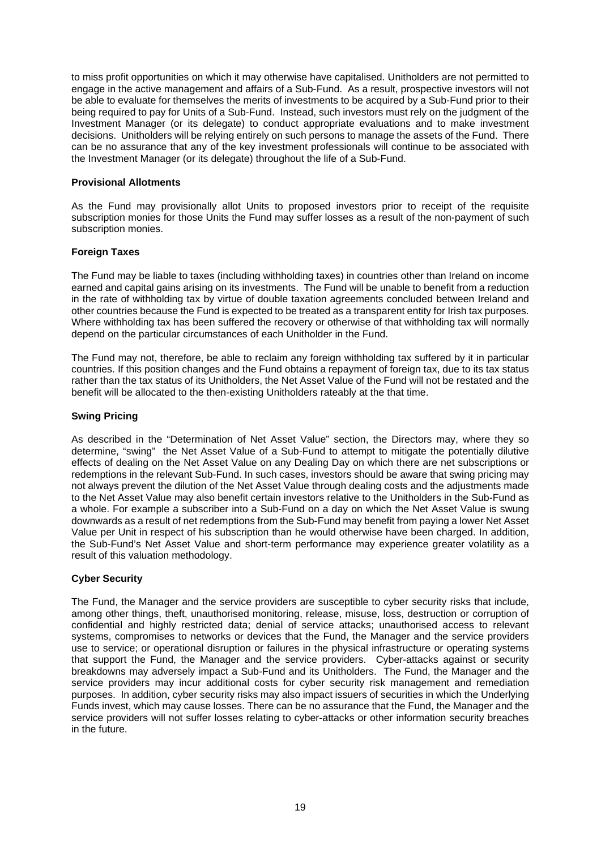to miss profit opportunities on which it may otherwise have capitalised. Unitholders are not permitted to engage in the active management and affairs of a Sub-Fund. As a result, prospective investors will not be able to evaluate for themselves the merits of investments to be acquired by a Sub-Fund prior to their being required to pay for Units of a Sub-Fund. Instead, such investors must rely on the judgment of the Investment Manager (or its delegate) to conduct appropriate evaluations and to make investment decisions. Unitholders will be relying entirely on such persons to manage the assets of the Fund. There can be no assurance that any of the key investment professionals will continue to be associated with the Investment Manager (or its delegate) throughout the life of a Sub-Fund.

#### **Provisional Allotments**

As the Fund may provisionally allot Units to proposed investors prior to receipt of the requisite subscription monies for those Units the Fund may suffer losses as a result of the non-payment of such subscription monies.

#### **Foreign Taxes**

The Fund may be liable to taxes (including withholding taxes) in countries other than Ireland on income earned and capital gains arising on its investments. The Fund will be unable to benefit from a reduction in the rate of withholding tax by virtue of double taxation agreements concluded between Ireland and other countries because the Fund is expected to be treated as a transparent entity for Irish tax purposes. Where withholding tax has been suffered the recovery or otherwise of that withholding tax will normally depend on the particular circumstances of each Unitholder in the Fund.

The Fund may not, therefore, be able to reclaim any foreign withholding tax suffered by it in particular countries. If this position changes and the Fund obtains a repayment of foreign tax, due to its tax status rather than the tax status of its Unitholders, the Net Asset Value of the Fund will not be restated and the benefit will be allocated to the then-existing Unitholders rateably at the that time.

#### **Swing Pricing**

As described in the "Determination of Net Asset Value" section, the Directors may, where they so determine, "swing" the Net Asset Value of a Sub-Fund to attempt to mitigate the potentially dilutive effects of dealing on the Net Asset Value on any Dealing Day on which there are net subscriptions or redemptions in the relevant Sub-Fund. In such cases, investors should be aware that swing pricing may not always prevent the dilution of the Net Asset Value through dealing costs and the adjustments made to the Net Asset Value may also benefit certain investors relative to the Unitholders in the Sub-Fund as a whole. For example a subscriber into a Sub-Fund on a day on which the Net Asset Value is swung downwards as a result of net redemptions from the Sub-Fund may benefit from paying a lower Net Asset Value per Unit in respect of his subscription than he would otherwise have been charged. In addition, the Sub-Fund's Net Asset Value and short-term performance may experience greater volatility as a result of this valuation methodology.

# **Cyber Security**

The Fund, the Manager and the service providers are susceptible to cyber security risks that include, among other things, theft, unauthorised monitoring, release, misuse, loss, destruction or corruption of confidential and highly restricted data; denial of service attacks; unauthorised access to relevant systems, compromises to networks or devices that the Fund, the Manager and the service providers use to service; or operational disruption or failures in the physical infrastructure or operating systems that support the Fund, the Manager and the service providers. Cyber-attacks against or security breakdowns may adversely impact a Sub-Fund and its Unitholders. The Fund, the Manager and the service providers may incur additional costs for cyber security risk management and remediation purposes. In addition, cyber security risks may also impact issuers of securities in which the Underlying Funds invest, which may cause losses. There can be no assurance that the Fund, the Manager and the service providers will not suffer losses relating to cyber-attacks or other information security breaches in the future.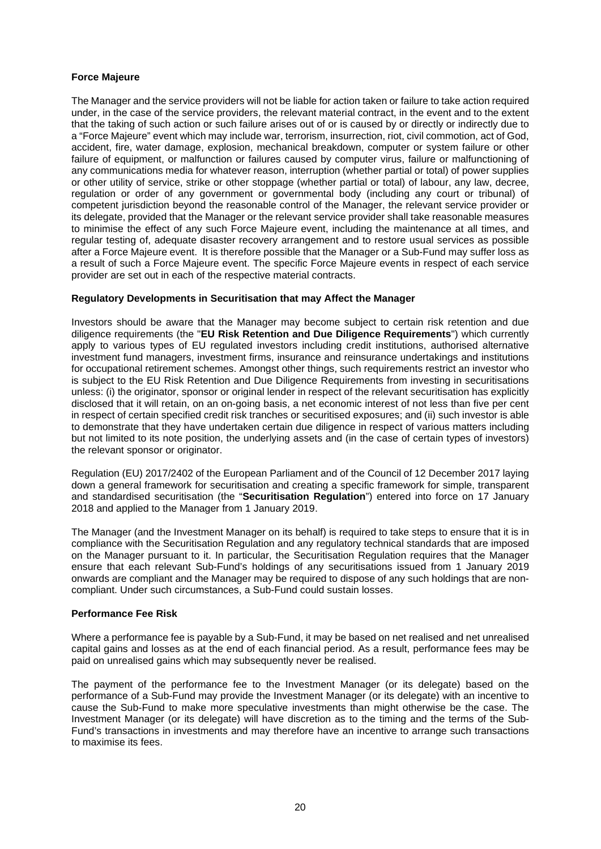#### **Force Majeure**

The Manager and the service providers will not be liable for action taken or failure to take action required under, in the case of the service providers, the relevant material contract, in the event and to the extent that the taking of such action or such failure arises out of or is caused by or directly or indirectly due to a "Force Majeure" event which may include war, terrorism, insurrection, riot, civil commotion, act of God, accident, fire, water damage, explosion, mechanical breakdown, computer or system failure or other failure of equipment, or malfunction or failures caused by computer virus, failure or malfunctioning of any communications media for whatever reason, interruption (whether partial or total) of power supplies or other utility of service, strike or other stoppage (whether partial or total) of labour, any law, decree, regulation or order of any government or governmental body (including any court or tribunal) of competent jurisdiction beyond the reasonable control of the Manager, the relevant service provider or its delegate, provided that the Manager or the relevant service provider shall take reasonable measures to minimise the effect of any such Force Majeure event, including the maintenance at all times, and regular testing of, adequate disaster recovery arrangement and to restore usual services as possible after a Force Majeure event. It is therefore possible that the Manager or a Sub-Fund may suffer loss as a result of such a Force Majeure event. The specific Force Majeure events in respect of each service provider are set out in each of the respective material contracts.

#### **Regulatory Developments in Securitisation that may Affect the Manager**

Investors should be aware that the Manager may become subject to certain risk retention and due diligence requirements (the "**EU Risk Retention and Due Diligence Requirements**") which currently apply to various types of EU regulated investors including credit institutions, authorised alternative investment fund managers, investment firms, insurance and reinsurance undertakings and institutions for occupational retirement schemes. Amongst other things, such requirements restrict an investor who is subject to the EU Risk Retention and Due Diligence Requirements from investing in securitisations unless: (i) the originator, sponsor or original lender in respect of the relevant securitisation has explicitly disclosed that it will retain, on an on-going basis, a net economic interest of not less than five per cent in respect of certain specified credit risk tranches or securitised exposures; and (ii) such investor is able to demonstrate that they have undertaken certain due diligence in respect of various matters including but not limited to its note position, the underlying assets and (in the case of certain types of investors) the relevant sponsor or originator.

Regulation (EU) 2017/2402 of the European Parliament and of the Council of 12 December 2017 laying down a general framework for securitisation and creating a specific framework for simple, transparent and standardised securitisation (the "**Securitisation Regulation**") entered into force on 17 January 2018 and applied to the Manager from 1 January 2019.

The Manager (and the Investment Manager on its behalf) is required to take steps to ensure that it is in compliance with the Securitisation Regulation and any regulatory technical standards that are imposed on the Manager pursuant to it. In particular, the Securitisation Regulation requires that the Manager ensure that each relevant Sub-Fund's holdings of any securitisations issued from 1 January 2019 onwards are compliant and the Manager may be required to dispose of any such holdings that are noncompliant. Under such circumstances, a Sub-Fund could sustain losses.

#### **Performance Fee Risk**

Where a performance fee is payable by a Sub-Fund, it may be based on net realised and net unrealised capital gains and losses as at the end of each financial period. As a result, performance fees may be paid on unrealised gains which may subsequently never be realised.

The payment of the performance fee to the Investment Manager (or its delegate) based on the performance of a Sub-Fund may provide the Investment Manager (or its delegate) with an incentive to cause the Sub-Fund to make more speculative investments than might otherwise be the case. The Investment Manager (or its delegate) will have discretion as to the timing and the terms of the Sub-Fund's transactions in investments and may therefore have an incentive to arrange such transactions to maximise its fees.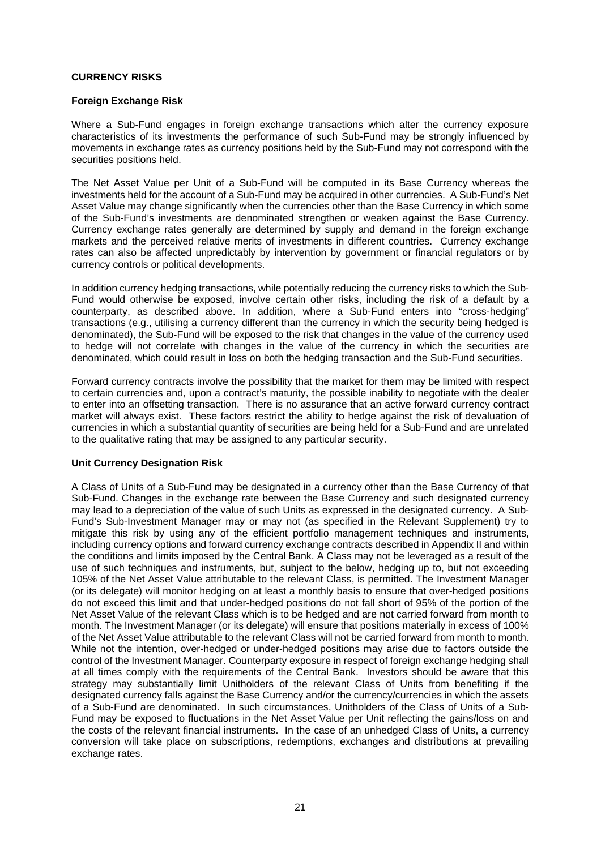#### **CURRENCY RISKS**

#### **Foreign Exchange Risk**

Where a Sub-Fund engages in foreign exchange transactions which alter the currency exposure characteristics of its investments the performance of such Sub-Fund may be strongly influenced by movements in exchange rates as currency positions held by the Sub-Fund may not correspond with the securities positions held.

The Net Asset Value per Unit of a Sub-Fund will be computed in its Base Currency whereas the investments held for the account of a Sub-Fund may be acquired in other currencies. A Sub-Fund's Net Asset Value may change significantly when the currencies other than the Base Currency in which some of the Sub-Fund's investments are denominated strengthen or weaken against the Base Currency. Currency exchange rates generally are determined by supply and demand in the foreign exchange markets and the perceived relative merits of investments in different countries. Currency exchange rates can also be affected unpredictably by intervention by government or financial regulators or by currency controls or political developments.

In addition currency hedging transactions, while potentially reducing the currency risks to which the Sub-Fund would otherwise be exposed, involve certain other risks, including the risk of a default by a counterparty, as described above. In addition, where a Sub-Fund enters into "cross-hedging" transactions (e.g., utilising a currency different than the currency in which the security being hedged is denominated), the Sub-Fund will be exposed to the risk that changes in the value of the currency used to hedge will not correlate with changes in the value of the currency in which the securities are denominated, which could result in loss on both the hedging transaction and the Sub-Fund securities.

Forward currency contracts involve the possibility that the market for them may be limited with respect to certain currencies and, upon a contract's maturity, the possible inability to negotiate with the dealer to enter into an offsetting transaction. There is no assurance that an active forward currency contract market will always exist. These factors restrict the ability to hedge against the risk of devaluation of currencies in which a substantial quantity of securities are being held for a Sub-Fund and are unrelated to the qualitative rating that may be assigned to any particular security.

# **Unit Currency Designation Risk**

A Class of Units of a Sub-Fund may be designated in a currency other than the Base Currency of that Sub-Fund. Changes in the exchange rate between the Base Currency and such designated currency may lead to a depreciation of the value of such Units as expressed in the designated currency. A Sub-Fund's Sub-Investment Manager may or may not (as specified in the Relevant Supplement) try to mitigate this risk by using any of the efficient portfolio management techniques and instruments, including currency options and forward currency exchange contracts described in Appendix II and within the conditions and limits imposed by the Central Bank. A Class may not be leveraged as a result of the use of such techniques and instruments, but, subject to the below, hedging up to, but not exceeding 105% of the Net Asset Value attributable to the relevant Class, is permitted. The Investment Manager (or its delegate) will monitor hedging on at least a monthly basis to ensure that over-hedged positions do not exceed this limit and that under-hedged positions do not fall short of 95% of the portion of the Net Asset Value of the relevant Class which is to be hedged and are not carried forward from month to month. The Investment Manager (or its delegate) will ensure that positions materially in excess of 100% of the Net Asset Value attributable to the relevant Class will not be carried forward from month to month. While not the intention, over-hedged or under-hedged positions may arise due to factors outside the control of the Investment Manager. Counterparty exposure in respect of foreign exchange hedging shall at all times comply with the requirements of the Central Bank. Investors should be aware that this strategy may substantially limit Unitholders of the relevant Class of Units from benefiting if the designated currency falls against the Base Currency and/or the currency/currencies in which the assets of a Sub-Fund are denominated. In such circumstances, Unitholders of the Class of Units of a Sub-Fund may be exposed to fluctuations in the Net Asset Value per Unit reflecting the gains/loss on and the costs of the relevant financial instruments. In the case of an unhedged Class of Units, a currency conversion will take place on subscriptions, redemptions, exchanges and distributions at prevailing exchange rates.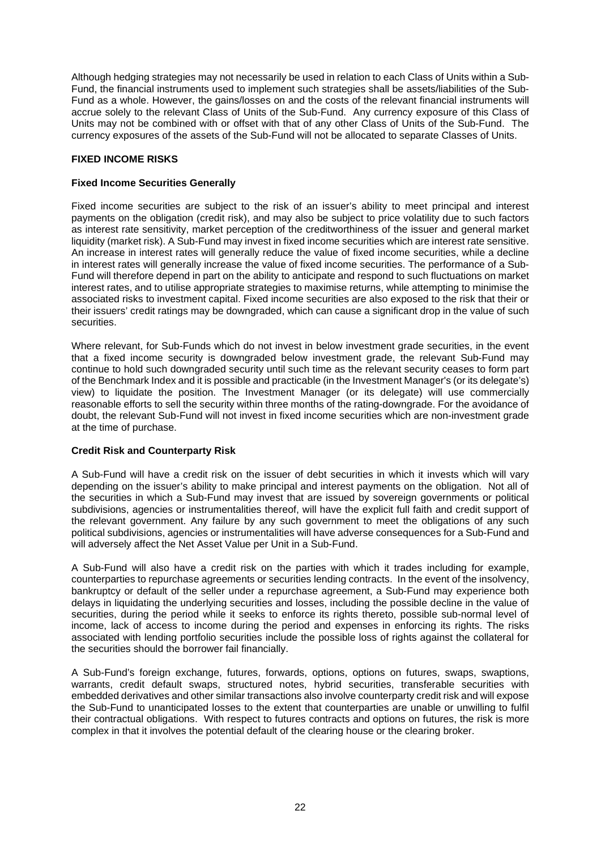Although hedging strategies may not necessarily be used in relation to each Class of Units within a Sub-Fund, the financial instruments used to implement such strategies shall be assets/liabilities of the Sub-Fund as a whole. However, the gains/losses on and the costs of the relevant financial instruments will accrue solely to the relevant Class of Units of the Sub-Fund. Any currency exposure of this Class of Units may not be combined with or offset with that of any other Class of Units of the Sub-Fund. The currency exposures of the assets of the Sub-Fund will not be allocated to separate Classes of Units.

# **FIXED INCOME RISKS**

#### **Fixed Income Securities Generally**

Fixed income securities are subject to the risk of an issuer's ability to meet principal and interest payments on the obligation (credit risk), and may also be subject to price volatility due to such factors as interest rate sensitivity, market perception of the creditworthiness of the issuer and general market liquidity (market risk). A Sub-Fund may invest in fixed income securities which are interest rate sensitive. An increase in interest rates will generally reduce the value of fixed income securities, while a decline in interest rates will generally increase the value of fixed income securities. The performance of a Sub-Fund will therefore depend in part on the ability to anticipate and respond to such fluctuations on market interest rates, and to utilise appropriate strategies to maximise returns, while attempting to minimise the associated risks to investment capital. Fixed income securities are also exposed to the risk that their or their issuers' credit ratings may be downgraded, which can cause a significant drop in the value of such securities.

Where relevant, for Sub-Funds which do not invest in below investment grade securities, in the event that a fixed income security is downgraded below investment grade, the relevant Sub-Fund may continue to hold such downgraded security until such time as the relevant security ceases to form part of the Benchmark Index and it is possible and practicable (in the Investment Manager's (or its delegate's) view) to liquidate the position. The Investment Manager (or its delegate) will use commercially reasonable efforts to sell the security within three months of the rating-downgrade. For the avoidance of doubt, the relevant Sub-Fund will not invest in fixed income securities which are non-investment grade at the time of purchase.

# **Credit Risk and Counterparty Risk**

A Sub-Fund will have a credit risk on the issuer of debt securities in which it invests which will vary depending on the issuer's ability to make principal and interest payments on the obligation. Not all of the securities in which a Sub-Fund may invest that are issued by sovereign governments or political subdivisions, agencies or instrumentalities thereof, will have the explicit full faith and credit support of the relevant government. Any failure by any such government to meet the obligations of any such political subdivisions, agencies or instrumentalities will have adverse consequences for a Sub-Fund and will adversely affect the Net Asset Value per Unit in a Sub-Fund.

A Sub-Fund will also have a credit risk on the parties with which it trades including for example, counterparties to repurchase agreements or securities lending contracts. In the event of the insolvency, bankruptcy or default of the seller under a repurchase agreement, a Sub-Fund may experience both delays in liquidating the underlying securities and losses, including the possible decline in the value of securities, during the period while it seeks to enforce its rights thereto, possible sub-normal level of income, lack of access to income during the period and expenses in enforcing its rights. The risks associated with lending portfolio securities include the possible loss of rights against the collateral for the securities should the borrower fail financially.

A Sub-Fund's foreign exchange, futures, forwards, options, options on futures, swaps, swaptions, warrants, credit default swaps, structured notes, hybrid securities, transferable securities with embedded derivatives and other similar transactions also involve counterparty credit risk and will expose the Sub-Fund to unanticipated losses to the extent that counterparties are unable or unwilling to fulfil their contractual obligations. With respect to futures contracts and options on futures, the risk is more complex in that it involves the potential default of the clearing house or the clearing broker.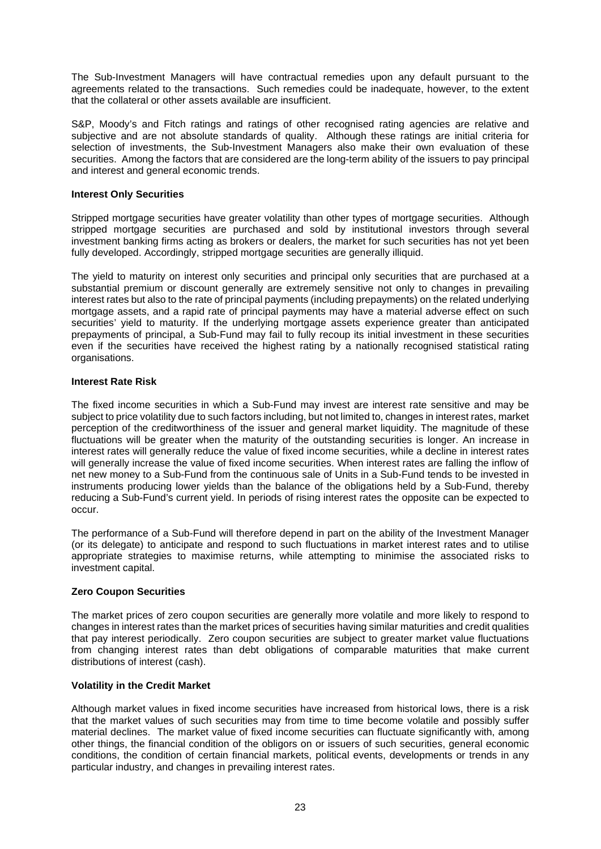The Sub-Investment Managers will have contractual remedies upon any default pursuant to the agreements related to the transactions. Such remedies could be inadequate, however, to the extent that the collateral or other assets available are insufficient.

S&P, Moody's and Fitch ratings and ratings of other recognised rating agencies are relative and subjective and are not absolute standards of quality. Although these ratings are initial criteria for selection of investments, the Sub-Investment Managers also make their own evaluation of these securities. Among the factors that are considered are the long-term ability of the issuers to pay principal and interest and general economic trends.

#### **Interest Only Securities**

Stripped mortgage securities have greater volatility than other types of mortgage securities. Although stripped mortgage securities are purchased and sold by institutional investors through several investment banking firms acting as brokers or dealers, the market for such securities has not yet been fully developed. Accordingly, stripped mortgage securities are generally illiquid.

The yield to maturity on interest only securities and principal only securities that are purchased at a substantial premium or discount generally are extremely sensitive not only to changes in prevailing interest rates but also to the rate of principal payments (including prepayments) on the related underlying mortgage assets, and a rapid rate of principal payments may have a material adverse effect on such securities' yield to maturity. If the underlying mortgage assets experience greater than anticipated prepayments of principal, a Sub-Fund may fail to fully recoup its initial investment in these securities even if the securities have received the highest rating by a nationally recognised statistical rating organisations.

# **Interest Rate Risk**

The fixed income securities in which a Sub-Fund may invest are interest rate sensitive and may be subject to price volatility due to such factors including, but not limited to, changes in interest rates, market perception of the creditworthiness of the issuer and general market liquidity. The magnitude of these fluctuations will be greater when the maturity of the outstanding securities is longer. An increase in interest rates will generally reduce the value of fixed income securities, while a decline in interest rates will generally increase the value of fixed income securities. When interest rates are falling the inflow of net new money to a Sub-Fund from the continuous sale of Units in a Sub-Fund tends to be invested in instruments producing lower yields than the balance of the obligations held by a Sub-Fund, thereby reducing a Sub-Fund's current yield. In periods of rising interest rates the opposite can be expected to occur.

The performance of a Sub-Fund will therefore depend in part on the ability of the Investment Manager (or its delegate) to anticipate and respond to such fluctuations in market interest rates and to utilise appropriate strategies to maximise returns, while attempting to minimise the associated risks to investment capital.

# **Zero Coupon Securities**

The market prices of zero coupon securities are generally more volatile and more likely to respond to changes in interest rates than the market prices of securities having similar maturities and credit qualities that pay interest periodically. Zero coupon securities are subject to greater market value fluctuations from changing interest rates than debt obligations of comparable maturities that make current distributions of interest (cash).

# **Volatility in the Credit Market**

Although market values in fixed income securities have increased from historical lows, there is a risk that the market values of such securities may from time to time become volatile and possibly suffer material declines. The market value of fixed income securities can fluctuate significantly with, among other things, the financial condition of the obligors on or issuers of such securities, general economic conditions, the condition of certain financial markets, political events, developments or trends in any particular industry, and changes in prevailing interest rates.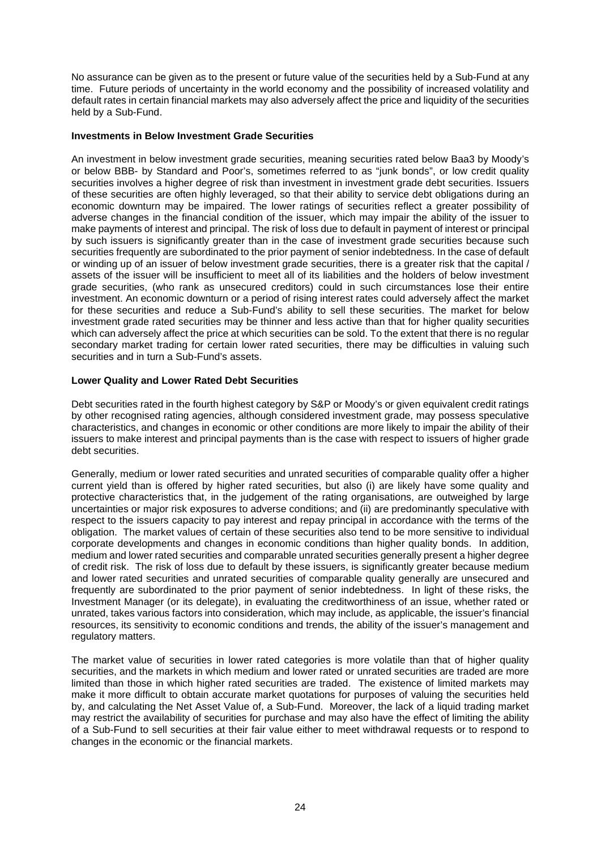No assurance can be given as to the present or future value of the securities held by a Sub-Fund at any time. Future periods of uncertainty in the world economy and the possibility of increased volatility and default rates in certain financial markets may also adversely affect the price and liquidity of the securities held by a Sub-Fund.

#### **Investments in Below Investment Grade Securities**

An investment in below investment grade securities, meaning securities rated below Baa3 by Moody's or below BBB- by Standard and Poor's, sometimes referred to as "junk bonds", or low credit quality securities involves a higher degree of risk than investment in investment grade debt securities. Issuers of these securities are often highly leveraged, so that their ability to service debt obligations during an economic downturn may be impaired. The lower ratings of securities reflect a greater possibility of adverse changes in the financial condition of the issuer, which may impair the ability of the issuer to make payments of interest and principal. The risk of loss due to default in payment of interest or principal by such issuers is significantly greater than in the case of investment grade securities because such securities frequently are subordinated to the prior payment of senior indebtedness. In the case of default or winding up of an issuer of below investment grade securities, there is a greater risk that the capital / assets of the issuer will be insufficient to meet all of its liabilities and the holders of below investment grade securities, (who rank as unsecured creditors) could in such circumstances lose their entire investment. An economic downturn or a period of rising interest rates could adversely affect the market for these securities and reduce a Sub-Fund's ability to sell these securities. The market for below investment grade rated securities may be thinner and less active than that for higher quality securities which can adversely affect the price at which securities can be sold. To the extent that there is no regular secondary market trading for certain lower rated securities, there may be difficulties in valuing such securities and in turn a Sub-Fund's assets.

#### **Lower Quality and Lower Rated Debt Securities**

Debt securities rated in the fourth highest category by S&P or Moody's or given equivalent credit ratings by other recognised rating agencies, although considered investment grade, may possess speculative characteristics, and changes in economic or other conditions are more likely to impair the ability of their issuers to make interest and principal payments than is the case with respect to issuers of higher grade debt securities.

Generally, medium or lower rated securities and unrated securities of comparable quality offer a higher current yield than is offered by higher rated securities, but also (i) are likely have some quality and protective characteristics that, in the judgement of the rating organisations, are outweighed by large uncertainties or major risk exposures to adverse conditions; and (ii) are predominantly speculative with respect to the issuers capacity to pay interest and repay principal in accordance with the terms of the obligation. The market values of certain of these securities also tend to be more sensitive to individual corporate developments and changes in economic conditions than higher quality bonds. In addition, medium and lower rated securities and comparable unrated securities generally present a higher degree of credit risk. The risk of loss due to default by these issuers, is significantly greater because medium and lower rated securities and unrated securities of comparable quality generally are unsecured and frequently are subordinated to the prior payment of senior indebtedness. In light of these risks, the Investment Manager (or its delegate), in evaluating the creditworthiness of an issue, whether rated or unrated, takes various factors into consideration, which may include, as applicable, the issuer's financial resources, its sensitivity to economic conditions and trends, the ability of the issuer's management and regulatory matters.

The market value of securities in lower rated categories is more volatile than that of higher quality securities, and the markets in which medium and lower rated or unrated securities are traded are more limited than those in which higher rated securities are traded. The existence of limited markets may make it more difficult to obtain accurate market quotations for purposes of valuing the securities held by, and calculating the Net Asset Value of, a Sub-Fund. Moreover, the lack of a liquid trading market may restrict the availability of securities for purchase and may also have the effect of limiting the ability of a Sub-Fund to sell securities at their fair value either to meet withdrawal requests or to respond to changes in the economic or the financial markets.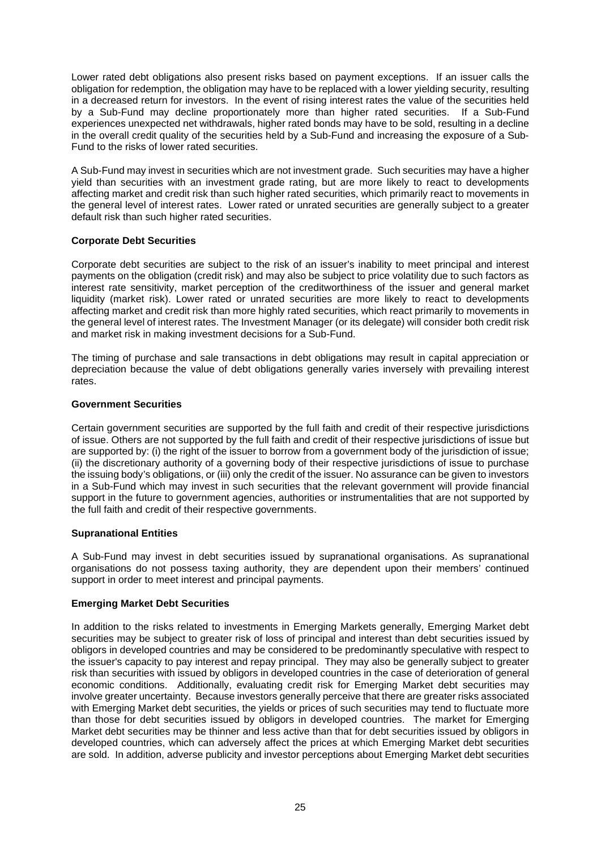Lower rated debt obligations also present risks based on payment exceptions. If an issuer calls the obligation for redemption, the obligation may have to be replaced with a lower yielding security, resulting in a decreased return for investors. In the event of rising interest rates the value of the securities held by a Sub-Fund may decline proportionately more than higher rated securities. If a Sub-Fund experiences unexpected net withdrawals, higher rated bonds may have to be sold, resulting in a decline in the overall credit quality of the securities held by a Sub-Fund and increasing the exposure of a Sub-Fund to the risks of lower rated securities.

A Sub-Fund may invest in securities which are not investment grade. Such securities may have a higher yield than securities with an investment grade rating, but are more likely to react to developments affecting market and credit risk than such higher rated securities, which primarily react to movements in the general level of interest rates. Lower rated or unrated securities are generally subject to a greater default risk than such higher rated securities.

# **Corporate Debt Securities**

Corporate debt securities are subject to the risk of an issuer's inability to meet principal and interest payments on the obligation (credit risk) and may also be subject to price volatility due to such factors as interest rate sensitivity, market perception of the creditworthiness of the issuer and general market liquidity (market risk). Lower rated or unrated securities are more likely to react to developments affecting market and credit risk than more highly rated securities, which react primarily to movements in the general level of interest rates. The Investment Manager (or its delegate) will consider both credit risk and market risk in making investment decisions for a Sub-Fund.

The timing of purchase and sale transactions in debt obligations may result in capital appreciation or depreciation because the value of debt obligations generally varies inversely with prevailing interest rates.

# **Government Securities**

Certain government securities are supported by the full faith and credit of their respective jurisdictions of issue. Others are not supported by the full faith and credit of their respective jurisdictions of issue but are supported by: (i) the right of the issuer to borrow from a government body of the jurisdiction of issue; (ii) the discretionary authority of a governing body of their respective jurisdictions of issue to purchase the issuing body's obligations, or (iii) only the credit of the issuer. No assurance can be given to investors in a Sub-Fund which may invest in such securities that the relevant government will provide financial support in the future to government agencies, authorities or instrumentalities that are not supported by the full faith and credit of their respective governments.

# **Supranational Entities**

A Sub-Fund may invest in debt securities issued by supranational organisations. As supranational organisations do not possess taxing authority, they are dependent upon their members' continued support in order to meet interest and principal payments.

# **Emerging Market Debt Securities**

In addition to the risks related to investments in Emerging Markets generally, Emerging Market debt securities may be subject to greater risk of loss of principal and interest than debt securities issued by obligors in developed countries and may be considered to be predominantly speculative with respect to the issuer's capacity to pay interest and repay principal. They may also be generally subject to greater risk than securities with issued by obligors in developed countries in the case of deterioration of general economic conditions. Additionally, evaluating credit risk for Emerging Market debt securities may involve greater uncertainty. Because investors generally perceive that there are greater risks associated with Emerging Market debt securities, the yields or prices of such securities may tend to fluctuate more than those for debt securities issued by obligors in developed countries. The market for Emerging Market debt securities may be thinner and less active than that for debt securities issued by obligors in developed countries, which can adversely affect the prices at which Emerging Market debt securities are sold. In addition, adverse publicity and investor perceptions about Emerging Market debt securities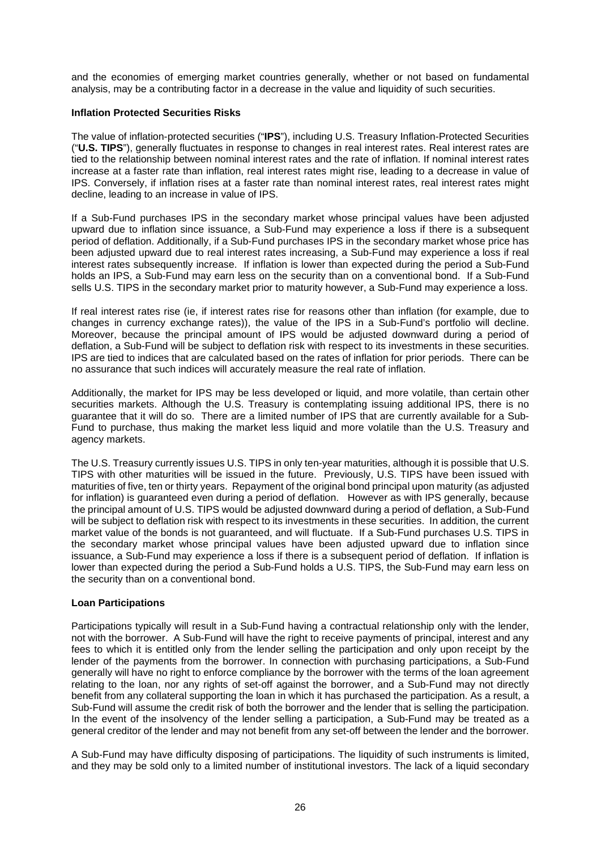and the economies of emerging market countries generally, whether or not based on fundamental analysis, may be a contributing factor in a decrease in the value and liquidity of such securities.

#### **Inflation Protected Securities Risks**

The value of inflation-protected securities ("**IPS**"), including U.S. Treasury Inflation-Protected Securities ("**U.S. TIPS**"), generally fluctuates in response to changes in real interest rates. Real interest rates are tied to the relationship between nominal interest rates and the rate of inflation. If nominal interest rates increase at a faster rate than inflation, real interest rates might rise, leading to a decrease in value of IPS. Conversely, if inflation rises at a faster rate than nominal interest rates, real interest rates might decline, leading to an increase in value of IPS.

If a Sub-Fund purchases IPS in the secondary market whose principal values have been adjusted upward due to inflation since issuance, a Sub-Fund may experience a loss if there is a subsequent period of deflation. Additionally, if a Sub-Fund purchases IPS in the secondary market whose price has been adjusted upward due to real interest rates increasing, a Sub-Fund may experience a loss if real interest rates subsequently increase. If inflation is lower than expected during the period a Sub-Fund holds an IPS, a Sub-Fund may earn less on the security than on a conventional bond. If a Sub-Fund sells U.S. TIPS in the secondary market prior to maturity however, a Sub-Fund may experience a loss.

If real interest rates rise (ie, if interest rates rise for reasons other than inflation (for example, due to changes in currency exchange rates)), the value of the IPS in a Sub-Fund's portfolio will decline. Moreover, because the principal amount of IPS would be adjusted downward during a period of deflation, a Sub-Fund will be subject to deflation risk with respect to its investments in these securities. IPS are tied to indices that are calculated based on the rates of inflation for prior periods. There can be no assurance that such indices will accurately measure the real rate of inflation.

Additionally, the market for IPS may be less developed or liquid, and more volatile, than certain other securities markets. Although the U.S. Treasury is contemplating issuing additional IPS, there is no guarantee that it will do so. There are a limited number of IPS that are currently available for a Sub-Fund to purchase, thus making the market less liquid and more volatile than the U.S. Treasury and agency markets.

The U.S. Treasury currently issues U.S. TIPS in only ten-year maturities, although it is possible that U.S. TIPS with other maturities will be issued in the future. Previously, U.S. TIPS have been issued with maturities of five, ten or thirty years. Repayment of the original bond principal upon maturity (as adjusted for inflation) is guaranteed even during a period of deflation. However as with IPS generally, because the principal amount of U.S. TIPS would be adjusted downward during a period of deflation, a Sub-Fund will be subject to deflation risk with respect to its investments in these securities. In addition, the current market value of the bonds is not guaranteed, and will fluctuate. If a Sub-Fund purchases U.S. TIPS in the secondary market whose principal values have been adjusted upward due to inflation since issuance, a Sub-Fund may experience a loss if there is a subsequent period of deflation. If inflation is lower than expected during the period a Sub-Fund holds a U.S. TIPS, the Sub-Fund may earn less on the security than on a conventional bond.

# **Loan Participations**

Participations typically will result in a Sub-Fund having a contractual relationship only with the lender, not with the borrower. A Sub-Fund will have the right to receive payments of principal, interest and any fees to which it is entitled only from the lender selling the participation and only upon receipt by the lender of the payments from the borrower. In connection with purchasing participations, a Sub-Fund generally will have no right to enforce compliance by the borrower with the terms of the loan agreement relating to the loan, nor any rights of set-off against the borrower, and a Sub-Fund may not directly benefit from any collateral supporting the loan in which it has purchased the participation. As a result, a Sub-Fund will assume the credit risk of both the borrower and the lender that is selling the participation. In the event of the insolvency of the lender selling a participation, a Sub-Fund may be treated as a general creditor of the lender and may not benefit from any set-off between the lender and the borrower.

A Sub-Fund may have difficulty disposing of participations. The liquidity of such instruments is limited, and they may be sold only to a limited number of institutional investors. The lack of a liquid secondary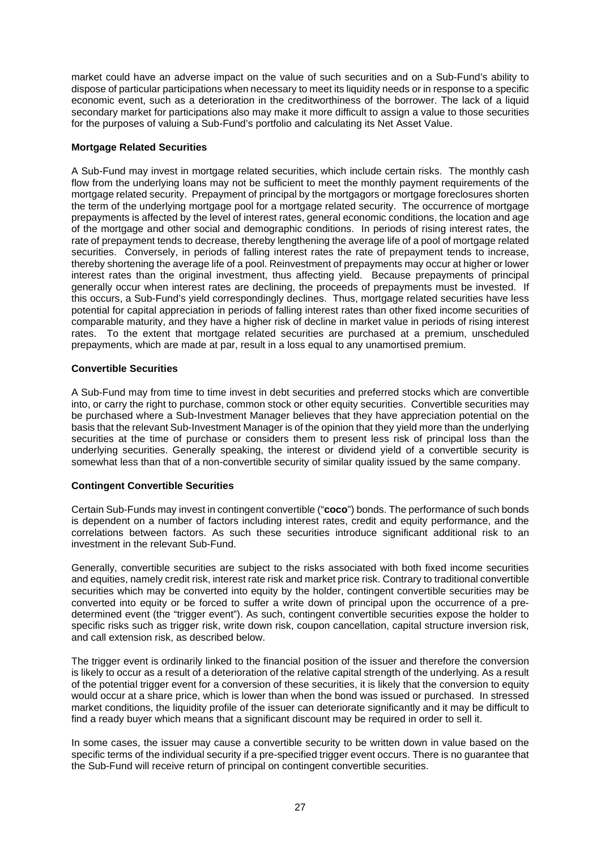market could have an adverse impact on the value of such securities and on a Sub-Fund's ability to dispose of particular participations when necessary to meet its liquidity needs or in response to a specific economic event, such as a deterioration in the creditworthiness of the borrower. The lack of a liquid secondary market for participations also may make it more difficult to assign a value to those securities for the purposes of valuing a Sub-Fund's portfolio and calculating its Net Asset Value.

#### **Mortgage Related Securities**

A Sub-Fund may invest in mortgage related securities, which include certain risks. The monthly cash flow from the underlying loans may not be sufficient to meet the monthly payment requirements of the mortgage related security. Prepayment of principal by the mortgagors or mortgage foreclosures shorten the term of the underlying mortgage pool for a mortgage related security. The occurrence of mortgage prepayments is affected by the level of interest rates, general economic conditions, the location and age of the mortgage and other social and demographic conditions. In periods of rising interest rates, the rate of prepayment tends to decrease, thereby lengthening the average life of a pool of mortgage related securities. Conversely, in periods of falling interest rates the rate of prepayment tends to increase, thereby shortening the average life of a pool. Reinvestment of prepayments may occur at higher or lower interest rates than the original investment, thus affecting yield. Because prepayments of principal generally occur when interest rates are declining, the proceeds of prepayments must be invested. If this occurs, a Sub-Fund's yield correspondingly declines. Thus, mortgage related securities have less potential for capital appreciation in periods of falling interest rates than other fixed income securities of comparable maturity, and they have a higher risk of decline in market value in periods of rising interest rates. To the extent that mortgage related securities are purchased at a premium, unscheduled prepayments, which are made at par, result in a loss equal to any unamortised premium.

#### **Convertible Securities**

A Sub-Fund may from time to time invest in debt securities and preferred stocks which are convertible into, or carry the right to purchase, common stock or other equity securities. Convertible securities may be purchased where a Sub-Investment Manager believes that they have appreciation potential on the basis that the relevant Sub-Investment Manager is of the opinion that they yield more than the underlying securities at the time of purchase or considers them to present less risk of principal loss than the underlying securities. Generally speaking, the interest or dividend yield of a convertible security is somewhat less than that of a non-convertible security of similar quality issued by the same company.

# **Contingent Convertible Securities**

Certain Sub-Funds may invest in contingent convertible ("**coco**") bonds. The performance of such bonds is dependent on a number of factors including interest rates, credit and equity performance, and the correlations between factors. As such these securities introduce significant additional risk to an investment in the relevant Sub-Fund.

Generally, convertible securities are subject to the risks associated with both fixed income securities and equities, namely credit risk, interest rate risk and market price risk. Contrary to traditional convertible securities which may be converted into equity by the holder, contingent convertible securities may be converted into equity or be forced to suffer a write down of principal upon the occurrence of a predetermined event (the "trigger event"). As such, contingent convertible securities expose the holder to specific risks such as trigger risk, write down risk, coupon cancellation, capital structure inversion risk, and call extension risk, as described below.

The trigger event is ordinarily linked to the financial position of the issuer and therefore the conversion is likely to occur as a result of a deterioration of the relative capital strength of the underlying. As a result of the potential trigger event for a conversion of these securities, it is likely that the conversion to equity would occur at a share price, which is lower than when the bond was issued or purchased. In stressed market conditions, the liquidity profile of the issuer can deteriorate significantly and it may be difficult to find a ready buyer which means that a significant discount may be required in order to sell it.

In some cases, the issuer may cause a convertible security to be written down in value based on the specific terms of the individual security if a pre-specified trigger event occurs. There is no guarantee that the Sub-Fund will receive return of principal on contingent convertible securities.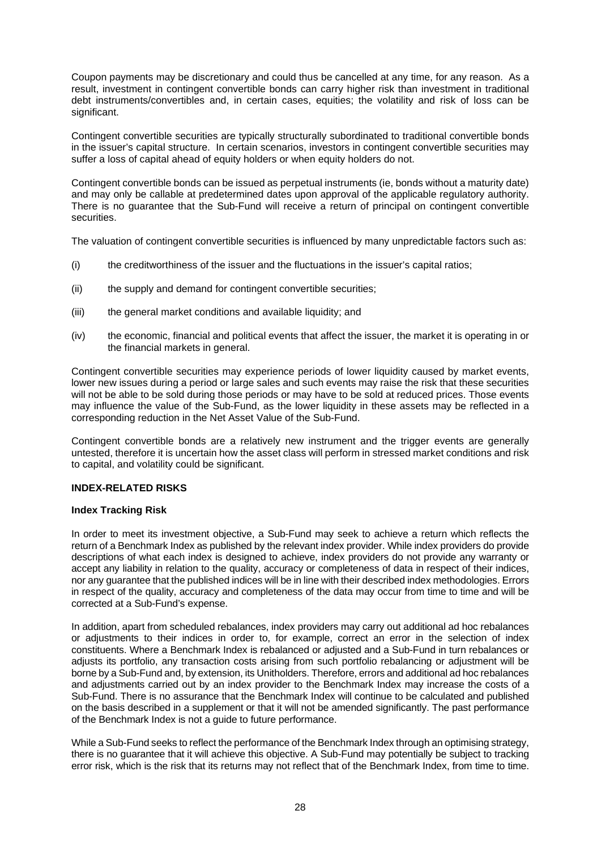Coupon payments may be discretionary and could thus be cancelled at any time, for any reason. As a result, investment in contingent convertible bonds can carry higher risk than investment in traditional debt instruments/convertibles and, in certain cases, equities; the volatility and risk of loss can be significant.

Contingent convertible securities are typically structurally subordinated to traditional convertible bonds in the issuer's capital structure. In certain scenarios, investors in contingent convertible securities may suffer a loss of capital ahead of equity holders or when equity holders do not.

Contingent convertible bonds can be issued as perpetual instruments (ie, bonds without a maturity date) and may only be callable at predetermined dates upon approval of the applicable regulatory authority. There is no guarantee that the Sub-Fund will receive a return of principal on contingent convertible securities.

The valuation of contingent convertible securities is influenced by many unpredictable factors such as:

- (i) the creditworthiness of the issuer and the fluctuations in the issuer's capital ratios;
- (ii) the supply and demand for contingent convertible securities;
- (iii) the general market conditions and available liquidity; and
- (iv) the economic, financial and political events that affect the issuer, the market it is operating in or the financial markets in general.

Contingent convertible securities may experience periods of lower liquidity caused by market events, lower new issues during a period or large sales and such events may raise the risk that these securities will not be able to be sold during those periods or may have to be sold at reduced prices. Those events may influence the value of the Sub-Fund, as the lower liquidity in these assets may be reflected in a corresponding reduction in the Net Asset Value of the Sub-Fund.

Contingent convertible bonds are a relatively new instrument and the trigger events are generally untested, therefore it is uncertain how the asset class will perform in stressed market conditions and risk to capital, and volatility could be significant.

# **INDEX-RELATED RISKS**

#### **Index Tracking Risk**

In order to meet its investment objective, a Sub-Fund may seek to achieve a return which reflects the return of a Benchmark Index as published by the relevant index provider. While index providers do provide descriptions of what each index is designed to achieve, index providers do not provide any warranty or accept any liability in relation to the quality, accuracy or completeness of data in respect of their indices, nor any guarantee that the published indices will be in line with their described index methodologies. Errors in respect of the quality, accuracy and completeness of the data may occur from time to time and will be corrected at a Sub-Fund's expense.

In addition, apart from scheduled rebalances, index providers may carry out additional ad hoc rebalances or adjustments to their indices in order to, for example, correct an error in the selection of index constituents. Where a Benchmark Index is rebalanced or adjusted and a Sub-Fund in turn rebalances or adjusts its portfolio, any transaction costs arising from such portfolio rebalancing or adjustment will be borne by a Sub-Fund and, by extension, its Unitholders. Therefore, errors and additional ad hoc rebalances and adjustments carried out by an index provider to the Benchmark Index may increase the costs of a Sub-Fund. There is no assurance that the Benchmark Index will continue to be calculated and published on the basis described in a supplement or that it will not be amended significantly. The past performance of the Benchmark Index is not a guide to future performance.

While a Sub-Fund seeks to reflect the performance of the Benchmark Index through an optimising strategy, there is no guarantee that it will achieve this objective. A Sub-Fund may potentially be subject to tracking error risk, which is the risk that its returns may not reflect that of the Benchmark Index, from time to time.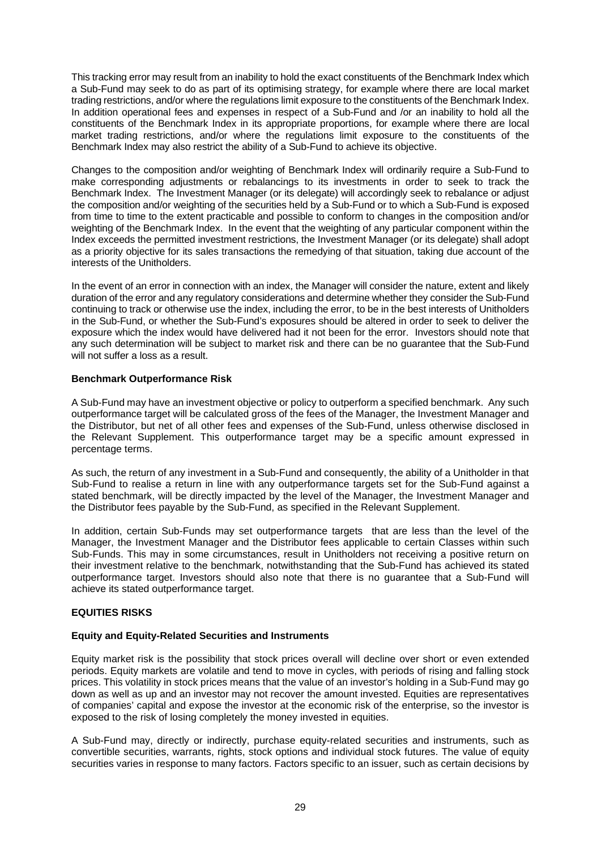This tracking error may result from an inability to hold the exact constituents of the Benchmark Index which a Sub-Fund may seek to do as part of its optimising strategy, for example where there are local market trading restrictions, and/or where the regulations limit exposure to the constituents of the Benchmark Index. In addition operational fees and expenses in respect of a Sub-Fund and /or an inability to hold all the constituents of the Benchmark Index in its appropriate proportions, for example where there are local market trading restrictions, and/or where the regulations limit exposure to the constituents of the Benchmark Index may also restrict the ability of a Sub-Fund to achieve its objective.

Changes to the composition and/or weighting of Benchmark Index will ordinarily require a Sub-Fund to make corresponding adjustments or rebalancings to its investments in order to seek to track the Benchmark Index. The Investment Manager (or its delegate) will accordingly seek to rebalance or adjust the composition and/or weighting of the securities held by a Sub-Fund or to which a Sub-Fund is exposed from time to time to the extent practicable and possible to conform to changes in the composition and/or weighting of the Benchmark Index. In the event that the weighting of any particular component within the Index exceeds the permitted investment restrictions, the Investment Manager (or its delegate) shall adopt as a priority objective for its sales transactions the remedying of that situation, taking due account of the interests of the Unitholders.

In the event of an error in connection with an index, the Manager will consider the nature, extent and likely duration of the error and any regulatory considerations and determine whether they consider the Sub-Fund continuing to track or otherwise use the index, including the error, to be in the best interests of Unitholders in the Sub-Fund, or whether the Sub-Fund's exposures should be altered in order to seek to deliver the exposure which the index would have delivered had it not been for the error. Investors should note that any such determination will be subject to market risk and there can be no guarantee that the Sub-Fund will not suffer a loss as a result.

# **Benchmark Outperformance Risk**

A Sub-Fund may have an investment objective or policy to outperform a specified benchmark. Any such outperformance target will be calculated gross of the fees of the Manager, the Investment Manager and the Distributor, but net of all other fees and expenses of the Sub-Fund, unless otherwise disclosed in the Relevant Supplement. This outperformance target may be a specific amount expressed in percentage terms.

As such, the return of any investment in a Sub-Fund and consequently, the ability of a Unitholder in that Sub-Fund to realise a return in line with any outperformance targets set for the Sub-Fund against a stated benchmark, will be directly impacted by the level of the Manager, the Investment Manager and the Distributor fees payable by the Sub-Fund, as specified in the Relevant Supplement.

In addition, certain Sub-Funds may set outperformance targets that are less than the level of the Manager, the Investment Manager and the Distributor fees applicable to certain Classes within such Sub-Funds. This may in some circumstances, result in Unitholders not receiving a positive return on their investment relative to the benchmark, notwithstanding that the Sub-Fund has achieved its stated outperformance target. Investors should also note that there is no guarantee that a Sub-Fund will achieve its stated outperformance target.

# **EQUITIES RISKS**

# **Equity and Equity-Related Securities and Instruments**

Equity market risk is the possibility that stock prices overall will decline over short or even extended periods. Equity markets are volatile and tend to move in cycles, with periods of rising and falling stock prices. This volatility in stock prices means that the value of an investor's holding in a Sub-Fund may go down as well as up and an investor may not recover the amount invested. Equities are representatives of companies' capital and expose the investor at the economic risk of the enterprise, so the investor is exposed to the risk of losing completely the money invested in equities.

A Sub-Fund may, directly or indirectly, purchase equity-related securities and instruments, such as convertible securities, warrants, rights, stock options and individual stock futures. The value of equity securities varies in response to many factors. Factors specific to an issuer, such as certain decisions by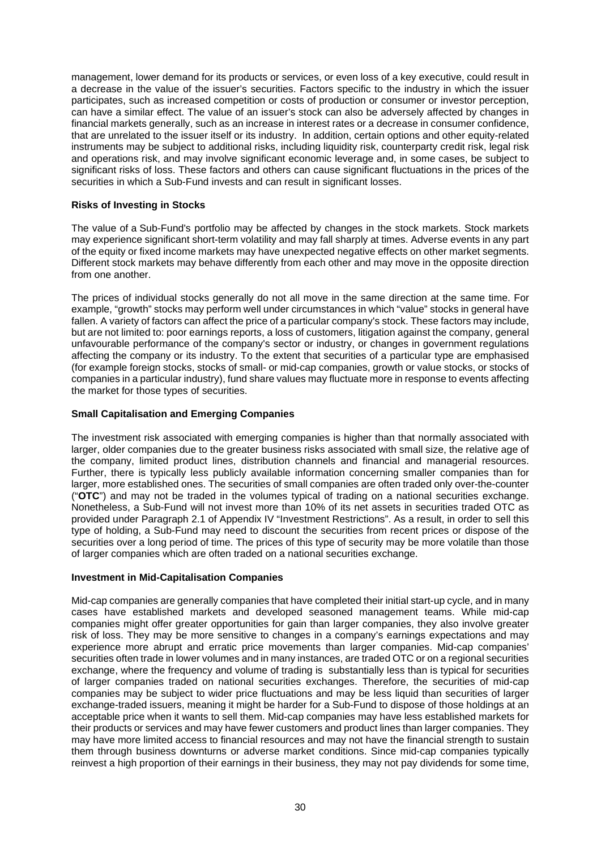management, lower demand for its products or services, or even loss of a key executive, could result in a decrease in the value of the issuer's securities. Factors specific to the industry in which the issuer participates, such as increased competition or costs of production or consumer or investor perception, can have a similar effect. The value of an issuer's stock can also be adversely affected by changes in financial markets generally, such as an increase in interest rates or a decrease in consumer confidence, that are unrelated to the issuer itself or its industry. In addition, certain options and other equity-related instruments may be subject to additional risks, including liquidity risk, counterparty credit risk, legal risk and operations risk, and may involve significant economic leverage and, in some cases, be subject to significant risks of loss. These factors and others can cause significant fluctuations in the prices of the securities in which a Sub-Fund invests and can result in significant losses.

# **Risks of Investing in Stocks**

The value of a Sub-Fund's portfolio may be affected by changes in the stock markets. Stock markets may experience significant short-term volatility and may fall sharply at times. Adverse events in any part of the equity or fixed income markets may have unexpected negative effects on other market segments. Different stock markets may behave differently from each other and may move in the opposite direction from one another.

The prices of individual stocks generally do not all move in the same direction at the same time. For example, "growth" stocks may perform well under circumstances in which "value" stocks in general have fallen. A variety of factors can affect the price of a particular company's stock. These factors may include, but are not limited to: poor earnings reports, a loss of customers, litigation against the company, general unfavourable performance of the company's sector or industry, or changes in government regulations affecting the company or its industry. To the extent that securities of a particular type are emphasised (for example foreign stocks, stocks of small- or mid-cap companies, growth or value stocks, or stocks of companies in a particular industry), fund share values may fluctuate more in response to events affecting the market for those types of securities.

# **Small Capitalisation and Emerging Companies**

The investment risk associated with emerging companies is higher than that normally associated with larger, older companies due to the greater business risks associated with small size, the relative age of the company, limited product lines, distribution channels and financial and managerial resources. Further, there is typically less publicly available information concerning smaller companies than for larger, more established ones. The securities of small companies are often traded only over-the-counter ("**OTC**") and may not be traded in the volumes typical of trading on a national securities exchange. Nonetheless, a Sub-Fund will not invest more than 10% of its net assets in securities traded OTC as provided under Paragraph 2.1 of Appendix IV "Investment Restrictions". As a result, in order to sell this type of holding, a Sub-Fund may need to discount the securities from recent prices or dispose of the securities over a long period of time. The prices of this type of security may be more volatile than those of larger companies which are often traded on a national securities exchange.

# **Investment in Mid-Capitalisation Companies**

Mid-cap companies are generally companies that have completed their initial start-up cycle, and in many cases have established markets and developed seasoned management teams. While mid-cap companies might offer greater opportunities for gain than larger companies, they also involve greater risk of loss. They may be more sensitive to changes in a company's earnings expectations and may experience more abrupt and erratic price movements than larger companies. Mid-cap companies' securities often trade in lower volumes and in many instances, are traded OTC or on a regional securities exchange, where the frequency and volume of trading is substantially less than is typical for securities of larger companies traded on national securities exchanges. Therefore, the securities of mid-cap companies may be subject to wider price fluctuations and may be less liquid than securities of larger exchange-traded issuers, meaning it might be harder for a Sub-Fund to dispose of those holdings at an acceptable price when it wants to sell them. Mid-cap companies may have less established markets for their products or services and may have fewer customers and product lines than larger companies. They may have more limited access to financial resources and may not have the financial strength to sustain them through business downturns or adverse market conditions. Since mid-cap companies typically reinvest a high proportion of their earnings in their business, they may not pay dividends for some time,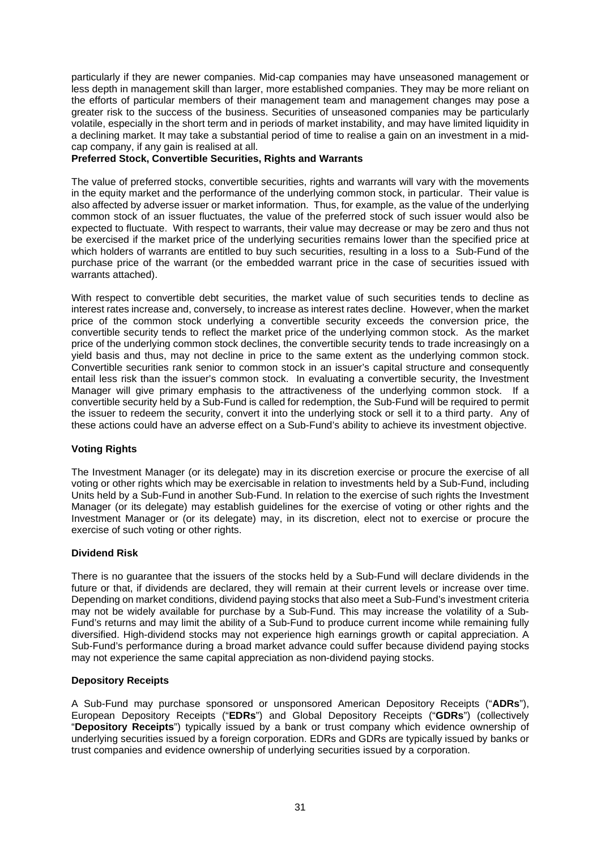particularly if they are newer companies. Mid-cap companies may have unseasoned management or less depth in management skill than larger, more established companies. They may be more reliant on the efforts of particular members of their management team and management changes may pose a greater risk to the success of the business. Securities of unseasoned companies may be particularly volatile, especially in the short term and in periods of market instability, and may have limited liquidity in a declining market. It may take a substantial period of time to realise a gain on an investment in a midcap company, if any gain is realised at all.

#### **Preferred Stock, Convertible Securities, Rights and Warrants**

The value of preferred stocks, convertible securities, rights and warrants will vary with the movements in the equity market and the performance of the underlying common stock, in particular. Their value is also affected by adverse issuer or market information. Thus, for example, as the value of the underlying common stock of an issuer fluctuates, the value of the preferred stock of such issuer would also be expected to fluctuate. With respect to warrants, their value may decrease or may be zero and thus not be exercised if the market price of the underlying securities remains lower than the specified price at which holders of warrants are entitled to buy such securities, resulting in a loss to a Sub-Fund of the purchase price of the warrant (or the embedded warrant price in the case of securities issued with warrants attached).

With respect to convertible debt securities, the market value of such securities tends to decline as interest rates increase and, conversely, to increase as interest rates decline. However, when the market price of the common stock underlying a convertible security exceeds the conversion price, the convertible security tends to reflect the market price of the underlying common stock. As the market price of the underlying common stock declines, the convertible security tends to trade increasingly on a yield basis and thus, may not decline in price to the same extent as the underlying common stock. Convertible securities rank senior to common stock in an issuer's capital structure and consequently entail less risk than the issuer's common stock. In evaluating a convertible security, the Investment Manager will give primary emphasis to the attractiveness of the underlying common stock. If a convertible security held by a Sub-Fund is called for redemption, the Sub-Fund will be required to permit the issuer to redeem the security, convert it into the underlying stock or sell it to a third party. Any of these actions could have an adverse effect on a Sub-Fund's ability to achieve its investment objective.

# **Voting Rights**

The Investment Manager (or its delegate) may in its discretion exercise or procure the exercise of all voting or other rights which may be exercisable in relation to investments held by a Sub-Fund, including Units held by a Sub-Fund in another Sub-Fund. In relation to the exercise of such rights the Investment Manager (or its delegate) may establish guidelines for the exercise of voting or other rights and the Investment Manager or (or its delegate) may, in its discretion, elect not to exercise or procure the exercise of such voting or other rights.

#### **Dividend Risk**

There is no guarantee that the issuers of the stocks held by a Sub-Fund will declare dividends in the future or that, if dividends are declared, they will remain at their current levels or increase over time. Depending on market conditions, dividend paying stocks that also meet a Sub-Fund's investment criteria may not be widely available for purchase by a Sub-Fund. This may increase the volatility of a Sub-Fund's returns and may limit the ability of a Sub-Fund to produce current income while remaining fully diversified. High-dividend stocks may not experience high earnings growth or capital appreciation. A Sub-Fund's performance during a broad market advance could suffer because dividend paying stocks may not experience the same capital appreciation as non-dividend paying stocks.

#### **Depository Receipts**

A Sub-Fund may purchase sponsored or unsponsored American Depository Receipts ("**ADRs**"), European Depository Receipts ("**EDRs**") and Global Depository Receipts ("**GDRs**") (collectively "**Depository Receipts**") typically issued by a bank or trust company which evidence ownership of underlying securities issued by a foreign corporation. EDRs and GDRs are typically issued by banks or trust companies and evidence ownership of underlying securities issued by a corporation.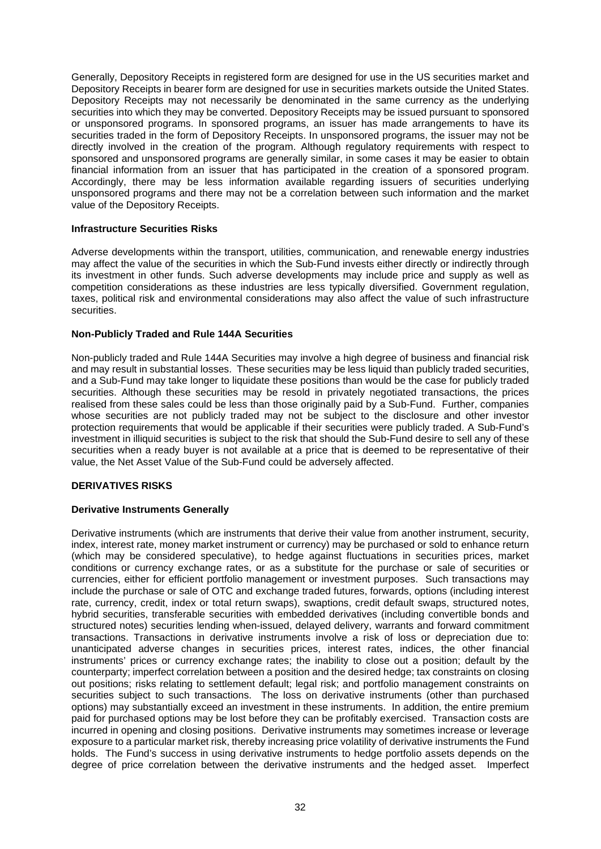Generally, Depository Receipts in registered form are designed for use in the US securities market and Depository Receipts in bearer form are designed for use in securities markets outside the United States. Depository Receipts may not necessarily be denominated in the same currency as the underlying securities into which they may be converted. Depository Receipts may be issued pursuant to sponsored or unsponsored programs. In sponsored programs, an issuer has made arrangements to have its securities traded in the form of Depository Receipts. In unsponsored programs, the issuer may not be directly involved in the creation of the program. Although regulatory requirements with respect to sponsored and unsponsored programs are generally similar, in some cases it may be easier to obtain financial information from an issuer that has participated in the creation of a sponsored program. Accordingly, there may be less information available regarding issuers of securities underlying unsponsored programs and there may not be a correlation between such information and the market value of the Depository Receipts.

#### **Infrastructure Securities Risks**

Adverse developments within the transport, utilities, communication, and renewable energy industries may affect the value of the securities in which the Sub-Fund invests either directly or indirectly through its investment in other funds. Such adverse developments may include price and supply as well as competition considerations as these industries are less typically diversified. Government regulation, taxes, political risk and environmental considerations may also affect the value of such infrastructure securities.

#### **Non-Publicly Traded and Rule 144A Securities**

Non-publicly traded and Rule 144A Securities may involve a high degree of business and financial risk and may result in substantial losses. These securities may be less liquid than publicly traded securities, and a Sub-Fund may take longer to liquidate these positions than would be the case for publicly traded securities. Although these securities may be resold in privately negotiated transactions, the prices realised from these sales could be less than those originally paid by a Sub-Fund. Further, companies whose securities are not publicly traded may not be subject to the disclosure and other investor protection requirements that would be applicable if their securities were publicly traded. A Sub-Fund's investment in illiquid securities is subject to the risk that should the Sub-Fund desire to sell any of these securities when a ready buyer is not available at a price that is deemed to be representative of their value, the Net Asset Value of the Sub-Fund could be adversely affected.

# **DERIVATIVES RISKS**

#### **Derivative Instruments Generally**

Derivative instruments (which are instruments that derive their value from another instrument, security, index, interest rate, money market instrument or currency) may be purchased or sold to enhance return (which may be considered speculative), to hedge against fluctuations in securities prices, market conditions or currency exchange rates, or as a substitute for the purchase or sale of securities or currencies, either for efficient portfolio management or investment purposes. Such transactions may include the purchase or sale of OTC and exchange traded futures, forwards, options (including interest rate, currency, credit, index or total return swaps), swaptions, credit default swaps, structured notes, hybrid securities, transferable securities with embedded derivatives (including convertible bonds and structured notes) securities lending when-issued, delayed delivery, warrants and forward commitment transactions. Transactions in derivative instruments involve a risk of loss or depreciation due to: unanticipated adverse changes in securities prices, interest rates, indices, the other financial instruments' prices or currency exchange rates; the inability to close out a position; default by the counterparty; imperfect correlation between a position and the desired hedge; tax constraints on closing out positions; risks relating to settlement default; legal risk; and portfolio management constraints on securities subject to such transactions. The loss on derivative instruments (other than purchased options) may substantially exceed an investment in these instruments. In addition, the entire premium paid for purchased options may be lost before they can be profitably exercised. Transaction costs are incurred in opening and closing positions. Derivative instruments may sometimes increase or leverage exposure to a particular market risk, thereby increasing price volatility of derivative instruments the Fund holds. The Fund's success in using derivative instruments to hedge portfolio assets depends on the degree of price correlation between the derivative instruments and the hedged asset. Imperfect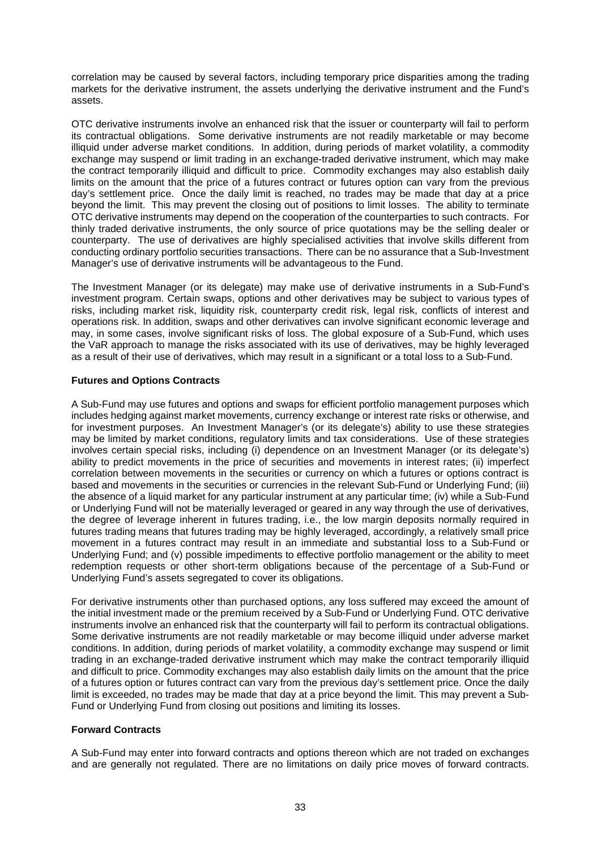correlation may be caused by several factors, including temporary price disparities among the trading markets for the derivative instrument, the assets underlying the derivative instrument and the Fund's assets.

OTC derivative instruments involve an enhanced risk that the issuer or counterparty will fail to perform its contractual obligations. Some derivative instruments are not readily marketable or may become illiquid under adverse market conditions. In addition, during periods of market volatility, a commodity exchange may suspend or limit trading in an exchange-traded derivative instrument, which may make the contract temporarily illiquid and difficult to price. Commodity exchanges may also establish daily limits on the amount that the price of a futures contract or futures option can vary from the previous day's settlement price. Once the daily limit is reached, no trades may be made that day at a price beyond the limit. This may prevent the closing out of positions to limit losses. The ability to terminate OTC derivative instruments may depend on the cooperation of the counterparties to such contracts. For thinly traded derivative instruments, the only source of price quotations may be the selling dealer or counterparty. The use of derivatives are highly specialised activities that involve skills different from conducting ordinary portfolio securities transactions. There can be no assurance that a Sub-Investment Manager's use of derivative instruments will be advantageous to the Fund.

The Investment Manager (or its delegate) may make use of derivative instruments in a Sub-Fund's investment program. Certain swaps, options and other derivatives may be subject to various types of risks, including market risk, liquidity risk, counterparty credit risk, legal risk, conflicts of interest and operations risk. In addition, swaps and other derivatives can involve significant economic leverage and may, in some cases, involve significant risks of loss. The global exposure of a Sub-Fund, which uses the VaR approach to manage the risks associated with its use of derivatives, may be highly leveraged as a result of their use of derivatives, which may result in a significant or a total loss to a Sub-Fund.

# **Futures and Options Contracts**

A Sub-Fund may use futures and options and swaps for efficient portfolio management purposes which includes hedging against market movements, currency exchange or interest rate risks or otherwise, and for investment purposes. An Investment Manager's (or its delegate's) ability to use these strategies may be limited by market conditions, regulatory limits and tax considerations. Use of these strategies involves certain special risks, including (i) dependence on an Investment Manager (or its delegate's) ability to predict movements in the price of securities and movements in interest rates; (ii) imperfect correlation between movements in the securities or currency on which a futures or options contract is based and movements in the securities or currencies in the relevant Sub-Fund or Underlying Fund; (iii) the absence of a liquid market for any particular instrument at any particular time; (iv) while a Sub-Fund or Underlying Fund will not be materially leveraged or geared in any way through the use of derivatives, the degree of leverage inherent in futures trading, i.e., the low margin deposits normally required in futures trading means that futures trading may be highly leveraged, accordingly, a relatively small price movement in a futures contract may result in an immediate and substantial loss to a Sub-Fund or Underlying Fund; and (v) possible impediments to effective portfolio management or the ability to meet redemption requests or other short-term obligations because of the percentage of a Sub-Fund or Underlying Fund's assets segregated to cover its obligations.

For derivative instruments other than purchased options, any loss suffered may exceed the amount of the initial investment made or the premium received by a Sub-Fund or Underlying Fund. OTC derivative instruments involve an enhanced risk that the counterparty will fail to perform its contractual obligations. Some derivative instruments are not readily marketable or may become illiquid under adverse market conditions. In addition, during periods of market volatility, a commodity exchange may suspend or limit trading in an exchange-traded derivative instrument which may make the contract temporarily illiquid and difficult to price. Commodity exchanges may also establish daily limits on the amount that the price of a futures option or futures contract can vary from the previous day's settlement price. Once the daily limit is exceeded, no trades may be made that day at a price beyond the limit. This may prevent a Sub-Fund or Underlying Fund from closing out positions and limiting its losses.

# **Forward Contracts**

A Sub-Fund may enter into forward contracts and options thereon which are not traded on exchanges and are generally not regulated. There are no limitations on daily price moves of forward contracts.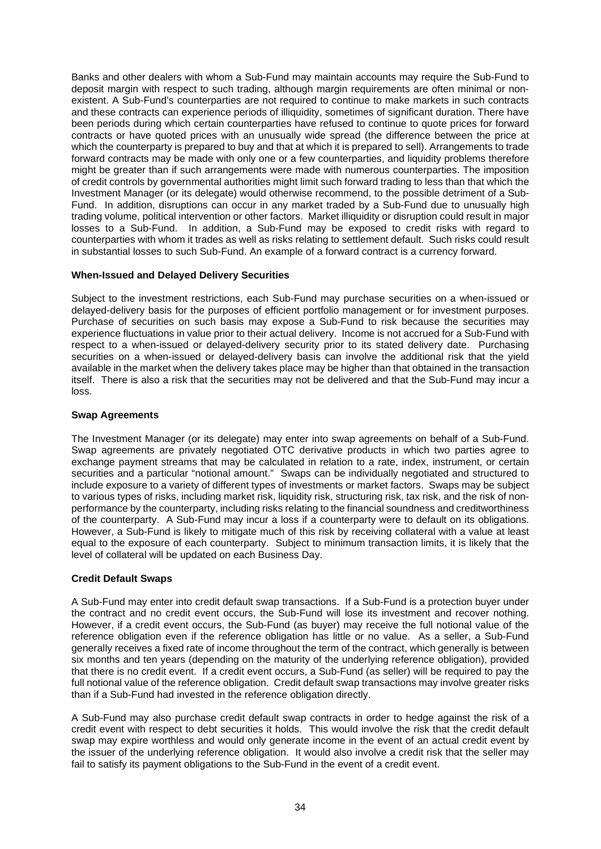Banks and other dealers with whom a Sub-Fund may maintain accounts may require the Sub-Fund to deposit margin with respect to such trading, although margin requirements are often minimal or nonexistent. A Sub-Fund's counterparties are not required to continue to make markets in such contracts and these contracts can experience periods of illiquidity, sometimes of significant duration. There have been periods during which certain counterparties have refused to continue to quote prices for forward contracts or have quoted prices with an unusually wide spread (the difference between the price at which the counterparty is prepared to buy and that at which it is prepared to sell). Arrangements to trade forward contracts may be made with only one or a few counterparties, and liquidity problems therefore might be greater than if such arrangements were made with numerous counterparties. The imposition of credit controls by governmental authorities might limit such forward trading to less than that which the Investment Manager (or its delegate) would otherwise recommend, to the possible detriment of a Sub-Fund. In addition, disruptions can occur in any market traded by a Sub-Fund due to unusually high trading volume, political intervention or other factors. Market illiquidity or disruption could result in major losses to a Sub-Fund. In addition, a Sub-Fund may be exposed to credit risks with regard to counterparties with whom it trades as well as risks relating to settlement default. Such risks could result in substantial losses to such Sub-Fund. An example of a forward contract is a currency forward.

#### **When-Issued and Delayed Delivery Securities**

Subject to the investment restrictions, each Sub-Fund may purchase securities on a when-issued or delayed-delivery basis for the purposes of efficient portfolio management or for investment purposes. Purchase of securities on such basis may expose a Sub-Fund to risk because the securities may experience fluctuations in value prior to their actual delivery. Income is not accrued for a Sub-Fund with respect to a when-issued or delayed-delivery security prior to its stated delivery date. Purchasing securities on a when-issued or delayed-delivery basis can involve the additional risk that the yield available in the market when the delivery takes place may be higher than that obtained in the transaction itself. There is also a risk that the securities may not be delivered and that the Sub-Fund may incur a loss.

#### **Swap Agreements**

The Investment Manager (or its delegate) may enter into swap agreements on behalf of a Sub-Fund. Swap agreements are privately negotiated OTC derivative products in which two parties agree to exchange payment streams that may be calculated in relation to a rate, index, instrument, or certain securities and a particular "notional amount." Swaps can be individually negotiated and structured to include exposure to a variety of different types of investments or market factors. Swaps may be subject to various types of risks, including market risk, liquidity risk, structuring risk, tax risk, and the risk of nonperformance by the counterparty, including risks relating to the financial soundness and creditworthiness of the counterparty. A Sub-Fund may incur a loss if a counterparty were to default on its obligations. However, a Sub-Fund is likely to mitigate much of this risk by receiving collateral with a value at least equal to the exposure of each counterparty. Subject to minimum transaction limits, it is likely that the level of collateral will be updated on each Business Day.

#### **Credit Default Swaps**

A Sub-Fund may enter into credit default swap transactions. If a Sub-Fund is a protection buyer under the contract and no credit event occurs, the Sub-Fund will lose its investment and recover nothing. However, if a credit event occurs, the Sub-Fund (as buyer) may receive the full notional value of the reference obligation even if the reference obligation has little or no value. As a seller, a Sub-Fund generally receives a fixed rate of income throughout the term of the contract, which generally is between six months and ten years (depending on the maturity of the underlying reference obligation), provided that there is no credit event. If a credit event occurs, a Sub-Fund (as seller) will be required to pay the full notional value of the reference obligation. Credit default swap transactions may involve greater risks than if a Sub-Fund had invested in the reference obligation directly.

A Sub-Fund may also purchase credit default swap contracts in order to hedge against the risk of a credit event with respect to debt securities it holds. This would involve the risk that the credit default swap may expire worthless and would only generate income in the event of an actual credit event by the issuer of the underlying reference obligation. It would also involve a credit risk that the seller may fail to satisfy its payment obligations to the Sub-Fund in the event of a credit event.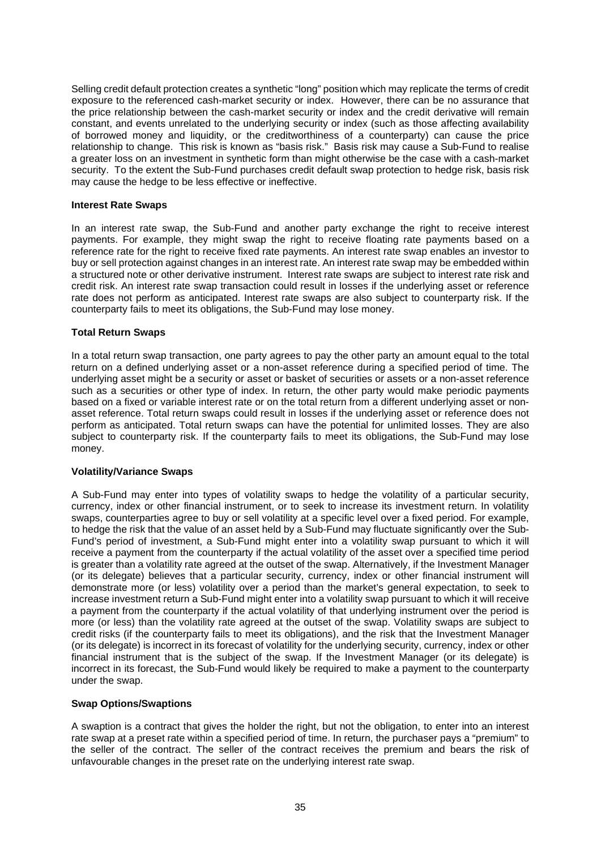Selling credit default protection creates a synthetic "long" position which may replicate the terms of credit exposure to the referenced cash-market security or index. However, there can be no assurance that the price relationship between the cash-market security or index and the credit derivative will remain constant, and events unrelated to the underlying security or index (such as those affecting availability of borrowed money and liquidity, or the creditworthiness of a counterparty) can cause the price relationship to change. This risk is known as "basis risk." Basis risk may cause a Sub-Fund to realise a greater loss on an investment in synthetic form than might otherwise be the case with a cash-market security. To the extent the Sub-Fund purchases credit default swap protection to hedge risk, basis risk may cause the hedge to be less effective or ineffective.

#### **Interest Rate Swaps**

In an interest rate swap, the Sub-Fund and another party exchange the right to receive interest payments. For example, they might swap the right to receive floating rate payments based on a reference rate for the right to receive fixed rate payments. An interest rate swap enables an investor to buy or sell protection against changes in an interest rate. An interest rate swap may be embedded within a structured note or other derivative instrument. Interest rate swaps are subject to interest rate risk and credit risk. An interest rate swap transaction could result in losses if the underlying asset or reference rate does not perform as anticipated. Interest rate swaps are also subject to counterparty risk. If the counterparty fails to meet its obligations, the Sub-Fund may lose money.

# **Total Return Swaps**

In a total return swap transaction, one party agrees to pay the other party an amount equal to the total return on a defined underlying asset or a non-asset reference during a specified period of time. The underlying asset might be a security or asset or basket of securities or assets or a non-asset reference such as a securities or other type of index. In return, the other party would make periodic payments based on a fixed or variable interest rate or on the total return from a different underlying asset or nonasset reference. Total return swaps could result in losses if the underlying asset or reference does not perform as anticipated. Total return swaps can have the potential for unlimited losses. They are also subject to counterparty risk. If the counterparty fails to meet its obligations, the Sub-Fund may lose money.

# **Volatility/Variance Swaps**

A Sub-Fund may enter into types of volatility swaps to hedge the volatility of a particular security, currency, index or other financial instrument, or to seek to increase its investment return. In volatility swaps, counterparties agree to buy or sell volatility at a specific level over a fixed period. For example, to hedge the risk that the value of an asset held by a Sub-Fund may fluctuate significantly over the Sub-Fund's period of investment, a Sub-Fund might enter into a volatility swap pursuant to which it will receive a payment from the counterparty if the actual volatility of the asset over a specified time period is greater than a volatility rate agreed at the outset of the swap. Alternatively, if the Investment Manager (or its delegate) believes that a particular security, currency, index or other financial instrument will demonstrate more (or less) volatility over a period than the market's general expectation, to seek to increase investment return a Sub-Fund might enter into a volatility swap pursuant to which it will receive a payment from the counterparty if the actual volatility of that underlying instrument over the period is more (or less) than the volatility rate agreed at the outset of the swap. Volatility swaps are subject to credit risks (if the counterparty fails to meet its obligations), and the risk that the Investment Manager (or its delegate) is incorrect in its forecast of volatility for the underlying security, currency, index or other financial instrument that is the subject of the swap. If the Investment Manager (or its delegate) is incorrect in its forecast, the Sub-Fund would likely be required to make a payment to the counterparty under the swap.

#### **Swap Options/Swaptions**

A swaption is a contract that gives the holder the right, but not the obligation, to enter into an interest rate swap at a preset rate within a specified period of time. In return, the purchaser pays a "premium" to the seller of the contract. The seller of the contract receives the premium and bears the risk of unfavourable changes in the preset rate on the underlying interest rate swap.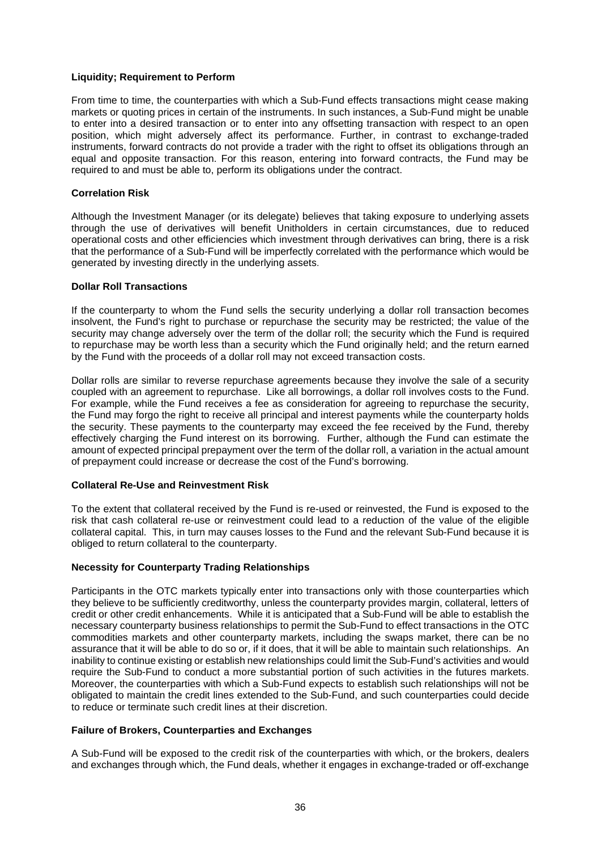#### **Liquidity; Requirement to Perform**

From time to time, the counterparties with which a Sub-Fund effects transactions might cease making markets or quoting prices in certain of the instruments. In such instances, a Sub-Fund might be unable to enter into a desired transaction or to enter into any offsetting transaction with respect to an open position, which might adversely affect its performance. Further, in contrast to exchange-traded instruments, forward contracts do not provide a trader with the right to offset its obligations through an equal and opposite transaction. For this reason, entering into forward contracts, the Fund may be required to and must be able to, perform its obligations under the contract.

#### **Correlation Risk**

Although the Investment Manager (or its delegate) believes that taking exposure to underlying assets through the use of derivatives will benefit Unitholders in certain circumstances, due to reduced operational costs and other efficiencies which investment through derivatives can bring, there is a risk that the performance of a Sub-Fund will be imperfectly correlated with the performance which would be generated by investing directly in the underlying assets.

#### **Dollar Roll Transactions**

If the counterparty to whom the Fund sells the security underlying a dollar roll transaction becomes insolvent, the Fund's right to purchase or repurchase the security may be restricted; the value of the security may change adversely over the term of the dollar roll; the security which the Fund is required to repurchase may be worth less than a security which the Fund originally held; and the return earned by the Fund with the proceeds of a dollar roll may not exceed transaction costs.

Dollar rolls are similar to reverse repurchase agreements because they involve the sale of a security coupled with an agreement to repurchase. Like all borrowings, a dollar roll involves costs to the Fund. For example, while the Fund receives a fee as consideration for agreeing to repurchase the security, the Fund may forgo the right to receive all principal and interest payments while the counterparty holds the security. These payments to the counterparty may exceed the fee received by the Fund, thereby effectively charging the Fund interest on its borrowing. Further, although the Fund can estimate the amount of expected principal prepayment over the term of the dollar roll, a variation in the actual amount of prepayment could increase or decrease the cost of the Fund's borrowing.

# **Collateral Re-Use and Reinvestment Risk**

To the extent that collateral received by the Fund is re-used or reinvested, the Fund is exposed to the risk that cash collateral re-use or reinvestment could lead to a reduction of the value of the eligible collateral capital. This, in turn may causes losses to the Fund and the relevant Sub-Fund because it is obliged to return collateral to the counterparty.

#### **Necessity for Counterparty Trading Relationships**

Participants in the OTC markets typically enter into transactions only with those counterparties which they believe to be sufficiently creditworthy, unless the counterparty provides margin, collateral, letters of credit or other credit enhancements. While it is anticipated that a Sub-Fund will be able to establish the necessary counterparty business relationships to permit the Sub-Fund to effect transactions in the OTC commodities markets and other counterparty markets, including the swaps market, there can be no assurance that it will be able to do so or, if it does, that it will be able to maintain such relationships. An inability to continue existing or establish new relationships could limit the Sub-Fund's activities and would require the Sub-Fund to conduct a more substantial portion of such activities in the futures markets. Moreover, the counterparties with which a Sub-Fund expects to establish such relationships will not be obligated to maintain the credit lines extended to the Sub-Fund, and such counterparties could decide to reduce or terminate such credit lines at their discretion.

#### **Failure of Brokers, Counterparties and Exchanges**

A Sub-Fund will be exposed to the credit risk of the counterparties with which, or the brokers, dealers and exchanges through which, the Fund deals, whether it engages in exchange-traded or off-exchange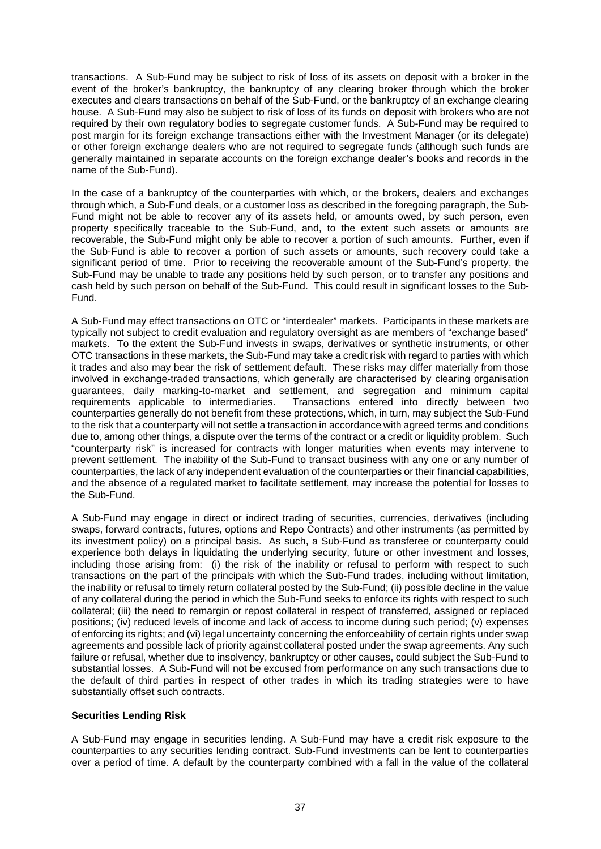transactions. A Sub-Fund may be subject to risk of loss of its assets on deposit with a broker in the event of the broker's bankruptcy, the bankruptcy of any clearing broker through which the broker executes and clears transactions on behalf of the Sub-Fund, or the bankruptcy of an exchange clearing house. A Sub-Fund may also be subject to risk of loss of its funds on deposit with brokers who are not required by their own regulatory bodies to segregate customer funds. A Sub-Fund may be required to post margin for its foreign exchange transactions either with the Investment Manager (or its delegate) or other foreign exchange dealers who are not required to segregate funds (although such funds are generally maintained in separate accounts on the foreign exchange dealer's books and records in the name of the Sub-Fund).

In the case of a bankruptcy of the counterparties with which, or the brokers, dealers and exchanges through which, a Sub-Fund deals, or a customer loss as described in the foregoing paragraph, the Sub-Fund might not be able to recover any of its assets held, or amounts owed, by such person, even property specifically traceable to the Sub-Fund, and, to the extent such assets or amounts are recoverable, the Sub-Fund might only be able to recover a portion of such amounts. Further, even if the Sub-Fund is able to recover a portion of such assets or amounts, such recovery could take a significant period of time. Prior to receiving the recoverable amount of the Sub-Fund's property, the Sub-Fund may be unable to trade any positions held by such person, or to transfer any positions and cash held by such person on behalf of the Sub-Fund. This could result in significant losses to the Sub-Fund.

A Sub-Fund may effect transactions on OTC or "interdealer" markets. Participants in these markets are typically not subject to credit evaluation and regulatory oversight as are members of "exchange based" markets. To the extent the Sub-Fund invests in swaps, derivatives or synthetic instruments, or other OTC transactions in these markets, the Sub-Fund may take a credit risk with regard to parties with which it trades and also may bear the risk of settlement default. These risks may differ materially from those involved in exchange-traded transactions, which generally are characterised by clearing organisation guarantees, daily marking-to-market and settlement, and segregation and minimum capital requirements applicable to intermediaries. Transactions entered into directly between two counterparties generally do not benefit from these protections, which, in turn, may subject the Sub-Fund to the risk that a counterparty will not settle a transaction in accordance with agreed terms and conditions due to, among other things, a dispute over the terms of the contract or a credit or liquidity problem. Such "counterparty risk" is increased for contracts with longer maturities when events may intervene to prevent settlement. The inability of the Sub-Fund to transact business with any one or any number of counterparties, the lack of any independent evaluation of the counterparties or their financial capabilities, and the absence of a regulated market to facilitate settlement, may increase the potential for losses to the Sub-Fund.

A Sub-Fund may engage in direct or indirect trading of securities, currencies, derivatives (including swaps, forward contracts, futures, options and Repo Contracts) and other instruments (as permitted by its investment policy) on a principal basis. As such, a Sub-Fund as transferee or counterparty could experience both delays in liquidating the underlying security, future or other investment and losses, including those arising from: (i) the risk of the inability or refusal to perform with respect to such transactions on the part of the principals with which the Sub-Fund trades, including without limitation, the inability or refusal to timely return collateral posted by the Sub-Fund; (ii) possible decline in the value of any collateral during the period in which the Sub-Fund seeks to enforce its rights with respect to such collateral; (iii) the need to remargin or repost collateral in respect of transferred, assigned or replaced positions; (iv) reduced levels of income and lack of access to income during such period; (v) expenses of enforcing its rights; and (vi) legal uncertainty concerning the enforceability of certain rights under swap agreements and possible lack of priority against collateral posted under the swap agreements. Any such failure or refusal, whether due to insolvency, bankruptcy or other causes, could subject the Sub-Fund to substantial losses. A Sub-Fund will not be excused from performance on any such transactions due to the default of third parties in respect of other trades in which its trading strategies were to have substantially offset such contracts.

# **Securities Lending Risk**

A Sub-Fund may engage in securities lending. A Sub-Fund may have a credit risk exposure to the counterparties to any securities lending contract. Sub-Fund investments can be lent to counterparties over a period of time. A default by the counterparty combined with a fall in the value of the collateral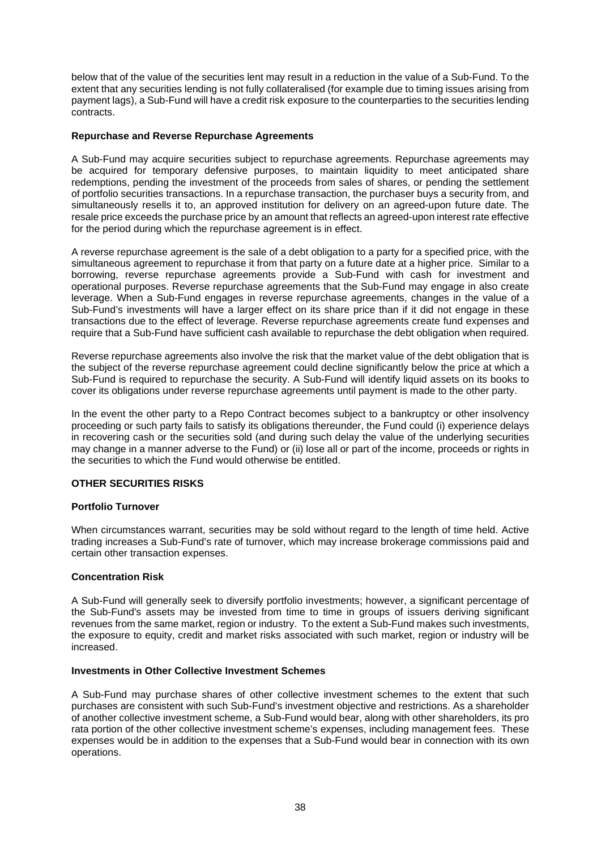below that of the value of the securities lent may result in a reduction in the value of a Sub-Fund. To the extent that any securities lending is not fully collateralised (for example due to timing issues arising from payment lags), a Sub-Fund will have a credit risk exposure to the counterparties to the securities lending contracts.

## **Repurchase and Reverse Repurchase Agreements**

A Sub-Fund may acquire securities subject to repurchase agreements. Repurchase agreements may be acquired for temporary defensive purposes, to maintain liquidity to meet anticipated share redemptions, pending the investment of the proceeds from sales of shares, or pending the settlement of portfolio securities transactions. In a repurchase transaction, the purchaser buys a security from, and simultaneously resells it to, an approved institution for delivery on an agreed-upon future date. The resale price exceeds the purchase price by an amount that reflects an agreed-upon interest rate effective for the period during which the repurchase agreement is in effect.

A reverse repurchase agreement is the sale of a debt obligation to a party for a specified price, with the simultaneous agreement to repurchase it from that party on a future date at a higher price. Similar to a borrowing, reverse repurchase agreements provide a Sub-Fund with cash for investment and operational purposes. Reverse repurchase agreements that the Sub-Fund may engage in also create leverage. When a Sub-Fund engages in reverse repurchase agreements, changes in the value of a Sub-Fund's investments will have a larger effect on its share price than if it did not engage in these transactions due to the effect of leverage. Reverse repurchase agreements create fund expenses and require that a Sub-Fund have sufficient cash available to repurchase the debt obligation when required.

Reverse repurchase agreements also involve the risk that the market value of the debt obligation that is the subject of the reverse repurchase agreement could decline significantly below the price at which a Sub-Fund is required to repurchase the security. A Sub-Fund will identify liquid assets on its books to cover its obligations under reverse repurchase agreements until payment is made to the other party.

In the event the other party to a Repo Contract becomes subject to a bankruptcy or other insolvency proceeding or such party fails to satisfy its obligations thereunder, the Fund could (i) experience delays in recovering cash or the securities sold (and during such delay the value of the underlying securities may change in a manner adverse to the Fund) or (ii) lose all or part of the income, proceeds or rights in the securities to which the Fund would otherwise be entitled.

# **OTHER SECURITIES RISKS**

#### **Portfolio Turnover**

When circumstances warrant, securities may be sold without regard to the length of time held. Active trading increases a Sub-Fund's rate of turnover, which may increase brokerage commissions paid and certain other transaction expenses.

#### **Concentration Risk**

A Sub-Fund will generally seek to diversify portfolio investments; however, a significant percentage of the Sub-Fund's assets may be invested from time to time in groups of issuers deriving significant revenues from the same market, region or industry. To the extent a Sub-Fund makes such investments, the exposure to equity, credit and market risks associated with such market, region or industry will be increased.

#### **Investments in Other Collective Investment Schemes**

A Sub-Fund may purchase shares of other collective investment schemes to the extent that such purchases are consistent with such Sub-Fund's investment objective and restrictions. As a shareholder of another collective investment scheme, a Sub-Fund would bear, along with other shareholders, its pro rata portion of the other collective investment scheme's expenses, including management fees. These expenses would be in addition to the expenses that a Sub-Fund would bear in connection with its own operations.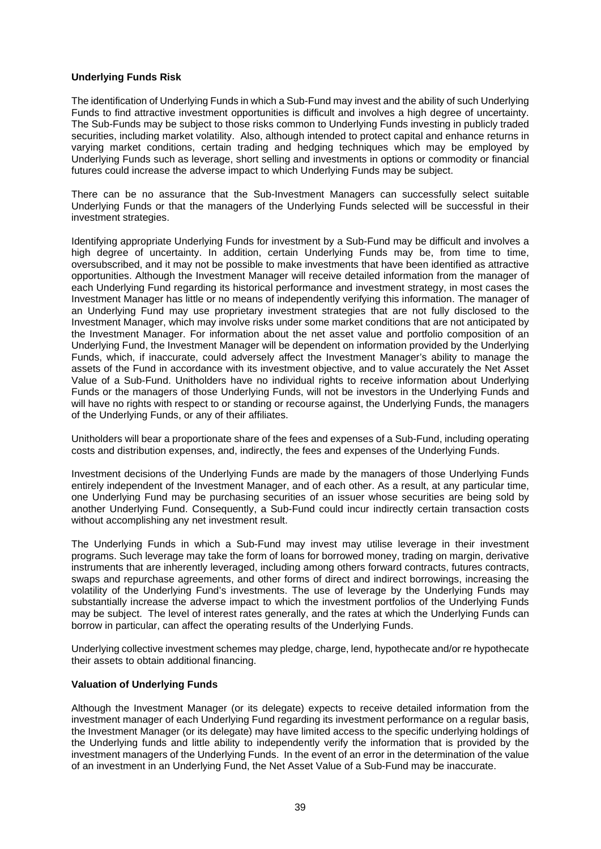## **Underlying Funds Risk**

The identification of Underlying Funds in which a Sub-Fund may invest and the ability of such Underlying Funds to find attractive investment opportunities is difficult and involves a high degree of uncertainty. The Sub-Funds may be subject to those risks common to Underlying Funds investing in publicly traded securities, including market volatility. Also, although intended to protect capital and enhance returns in varying market conditions, certain trading and hedging techniques which may be employed by Underlying Funds such as leverage, short selling and investments in options or commodity or financial futures could increase the adverse impact to which Underlying Funds may be subject.

There can be no assurance that the Sub-Investment Managers can successfully select suitable Underlying Funds or that the managers of the Underlying Funds selected will be successful in their investment strategies.

Identifying appropriate Underlying Funds for investment by a Sub-Fund may be difficult and involves a high degree of uncertainty. In addition, certain Underlying Funds may be, from time to time, oversubscribed, and it may not be possible to make investments that have been identified as attractive opportunities. Although the Investment Manager will receive detailed information from the manager of each Underlying Fund regarding its historical performance and investment strategy, in most cases the Investment Manager has little or no means of independently verifying this information. The manager of an Underlying Fund may use proprietary investment strategies that are not fully disclosed to the Investment Manager, which may involve risks under some market conditions that are not anticipated by the Investment Manager. For information about the net asset value and portfolio composition of an Underlying Fund, the Investment Manager will be dependent on information provided by the Underlying Funds, which, if inaccurate, could adversely affect the Investment Manager's ability to manage the assets of the Fund in accordance with its investment objective, and to value accurately the Net Asset Value of a Sub-Fund. Unitholders have no individual rights to receive information about Underlying Funds or the managers of those Underlying Funds, will not be investors in the Underlying Funds and will have no rights with respect to or standing or recourse against, the Underlying Funds, the managers of the Underlying Funds, or any of their affiliates.

Unitholders will bear a proportionate share of the fees and expenses of a Sub-Fund, including operating costs and distribution expenses, and, indirectly, the fees and expenses of the Underlying Funds.

Investment decisions of the Underlying Funds are made by the managers of those Underlying Funds entirely independent of the Investment Manager, and of each other. As a result, at any particular time, one Underlying Fund may be purchasing securities of an issuer whose securities are being sold by another Underlying Fund. Consequently, a Sub-Fund could incur indirectly certain transaction costs without accomplishing any net investment result.

The Underlying Funds in which a Sub-Fund may invest may utilise leverage in their investment programs. Such leverage may take the form of loans for borrowed money, trading on margin, derivative instruments that are inherently leveraged, including among others forward contracts, futures contracts, swaps and repurchase agreements, and other forms of direct and indirect borrowings, increasing the volatility of the Underlying Fund's investments. The use of leverage by the Underlying Funds may substantially increase the adverse impact to which the investment portfolios of the Underlying Funds may be subject. The level of interest rates generally, and the rates at which the Underlying Funds can borrow in particular, can affect the operating results of the Underlying Funds.

Underlying collective investment schemes may pledge, charge, lend, hypothecate and/or re hypothecate their assets to obtain additional financing.

# **Valuation of Underlying Funds**

Although the Investment Manager (or its delegate) expects to receive detailed information from the investment manager of each Underlying Fund regarding its investment performance on a regular basis, the Investment Manager (or its delegate) may have limited access to the specific underlying holdings of the Underlying funds and little ability to independently verify the information that is provided by the investment managers of the Underlying Funds. In the event of an error in the determination of the value of an investment in an Underlying Fund, the Net Asset Value of a Sub-Fund may be inaccurate.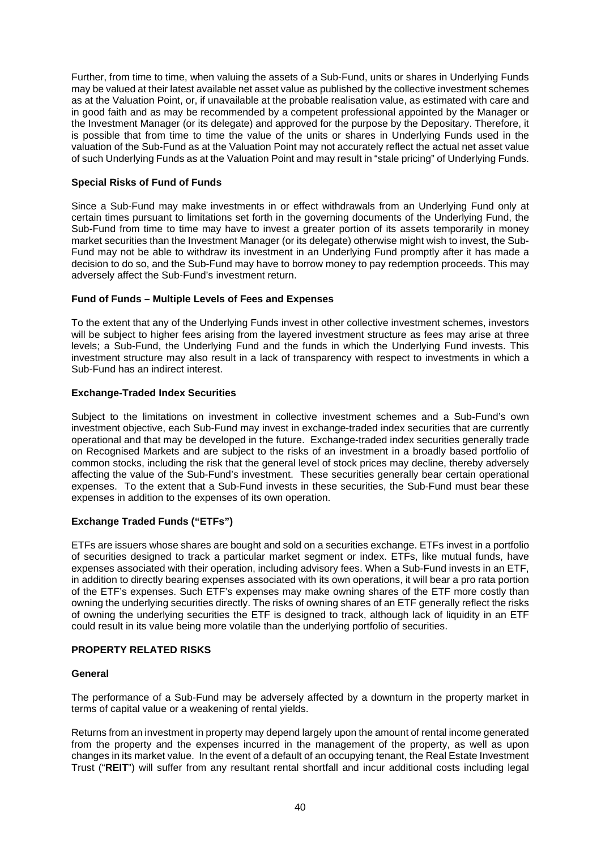Further, from time to time, when valuing the assets of a Sub-Fund, units or shares in Underlying Funds may be valued at their latest available net asset value as published by the collective investment schemes as at the Valuation Point, or, if unavailable at the probable realisation value, as estimated with care and in good faith and as may be recommended by a competent professional appointed by the Manager or the Investment Manager (or its delegate) and approved for the purpose by the Depositary. Therefore, it is possible that from time to time the value of the units or shares in Underlying Funds used in the valuation of the Sub-Fund as at the Valuation Point may not accurately reflect the actual net asset value of such Underlying Funds as at the Valuation Point and may result in "stale pricing" of Underlying Funds.

# **Special Risks of Fund of Funds**

Since a Sub-Fund may make investments in or effect withdrawals from an Underlying Fund only at certain times pursuant to limitations set forth in the governing documents of the Underlying Fund, the Sub-Fund from time to time may have to invest a greater portion of its assets temporarily in money market securities than the Investment Manager (or its delegate) otherwise might wish to invest, the Sub-Fund may not be able to withdraw its investment in an Underlying Fund promptly after it has made a decision to do so, and the Sub-Fund may have to borrow money to pay redemption proceeds. This may adversely affect the Sub-Fund's investment return.

# **Fund of Funds – Multiple Levels of Fees and Expenses**

To the extent that any of the Underlying Funds invest in other collective investment schemes, investors will be subject to higher fees arising from the layered investment structure as fees may arise at three levels; a Sub-Fund, the Underlying Fund and the funds in which the Underlying Fund invests. This investment structure may also result in a lack of transparency with respect to investments in which a Sub-Fund has an indirect interest.

# **Exchange-Traded Index Securities**

Subject to the limitations on investment in collective investment schemes and a Sub-Fund's own investment objective, each Sub-Fund may invest in exchange-traded index securities that are currently operational and that may be developed in the future. Exchange-traded index securities generally trade on Recognised Markets and are subject to the risks of an investment in a broadly based portfolio of common stocks, including the risk that the general level of stock prices may decline, thereby adversely affecting the value of the Sub-Fund's investment. These securities generally bear certain operational expenses. To the extent that a Sub-Fund invests in these securities, the Sub-Fund must bear these expenses in addition to the expenses of its own operation.

# **Exchange Traded Funds ("ETFs")**

ETFs are issuers whose shares are bought and sold on a securities exchange. ETFs invest in a portfolio of securities designed to track a particular market segment or index. ETFs, like mutual funds, have expenses associated with their operation, including advisory fees. When a Sub-Fund invests in an ETF, in addition to directly bearing expenses associated with its own operations, it will bear a pro rata portion of the ETF's expenses. Such ETF's expenses may make owning shares of the ETF more costly than owning the underlying securities directly. The risks of owning shares of an ETF generally reflect the risks of owning the underlying securities the ETF is designed to track, although lack of liquidity in an ETF could result in its value being more volatile than the underlying portfolio of securities.

# **PROPERTY RELATED RISKS**

# **General**

The performance of a Sub-Fund may be adversely affected by a downturn in the property market in terms of capital value or a weakening of rental yields.

Returns from an investment in property may depend largely upon the amount of rental income generated from the property and the expenses incurred in the management of the property, as well as upon changes in its market value. In the event of a default of an occupying tenant, the Real Estate Investment Trust ("**REIT**") will suffer from any resultant rental shortfall and incur additional costs including legal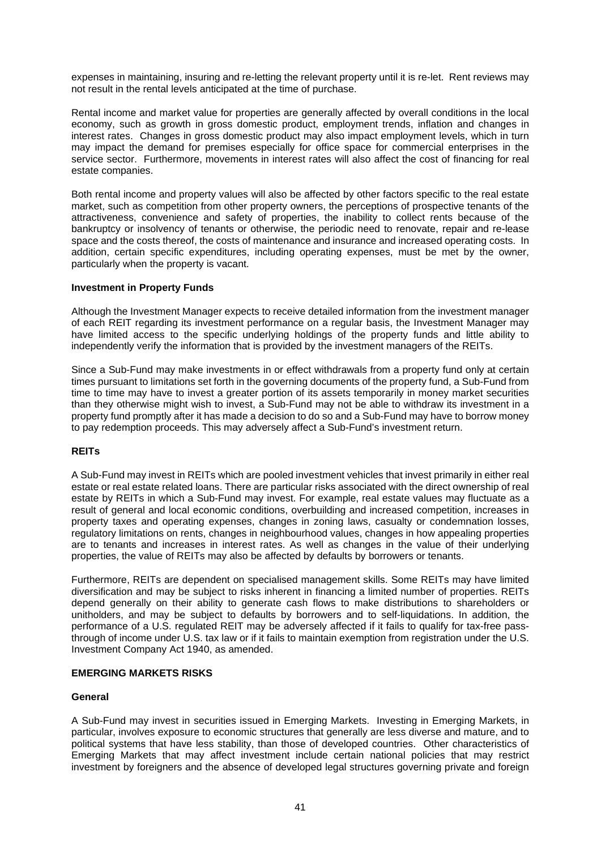expenses in maintaining, insuring and re-letting the relevant property until it is re-let. Rent reviews may not result in the rental levels anticipated at the time of purchase.

Rental income and market value for properties are generally affected by overall conditions in the local economy, such as growth in gross domestic product, employment trends, inflation and changes in interest rates. Changes in gross domestic product may also impact employment levels, which in turn may impact the demand for premises especially for office space for commercial enterprises in the service sector. Furthermore, movements in interest rates will also affect the cost of financing for real estate companies.

Both rental income and property values will also be affected by other factors specific to the real estate market, such as competition from other property owners, the perceptions of prospective tenants of the attractiveness, convenience and safety of properties, the inability to collect rents because of the bankruptcy or insolvency of tenants or otherwise, the periodic need to renovate, repair and re-lease space and the costs thereof, the costs of maintenance and insurance and increased operating costs. In addition, certain specific expenditures, including operating expenses, must be met by the owner, particularly when the property is vacant.

## **Investment in Property Funds**

Although the Investment Manager expects to receive detailed information from the investment manager of each REIT regarding its investment performance on a regular basis, the Investment Manager may have limited access to the specific underlying holdings of the property funds and little ability to independently verify the information that is provided by the investment managers of the REITs.

Since a Sub-Fund may make investments in or effect withdrawals from a property fund only at certain times pursuant to limitations set forth in the governing documents of the property fund, a Sub-Fund from time to time may have to invest a greater portion of its assets temporarily in money market securities than they otherwise might wish to invest, a Sub-Fund may not be able to withdraw its investment in a property fund promptly after it has made a decision to do so and a Sub-Fund may have to borrow money to pay redemption proceeds. This may adversely affect a Sub-Fund's investment return.

# **REITs**

A Sub-Fund may invest in REITs which are pooled investment vehicles that invest primarily in either real estate or real estate related loans. There are particular risks associated with the direct ownership of real estate by REITs in which a Sub-Fund may invest. For example, real estate values may fluctuate as a result of general and local economic conditions, overbuilding and increased competition, increases in property taxes and operating expenses, changes in zoning laws, casualty or condemnation losses, regulatory limitations on rents, changes in neighbourhood values, changes in how appealing properties are to tenants and increases in interest rates. As well as changes in the value of their underlying properties, the value of REITs may also be affected by defaults by borrowers or tenants.

Furthermore, REITs are dependent on specialised management skills. Some REITs may have limited diversification and may be subject to risks inherent in financing a limited number of properties. REITs depend generally on their ability to generate cash flows to make distributions to shareholders or unitholders, and may be subject to defaults by borrowers and to self-liquidations. In addition, the performance of a U.S. regulated REIT may be adversely affected if it fails to qualify for tax-free passthrough of income under U.S. tax law or if it fails to maintain exemption from registration under the U.S. Investment Company Act 1940, as amended.

#### **EMERGING MARKETS RISKS**

#### **General**

A Sub-Fund may invest in securities issued in Emerging Markets. Investing in Emerging Markets, in particular, involves exposure to economic structures that generally are less diverse and mature, and to political systems that have less stability, than those of developed countries. Other characteristics of Emerging Markets that may affect investment include certain national policies that may restrict investment by foreigners and the absence of developed legal structures governing private and foreign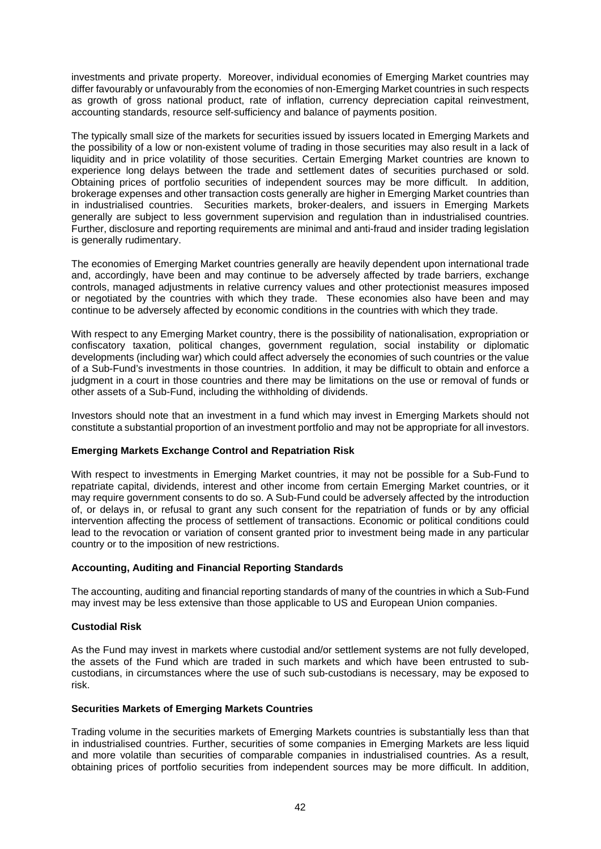investments and private property. Moreover, individual economies of Emerging Market countries may differ favourably or unfavourably from the economies of non-Emerging Market countries in such respects as growth of gross national product, rate of inflation, currency depreciation capital reinvestment, accounting standards, resource self-sufficiency and balance of payments position.

The typically small size of the markets for securities issued by issuers located in Emerging Markets and the possibility of a low or non-existent volume of trading in those securities may also result in a lack of liquidity and in price volatility of those securities. Certain Emerging Market countries are known to experience long delays between the trade and settlement dates of securities purchased or sold. Obtaining prices of portfolio securities of independent sources may be more difficult. In addition, brokerage expenses and other transaction costs generally are higher in Emerging Market countries than in industrialised countries. Securities markets, broker-dealers, and issuers in Emerging Markets generally are subject to less government supervision and regulation than in industrialised countries. Further, disclosure and reporting requirements are minimal and anti-fraud and insider trading legislation is generally rudimentary.

The economies of Emerging Market countries generally are heavily dependent upon international trade and, accordingly, have been and may continue to be adversely affected by trade barriers, exchange controls, managed adjustments in relative currency values and other protectionist measures imposed or negotiated by the countries with which they trade. These economies also have been and may continue to be adversely affected by economic conditions in the countries with which they trade.

With respect to any Emerging Market country, there is the possibility of nationalisation, expropriation or confiscatory taxation, political changes, government regulation, social instability or diplomatic developments (including war) which could affect adversely the economies of such countries or the value of a Sub-Fund's investments in those countries. In addition, it may be difficult to obtain and enforce a judgment in a court in those countries and there may be limitations on the use or removal of funds or other assets of a Sub-Fund, including the withholding of dividends.

Investors should note that an investment in a fund which may invest in Emerging Markets should not constitute a substantial proportion of an investment portfolio and may not be appropriate for all investors.

#### **Emerging Markets Exchange Control and Repatriation Risk**

With respect to investments in Emerging Market countries, it may not be possible for a Sub-Fund to repatriate capital, dividends, interest and other income from certain Emerging Market countries, or it may require government consents to do so. A Sub-Fund could be adversely affected by the introduction of, or delays in, or refusal to grant any such consent for the repatriation of funds or by any official intervention affecting the process of settlement of transactions. Economic or political conditions could lead to the revocation or variation of consent granted prior to investment being made in any particular country or to the imposition of new restrictions.

## **Accounting, Auditing and Financial Reporting Standards**

The accounting, auditing and financial reporting standards of many of the countries in which a Sub-Fund may invest may be less extensive than those applicable to US and European Union companies.

#### **Custodial Risk**

As the Fund may invest in markets where custodial and/or settlement systems are not fully developed, the assets of the Fund which are traded in such markets and which have been entrusted to subcustodians, in circumstances where the use of such sub-custodians is necessary, may be exposed to risk.

#### **Securities Markets of Emerging Markets Countries**

Trading volume in the securities markets of Emerging Markets countries is substantially less than that in industrialised countries. Further, securities of some companies in Emerging Markets are less liquid and more volatile than securities of comparable companies in industrialised countries. As a result, obtaining prices of portfolio securities from independent sources may be more difficult. In addition,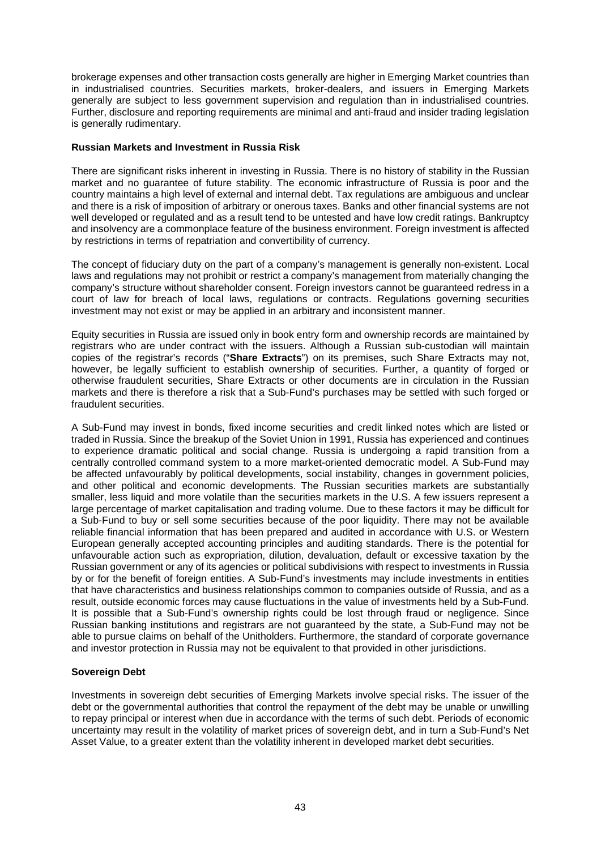brokerage expenses and other transaction costs generally are higher in Emerging Market countries than in industrialised countries. Securities markets, broker-dealers, and issuers in Emerging Markets generally are subject to less government supervision and regulation than in industrialised countries. Further, disclosure and reporting requirements are minimal and anti-fraud and insider trading legislation is generally rudimentary.

## **Russian Markets and Investment in Russia Risk**

There are significant risks inherent in investing in Russia. There is no history of stability in the Russian market and no guarantee of future stability. The economic infrastructure of Russia is poor and the country maintains a high level of external and internal debt. Tax regulations are ambiguous and unclear and there is a risk of imposition of arbitrary or onerous taxes. Banks and other financial systems are not well developed or regulated and as a result tend to be untested and have low credit ratings. Bankruptcy and insolvency are a commonplace feature of the business environment. Foreign investment is affected by restrictions in terms of repatriation and convertibility of currency.

The concept of fiduciary duty on the part of a company's management is generally non-existent. Local laws and regulations may not prohibit or restrict a company's management from materially changing the company's structure without shareholder consent. Foreign investors cannot be guaranteed redress in a court of law for breach of local laws, regulations or contracts. Regulations governing securities investment may not exist or may be applied in an arbitrary and inconsistent manner.

Equity securities in Russia are issued only in book entry form and ownership records are maintained by registrars who are under contract with the issuers. Although a Russian sub-custodian will maintain copies of the registrar's records ("**Share Extracts**") on its premises, such Share Extracts may not, however, be legally sufficient to establish ownership of securities. Further, a quantity of forged or otherwise fraudulent securities, Share Extracts or other documents are in circulation in the Russian markets and there is therefore a risk that a Sub-Fund's purchases may be settled with such forged or fraudulent securities.

A Sub-Fund may invest in bonds, fixed income securities and credit linked notes which are listed or traded in Russia. Since the breakup of the Soviet Union in 1991, Russia has experienced and continues to experience dramatic political and social change. Russia is undergoing a rapid transition from a centrally controlled command system to a more market-oriented democratic model. A Sub-Fund may be affected unfavourably by political developments, social instability, changes in government policies, and other political and economic developments. The Russian securities markets are substantially smaller, less liquid and more volatile than the securities markets in the U.S. A few issuers represent a large percentage of market capitalisation and trading volume. Due to these factors it may be difficult for a Sub-Fund to buy or sell some securities because of the poor liquidity. There may not be available reliable financial information that has been prepared and audited in accordance with U.S. or Western European generally accepted accounting principles and auditing standards. There is the potential for unfavourable action such as expropriation, dilution, devaluation, default or excessive taxation by the Russian government or any of its agencies or political subdivisions with respect to investments in Russia by or for the benefit of foreign entities. A Sub-Fund's investments may include investments in entities that have characteristics and business relationships common to companies outside of Russia, and as a result, outside economic forces may cause fluctuations in the value of investments held by a Sub-Fund. It is possible that a Sub-Fund's ownership rights could be lost through fraud or negligence. Since Russian banking institutions and registrars are not guaranteed by the state, a Sub-Fund may not be able to pursue claims on behalf of the Unitholders. Furthermore, the standard of corporate governance and investor protection in Russia may not be equivalent to that provided in other jurisdictions.

# **Sovereign Debt**

Investments in sovereign debt securities of Emerging Markets involve special risks. The issuer of the debt or the governmental authorities that control the repayment of the debt may be unable or unwilling to repay principal or interest when due in accordance with the terms of such debt. Periods of economic uncertainty may result in the volatility of market prices of sovereign debt, and in turn a Sub-Fund's Net Asset Value, to a greater extent than the volatility inherent in developed market debt securities.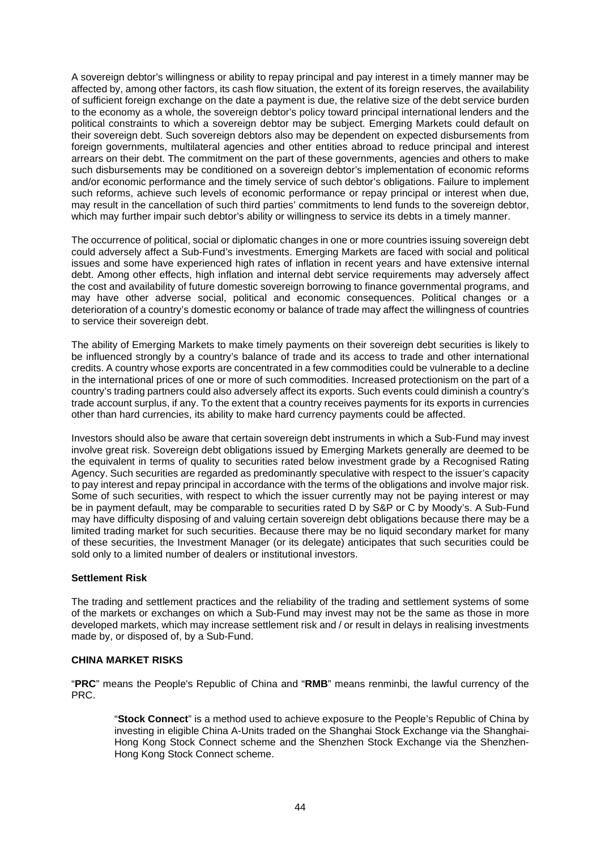A sovereign debtor's willingness or ability to repay principal and pay interest in a timely manner may be affected by, among other factors, its cash flow situation, the extent of its foreign reserves, the availability of sufficient foreign exchange on the date a payment is due, the relative size of the debt service burden to the economy as a whole, the sovereign debtor's policy toward principal international lenders and the political constraints to which a sovereign debtor may be subject. Emerging Markets could default on their sovereign debt. Such sovereign debtors also may be dependent on expected disbursements from foreign governments, multilateral agencies and other entities abroad to reduce principal and interest arrears on their debt. The commitment on the part of these governments, agencies and others to make such disbursements may be conditioned on a sovereign debtor's implementation of economic reforms and/or economic performance and the timely service of such debtor's obligations. Failure to implement such reforms, achieve such levels of economic performance or repay principal or interest when due, may result in the cancellation of such third parties' commitments to lend funds to the sovereign debtor, which may further impair such debtor's ability or willingness to service its debts in a timely manner.

The occurrence of political, social or diplomatic changes in one or more countries issuing sovereign debt could adversely affect a Sub-Fund's investments. Emerging Markets are faced with social and political issues and some have experienced high rates of inflation in recent years and have extensive internal debt. Among other effects, high inflation and internal debt service requirements may adversely affect the cost and availability of future domestic sovereign borrowing to finance governmental programs, and may have other adverse social, political and economic consequences. Political changes or a deterioration of a country's domestic economy or balance of trade may affect the willingness of countries to service their sovereign debt.

The ability of Emerging Markets to make timely payments on their sovereign debt securities is likely to be influenced strongly by a country's balance of trade and its access to trade and other international credits. A country whose exports are concentrated in a few commodities could be vulnerable to a decline in the international prices of one or more of such commodities. Increased protectionism on the part of a country's trading partners could also adversely affect its exports. Such events could diminish a country's trade account surplus, if any. To the extent that a country receives payments for its exports in currencies other than hard currencies, its ability to make hard currency payments could be affected.

Investors should also be aware that certain sovereign debt instruments in which a Sub-Fund may invest involve great risk. Sovereign debt obligations issued by Emerging Markets generally are deemed to be the equivalent in terms of quality to securities rated below investment grade by a Recognised Rating Agency. Such securities are regarded as predominantly speculative with respect to the issuer's capacity to pay interest and repay principal in accordance with the terms of the obligations and involve major risk. Some of such securities, with respect to which the issuer currently may not be paying interest or may be in payment default, may be comparable to securities rated D by S&P or C by Moody's. A Sub-Fund may have difficulty disposing of and valuing certain sovereign debt obligations because there may be a limited trading market for such securities. Because there may be no liquid secondary market for many of these securities, the Investment Manager (or its delegate) anticipates that such securities could be sold only to a limited number of dealers or institutional investors.

# **Settlement Risk**

The trading and settlement practices and the reliability of the trading and settlement systems of some of the markets or exchanges on which a Sub-Fund may invest may not be the same as those in more developed markets, which may increase settlement risk and / or result in delays in realising investments made by, or disposed of, by a Sub-Fund.

# **CHINA MARKET RISKS**

"**PRC**" means the People's Republic of China and "**RMB**" means renminbi, the lawful currency of the PRC.

"**Stock Connect**" is a method used to achieve exposure to the People's Republic of China by investing in eligible China A-Units traded on the Shanghai Stock Exchange via the Shanghai-Hong Kong Stock Connect scheme and the Shenzhen Stock Exchange via the Shenzhen-Hong Kong Stock Connect scheme.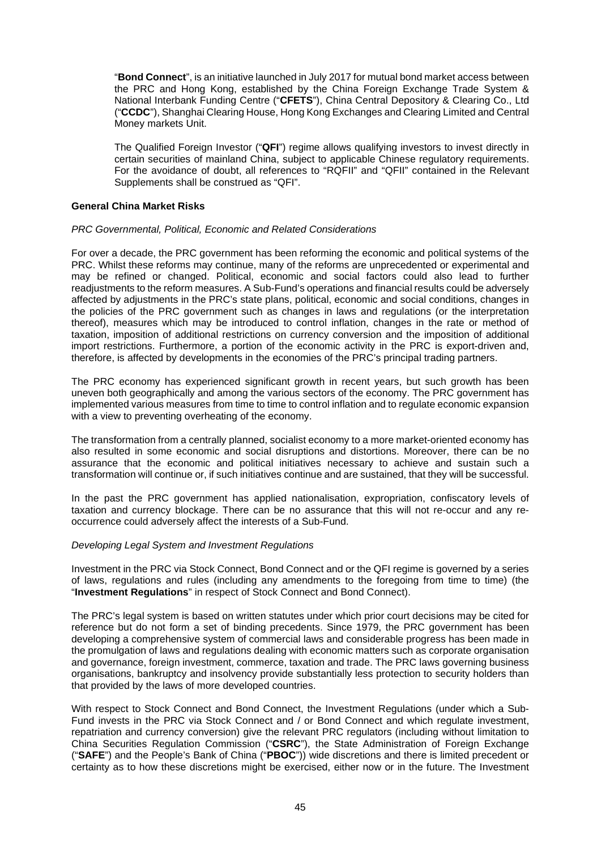"**Bond Connect**", is an initiative launched in July 2017 for mutual bond market access between the PRC and Hong Kong, established by the China Foreign Exchange Trade System & National Interbank Funding Centre ("**CFETS**"), China Central Depository & Clearing Co., Ltd ("**CCDC**"), Shanghai Clearing House, Hong Kong Exchanges and Clearing Limited and Central Money markets Unit.

The Qualified Foreign Investor ("**QFI**") regime allows qualifying investors to invest directly in certain securities of mainland China, subject to applicable Chinese regulatory requirements. For the avoidance of doubt, all references to "RQFII" and "QFII" contained in the Relevant Supplements shall be construed as "QFI".

### **General China Market Risks**

## *PRC Governmental, Political, Economic and Related Considerations*

For over a decade, the PRC government has been reforming the economic and political systems of the PRC. Whilst these reforms may continue, many of the reforms are unprecedented or experimental and may be refined or changed. Political, economic and social factors could also lead to further readjustments to the reform measures. A Sub-Fund's operations and financial results could be adversely affected by adjustments in the PRC's state plans, political, economic and social conditions, changes in the policies of the PRC government such as changes in laws and regulations (or the interpretation thereof), measures which may be introduced to control inflation, changes in the rate or method of taxation, imposition of additional restrictions on currency conversion and the imposition of additional import restrictions. Furthermore, a portion of the economic activity in the PRC is export-driven and, therefore, is affected by developments in the economies of the PRC's principal trading partners.

The PRC economy has experienced significant growth in recent years, but such growth has been uneven both geographically and among the various sectors of the economy. The PRC government has implemented various measures from time to time to control inflation and to regulate economic expansion with a view to preventing overheating of the economy.

The transformation from a centrally planned, socialist economy to a more market-oriented economy has also resulted in some economic and social disruptions and distortions. Moreover, there can be no assurance that the economic and political initiatives necessary to achieve and sustain such a transformation will continue or, if such initiatives continue and are sustained, that they will be successful.

In the past the PRC government has applied nationalisation, expropriation, confiscatory levels of taxation and currency blockage. There can be no assurance that this will not re-occur and any reoccurrence could adversely affect the interests of a Sub-Fund.

#### *Developing Legal System and Investment Regulations*

Investment in the PRC via Stock Connect, Bond Connect and or the QFI regime is governed by a series of laws, regulations and rules (including any amendments to the foregoing from time to time) (the "**Investment Regulations**" in respect of Stock Connect and Bond Connect).

The PRC's legal system is based on written statutes under which prior court decisions may be cited for reference but do not form a set of binding precedents. Since 1979, the PRC government has been developing a comprehensive system of commercial laws and considerable progress has been made in the promulgation of laws and regulations dealing with economic matters such as corporate organisation and governance, foreign investment, commerce, taxation and trade. The PRC laws governing business organisations, bankruptcy and insolvency provide substantially less protection to security holders than that provided by the laws of more developed countries.

With respect to Stock Connect and Bond Connect, the Investment Regulations (under which a Sub-Fund invests in the PRC via Stock Connect and / or Bond Connect and which regulate investment, repatriation and currency conversion) give the relevant PRC regulators (including without limitation to China Securities Regulation Commission ("**CSRC**"), the State Administration of Foreign Exchange ("**SAFE**") and the People's Bank of China ("**PBOC**")) wide discretions and there is limited precedent or certainty as to how these discretions might be exercised, either now or in the future. The Investment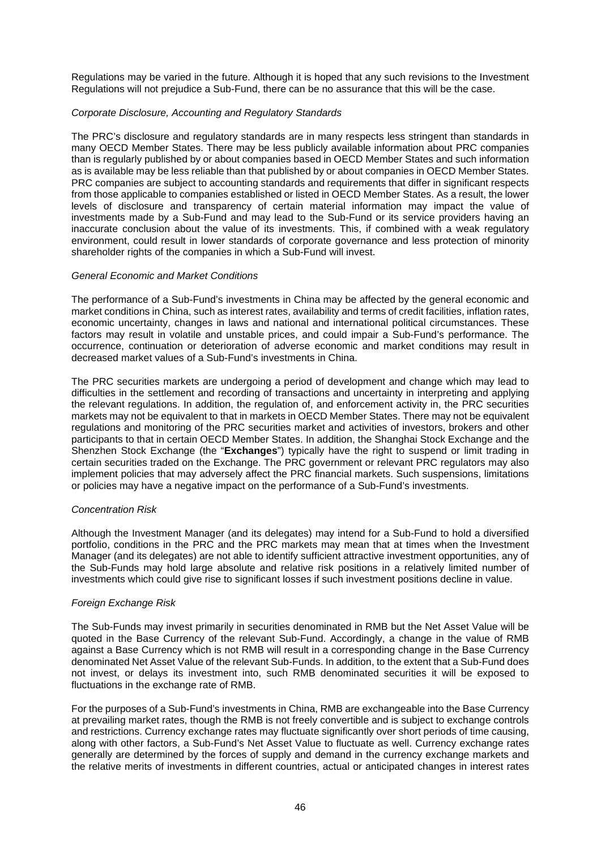Regulations may be varied in the future. Although it is hoped that any such revisions to the Investment Regulations will not prejudice a Sub-Fund, there can be no assurance that this will be the case.

## *Corporate Disclosure, Accounting and Regulatory Standards*

The PRC's disclosure and regulatory standards are in many respects less stringent than standards in many OECD Member States. There may be less publicly available information about PRC companies than is regularly published by or about companies based in OECD Member States and such information as is available may be less reliable than that published by or about companies in OECD Member States. PRC companies are subject to accounting standards and requirements that differ in significant respects from those applicable to companies established or listed in OECD Member States. As a result, the lower levels of disclosure and transparency of certain material information may impact the value of investments made by a Sub-Fund and may lead to the Sub-Fund or its service providers having an inaccurate conclusion about the value of its investments. This, if combined with a weak regulatory environment, could result in lower standards of corporate governance and less protection of minority shareholder rights of the companies in which a Sub-Fund will invest.

#### *General Economic and Market Conditions*

The performance of a Sub-Fund's investments in China may be affected by the general economic and market conditions in China, such as interest rates, availability and terms of credit facilities, inflation rates, economic uncertainty, changes in laws and national and international political circumstances. These factors may result in volatile and unstable prices, and could impair a Sub-Fund's performance. The occurrence, continuation or deterioration of adverse economic and market conditions may result in decreased market values of a Sub-Fund's investments in China.

The PRC securities markets are undergoing a period of development and change which may lead to difficulties in the settlement and recording of transactions and uncertainty in interpreting and applying the relevant regulations. In addition, the regulation of, and enforcement activity in, the PRC securities markets may not be equivalent to that in markets in OECD Member States. There may not be equivalent regulations and monitoring of the PRC securities market and activities of investors, brokers and other participants to that in certain OECD Member States. In addition, the Shanghai Stock Exchange and the Shenzhen Stock Exchange (the "**Exchanges**") typically have the right to suspend or limit trading in certain securities traded on the Exchange. The PRC government or relevant PRC regulators may also implement policies that may adversely affect the PRC financial markets. Such suspensions, limitations or policies may have a negative impact on the performance of a Sub-Fund's investments.

#### *Concentration Risk*

Although the Investment Manager (and its delegates) may intend for a Sub-Fund to hold a diversified portfolio, conditions in the PRC and the PRC markets may mean that at times when the Investment Manager (and its delegates) are not able to identify sufficient attractive investment opportunities, any of the Sub-Funds may hold large absolute and relative risk positions in a relatively limited number of investments which could give rise to significant losses if such investment positions decline in value.

#### *Foreign Exchange Risk*

The Sub-Funds may invest primarily in securities denominated in RMB but the Net Asset Value will be quoted in the Base Currency of the relevant Sub-Fund. Accordingly, a change in the value of RMB against a Base Currency which is not RMB will result in a corresponding change in the Base Currency denominated Net Asset Value of the relevant Sub-Funds. In addition, to the extent that a Sub-Fund does not invest, or delays its investment into, such RMB denominated securities it will be exposed to fluctuations in the exchange rate of RMB.

For the purposes of a Sub-Fund's investments in China, RMB are exchangeable into the Base Currency at prevailing market rates, though the RMB is not freely convertible and is subject to exchange controls and restrictions. Currency exchange rates may fluctuate significantly over short periods of time causing, along with other factors, a Sub-Fund's Net Asset Value to fluctuate as well. Currency exchange rates generally are determined by the forces of supply and demand in the currency exchange markets and the relative merits of investments in different countries, actual or anticipated changes in interest rates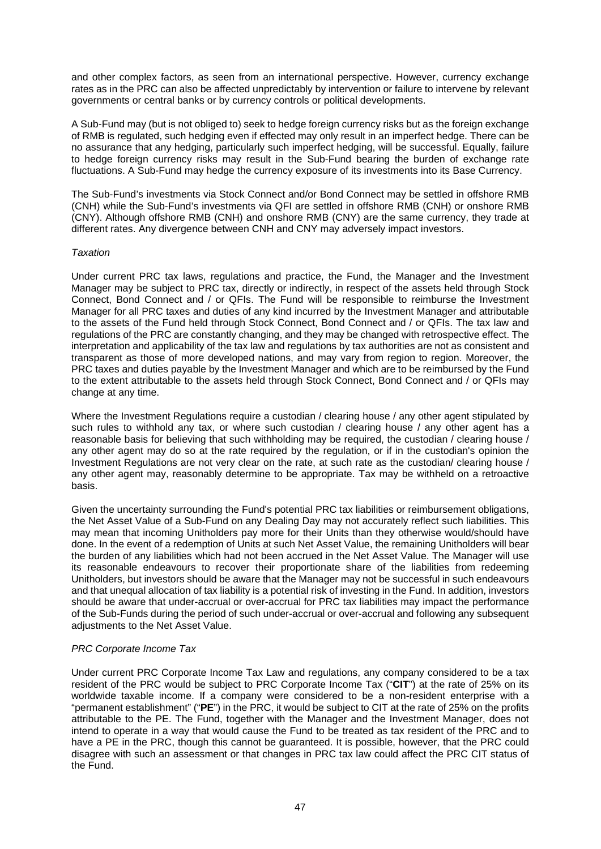and other complex factors, as seen from an international perspective. However, currency exchange rates as in the PRC can also be affected unpredictably by intervention or failure to intervene by relevant governments or central banks or by currency controls or political developments.

A Sub-Fund may (but is not obliged to) seek to hedge foreign currency risks but as the foreign exchange of RMB is regulated, such hedging even if effected may only result in an imperfect hedge. There can be no assurance that any hedging, particularly such imperfect hedging, will be successful. Equally, failure to hedge foreign currency risks may result in the Sub-Fund bearing the burden of exchange rate fluctuations. A Sub-Fund may hedge the currency exposure of its investments into its Base Currency.

The Sub-Fund's investments via Stock Connect and/or Bond Connect may be settled in offshore RMB (CNH) while the Sub-Fund's investments via QFI are settled in offshore RMB (CNH) or onshore RMB (CNY). Although offshore RMB (CNH) and onshore RMB (CNY) are the same currency, they trade at different rates. Any divergence between CNH and CNY may adversely impact investors.

## *Taxation*

Under current PRC tax laws, regulations and practice, the Fund, the Manager and the Investment Manager may be subject to PRC tax, directly or indirectly, in respect of the assets held through Stock Connect, Bond Connect and / or QFIs. The Fund will be responsible to reimburse the Investment Manager for all PRC taxes and duties of any kind incurred by the Investment Manager and attributable to the assets of the Fund held through Stock Connect, Bond Connect and / or QFIs. The tax law and regulations of the PRC are constantly changing, and they may be changed with retrospective effect. The interpretation and applicability of the tax law and regulations by tax authorities are not as consistent and transparent as those of more developed nations, and may vary from region to region. Moreover, the PRC taxes and duties payable by the Investment Manager and which are to be reimbursed by the Fund to the extent attributable to the assets held through Stock Connect, Bond Connect and / or QFIs may change at any time.

Where the Investment Regulations require a custodian / clearing house / any other agent stipulated by such rules to withhold any tax, or where such custodian / clearing house / any other agent has a reasonable basis for believing that such withholding may be required, the custodian / clearing house / any other agent may do so at the rate required by the regulation, or if in the custodian's opinion the Investment Regulations are not very clear on the rate, at such rate as the custodian/ clearing house / any other agent may, reasonably determine to be appropriate. Tax may be withheld on a retroactive basis.

Given the uncertainty surrounding the Fund's potential PRC tax liabilities or reimbursement obligations, the Net Asset Value of a Sub-Fund on any Dealing Day may not accurately reflect such liabilities. This may mean that incoming Unitholders pay more for their Units than they otherwise would/should have done. In the event of a redemption of Units at such Net Asset Value, the remaining Unitholders will bear the burden of any liabilities which had not been accrued in the Net Asset Value. The Manager will use its reasonable endeavours to recover their proportionate share of the liabilities from redeeming Unitholders, but investors should be aware that the Manager may not be successful in such endeavours and that unequal allocation of tax liability is a potential risk of investing in the Fund. In addition, investors should be aware that under-accrual or over-accrual for PRC tax liabilities may impact the performance of the Sub-Funds during the period of such under-accrual or over-accrual and following any subsequent adiustments to the Net Asset Value.

# *PRC Corporate Income Tax*

Under current PRC Corporate Income Tax Law and regulations, any company considered to be a tax resident of the PRC would be subject to PRC Corporate Income Tax ("**CIT**") at the rate of 25% on its worldwide taxable income. If a company were considered to be a non-resident enterprise with a "permanent establishment" ("**PE**") in the PRC, it would be subject to CIT at the rate of 25% on the profits attributable to the PE. The Fund, together with the Manager and the Investment Manager, does not intend to operate in a way that would cause the Fund to be treated as tax resident of the PRC and to have a PE in the PRC, though this cannot be guaranteed. It is possible, however, that the PRC could disagree with such an assessment or that changes in PRC tax law could affect the PRC CIT status of the Fund.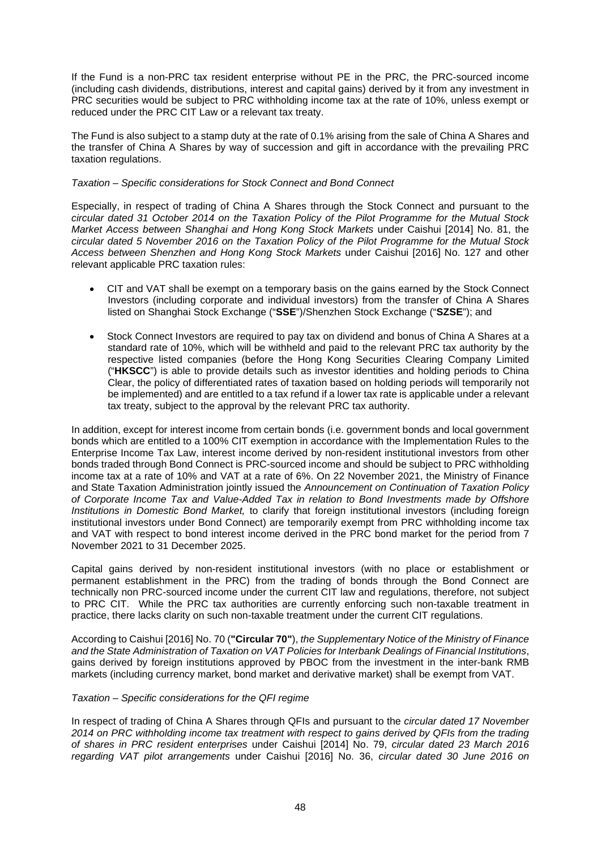If the Fund is a non-PRC tax resident enterprise without PE in the PRC, the PRC-sourced income (including cash dividends, distributions, interest and capital gains) derived by it from any investment in PRC securities would be subject to PRC withholding income tax at the rate of 10%, unless exempt or reduced under the PRC CIT Law or a relevant tax treaty.

The Fund is also subject to a stamp duty at the rate of 0.1% arising from the sale of China A Shares and the transfer of China A Shares by way of succession and gift in accordance with the prevailing PRC taxation regulations.

## *Taxation – Specific considerations for Stock Connect and Bond Connect*

Especially, in respect of trading of China A Shares through the Stock Connect and pursuant to the *circular dated 31 October 2014 on the Taxation Policy of the Pilot Programme for the Mutual Stock Market Access between Shanghai and Hong Kong Stock Markets* under Caishui [2014] No. 81, the *circular dated 5 November 2016 on the Taxation Policy of the Pilot Programme for the Mutual Stock Access between Shenzhen and Hong Kong Stock Markets* under Caishui [2016] No. 127 and other relevant applicable PRC taxation rules:

- CIT and VAT shall be exempt on a temporary basis on the gains earned by the Stock Connect Investors (including corporate and individual investors) from the transfer of China A Shares listed on Shanghai Stock Exchange ("**SSE**")/Shenzhen Stock Exchange ("**SZSE**"); and
- Stock Connect Investors are required to pay tax on dividend and bonus of China A Shares at a standard rate of 10%, which will be withheld and paid to the relevant PRC tax authority by the respective listed companies (before the Hong Kong Securities Clearing Company Limited ("**HKSCC**") is able to provide details such as investor identities and holding periods to China Clear, the policy of differentiated rates of taxation based on holding periods will temporarily not be implemented) and are entitled to a tax refund if a lower tax rate is applicable under a relevant tax treaty, subject to the approval by the relevant PRC tax authority.

In addition, except for interest income from certain bonds (i.e. government bonds and local government bonds which are entitled to a 100% CIT exemption in accordance with the Implementation Rules to the Enterprise Income Tax Law, interest income derived by non-resident institutional investors from other bonds traded through Bond Connect is PRC-sourced income and should be subject to PRC withholding income tax at a rate of 10% and VAT at a rate of 6%. On 22 November 2021, the Ministry of Finance and State Taxation Administration jointly issued the *Announcement on Continuation of Taxation Policy of Corporate Income Tax and Value-Added Tax in relation to Bond Investments made by Offshore Institutions in Domestic Bond Market,* to clarify that foreign institutional investors (including foreign institutional investors under Bond Connect) are temporarily exempt from PRC withholding income tax and VAT with respect to bond interest income derived in the PRC bond market for the period from 7 November 2021 to 31 December 2025.

Capital gains derived by non-resident institutional investors (with no place or establishment or permanent establishment in the PRC) from the trading of bonds through the Bond Connect are technically non PRC-sourced income under the current CIT law and regulations, therefore, not subject to PRC CIT. While the PRC tax authorities are currently enforcing such non-taxable treatment in practice, there lacks clarity on such non-taxable treatment under the current CIT regulations.

According to Caishui [2016] No. 70 (**"Circular 70"**), *the Supplementary Notice of the Ministry of Finance and the State Administration of Taxation on VAT Policies for Interbank Dealings of Financial Institutions*, gains derived by foreign institutions approved by PBOC from the investment in the inter-bank RMB markets (including currency market, bond market and derivative market) shall be exempt from VAT.

# *Taxation – Specific considerations for the QFI regime*

In respect of trading of China A Shares through QFIs and pursuant to the *circular dated 17 November 2014 on PRC withholding income tax treatment with respect to gains derived by QFIs from the trading of shares in PRC resident enterprises* under Caishui [2014] No. 79, *circular dated 23 March 2016 regarding VAT pilot arrangements* under Caishui [2016] No. 36, *circular dated 30 June 2016 on*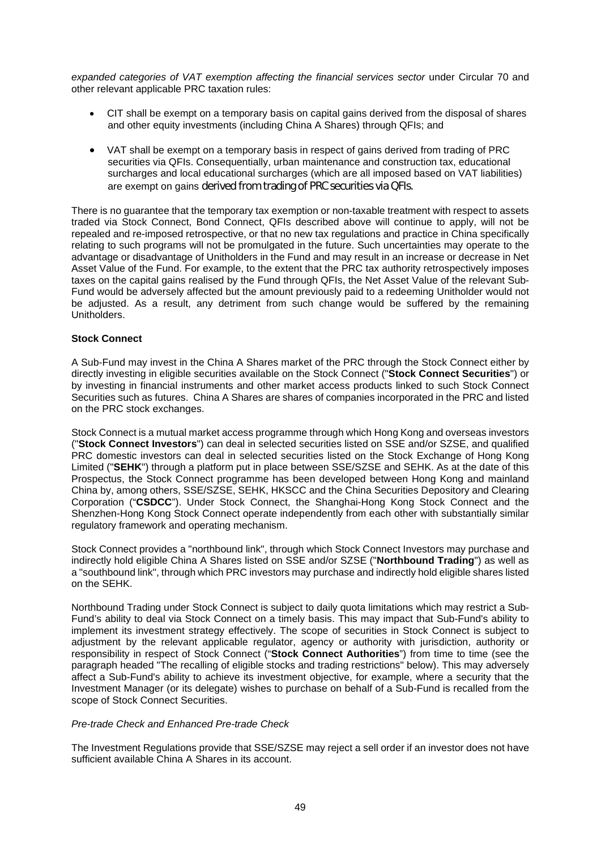expanded categories of VAT exemption affecting the financial services sector under Circular 70 and other relevant applicable PRC taxation rules:

- CIT shall be exempt on a temporary basis on capital gains derived from the disposal of shares and other equity investments (including China A Shares) through QFIs; and
- VAT shall be exempt on a temporary basis in respect of gains derived from trading of PRC securities via QFIs. Consequentially, urban maintenance and construction tax, educational surcharges and local educational surcharges (which are all imposed based on VAT liabilities) are exempt on gains derived from trading of PRC securities via QFIs.

There is no guarantee that the temporary tax exemption or non-taxable treatment with respect to assets traded via Stock Connect, Bond Connect, QFIs described above will continue to apply, will not be repealed and re-imposed retrospective, or that no new tax regulations and practice in China specifically relating to such programs will not be promulgated in the future. Such uncertainties may operate to the advantage or disadvantage of Unitholders in the Fund and may result in an increase or decrease in Net Asset Value of the Fund. For example, to the extent that the PRC tax authority retrospectively imposes taxes on the capital gains realised by the Fund through QFIs, the Net Asset Value of the relevant Sub-Fund would be adversely affected but the amount previously paid to a redeeming Unitholder would not be adjusted. As a result, any detriment from such change would be suffered by the remaining Unitholders.

## **Stock Connect**

A Sub-Fund may invest in the China A Shares market of the PRC through the Stock Connect either by directly investing in eligible securities available on the Stock Connect ("**Stock Connect Securities**") or by investing in financial instruments and other market access products linked to such Stock Connect Securities such as futures. China A Shares are shares of companies incorporated in the PRC and listed on the PRC stock exchanges.

Stock Connect is a mutual market access programme through which Hong Kong and overseas investors ("**Stock Connect Investors**") can deal in selected securities listed on SSE and/or SZSE, and qualified PRC domestic investors can deal in selected securities listed on the Stock Exchange of Hong Kong Limited ("**SEHK**") through a platform put in place between SSE/SZSE and SEHK. As at the date of this Prospectus, the Stock Connect programme has been developed between Hong Kong and mainland China by, among others, SSE/SZSE, SEHK, HKSCC and the China Securities Depository and Clearing Corporation ("**CSDCC**"). Under Stock Connect, the Shanghai-Hong Kong Stock Connect and the Shenzhen-Hong Kong Stock Connect operate independently from each other with substantially similar regulatory framework and operating mechanism.

Stock Connect provides a "northbound link", through which Stock Connect Investors may purchase and indirectly hold eligible China A Shares listed on SSE and/or SZSE ("**Northbound Trading**") as well as a "southbound link", through which PRC investors may purchase and indirectly hold eligible shares listed on the SEHK.

Northbound Trading under Stock Connect is subject to daily quota limitations which may restrict a Sub-Fund's ability to deal via Stock Connect on a timely basis. This may impact that Sub-Fund's ability to implement its investment strategy effectively. The scope of securities in Stock Connect is subject to adjustment by the relevant applicable regulator, agency or authority with jurisdiction, authority or responsibility in respect of Stock Connect ("**Stock Connect Authorities**") from time to time (see the paragraph headed "The recalling of eligible stocks and trading restrictions" below). This may adversely affect a Sub-Fund's ability to achieve its investment objective, for example, where a security that the Investment Manager (or its delegate) wishes to purchase on behalf of a Sub-Fund is recalled from the scope of Stock Connect Securities.

## *Pre-trade Check and Enhanced Pre-trade Check*

The Investment Regulations provide that SSE/SZSE may reject a sell order if an investor does not have sufficient available China A Shares in its account.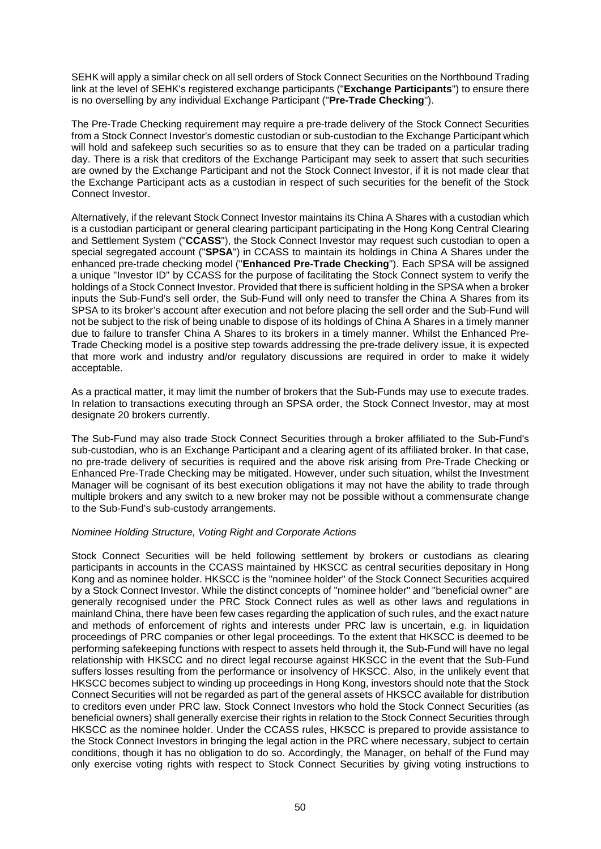SEHK will apply a similar check on all sell orders of Stock Connect Securities on the Northbound Trading link at the level of SEHK's registered exchange participants ("**Exchange Participants**") to ensure there is no overselling by any individual Exchange Participant ("**Pre-Trade Checking**").

The Pre-Trade Checking requirement may require a pre-trade delivery of the Stock Connect Securities from a Stock Connect Investor's domestic custodian or sub-custodian to the Exchange Participant which will hold and safekeep such securities so as to ensure that they can be traded on a particular trading day. There is a risk that creditors of the Exchange Participant may seek to assert that such securities are owned by the Exchange Participant and not the Stock Connect Investor, if it is not made clear that the Exchange Participant acts as a custodian in respect of such securities for the benefit of the Stock Connect Investor.

Alternatively, if the relevant Stock Connect Investor maintains its China A Shares with a custodian which is a custodian participant or general clearing participant participating in the Hong Kong Central Clearing and Settlement System ("**CCASS**"), the Stock Connect Investor may request such custodian to open a special segregated account ("**SPSA**") in CCASS to maintain its holdings in China A Shares under the enhanced pre-trade checking model ("**Enhanced Pre-Trade Checking**"). Each SPSA will be assigned a unique "Investor ID" by CCASS for the purpose of facilitating the Stock Connect system to verify the holdings of a Stock Connect Investor. Provided that there is sufficient holding in the SPSA when a broker inputs the Sub-Fund's sell order, the Sub-Fund will only need to transfer the China A Shares from its SPSA to its broker's account after execution and not before placing the sell order and the Sub-Fund will not be subject to the risk of being unable to dispose of its holdings of China A Shares in a timely manner due to failure to transfer China A Shares to its brokers in a timely manner. Whilst the Enhanced Pre-Trade Checking model is a positive step towards addressing the pre-trade delivery issue, it is expected that more work and industry and/or regulatory discussions are required in order to make it widely acceptable.

As a practical matter, it may limit the number of brokers that the Sub-Funds may use to execute trades. In relation to transactions executing through an SPSA order, the Stock Connect Investor, may at most designate 20 brokers currently.

The Sub-Fund may also trade Stock Connect Securities through a broker affiliated to the Sub-Fund's sub-custodian, who is an Exchange Participant and a clearing agent of its affiliated broker. In that case, no pre-trade delivery of securities is required and the above risk arising from Pre-Trade Checking or Enhanced Pre-Trade Checking may be mitigated. However, under such situation, whilst the Investment Manager will be cognisant of its best execution obligations it may not have the ability to trade through multiple brokers and any switch to a new broker may not be possible without a commensurate change to the Sub-Fund's sub-custody arrangements.

# *Nominee Holding Structure, Voting Right and Corporate Actions*

Stock Connect Securities will be held following settlement by brokers or custodians as clearing participants in accounts in the CCASS maintained by HKSCC as central securities depositary in Hong Kong and as nominee holder. HKSCC is the "nominee holder" of the Stock Connect Securities acquired by a Stock Connect Investor. While the distinct concepts of "nominee holder" and "beneficial owner" are generally recognised under the PRC Stock Connect rules as well as other laws and regulations in mainland China, there have been few cases regarding the application of such rules, and the exact nature and methods of enforcement of rights and interests under PRC law is uncertain, e.g. in liquidation proceedings of PRC companies or other legal proceedings. To the extent that HKSCC is deemed to be performing safekeeping functions with respect to assets held through it, the Sub-Fund will have no legal relationship with HKSCC and no direct legal recourse against HKSCC in the event that the Sub-Fund suffers losses resulting from the performance or insolvency of HKSCC. Also, in the unlikely event that HKSCC becomes subject to winding up proceedings in Hong Kong, investors should note that the Stock Connect Securities will not be regarded as part of the general assets of HKSCC available for distribution to creditors even under PRC law. Stock Connect Investors who hold the Stock Connect Securities (as beneficial owners) shall generally exercise their rights in relation to the Stock Connect Securities through HKSCC as the nominee holder. Under the CCASS rules, HKSCC is prepared to provide assistance to the Stock Connect Investors in bringing the legal action in the PRC where necessary, subject to certain conditions, though it has no obligation to do so. Accordingly, the Manager, on behalf of the Fund may only exercise voting rights with respect to Stock Connect Securities by giving voting instructions to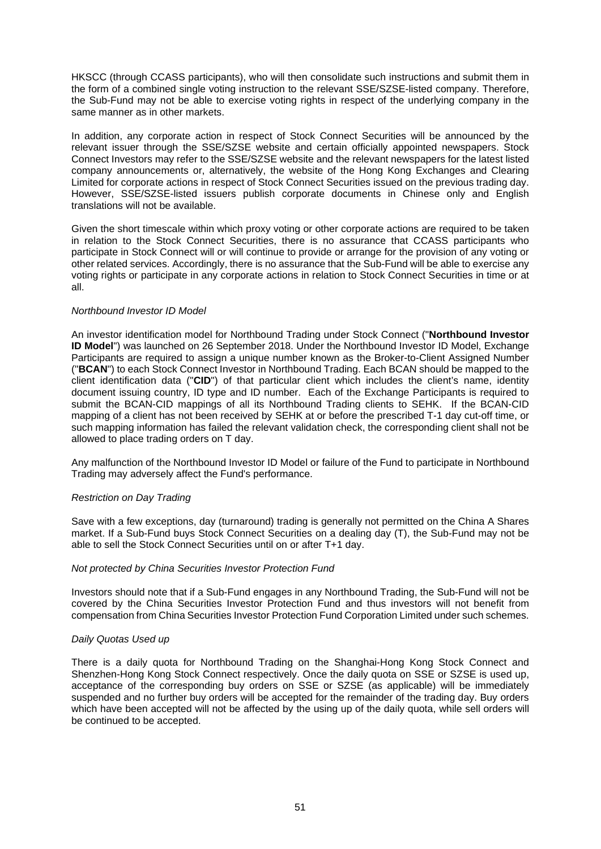HKSCC (through CCASS participants), who will then consolidate such instructions and submit them in the form of a combined single voting instruction to the relevant SSE/SZSE-listed company. Therefore, the Sub-Fund may not be able to exercise voting rights in respect of the underlying company in the same manner as in other markets.

In addition, any corporate action in respect of Stock Connect Securities will be announced by the relevant issuer through the SSE/SZSE website and certain officially appointed newspapers. Stock Connect Investors may refer to the SSE/SZSE website and the relevant newspapers for the latest listed company announcements or, alternatively, the website of the Hong Kong Exchanges and Clearing Limited for corporate actions in respect of Stock Connect Securities issued on the previous trading day. However, SSE/SZSE-listed issuers publish corporate documents in Chinese only and English translations will not be available.

Given the short timescale within which proxy voting or other corporate actions are required to be taken in relation to the Stock Connect Securities, there is no assurance that CCASS participants who participate in Stock Connect will or will continue to provide or arrange for the provision of any voting or other related services. Accordingly, there is no assurance that the Sub-Fund will be able to exercise any voting rights or participate in any corporate actions in relation to Stock Connect Securities in time or at all.

## *Northbound Investor ID Model*

An investor identification model for Northbound Trading under Stock Connect ("**Northbound Investor ID Model**") was launched on 26 September 2018. Under the Northbound Investor ID Model, Exchange Participants are required to assign a unique number known as the Broker-to-Client Assigned Number ("**BCAN**") to each Stock Connect Investor in Northbound Trading. Each BCAN should be mapped to the client identification data ("**CID**") of that particular client which includes the client's name, identity document issuing country, ID type and ID number. Each of the Exchange Participants is required to submit the BCAN-CID mappings of all its Northbound Trading clients to SEHK. If the BCAN-CID mapping of a client has not been received by SEHK at or before the prescribed T-1 day cut-off time, or such mapping information has failed the relevant validation check, the corresponding client shall not be allowed to place trading orders on T day.

Any malfunction of the Northbound Investor ID Model or failure of the Fund to participate in Northbound Trading may adversely affect the Fund's performance.

# *Restriction on Day Trading*

Save with a few exceptions, day (turnaround) trading is generally not permitted on the China A Shares market. If a Sub-Fund buys Stock Connect Securities on a dealing day (T), the Sub-Fund may not be able to sell the Stock Connect Securities until on or after T+1 day.

#### *Not protected by China Securities Investor Protection Fund*

Investors should note that if a Sub-Fund engages in any Northbound Trading, the Sub-Fund will not be covered by the China Securities Investor Protection Fund and thus investors will not benefit from compensation from China Securities Investor Protection Fund Corporation Limited under such schemes.

# *Daily Quotas Used up*

There is a daily quota for Northbound Trading on the Shanghai-Hong Kong Stock Connect and Shenzhen-Hong Kong Stock Connect respectively. Once the daily quota on SSE or SZSE is used up, acceptance of the corresponding buy orders on SSE or SZSE (as applicable) will be immediately suspended and no further buy orders will be accepted for the remainder of the trading day. Buy orders which have been accepted will not be affected by the using up of the daily quota, while sell orders will be continued to be accepted.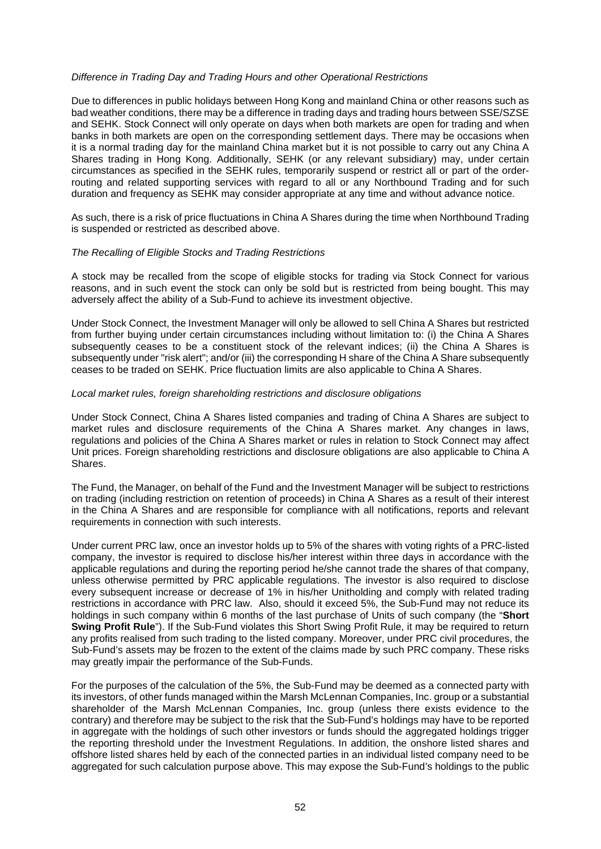## *Difference in Trading Day and Trading Hours and other Operational Restrictions*

Due to differences in public holidays between Hong Kong and mainland China or other reasons such as bad weather conditions, there may be a difference in trading days and trading hours between SSE/SZSE and SEHK. Stock Connect will only operate on days when both markets are open for trading and when banks in both markets are open on the corresponding settlement days. There may be occasions when it is a normal trading day for the mainland China market but it is not possible to carry out any China A Shares trading in Hong Kong. Additionally, SEHK (or any relevant subsidiary) may, under certain circumstances as specified in the SEHK rules, temporarily suspend or restrict all or part of the orderrouting and related supporting services with regard to all or any Northbound Trading and for such duration and frequency as SEHK may consider appropriate at any time and without advance notice.

As such, there is a risk of price fluctuations in China A Shares during the time when Northbound Trading is suspended or restricted as described above.

#### *The Recalling of Eligible Stocks and Trading Restrictions*

A stock may be recalled from the scope of eligible stocks for trading via Stock Connect for various reasons, and in such event the stock can only be sold but is restricted from being bought. This may adversely affect the ability of a Sub-Fund to achieve its investment objective.

Under Stock Connect, the Investment Manager will only be allowed to sell China A Shares but restricted from further buying under certain circumstances including without limitation to: (i) the China A Shares subsequently ceases to be a constituent stock of the relevant indices; (ii) the China A Shares is subsequently under "risk alert"; and/or (iii) the corresponding H share of the China A Share subsequently ceases to be traded on SEHK. Price fluctuation limits are also applicable to China A Shares.

#### *Local market rules, foreign shareholding restrictions and disclosure obligations*

Under Stock Connect, China A Shares listed companies and trading of China A Shares are subject to market rules and disclosure requirements of the China A Shares market. Any changes in laws, regulations and policies of the China A Shares market or rules in relation to Stock Connect may affect Unit prices. Foreign shareholding restrictions and disclosure obligations are also applicable to China A Shares.

The Fund, the Manager, on behalf of the Fund and the Investment Manager will be subject to restrictions on trading (including restriction on retention of proceeds) in China A Shares as a result of their interest in the China A Shares and are responsible for compliance with all notifications, reports and relevant requirements in connection with such interests.

Under current PRC law, once an investor holds up to 5% of the shares with voting rights of a PRC-listed company, the investor is required to disclose his/her interest within three days in accordance with the applicable regulations and during the reporting period he/she cannot trade the shares of that company, unless otherwise permitted by PRC applicable regulations. The investor is also required to disclose every subsequent increase or decrease of 1% in his/her Unitholding and comply with related trading restrictions in accordance with PRC law. Also, should it exceed 5%, the Sub-Fund may not reduce its holdings in such company within 6 months of the last purchase of Units of such company (the "**Short Swing Profit Rule**"). If the Sub-Fund violates this Short Swing Profit Rule, it may be required to return any profits realised from such trading to the listed company. Moreover, under PRC civil procedures, the Sub-Fund's assets may be frozen to the extent of the claims made by such PRC company. These risks may greatly impair the performance of the Sub-Funds.

For the purposes of the calculation of the 5%, the Sub-Fund may be deemed as a connected party with its investors, of other funds managed within the Marsh McLennan Companies, Inc. group or a substantial shareholder of the Marsh McLennan Companies, Inc. group (unless there exists evidence to the contrary) and therefore may be subject to the risk that the Sub-Fund's holdings may have to be reported in aggregate with the holdings of such other investors or funds should the aggregated holdings trigger the reporting threshold under the Investment Regulations. In addition, the onshore listed shares and offshore listed shares held by each of the connected parties in an individual listed company need to be aggregated for such calculation purpose above. This may expose the Sub-Fund's holdings to the public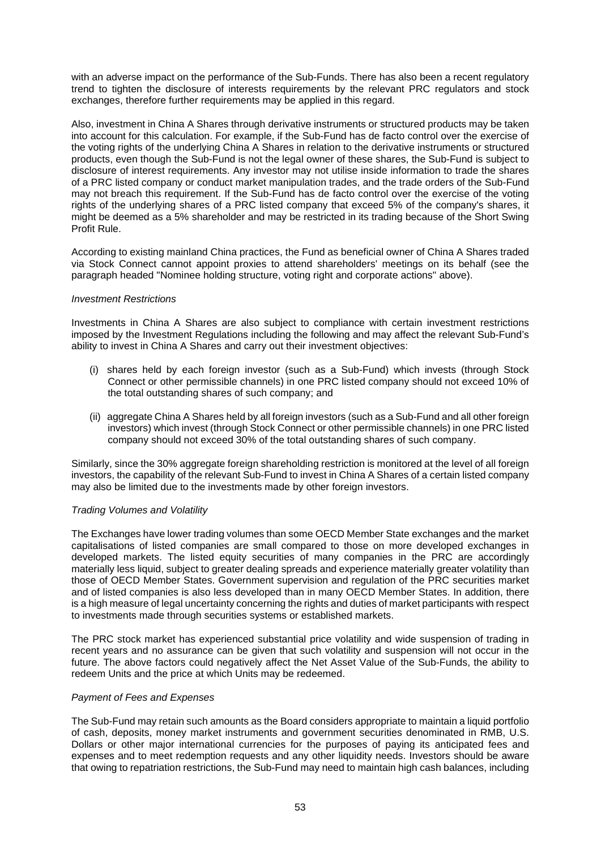with an adverse impact on the performance of the Sub-Funds. There has also been a recent regulatory trend to tighten the disclosure of interests requirements by the relevant PRC regulators and stock exchanges, therefore further requirements may be applied in this regard.

Also, investment in China A Shares through derivative instruments or structured products may be taken into account for this calculation. For example, if the Sub-Fund has de facto control over the exercise of the voting rights of the underlying China A Shares in relation to the derivative instruments or structured products, even though the Sub-Fund is not the legal owner of these shares, the Sub-Fund is subject to disclosure of interest requirements. Any investor may not utilise inside information to trade the shares of a PRC listed company or conduct market manipulation trades, and the trade orders of the Sub-Fund may not breach this requirement. If the Sub-Fund has de facto control over the exercise of the voting rights of the underlying shares of a PRC listed company that exceed 5% of the company's shares, it might be deemed as a 5% shareholder and may be restricted in its trading because of the Short Swing Profit Rule.

According to existing mainland China practices, the Fund as beneficial owner of China A Shares traded via Stock Connect cannot appoint proxies to attend shareholders' meetings on its behalf (see the paragraph headed "Nominee holding structure, voting right and corporate actions" above).

## *Investment Restrictions*

Investments in China A Shares are also subject to compliance with certain investment restrictions imposed by the Investment Regulations including the following and may affect the relevant Sub-Fund's ability to invest in China A Shares and carry out their investment objectives:

- (i) shares held by each foreign investor (such as a Sub-Fund) which invests (through Stock Connect or other permissible channels) in one PRC listed company should not exceed 10% of the total outstanding shares of such company; and
- (ii) aggregate China A Shares held by all foreign investors (such as a Sub-Fund and all other foreign investors) which invest (through Stock Connect or other permissible channels) in one PRC listed company should not exceed 30% of the total outstanding shares of such company.

Similarly, since the 30% aggregate foreign shareholding restriction is monitored at the level of all foreign investors, the capability of the relevant Sub-Fund to invest in China A Shares of a certain listed company may also be limited due to the investments made by other foreign investors.

#### *Trading Volumes and Volatility*

The Exchanges have lower trading volumes than some OECD Member State exchanges and the market capitalisations of listed companies are small compared to those on more developed exchanges in developed markets. The listed equity securities of many companies in the PRC are accordingly materially less liquid, subject to greater dealing spreads and experience materially greater volatility than those of OECD Member States. Government supervision and regulation of the PRC securities market and of listed companies is also less developed than in many OECD Member States. In addition, there is a high measure of legal uncertainty concerning the rights and duties of market participants with respect to investments made through securities systems or established markets.

The PRC stock market has experienced substantial price volatility and wide suspension of trading in recent years and no assurance can be given that such volatility and suspension will not occur in the future. The above factors could negatively affect the Net Asset Value of the Sub-Funds, the ability to redeem Units and the price at which Units may be redeemed.

# *Payment of Fees and Expenses*

The Sub-Fund may retain such amounts as the Board considers appropriate to maintain a liquid portfolio of cash, deposits, money market instruments and government securities denominated in RMB, U.S. Dollars or other major international currencies for the purposes of paying its anticipated fees and expenses and to meet redemption requests and any other liquidity needs. Investors should be aware that owing to repatriation restrictions, the Sub-Fund may need to maintain high cash balances, including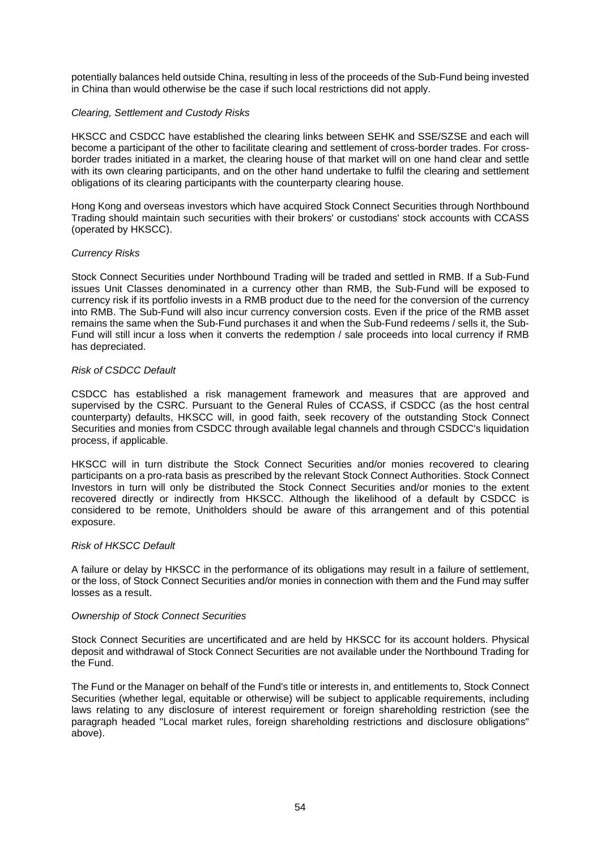potentially balances held outside China, resulting in less of the proceeds of the Sub-Fund being invested in China than would otherwise be the case if such local restrictions did not apply.

## *Clearing, Settlement and Custody Risks*

HKSCC and CSDCC have established the clearing links between SEHK and SSE/SZSE and each will become a participant of the other to facilitate clearing and settlement of cross-border trades. For crossborder trades initiated in a market, the clearing house of that market will on one hand clear and settle with its own clearing participants, and on the other hand undertake to fulfil the clearing and settlement obligations of its clearing participants with the counterparty clearing house.

Hong Kong and overseas investors which have acquired Stock Connect Securities through Northbound Trading should maintain such securities with their brokers' or custodians' stock accounts with CCASS (operated by HKSCC).

## *Currency Risks*

Stock Connect Securities under Northbound Trading will be traded and settled in RMB. If a Sub-Fund issues Unit Classes denominated in a currency other than RMB, the Sub-Fund will be exposed to currency risk if its portfolio invests in a RMB product due to the need for the conversion of the currency into RMB. The Sub-Fund will also incur currency conversion costs. Even if the price of the RMB asset remains the same when the Sub-Fund purchases it and when the Sub-Fund redeems / sells it, the Sub-Fund will still incur a loss when it converts the redemption / sale proceeds into local currency if RMB has depreciated.

# *Risk of CSDCC Default*

CSDCC has established a risk management framework and measures that are approved and supervised by the CSRC. Pursuant to the General Rules of CCASS, if CSDCC (as the host central counterparty) defaults, HKSCC will, in good faith, seek recovery of the outstanding Stock Connect Securities and monies from CSDCC through available legal channels and through CSDCC's liquidation process, if applicable.

HKSCC will in turn distribute the Stock Connect Securities and/or monies recovered to clearing participants on a pro-rata basis as prescribed by the relevant Stock Connect Authorities. Stock Connect Investors in turn will only be distributed the Stock Connect Securities and/or monies to the extent recovered directly or indirectly from HKSCC. Although the likelihood of a default by CSDCC is considered to be remote, Unitholders should be aware of this arrangement and of this potential exposure.

# *Risk of HKSCC Default*

A failure or delay by HKSCC in the performance of its obligations may result in a failure of settlement, or the loss, of Stock Connect Securities and/or monies in connection with them and the Fund may suffer losses as a result.

#### *Ownership of Stock Connect Securities*

Stock Connect Securities are uncertificated and are held by HKSCC for its account holders. Physical deposit and withdrawal of Stock Connect Securities are not available under the Northbound Trading for the Fund.

The Fund or the Manager on behalf of the Fund's title or interests in, and entitlements to, Stock Connect Securities (whether legal, equitable or otherwise) will be subject to applicable requirements, including laws relating to any disclosure of interest requirement or foreign shareholding restriction (see the paragraph headed "Local market rules, foreign shareholding restrictions and disclosure obligations" above).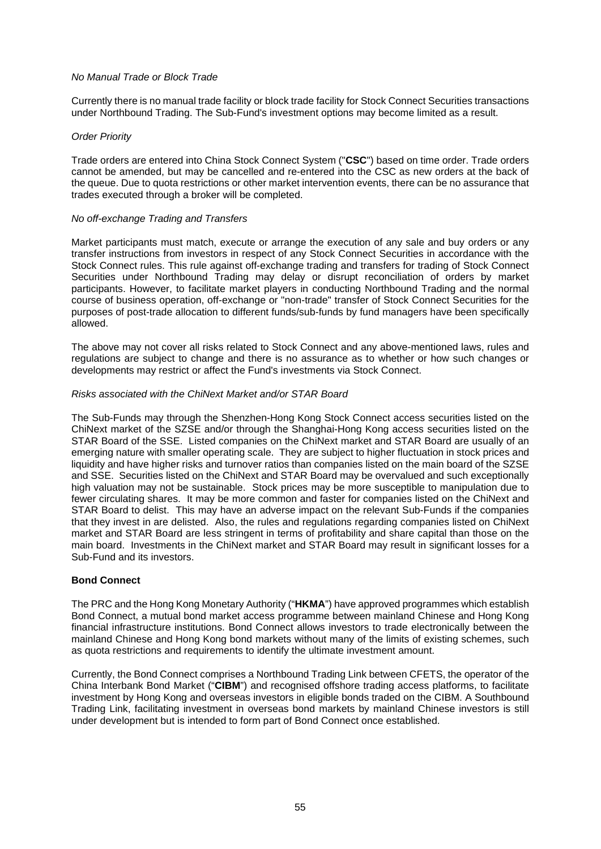## *No Manual Trade or Block Trade*

Currently there is no manual trade facility or block trade facility for Stock Connect Securities transactions under Northbound Trading. The Sub-Fund's investment options may become limited as a result.

### *Order Priority*

Trade orders are entered into China Stock Connect System ("**CSC**") based on time order. Trade orders cannot be amended, but may be cancelled and re-entered into the CSC as new orders at the back of the queue. Due to quota restrictions or other market intervention events, there can be no assurance that trades executed through a broker will be completed.

## *No off-exchange Trading and Transfers*

Market participants must match, execute or arrange the execution of any sale and buy orders or any transfer instructions from investors in respect of any Stock Connect Securities in accordance with the Stock Connect rules. This rule against off-exchange trading and transfers for trading of Stock Connect Securities under Northbound Trading may delay or disrupt reconciliation of orders by market participants. However, to facilitate market players in conducting Northbound Trading and the normal course of business operation, off-exchange or "non-trade" transfer of Stock Connect Securities for the purposes of post-trade allocation to different funds/sub-funds by fund managers have been specifically allowed.

The above may not cover all risks related to Stock Connect and any above-mentioned laws, rules and regulations are subject to change and there is no assurance as to whether or how such changes or developments may restrict or affect the Fund's investments via Stock Connect.

## *Risks associated with the ChiNext Market and/or STAR Board*

The Sub-Funds may through the Shenzhen-Hong Kong Stock Connect access securities listed on the ChiNext market of the SZSE and/or through the Shanghai-Hong Kong access securities listed on the STAR Board of the SSE. Listed companies on the ChiNext market and STAR Board are usually of an emerging nature with smaller operating scale. They are subject to higher fluctuation in stock prices and liquidity and have higher risks and turnover ratios than companies listed on the main board of the SZSE and SSE. Securities listed on the ChiNext and STAR Board may be overvalued and such exceptionally high valuation may not be sustainable. Stock prices may be more susceptible to manipulation due to fewer circulating shares. It may be more common and faster for companies listed on the ChiNext and STAR Board to delist. This may have an adverse impact on the relevant Sub-Funds if the companies that they invest in are delisted. Also, the rules and regulations regarding companies listed on ChiNext market and STAR Board are less stringent in terms of profitability and share capital than those on the main board. Investments in the ChiNext market and STAR Board may result in significant losses for a Sub-Fund and its investors.

#### **Bond Connect**

The PRC and the Hong Kong Monetary Authority ("**HKMA**") have approved programmes which establish Bond Connect, a mutual bond market access programme between mainland Chinese and Hong Kong financial infrastructure institutions. Bond Connect allows investors to trade electronically between the mainland Chinese and Hong Kong bond markets without many of the limits of existing schemes, such as quota restrictions and requirements to identify the ultimate investment amount.

Currently, the Bond Connect comprises a Northbound Trading Link between CFETS, the operator of the China Interbank Bond Market ("**CIBM**") and recognised offshore trading access platforms, to facilitate investment by Hong Kong and overseas investors in eligible bonds traded on the CIBM. A Southbound Trading Link, facilitating investment in overseas bond markets by mainland Chinese investors is still under development but is intended to form part of Bond Connect once established.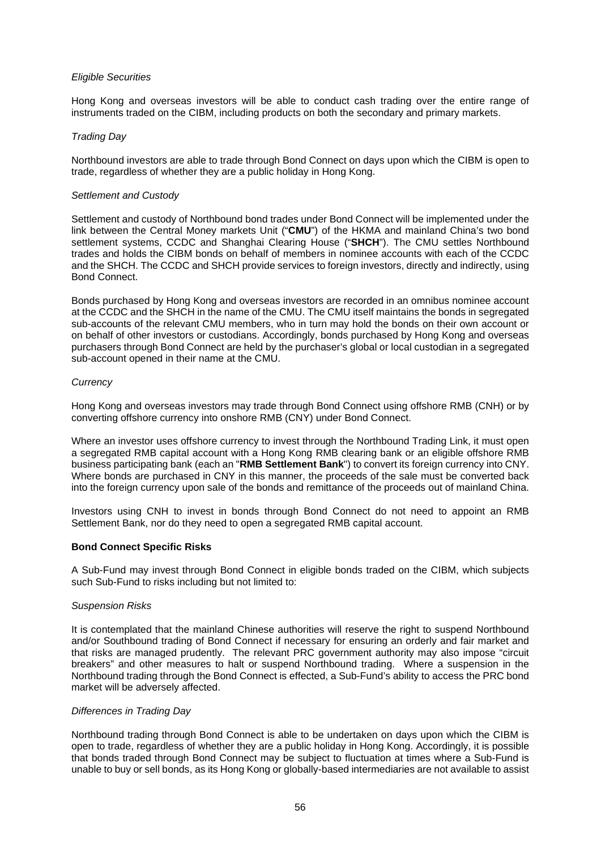## *Eligible Securities*

Hong Kong and overseas investors will be able to conduct cash trading over the entire range of instruments traded on the CIBM, including products on both the secondary and primary markets.

## *Trading Day*

Northbound investors are able to trade through Bond Connect on days upon which the CIBM is open to trade, regardless of whether they are a public holiday in Hong Kong.

### *Settlement and Custody*

Settlement and custody of Northbound bond trades under Bond Connect will be implemented under the link between the Central Money markets Unit ("**CMU**") of the HKMA and mainland China's two bond settlement systems, CCDC and Shanghai Clearing House ("**SHCH**"). The CMU settles Northbound trades and holds the CIBM bonds on behalf of members in nominee accounts with each of the CCDC and the SHCH. The CCDC and SHCH provide services to foreign investors, directly and indirectly, using Bond Connect.

Bonds purchased by Hong Kong and overseas investors are recorded in an omnibus nominee account at the CCDC and the SHCH in the name of the CMU. The CMU itself maintains the bonds in segregated sub-accounts of the relevant CMU members, who in turn may hold the bonds on their own account or on behalf of other investors or custodians. Accordingly, bonds purchased by Hong Kong and overseas purchasers through Bond Connect are held by the purchaser's global or local custodian in a segregated sub-account opened in their name at the CMU.

## *Currency*

Hong Kong and overseas investors may trade through Bond Connect using offshore RMB (CNH) or by converting offshore currency into onshore RMB (CNY) under Bond Connect.

Where an investor uses offshore currency to invest through the Northbound Trading Link, it must open a segregated RMB capital account with a Hong Kong RMB clearing bank or an eligible offshore RMB business participating bank (each an "**RMB Settlement Bank**") to convert its foreign currency into CNY. Where bonds are purchased in CNY in this manner, the proceeds of the sale must be converted back into the foreign currency upon sale of the bonds and remittance of the proceeds out of mainland China.

Investors using CNH to invest in bonds through Bond Connect do not need to appoint an RMB Settlement Bank, nor do they need to open a segregated RMB capital account.

# **Bond Connect Specific Risks**

A Sub-Fund may invest through Bond Connect in eligible bonds traded on the CIBM, which subjects such Sub-Fund to risks including but not limited to:

#### *Suspension Risks*

It is contemplated that the mainland Chinese authorities will reserve the right to suspend Northbound and/or Southbound trading of Bond Connect if necessary for ensuring an orderly and fair market and that risks are managed prudently. The relevant PRC government authority may also impose "circuit breakers" and other measures to halt or suspend Northbound trading. Where a suspension in the Northbound trading through the Bond Connect is effected, a Sub-Fund's ability to access the PRC bond market will be adversely affected.

#### *Differences in Trading Day*

Northbound trading through Bond Connect is able to be undertaken on days upon which the CIBM is open to trade, regardless of whether they are a public holiday in Hong Kong. Accordingly, it is possible that bonds traded through Bond Connect may be subject to fluctuation at times where a Sub-Fund is unable to buy or sell bonds, as its Hong Kong or globally-based intermediaries are not available to assist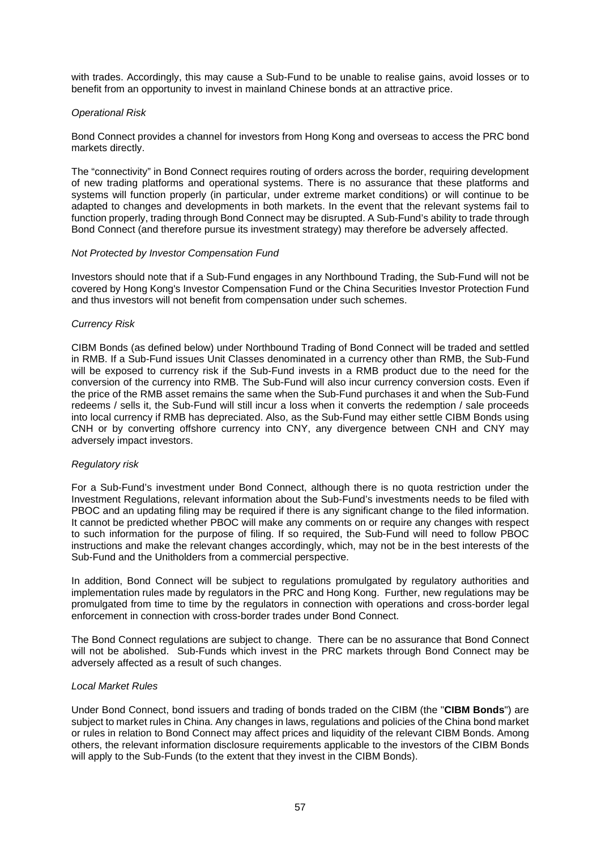with trades. Accordingly, this may cause a Sub-Fund to be unable to realise gains, avoid losses or to benefit from an opportunity to invest in mainland Chinese bonds at an attractive price.

## *Operational Risk*

Bond Connect provides a channel for investors from Hong Kong and overseas to access the PRC bond markets directly.

The "connectivity" in Bond Connect requires routing of orders across the border, requiring development of new trading platforms and operational systems. There is no assurance that these platforms and systems will function properly (in particular, under extreme market conditions) or will continue to be adapted to changes and developments in both markets. In the event that the relevant systems fail to function properly, trading through Bond Connect may be disrupted. A Sub-Fund's ability to trade through Bond Connect (and therefore pursue its investment strategy) may therefore be adversely affected.

#### *Not Protected by Investor Compensation Fund*

Investors should note that if a Sub-Fund engages in any Northbound Trading, the Sub-Fund will not be covered by Hong Kong's Investor Compensation Fund or the China Securities Investor Protection Fund and thus investors will not benefit from compensation under such schemes.

## *Currency Risk*

CIBM Bonds (as defined below) under Northbound Trading of Bond Connect will be traded and settled in RMB. If a Sub-Fund issues Unit Classes denominated in a currency other than RMB, the Sub-Fund will be exposed to currency risk if the Sub-Fund invests in a RMB product due to the need for the conversion of the currency into RMB. The Sub-Fund will also incur currency conversion costs. Even if the price of the RMB asset remains the same when the Sub-Fund purchases it and when the Sub-Fund redeems / sells it, the Sub-Fund will still incur a loss when it converts the redemption / sale proceeds into local currency if RMB has depreciated. Also, as the Sub-Fund may either settle CIBM Bonds using CNH or by converting offshore currency into CNY, any divergence between CNH and CNY may adversely impact investors.

#### *Regulatory risk*

For a Sub-Fund's investment under Bond Connect, although there is no quota restriction under the Investment Regulations, relevant information about the Sub-Fund's investments needs to be filed with PBOC and an updating filing may be required if there is any significant change to the filed information. It cannot be predicted whether PBOC will make any comments on or require any changes with respect to such information for the purpose of filing. If so required, the Sub-Fund will need to follow PBOC instructions and make the relevant changes accordingly, which, may not be in the best interests of the Sub-Fund and the Unitholders from a commercial perspective.

In addition, Bond Connect will be subject to regulations promulgated by regulatory authorities and implementation rules made by regulators in the PRC and Hong Kong. Further, new regulations may be promulgated from time to time by the regulators in connection with operations and cross-border legal enforcement in connection with cross-border trades under Bond Connect.

The Bond Connect regulations are subject to change. There can be no assurance that Bond Connect will not be abolished. Sub-Funds which invest in the PRC markets through Bond Connect may be adversely affected as a result of such changes.

#### *Local Market Rules*

Under Bond Connect, bond issuers and trading of bonds traded on the CIBM (the "**CIBM Bonds**") are subject to market rules in China. Any changes in laws, regulations and policies of the China bond market or rules in relation to Bond Connect may affect prices and liquidity of the relevant CIBM Bonds. Among others, the relevant information disclosure requirements applicable to the investors of the CIBM Bonds will apply to the Sub-Funds (to the extent that they invest in the CIBM Bonds).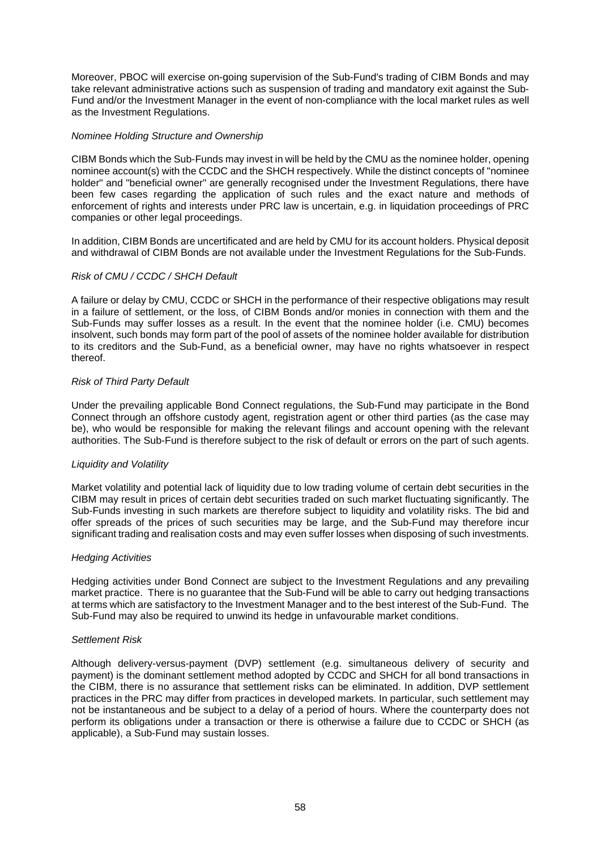Moreover, PBOC will exercise on-going supervision of the Sub-Fund's trading of CIBM Bonds and may take relevant administrative actions such as suspension of trading and mandatory exit against the Sub-Fund and/or the Investment Manager in the event of non-compliance with the local market rules as well as the Investment Regulations.

## *Nominee Holding Structure and Ownership*

CIBM Bonds which the Sub-Funds may invest in will be held by the CMU as the nominee holder, opening nominee account(s) with the CCDC and the SHCH respectively. While the distinct concepts of "nominee holder" and "beneficial owner" are generally recognised under the Investment Regulations, there have been few cases regarding the application of such rules and the exact nature and methods of enforcement of rights and interests under PRC law is uncertain, e.g. in liquidation proceedings of PRC companies or other legal proceedings.

In addition, CIBM Bonds are uncertificated and are held by CMU for its account holders. Physical deposit and withdrawal of CIBM Bonds are not available under the Investment Regulations for the Sub-Funds.

## *Risk of CMU / CCDC / SHCH Default*

A failure or delay by CMU, CCDC or SHCH in the performance of their respective obligations may result in a failure of settlement, or the loss, of CIBM Bonds and/or monies in connection with them and the Sub-Funds may suffer losses as a result. In the event that the nominee holder (i.e. CMU) becomes insolvent, such bonds may form part of the pool of assets of the nominee holder available for distribution to its creditors and the Sub-Fund, as a beneficial owner, may have no rights whatsoever in respect thereof.

## *Risk of Third Party Default*

Under the prevailing applicable Bond Connect regulations, the Sub-Fund may participate in the Bond Connect through an offshore custody agent, registration agent or other third parties (as the case may be), who would be responsible for making the relevant filings and account opening with the relevant authorities. The Sub-Fund is therefore subject to the risk of default or errors on the part of such agents.

#### *Liquidity and Volatility*

Market volatility and potential lack of liquidity due to low trading volume of certain debt securities in the CIBM may result in prices of certain debt securities traded on such market fluctuating significantly. The Sub-Funds investing in such markets are therefore subject to liquidity and volatility risks. The bid and offer spreads of the prices of such securities may be large, and the Sub-Fund may therefore incur significant trading and realisation costs and may even suffer losses when disposing of such investments.

#### *Hedging Activities*

Hedging activities under Bond Connect are subject to the Investment Regulations and any prevailing market practice. There is no guarantee that the Sub-Fund will be able to carry out hedging transactions at terms which are satisfactory to the Investment Manager and to the best interest of the Sub-Fund. The Sub-Fund may also be required to unwind its hedge in unfavourable market conditions.

#### *Settlement Risk*

Although delivery-versus-payment (DVP) settlement (e.g. simultaneous delivery of security and payment) is the dominant settlement method adopted by CCDC and SHCH for all bond transactions in the CIBM, there is no assurance that settlement risks can be eliminated. In addition, DVP settlement practices in the PRC may differ from practices in developed markets. In particular, such settlement may not be instantaneous and be subject to a delay of a period of hours. Where the counterparty does not perform its obligations under a transaction or there is otherwise a failure due to CCDC or SHCH (as applicable), a Sub-Fund may sustain losses.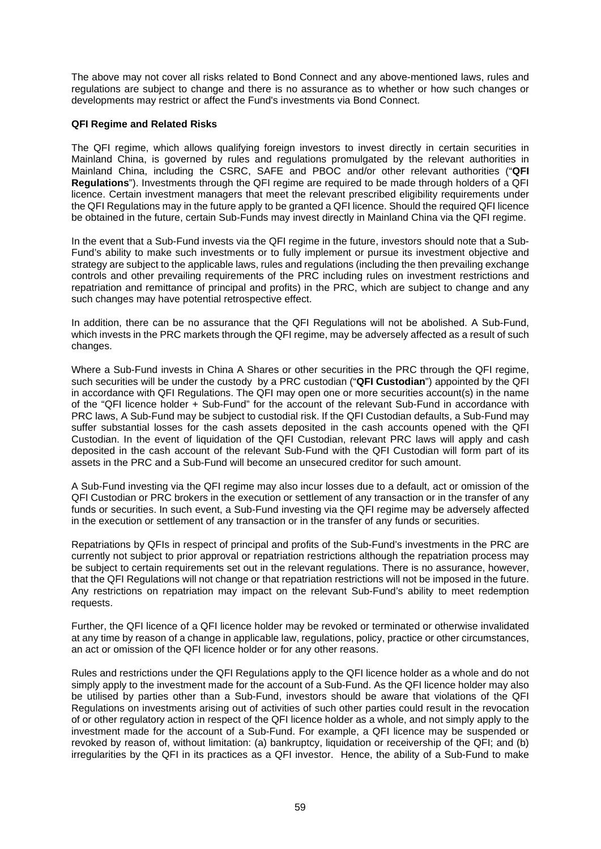The above may not cover all risks related to Bond Connect and any above-mentioned laws, rules and regulations are subject to change and there is no assurance as to whether or how such changes or developments may restrict or affect the Fund's investments via Bond Connect.

## **QFI Regime and Related Risks**

The QFI regime, which allows qualifying foreign investors to invest directly in certain securities in Mainland China, is governed by rules and regulations promulgated by the relevant authorities in Mainland China, including the CSRC, SAFE and PBOC and/or other relevant authorities ("**QFI Regulations**"). Investments through the QFI regime are required to be made through holders of a QFI licence. Certain investment managers that meet the relevant prescribed eligibility requirements under the QFI Regulations may in the future apply to be granted a QFI licence. Should the required QFI licence be obtained in the future, certain Sub-Funds may invest directly in Mainland China via the QFI regime.

In the event that a Sub-Fund invests via the QFI regime in the future, investors should note that a Sub-Fund's ability to make such investments or to fully implement or pursue its investment objective and strategy are subject to the applicable laws, rules and regulations (including the then prevailing exchange controls and other prevailing requirements of the PRC including rules on investment restrictions and repatriation and remittance of principal and profits) in the PRC, which are subject to change and any such changes may have potential retrospective effect.

In addition, there can be no assurance that the QFI Regulations will not be abolished. A Sub-Fund, which invests in the PRC markets through the QFI regime, may be adversely affected as a result of such changes.

Where a Sub-Fund invests in China A Shares or other securities in the PRC through the QFI regime, such securities will be under the custody by a PRC custodian ("**QFI Custodian**") appointed by the QFI in accordance with QFI Regulations. The QFI may open one or more securities account(s) in the name of the "QFI licence holder + Sub-Fund" for the account of the relevant Sub-Fund in accordance with PRC laws, A Sub-Fund may be subject to custodial risk. If the QFI Custodian defaults, a Sub-Fund may suffer substantial losses for the cash assets deposited in the cash accounts opened with the QFI Custodian. In the event of liquidation of the QFI Custodian, relevant PRC laws will apply and cash deposited in the cash account of the relevant Sub-Fund with the QFI Custodian will form part of its assets in the PRC and a Sub-Fund will become an unsecured creditor for such amount.

A Sub-Fund investing via the QFI regime may also incur losses due to a default, act or omission of the QFI Custodian or PRC brokers in the execution or settlement of any transaction or in the transfer of any funds or securities. In such event, a Sub-Fund investing via the QFI regime may be adversely affected in the execution or settlement of any transaction or in the transfer of any funds or securities.

Repatriations by QFIs in respect of principal and profits of the Sub-Fund's investments in the PRC are currently not subject to prior approval or repatriation restrictions although the repatriation process may be subject to certain requirements set out in the relevant regulations. There is no assurance, however, that the QFI Regulations will not change or that repatriation restrictions will not be imposed in the future. Any restrictions on repatriation may impact on the relevant Sub-Fund's ability to meet redemption requests.

Further, the QFI licence of a QFI licence holder may be revoked or terminated or otherwise invalidated at any time by reason of a change in applicable law, regulations, policy, practice or other circumstances, an act or omission of the QFI licence holder or for any other reasons.

Rules and restrictions under the QFI Regulations apply to the QFI licence holder as a whole and do not simply apply to the investment made for the account of a Sub-Fund. As the QFI licence holder may also be utilised by parties other than a Sub-Fund, investors should be aware that violations of the QFI Regulations on investments arising out of activities of such other parties could result in the revocation of or other regulatory action in respect of the QFI licence holder as a whole, and not simply apply to the investment made for the account of a Sub-Fund. For example, a QFI licence may be suspended or revoked by reason of, without limitation: (a) bankruptcy, liquidation or receivership of the QFI; and (b) irregularities by the QFI in its practices as a QFI investor. Hence, the ability of a Sub-Fund to make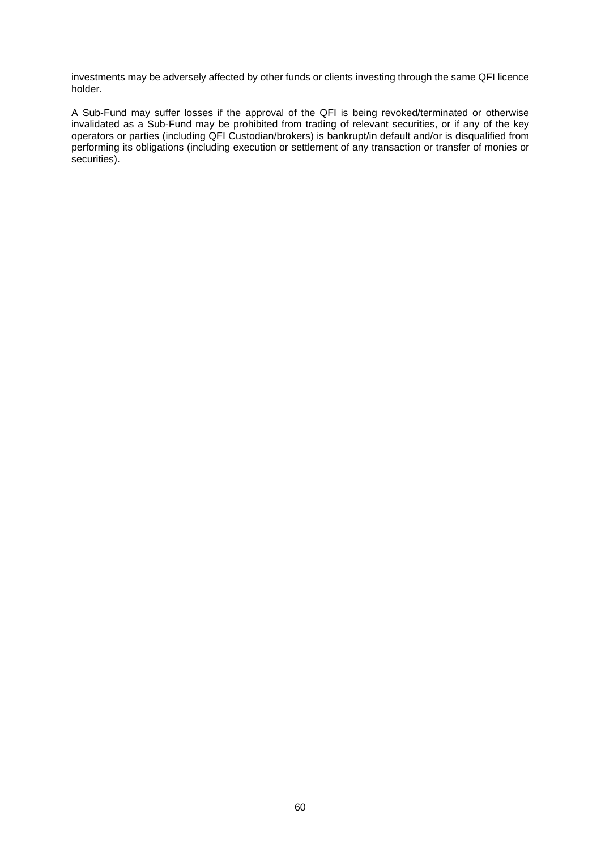investments may be adversely affected by other funds or clients investing through the same QFI licence holder.

A Sub-Fund may suffer losses if the approval of the QFI is being revoked/terminated or otherwise invalidated as a Sub-Fund may be prohibited from trading of relevant securities, or if any of the key operators or parties (including QFI Custodian/brokers) is bankrupt/in default and/or is disqualified from performing its obligations (including execution or settlement of any transaction or transfer of monies or securities).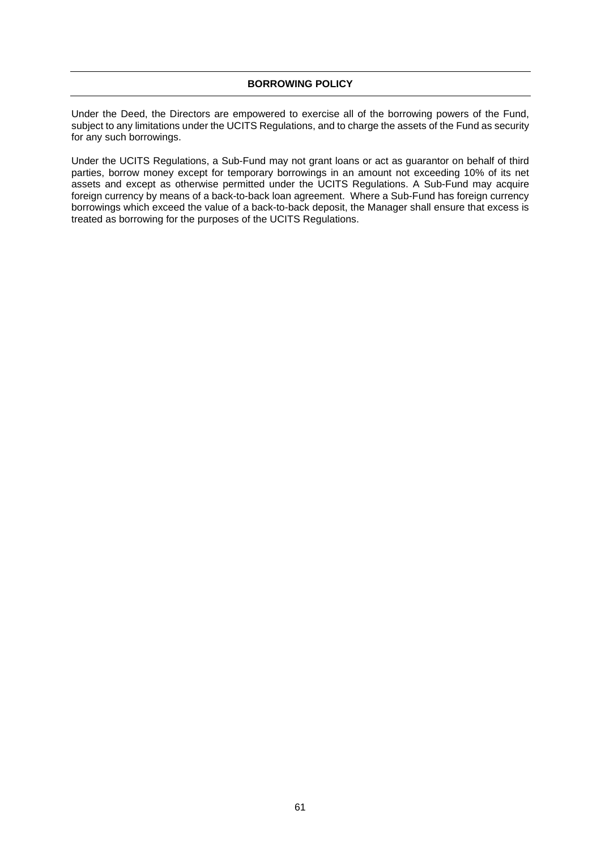Under the Deed, the Directors are empowered to exercise all of the borrowing powers of the Fund, subject to any limitations under the UCITS Regulations, and to charge the assets of the Fund as security for any such borrowings.

Under the UCITS Regulations, a Sub-Fund may not grant loans or act as guarantor on behalf of third parties, borrow money except for temporary borrowings in an amount not exceeding 10% of its net assets and except as otherwise permitted under the UCITS Regulations. A Sub-Fund may acquire foreign currency by means of a back-to-back loan agreement. Where a Sub-Fund has foreign currency borrowings which exceed the value of a back-to-back deposit, the Manager shall ensure that excess is treated as borrowing for the purposes of the UCITS Regulations.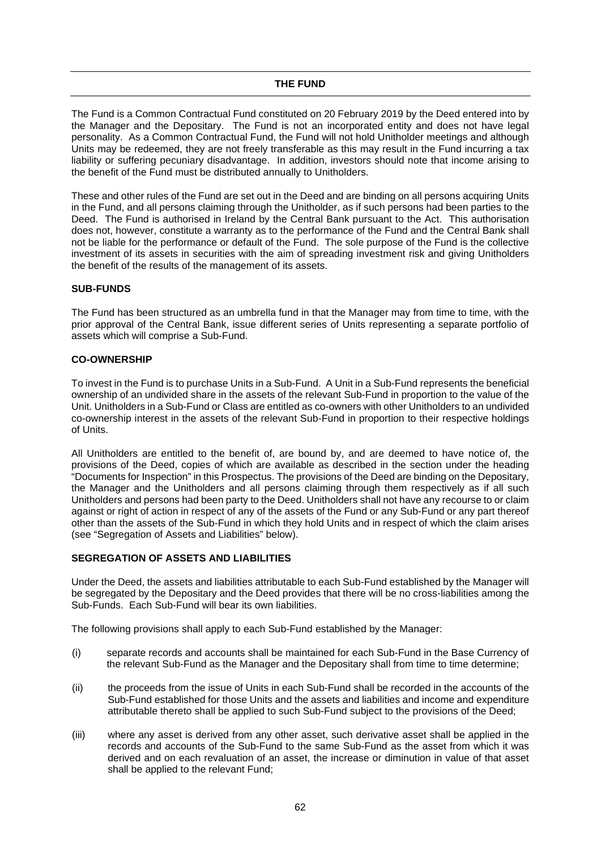The Fund is a Common Contractual Fund constituted on 20 February 2019 by the Deed entered into by the Manager and the Depositary. The Fund is not an incorporated entity and does not have legal personality. As a Common Contractual Fund, the Fund will not hold Unitholder meetings and although Units may be redeemed, they are not freely transferable as this may result in the Fund incurring a tax liability or suffering pecuniary disadvantage. In addition, investors should note that income arising to the benefit of the Fund must be distributed annually to Unitholders.

These and other rules of the Fund are set out in the Deed and are binding on all persons acquiring Units in the Fund, and all persons claiming through the Unitholder, as if such persons had been parties to the Deed. The Fund is authorised in Ireland by the Central Bank pursuant to the Act. This authorisation does not, however, constitute a warranty as to the performance of the Fund and the Central Bank shall not be liable for the performance or default of the Fund. The sole purpose of the Fund is the collective investment of its assets in securities with the aim of spreading investment risk and giving Unitholders the benefit of the results of the management of its assets.

# **SUB-FUNDS**

The Fund has been structured as an umbrella fund in that the Manager may from time to time, with the prior approval of the Central Bank, issue different series of Units representing a separate portfolio of assets which will comprise a Sub-Fund.

# **CO-OWNERSHIP**

To invest in the Fund is to purchase Units in a Sub-Fund. A Unit in a Sub-Fund represents the beneficial ownership of an undivided share in the assets of the relevant Sub-Fund in proportion to the value of the Unit. Unitholders in a Sub-Fund or Class are entitled as co-owners with other Unitholders to an undivided co-ownership interest in the assets of the relevant Sub-Fund in proportion to their respective holdings of Units.

All Unitholders are entitled to the benefit of, are bound by, and are deemed to have notice of, the provisions of the Deed, copies of which are available as described in the section under the heading "Documents for Inspection" in this Prospectus. The provisions of the Deed are binding on the Depositary, the Manager and the Unitholders and all persons claiming through them respectively as if all such Unitholders and persons had been party to the Deed. Unitholders shall not have any recourse to or claim against or right of action in respect of any of the assets of the Fund or any Sub-Fund or any part thereof other than the assets of the Sub-Fund in which they hold Units and in respect of which the claim arises (see "Segregation of Assets and Liabilities" below).

# **SEGREGATION OF ASSETS AND LIABILITIES**

Under the Deed, the assets and liabilities attributable to each Sub-Fund established by the Manager will be segregated by the Depositary and the Deed provides that there will be no cross-liabilities among the Sub-Funds. Each Sub-Fund will bear its own liabilities.

The following provisions shall apply to each Sub-Fund established by the Manager:

- (i) separate records and accounts shall be maintained for each Sub-Fund in the Base Currency of the relevant Sub-Fund as the Manager and the Depositary shall from time to time determine;
- (ii) the proceeds from the issue of Units in each Sub-Fund shall be recorded in the accounts of the Sub-Fund established for those Units and the assets and liabilities and income and expenditure attributable thereto shall be applied to such Sub-Fund subject to the provisions of the Deed;
- (iii) where any asset is derived from any other asset, such derivative asset shall be applied in the records and accounts of the Sub-Fund to the same Sub-Fund as the asset from which it was derived and on each revaluation of an asset, the increase or diminution in value of that asset shall be applied to the relevant Fund;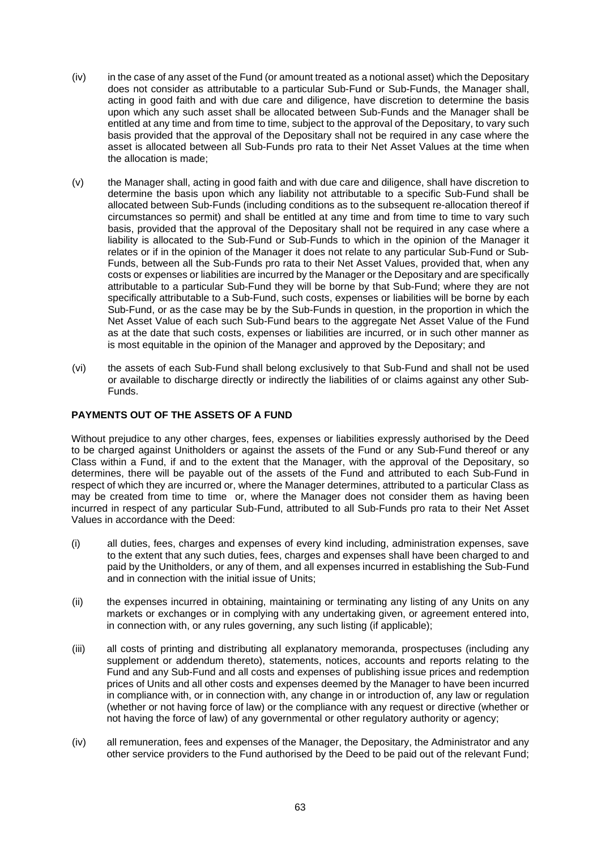- (iv) in the case of any asset of the Fund (or amount treated as a notional asset) which the Depositary does not consider as attributable to a particular Sub-Fund or Sub-Funds, the Manager shall, acting in good faith and with due care and diligence, have discretion to determine the basis upon which any such asset shall be allocated between Sub-Funds and the Manager shall be entitled at any time and from time to time, subject to the approval of the Depositary, to vary such basis provided that the approval of the Depositary shall not be required in any case where the asset is allocated between all Sub-Funds pro rata to their Net Asset Values at the time when the allocation is made;
- (v) the Manager shall, acting in good faith and with due care and diligence, shall have discretion to determine the basis upon which any liability not attributable to a specific Sub-Fund shall be allocated between Sub-Funds (including conditions as to the subsequent re-allocation thereof if circumstances so permit) and shall be entitled at any time and from time to time to vary such basis, provided that the approval of the Depositary shall not be required in any case where a liability is allocated to the Sub-Fund or Sub-Funds to which in the opinion of the Manager it relates or if in the opinion of the Manager it does not relate to any particular Sub-Fund or Sub-Funds, between all the Sub-Funds pro rata to their Net Asset Values, provided that, when any costs or expenses or liabilities are incurred by the Manager or the Depositary and are specifically attributable to a particular Sub-Fund they will be borne by that Sub-Fund; where they are not specifically attributable to a Sub-Fund, such costs, expenses or liabilities will be borne by each Sub-Fund, or as the case may be by the Sub-Funds in question, in the proportion in which the Net Asset Value of each such Sub-Fund bears to the aggregate Net Asset Value of the Fund as at the date that such costs, expenses or liabilities are incurred, or in such other manner as is most equitable in the opinion of the Manager and approved by the Depositary; and
- (vi) the assets of each Sub-Fund shall belong exclusively to that Sub-Fund and shall not be used or available to discharge directly or indirectly the liabilities of or claims against any other Sub-Funds.

# **PAYMENTS OUT OF THE ASSETS OF A FUND**

Without prejudice to any other charges, fees, expenses or liabilities expressly authorised by the Deed to be charged against Unitholders or against the assets of the Fund or any Sub-Fund thereof or any Class within a Fund, if and to the extent that the Manager, with the approval of the Depositary, so determines, there will be payable out of the assets of the Fund and attributed to each Sub-Fund in respect of which they are incurred or, where the Manager determines, attributed to a particular Class as may be created from time to time or, where the Manager does not consider them as having been incurred in respect of any particular Sub-Fund, attributed to all Sub-Funds pro rata to their Net Asset Values in accordance with the Deed:

- (i) all duties, fees, charges and expenses of every kind including, administration expenses, save to the extent that any such duties, fees, charges and expenses shall have been charged to and paid by the Unitholders, or any of them, and all expenses incurred in establishing the Sub-Fund and in connection with the initial issue of Units;
- (ii) the expenses incurred in obtaining, maintaining or terminating any listing of any Units on any markets or exchanges or in complying with any undertaking given, or agreement entered into, in connection with, or any rules governing, any such listing (if applicable);
- (iii) all costs of printing and distributing all explanatory memoranda, prospectuses (including any supplement or addendum thereto), statements, notices, accounts and reports relating to the Fund and any Sub-Fund and all costs and expenses of publishing issue prices and redemption prices of Units and all other costs and expenses deemed by the Manager to have been incurred in compliance with, or in connection with, any change in or introduction of, any law or regulation (whether or not having force of law) or the compliance with any request or directive (whether or not having the force of law) of any governmental or other regulatory authority or agency;
- (iv) all remuneration, fees and expenses of the Manager, the Depositary, the Administrator and any other service providers to the Fund authorised by the Deed to be paid out of the relevant Fund;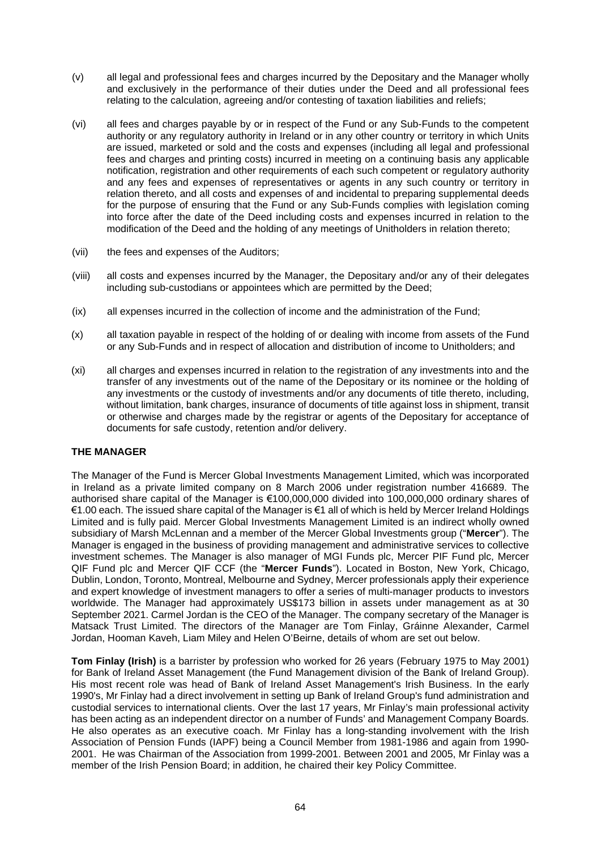- (v) all legal and professional fees and charges incurred by the Depositary and the Manager wholly and exclusively in the performance of their duties under the Deed and all professional fees relating to the calculation, agreeing and/or contesting of taxation liabilities and reliefs;
- (vi) all fees and charges payable by or in respect of the Fund or any Sub-Funds to the competent authority or any regulatory authority in Ireland or in any other country or territory in which Units are issued, marketed or sold and the costs and expenses (including all legal and professional fees and charges and printing costs) incurred in meeting on a continuing basis any applicable notification, registration and other requirements of each such competent or regulatory authority and any fees and expenses of representatives or agents in any such country or territory in relation thereto, and all costs and expenses of and incidental to preparing supplemental deeds for the purpose of ensuring that the Fund or any Sub-Funds complies with legislation coming into force after the date of the Deed including costs and expenses incurred in relation to the modification of the Deed and the holding of any meetings of Unitholders in relation thereto;
- (vii) the fees and expenses of the Auditors;
- (viii) all costs and expenses incurred by the Manager, the Depositary and/or any of their delegates including sub-custodians or appointees which are permitted by the Deed;
- (ix) all expenses incurred in the collection of income and the administration of the Fund;
- (x) all taxation payable in respect of the holding of or dealing with income from assets of the Fund or any Sub-Funds and in respect of allocation and distribution of income to Unitholders; and
- (xi) all charges and expenses incurred in relation to the registration of any investments into and the transfer of any investments out of the name of the Depositary or its nominee or the holding of any investments or the custody of investments and/or any documents of title thereto, including, without limitation, bank charges, insurance of documents of title against loss in shipment, transit or otherwise and charges made by the registrar or agents of the Depositary for acceptance of documents for safe custody, retention and/or delivery.

# **THE MANAGER**

The Manager of the Fund is Mercer Global Investments Management Limited, which was incorporated in Ireland as a private limited company on 8 March 2006 under registration number 416689. The authorised share capital of the Manager is €100,000,000 divided into 100,000,000 ordinary shares of €1.00 each. The issued share capital of the Manager is €1 all of which is held by Mercer Ireland Holdings Limited and is fully paid. Mercer Global Investments Management Limited is an indirect wholly owned subsidiary of Marsh McLennan and a member of the Mercer Global Investments group ("**Mercer**"). The Manager is engaged in the business of providing management and administrative services to collective investment schemes. The Manager is also manager of MGI Funds plc, Mercer PIF Fund plc, Mercer QIF Fund plc and Mercer QIF CCF (the "**Mercer Funds**"). Located in Boston, New York, Chicago, Dublin, London, Toronto, Montreal, Melbourne and Sydney, Mercer professionals apply their experience and expert knowledge of investment managers to offer a series of multi-manager products to investors worldwide. The Manager had approximately US\$173 billion in assets under management as at 30 September 2021. Carmel Jordan is the CEO of the Manager. The company secretary of the Manager is Matsack Trust Limited. The directors of the Manager are Tom Finlay, Gráinne Alexander, Carmel Jordan, Hooman Kaveh, Liam Miley and Helen O'Beirne, details of whom are set out below.

**Tom Finlay (Irish)** is a barrister by profession who worked for 26 years (February 1975 to May 2001) for Bank of Ireland Asset Management (the Fund Management division of the Bank of Ireland Group). His most recent role was head of Bank of Ireland Asset Management's Irish Business. In the early 1990's, Mr Finlay had a direct involvement in setting up Bank of Ireland Group's fund administration and custodial services to international clients. Over the last 17 years, Mr Finlay's main professional activity has been acting as an independent director on a number of Funds' and Management Company Boards. He also operates as an executive coach. Mr Finlay has a long-standing involvement with the Irish Association of Pension Funds (IAPF) being a Council Member from 1981-1986 and again from 1990- 2001. He was Chairman of the Association from 1999-2001. Between 2001 and 2005, Mr Finlay was a member of the Irish Pension Board; in addition, he chaired their key Policy Committee.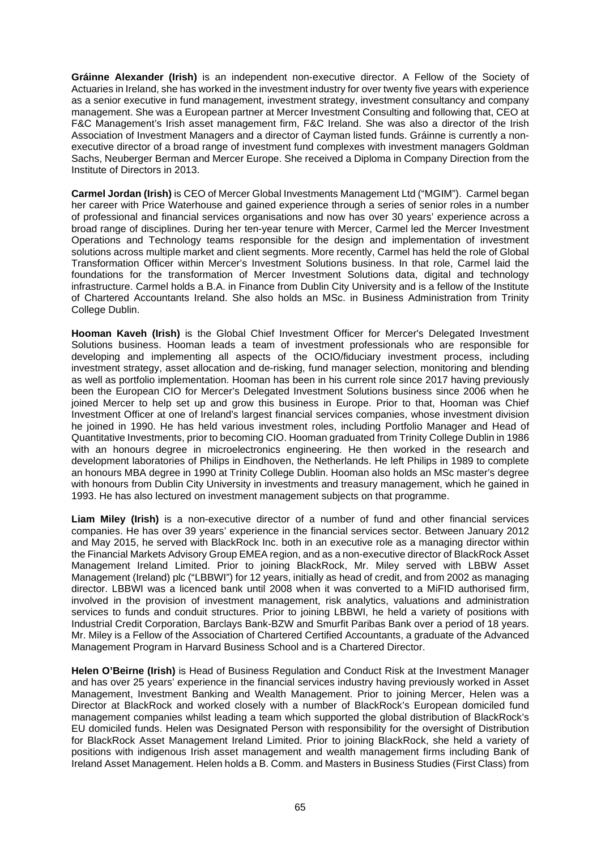**Gráinne Alexander (Irish)** is an independent non-executive director. A Fellow of the Society of Actuaries in Ireland, she has worked in the investment industry for over twenty five years with experience as a senior executive in fund management, investment strategy, investment consultancy and company management. She was a European partner at Mercer Investment Consulting and following that, CEO at F&C Management's Irish asset management firm, F&C Ireland. She was also a director of the Irish Association of Investment Managers and a director of Cayman listed funds. Gráinne is currently a nonexecutive director of a broad range of investment fund complexes with investment managers Goldman Sachs, Neuberger Berman and Mercer Europe. She received a Diploma in Company Direction from the Institute of Directors in 2013.

**Carmel Jordan (Irish)** is CEO of Mercer Global Investments Management Ltd ("MGIM"). Carmel began her career with Price Waterhouse and gained experience through a series of senior roles in a number of professional and financial services organisations and now has over 30 years' experience across a broad range of disciplines. During her ten-year tenure with Mercer, Carmel led the Mercer Investment Operations and Technology teams responsible for the design and implementation of investment solutions across multiple market and client segments. More recently, Carmel has held the role of Global Transformation Officer within Mercer's Investment Solutions business. In that role, Carmel laid the foundations for the transformation of Mercer Investment Solutions data, digital and technology infrastructure. Carmel holds a B.A. in Finance from Dublin City University and is a fellow of the Institute of Chartered Accountants Ireland. She also holds an MSc. in Business Administration from Trinity College Dublin.

**Hooman Kaveh (Irish)** is the Global Chief Investment Officer for Mercer's Delegated Investment Solutions business. Hooman leads a team of investment professionals who are responsible for developing and implementing all aspects of the OCIO/fiduciary investment process, including investment strategy, asset allocation and de-risking, fund manager selection, monitoring and blending as well as portfolio implementation. Hooman has been in his current role since 2017 having previously been the European CIO for Mercer's Delegated Investment Solutions business since 2006 when he joined Mercer to help set up and grow this business in Europe. Prior to that, Hooman was Chief Investment Officer at one of Ireland's largest financial services companies, whose investment division he joined in 1990. He has held various investment roles, including Portfolio Manager and Head of Quantitative Investments, prior to becoming CIO. Hooman graduated from Trinity College Dublin in 1986 with an honours degree in microelectronics engineering. He then worked in the research and development laboratories of Philips in Eindhoven, the Netherlands. He left Philips in 1989 to complete an honours MBA degree in 1990 at Trinity College Dublin. Hooman also holds an MSc master's degree with honours from Dublin City University in investments and treasury management, which he gained in 1993. He has also lectured on investment management subjects on that programme.

**Liam Miley (Irish)** is a non-executive director of a number of fund and other financial services companies. He has over 39 years' experience in the financial services sector. Between January 2012 and May 2015, he served with BlackRock Inc. both in an executive role as a managing director within the Financial Markets Advisory Group EMEA region, and as a non-executive director of BlackRock Asset Management Ireland Limited. Prior to joining BlackRock, Mr. Miley served with LBBW Asset Management (Ireland) plc ("LBBWI") for 12 years, initially as head of credit, and from 2002 as managing director. LBBWI was a licenced bank until 2008 when it was converted to a MiFID authorised firm, involved in the provision of investment management, risk analytics, valuations and administration services to funds and conduit structures. Prior to joining LBBWI, he held a variety of positions with Industrial Credit Corporation, Barclays Bank-BZW and Smurfit Paribas Bank over a period of 18 years. Mr. Miley is a Fellow of the Association of Chartered Certified Accountants, a graduate of the Advanced Management Program in Harvard Business School and is a Chartered Director.

**Helen O'Beirne (Irish)** is Head of Business Regulation and Conduct Risk at the Investment Manager and has over 25 years' experience in the financial services industry having previously worked in Asset Management, Investment Banking and Wealth Management. Prior to joining Mercer, Helen was a Director at BlackRock and worked closely with a number of BlackRock's European domiciled fund management companies whilst leading a team which supported the global distribution of BlackRock's EU domiciled funds. Helen was Designated Person with responsibility for the oversight of Distribution for BlackRock Asset Management Ireland Limited. Prior to joining BlackRock, she held a variety of positions with indigenous Irish asset management and wealth management firms including Bank of Ireland Asset Management. Helen holds a B. Comm. and Masters in Business Studies (First Class) from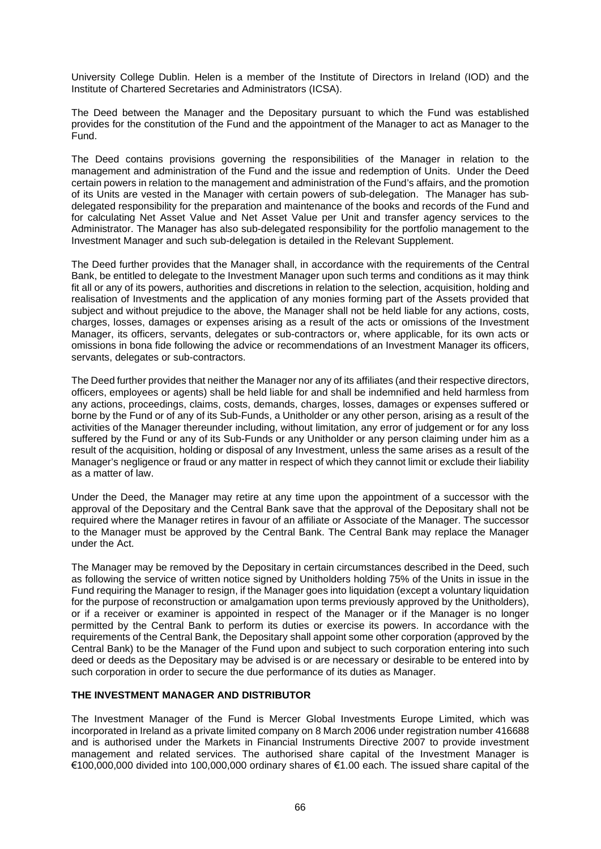University College Dublin. Helen is a member of the Institute of Directors in Ireland (IOD) and the Institute of Chartered Secretaries and Administrators (ICSA).

The Deed between the Manager and the Depositary pursuant to which the Fund was established provides for the constitution of the Fund and the appointment of the Manager to act as Manager to the Fund.

The Deed contains provisions governing the responsibilities of the Manager in relation to the management and administration of the Fund and the issue and redemption of Units. Under the Deed certain powers in relation to the management and administration of the Fund's affairs, and the promotion of its Units are vested in the Manager with certain powers of sub-delegation. The Manager has subdelegated responsibility for the preparation and maintenance of the books and records of the Fund and for calculating Net Asset Value and Net Asset Value per Unit and transfer agency services to the Administrator. The Manager has also sub-delegated responsibility for the portfolio management to the Investment Manager and such sub-delegation is detailed in the Relevant Supplement.

The Deed further provides that the Manager shall, in accordance with the requirements of the Central Bank, be entitled to delegate to the Investment Manager upon such terms and conditions as it may think fit all or any of its powers, authorities and discretions in relation to the selection, acquisition, holding and realisation of Investments and the application of any monies forming part of the Assets provided that subject and without prejudice to the above, the Manager shall not be held liable for any actions, costs, charges, losses, damages or expenses arising as a result of the acts or omissions of the Investment Manager, its officers, servants, delegates or sub-contractors or, where applicable, for its own acts or omissions in bona fide following the advice or recommendations of an Investment Manager its officers, servants, delegates or sub-contractors.

The Deed further provides that neither the Manager nor any of its affiliates (and their respective directors, officers, employees or agents) shall be held liable for and shall be indemnified and held harmless from any actions, proceedings, claims, costs, demands, charges, losses, damages or expenses suffered or borne by the Fund or of any of its Sub-Funds, a Unitholder or any other person, arising as a result of the activities of the Manager thereunder including, without limitation, any error of judgement or for any loss suffered by the Fund or any of its Sub-Funds or any Unitholder or any person claiming under him as a result of the acquisition, holding or disposal of any Investment, unless the same arises as a result of the Manager's negligence or fraud or any matter in respect of which they cannot limit or exclude their liability as a matter of law.

Under the Deed, the Manager may retire at any time upon the appointment of a successor with the approval of the Depositary and the Central Bank save that the approval of the Depositary shall not be required where the Manager retires in favour of an affiliate or Associate of the Manager. The successor to the Manager must be approved by the Central Bank. The Central Bank may replace the Manager under the Act.

The Manager may be removed by the Depositary in certain circumstances described in the Deed, such as following the service of written notice signed by Unitholders holding 75% of the Units in issue in the Fund requiring the Manager to resign, if the Manager goes into liquidation (except a voluntary liquidation for the purpose of reconstruction or amalgamation upon terms previously approved by the Unitholders), or if a receiver or examiner is appointed in respect of the Manager or if the Manager is no longer permitted by the Central Bank to perform its duties or exercise its powers. In accordance with the requirements of the Central Bank, the Depositary shall appoint some other corporation (approved by the Central Bank) to be the Manager of the Fund upon and subject to such corporation entering into such deed or deeds as the Depositary may be advised is or are necessary or desirable to be entered into by such corporation in order to secure the due performance of its duties as Manager.

# **THE INVESTMENT MANAGER AND DISTRIBUTOR**

The Investment Manager of the Fund is Mercer Global Investments Europe Limited, which was incorporated in Ireland as a private limited company on 8 March 2006 under registration number 416688 and is authorised under the Markets in Financial Instruments Directive 2007 to provide investment management and related services. The authorised share capital of the Investment Manager is €100,000,000 divided into 100,000,000 ordinary shares of €1.00 each. The issued share capital of the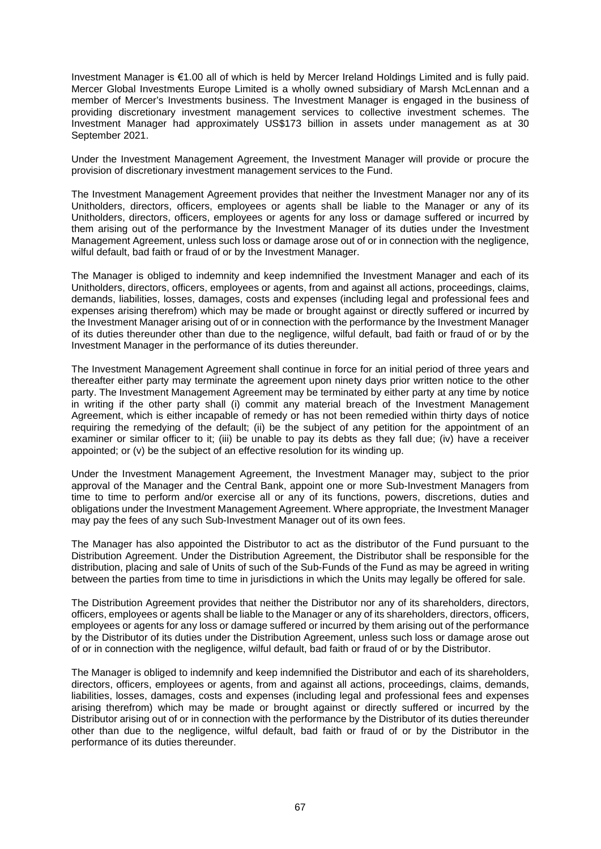Investment Manager is €1.00 all of which is held by Mercer Ireland Holdings Limited and is fully paid. Mercer Global Investments Europe Limited is a wholly owned subsidiary of Marsh McLennan and a member of Mercer's Investments business. The Investment Manager is engaged in the business of providing discretionary investment management services to collective investment schemes. The Investment Manager had approximately US\$173 billion in assets under management as at 30 September 2021.

Under the Investment Management Agreement, the Investment Manager will provide or procure the provision of discretionary investment management services to the Fund.

The Investment Management Agreement provides that neither the Investment Manager nor any of its Unitholders, directors, officers, employees or agents shall be liable to the Manager or any of its Unitholders, directors, officers, employees or agents for any loss or damage suffered or incurred by them arising out of the performance by the Investment Manager of its duties under the Investment Management Agreement, unless such loss or damage arose out of or in connection with the negligence, wilful default, bad faith or fraud of or by the Investment Manager.

The Manager is obliged to indemnity and keep indemnified the Investment Manager and each of its Unitholders, directors, officers, employees or agents, from and against all actions, proceedings, claims, demands, liabilities, losses, damages, costs and expenses (including legal and professional fees and expenses arising therefrom) which may be made or brought against or directly suffered or incurred by the Investment Manager arising out of or in connection with the performance by the Investment Manager of its duties thereunder other than due to the negligence, wilful default, bad faith or fraud of or by the Investment Manager in the performance of its duties thereunder.

The Investment Management Agreement shall continue in force for an initial period of three years and thereafter either party may terminate the agreement upon ninety days prior written notice to the other party. The Investment Management Agreement may be terminated by either party at any time by notice in writing if the other party shall (i) commit any material breach of the Investment Management Agreement, which is either incapable of remedy or has not been remedied within thirty days of notice requiring the remedying of the default; (ii) be the subject of any petition for the appointment of an examiner or similar officer to it; (iii) be unable to pay its debts as they fall due; (iv) have a receiver appointed; or (v) be the subject of an effective resolution for its winding up.

Under the Investment Management Agreement, the Investment Manager may, subject to the prior approval of the Manager and the Central Bank, appoint one or more Sub-Investment Managers from time to time to perform and/or exercise all or any of its functions, powers, discretions, duties and obligations under the Investment Management Agreement. Where appropriate, the Investment Manager may pay the fees of any such Sub-Investment Manager out of its own fees.

The Manager has also appointed the Distributor to act as the distributor of the Fund pursuant to the Distribution Agreement. Under the Distribution Agreement, the Distributor shall be responsible for the distribution, placing and sale of Units of such of the Sub-Funds of the Fund as may be agreed in writing between the parties from time to time in jurisdictions in which the Units may legally be offered for sale.

The Distribution Agreement provides that neither the Distributor nor any of its shareholders, directors, officers, employees or agents shall be liable to the Manager or any of its shareholders, directors, officers, employees or agents for any loss or damage suffered or incurred by them arising out of the performance by the Distributor of its duties under the Distribution Agreement, unless such loss or damage arose out of or in connection with the negligence, wilful default, bad faith or fraud of or by the Distributor.

The Manager is obliged to indemnify and keep indemnified the Distributor and each of its shareholders, directors, officers, employees or agents, from and against all actions, proceedings, claims, demands, liabilities, losses, damages, costs and expenses (including legal and professional fees and expenses arising therefrom) which may be made or brought against or directly suffered or incurred by the Distributor arising out of or in connection with the performance by the Distributor of its duties thereunder other than due to the negligence, wilful default, bad faith or fraud of or by the Distributor in the performance of its duties thereunder.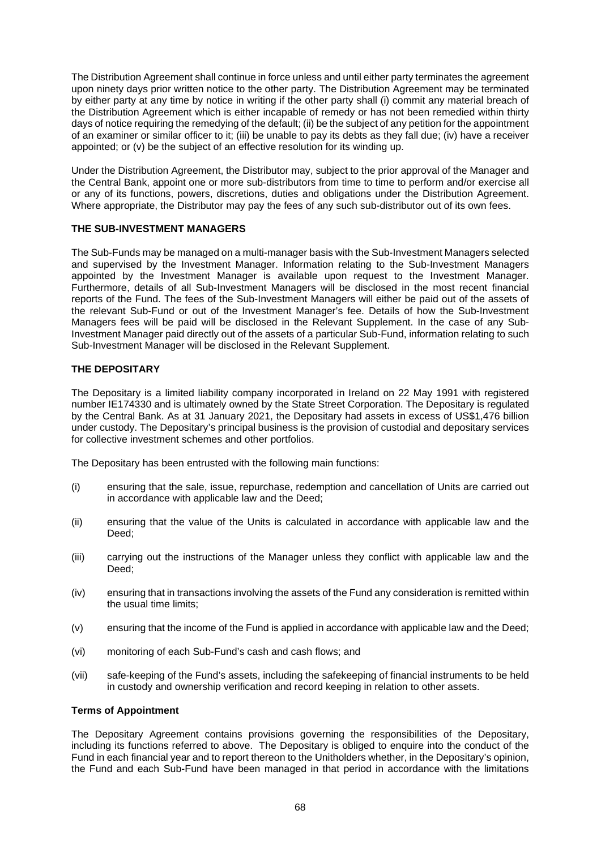The Distribution Agreement shall continue in force unless and until either party terminates the agreement upon ninety days prior written notice to the other party. The Distribution Agreement may be terminated by either party at any time by notice in writing if the other party shall (i) commit any material breach of the Distribution Agreement which is either incapable of remedy or has not been remedied within thirty days of notice requiring the remedying of the default; (ii) be the subject of any petition for the appointment of an examiner or similar officer to it; (iii) be unable to pay its debts as they fall due; (iv) have a receiver appointed; or (v) be the subject of an effective resolution for its winding up.

Under the Distribution Agreement, the Distributor may, subject to the prior approval of the Manager and the Central Bank, appoint one or more sub-distributors from time to time to perform and/or exercise all or any of its functions, powers, discretions, duties and obligations under the Distribution Agreement. Where appropriate, the Distributor may pay the fees of any such sub-distributor out of its own fees.

# **THE SUB-INVESTMENT MANAGERS**

The Sub-Funds may be managed on a multi-manager basis with the Sub-Investment Managers selected and supervised by the Investment Manager. Information relating to the Sub-Investment Managers appointed by the Investment Manager is available upon request to the Investment Manager. Furthermore, details of all Sub-Investment Managers will be disclosed in the most recent financial reports of the Fund. The fees of the Sub-Investment Managers will either be paid out of the assets of the relevant Sub-Fund or out of the Investment Manager's fee. Details of how the Sub-Investment Managers fees will be paid will be disclosed in the Relevant Supplement. In the case of any Sub-Investment Manager paid directly out of the assets of a particular Sub-Fund, information relating to such Sub-Investment Manager will be disclosed in the Relevant Supplement.

## **THE DEPOSITARY**

The Depositary is a limited liability company incorporated in Ireland on 22 May 1991 with registered number IE174330 and is ultimately owned by the State Street Corporation. The Depositary is regulated by the Central Bank. As at 31 January 2021, the Depositary had assets in excess of US\$1,476 billion under custody. The Depositary's principal business is the provision of custodial and depositary services for collective investment schemes and other portfolios.

The Depositary has been entrusted with the following main functions:

- (i) ensuring that the sale, issue, repurchase, redemption and cancellation of Units are carried out in accordance with applicable law and the Deed;
- (ii) ensuring that the value of the Units is calculated in accordance with applicable law and the Deed;
- (iii) carrying out the instructions of the Manager unless they conflict with applicable law and the Deed:
- (iv) ensuring that in transactions involving the assets of the Fund any consideration is remitted within the usual time limits;
- (v) ensuring that the income of the Fund is applied in accordance with applicable law and the Deed;
- (vi) monitoring of each Sub-Fund's cash and cash flows; and
- (vii) safe-keeping of the Fund's assets, including the safekeeping of financial instruments to be held in custody and ownership verification and record keeping in relation to other assets.

#### **Terms of Appointment**

The Depositary Agreement contains provisions governing the responsibilities of the Depositary, including its functions referred to above. The Depositary is obliged to enquire into the conduct of the Fund in each financial year and to report thereon to the Unitholders whether, in the Depositary's opinion, the Fund and each Sub-Fund have been managed in that period in accordance with the limitations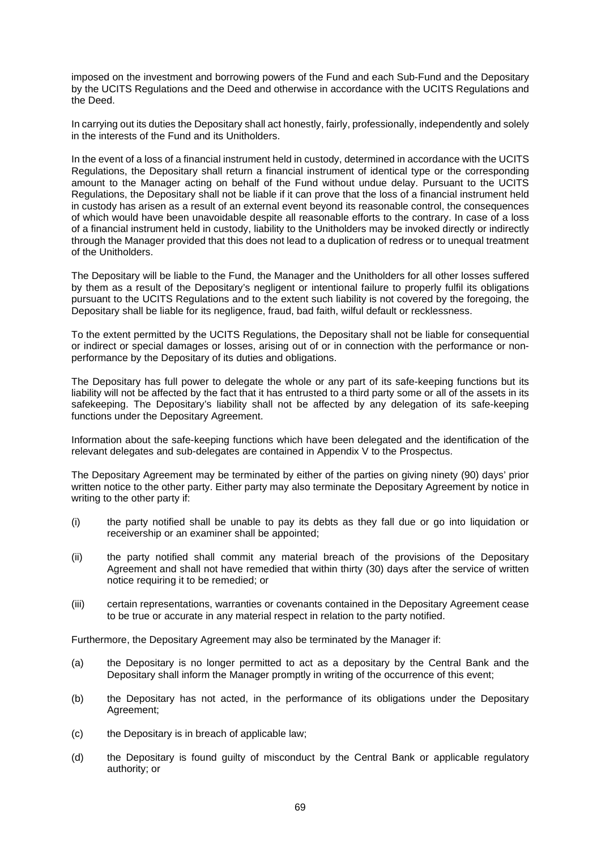imposed on the investment and borrowing powers of the Fund and each Sub-Fund and the Depositary by the UCITS Regulations and the Deed and otherwise in accordance with the UCITS Regulations and the Deed.

In carrying out its duties the Depositary shall act honestly, fairly, professionally, independently and solely in the interests of the Fund and its Unitholders.

In the event of a loss of a financial instrument held in custody, determined in accordance with the UCITS Regulations, the Depositary shall return a financial instrument of identical type or the corresponding amount to the Manager acting on behalf of the Fund without undue delay. Pursuant to the UCITS Regulations, the Depositary shall not be liable if it can prove that the loss of a financial instrument held in custody has arisen as a result of an external event beyond its reasonable control, the consequences of which would have been unavoidable despite all reasonable efforts to the contrary. In case of a loss of a financial instrument held in custody, liability to the Unitholders may be invoked directly or indirectly through the Manager provided that this does not lead to a duplication of redress or to unequal treatment of the Unitholders.

The Depositary will be liable to the Fund, the Manager and the Unitholders for all other losses suffered by them as a result of the Depositary's negligent or intentional failure to properly fulfil its obligations pursuant to the UCITS Regulations and to the extent such liability is not covered by the foregoing, the Depositary shall be liable for its negligence, fraud, bad faith, wilful default or recklessness.

To the extent permitted by the UCITS Regulations, the Depositary shall not be liable for consequential or indirect or special damages or losses, arising out of or in connection with the performance or nonperformance by the Depositary of its duties and obligations.

The Depositary has full power to delegate the whole or any part of its safe-keeping functions but its liability will not be affected by the fact that it has entrusted to a third party some or all of the assets in its safekeeping. The Depositary's liability shall not be affected by any delegation of its safe-keeping functions under the Depositary Agreement.

Information about the safe-keeping functions which have been delegated and the identification of the relevant delegates and sub-delegates are contained in Appendix V to the Prospectus.

The Depositary Agreement may be terminated by either of the parties on giving ninety (90) days' prior written notice to the other party. Either party may also terminate the Depositary Agreement by notice in writing to the other party if:

- (i) the party notified shall be unable to pay its debts as they fall due or go into liquidation or receivership or an examiner shall be appointed;
- (ii) the party notified shall commit any material breach of the provisions of the Depositary Agreement and shall not have remedied that within thirty (30) days after the service of written notice requiring it to be remedied; or
- (iii) certain representations, warranties or covenants contained in the Depositary Agreement cease to be true or accurate in any material respect in relation to the party notified.

Furthermore, the Depositary Agreement may also be terminated by the Manager if:

- (a) the Depositary is no longer permitted to act as a depositary by the Central Bank and the Depositary shall inform the Manager promptly in writing of the occurrence of this event;
- (b) the Depositary has not acted, in the performance of its obligations under the Depositary Agreement;
- (c) the Depositary is in breach of applicable law;
- (d) the Depositary is found guilty of misconduct by the Central Bank or applicable regulatory authority; or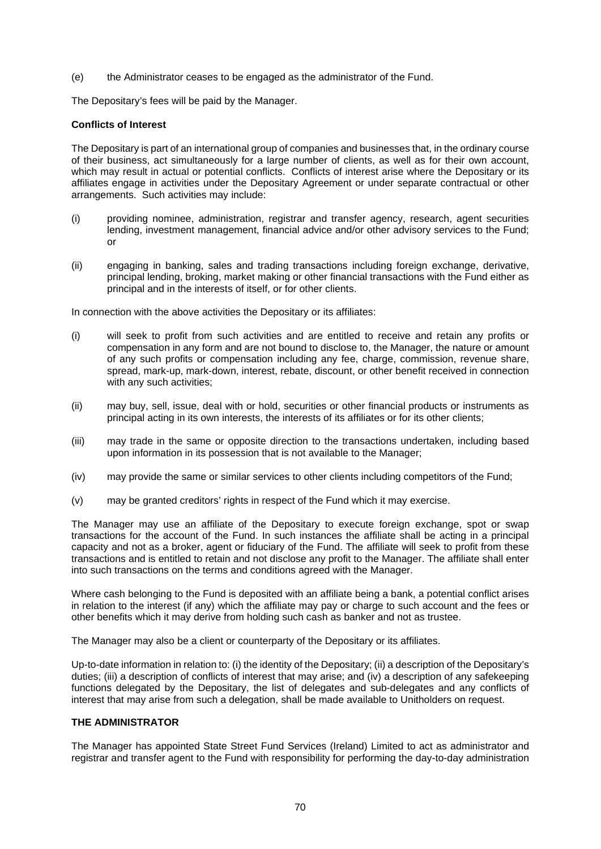(e) the Administrator ceases to be engaged as the administrator of the Fund.

The Depositary's fees will be paid by the Manager.

## **Conflicts of Interest**

The Depositary is part of an international group of companies and businesses that, in the ordinary course of their business, act simultaneously for a large number of clients, as well as for their own account, which may result in actual or potential conflicts. Conflicts of interest arise where the Depositary or its affiliates engage in activities under the Depositary Agreement or under separate contractual or other arrangements. Such activities may include:

- (i) providing nominee, administration, registrar and transfer agency, research, agent securities lending, investment management, financial advice and/or other advisory services to the Fund; or
- (ii) engaging in banking, sales and trading transactions including foreign exchange, derivative, principal lending, broking, market making or other financial transactions with the Fund either as principal and in the interests of itself, or for other clients.

In connection with the above activities the Depositary or its affiliates:

- (i) will seek to profit from such activities and are entitled to receive and retain any profits or compensation in any form and are not bound to disclose to, the Manager, the nature or amount of any such profits or compensation including any fee, charge, commission, revenue share, spread, mark-up, mark-down, interest, rebate, discount, or other benefit received in connection with any such activities;
- (ii) may buy, sell, issue, deal with or hold, securities or other financial products or instruments as principal acting in its own interests, the interests of its affiliates or for its other clients;
- (iii) may trade in the same or opposite direction to the transactions undertaken, including based upon information in its possession that is not available to the Manager;
- (iv) may provide the same or similar services to other clients including competitors of the Fund;
- (v) may be granted creditors' rights in respect of the Fund which it may exercise.

The Manager may use an affiliate of the Depositary to execute foreign exchange, spot or swap transactions for the account of the Fund. In such instances the affiliate shall be acting in a principal capacity and not as a broker, agent or fiduciary of the Fund. The affiliate will seek to profit from these transactions and is entitled to retain and not disclose any profit to the Manager. The affiliate shall enter into such transactions on the terms and conditions agreed with the Manager.

Where cash belonging to the Fund is deposited with an affiliate being a bank, a potential conflict arises in relation to the interest (if any) which the affiliate may pay or charge to such account and the fees or other benefits which it may derive from holding such cash as banker and not as trustee.

The Manager may also be a client or counterparty of the Depositary or its affiliates.

Up-to-date information in relation to: (i) the identity of the Depositary; (ii) a description of the Depositary's duties; (iii) a description of conflicts of interest that may arise; and (iv) a description of any safekeeping functions delegated by the Depositary, the list of delegates and sub-delegates and any conflicts of interest that may arise from such a delegation, shall be made available to Unitholders on request.

# **THE ADMINISTRATOR**

The Manager has appointed State Street Fund Services (Ireland) Limited to act as administrator and registrar and transfer agent to the Fund with responsibility for performing the day-to-day administration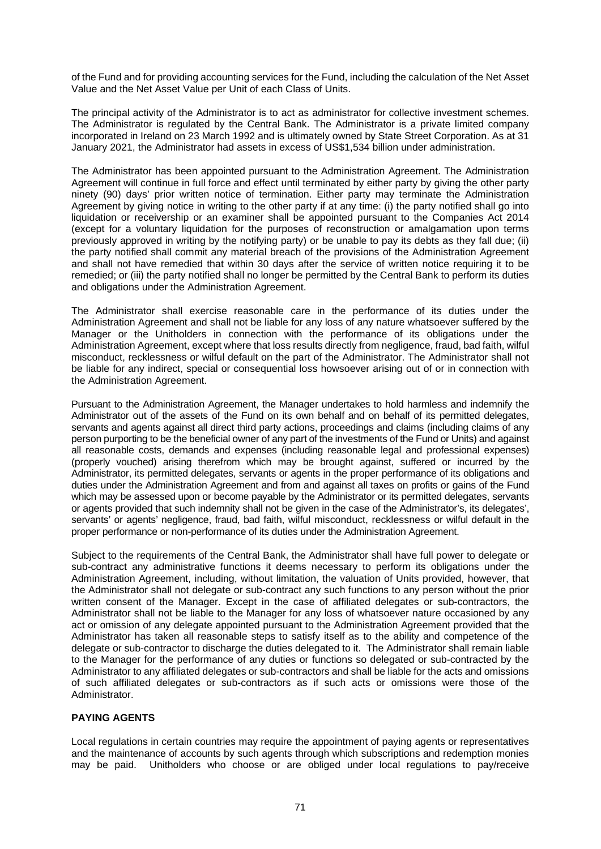of the Fund and for providing accounting services for the Fund, including the calculation of the Net Asset Value and the Net Asset Value per Unit of each Class of Units.

The principal activity of the Administrator is to act as administrator for collective investment schemes. The Administrator is regulated by the Central Bank. The Administrator is a private limited company incorporated in Ireland on 23 March 1992 and is ultimately owned by State Street Corporation. As at 31 January 2021, the Administrator had assets in excess of US\$1,534 billion under administration.

The Administrator has been appointed pursuant to the Administration Agreement. The Administration Agreement will continue in full force and effect until terminated by either party by giving the other party ninety (90) days' prior written notice of termination. Either party may terminate the Administration Agreement by giving notice in writing to the other party if at any time: (i) the party notified shall go into liquidation or receivership or an examiner shall be appointed pursuant to the Companies Act 2014 (except for a voluntary liquidation for the purposes of reconstruction or amalgamation upon terms previously approved in writing by the notifying party) or be unable to pay its debts as they fall due; (ii) the party notified shall commit any material breach of the provisions of the Administration Agreement and shall not have remedied that within 30 days after the service of written notice requiring it to be remedied; or (iii) the party notified shall no longer be permitted by the Central Bank to perform its duties and obligations under the Administration Agreement.

The Administrator shall exercise reasonable care in the performance of its duties under the Administration Agreement and shall not be liable for any loss of any nature whatsoever suffered by the Manager or the Unitholders in connection with the performance of its obligations under the Administration Agreement, except where that loss results directly from negligence, fraud, bad faith, wilful misconduct, recklessness or wilful default on the part of the Administrator. The Administrator shall not be liable for any indirect, special or consequential loss howsoever arising out of or in connection with the Administration Agreement.

Pursuant to the Administration Agreement, the Manager undertakes to hold harmless and indemnify the Administrator out of the assets of the Fund on its own behalf and on behalf of its permitted delegates, servants and agents against all direct third party actions, proceedings and claims (including claims of any person purporting to be the beneficial owner of any part of the investments of the Fund or Units) and against all reasonable costs, demands and expenses (including reasonable legal and professional expenses) (properly vouched) arising therefrom which may be brought against, suffered or incurred by the Administrator, its permitted delegates, servants or agents in the proper performance of its obligations and duties under the Administration Agreement and from and against all taxes on profits or gains of the Fund which may be assessed upon or become payable by the Administrator or its permitted delegates, servants or agents provided that such indemnity shall not be given in the case of the Administrator's, its delegates', servants' or agents' negligence, fraud, bad faith, wilful misconduct, recklessness or wilful default in the proper performance or non-performance of its duties under the Administration Agreement.

Subject to the requirements of the Central Bank, the Administrator shall have full power to delegate or sub-contract any administrative functions it deems necessary to perform its obligations under the Administration Agreement, including, without limitation, the valuation of Units provided, however, that the Administrator shall not delegate or sub-contract any such functions to any person without the prior written consent of the Manager. Except in the case of affiliated delegates or sub-contractors, the Administrator shall not be liable to the Manager for any loss of whatsoever nature occasioned by any act or omission of any delegate appointed pursuant to the Administration Agreement provided that the Administrator has taken all reasonable steps to satisfy itself as to the ability and competence of the delegate or sub-contractor to discharge the duties delegated to it. The Administrator shall remain liable to the Manager for the performance of any duties or functions so delegated or sub-contracted by the Administrator to any affiliated delegates or sub-contractors and shall be liable for the acts and omissions of such affiliated delegates or sub-contractors as if such acts or omissions were those of the Administrator.

# **PAYING AGENTS**

Local regulations in certain countries may require the appointment of paying agents or representatives and the maintenance of accounts by such agents through which subscriptions and redemption monies may be paid. Unitholders who choose or are obliged under local regulations to pay/receive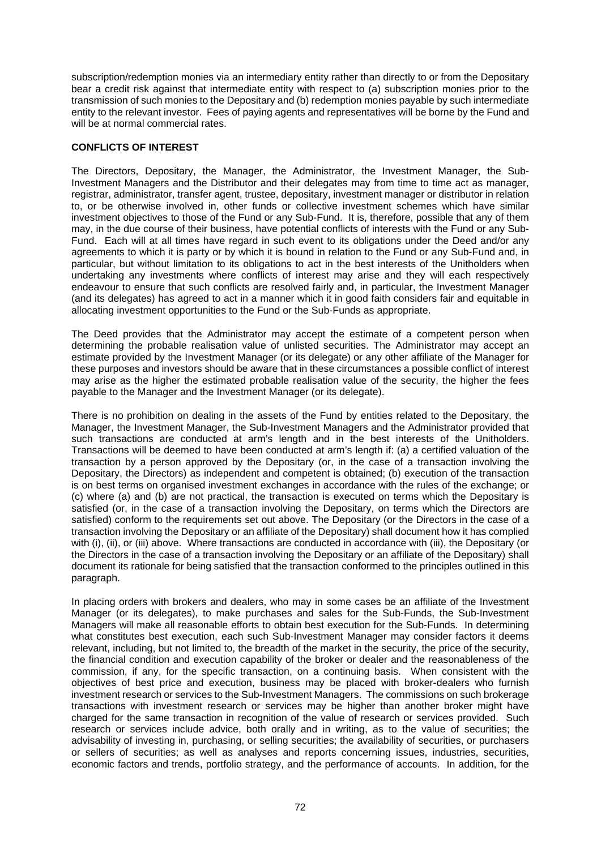subscription/redemption monies via an intermediary entity rather than directly to or from the Depositary bear a credit risk against that intermediate entity with respect to (a) subscription monies prior to the transmission of such monies to the Depositary and (b) redemption monies payable by such intermediate entity to the relevant investor. Fees of paying agents and representatives will be borne by the Fund and will be at normal commercial rates.

## **CONFLICTS OF INTEREST**

The Directors, Depositary, the Manager, the Administrator, the Investment Manager, the Sub-Investment Managers and the Distributor and their delegates may from time to time act as manager, registrar, administrator, transfer agent, trustee, depositary, investment manager or distributor in relation to, or be otherwise involved in, other funds or collective investment schemes which have similar investment objectives to those of the Fund or any Sub-Fund. It is, therefore, possible that any of them may, in the due course of their business, have potential conflicts of interests with the Fund or any Sub-Fund. Each will at all times have regard in such event to its obligations under the Deed and/or any agreements to which it is party or by which it is bound in relation to the Fund or any Sub-Fund and, in particular, but without limitation to its obligations to act in the best interests of the Unitholders when undertaking any investments where conflicts of interest may arise and they will each respectively endeavour to ensure that such conflicts are resolved fairly and, in particular, the Investment Manager (and its delegates) has agreed to act in a manner which it in good faith considers fair and equitable in allocating investment opportunities to the Fund or the Sub-Funds as appropriate.

The Deed provides that the Administrator may accept the estimate of a competent person when determining the probable realisation value of unlisted securities. The Administrator may accept an estimate provided by the Investment Manager (or its delegate) or any other affiliate of the Manager for these purposes and investors should be aware that in these circumstances a possible conflict of interest may arise as the higher the estimated probable realisation value of the security, the higher the fees payable to the Manager and the Investment Manager (or its delegate).

There is no prohibition on dealing in the assets of the Fund by entities related to the Depositary, the Manager, the Investment Manager, the Sub-Investment Managers and the Administrator provided that such transactions are conducted at arm's length and in the best interests of the Unitholders. Transactions will be deemed to have been conducted at arm's length if: (a) a certified valuation of the transaction by a person approved by the Depositary (or, in the case of a transaction involving the Depositary, the Directors) as independent and competent is obtained; (b) execution of the transaction is on best terms on organised investment exchanges in accordance with the rules of the exchange; or (c) where (a) and (b) are not practical, the transaction is executed on terms which the Depositary is satisfied (or, in the case of a transaction involving the Depositary, on terms which the Directors are satisfied) conform to the requirements set out above. The Depositary (or the Directors in the case of a transaction involving the Depositary or an affiliate of the Depositary) shall document how it has complied with (i), (ii), or (iii) above. Where transactions are conducted in accordance with (iii), the Depositary (or the Directors in the case of a transaction involving the Depositary or an affiliate of the Depositary) shall document its rationale for being satisfied that the transaction conformed to the principles outlined in this paragraph.

In placing orders with brokers and dealers, who may in some cases be an affiliate of the Investment Manager (or its delegates), to make purchases and sales for the Sub-Funds, the Sub-Investment Managers will make all reasonable efforts to obtain best execution for the Sub-Funds. In determining what constitutes best execution, each such Sub-Investment Manager may consider factors it deems relevant, including, but not limited to, the breadth of the market in the security, the price of the security, the financial condition and execution capability of the broker or dealer and the reasonableness of the commission, if any, for the specific transaction, on a continuing basis. When consistent with the objectives of best price and execution, business may be placed with broker-dealers who furnish investment research or services to the Sub-Investment Managers. The commissions on such brokerage transactions with investment research or services may be higher than another broker might have charged for the same transaction in recognition of the value of research or services provided. Such research or services include advice, both orally and in writing, as to the value of securities; the advisability of investing in, purchasing, or selling securities; the availability of securities, or purchasers or sellers of securities; as well as analyses and reports concerning issues, industries, securities, economic factors and trends, portfolio strategy, and the performance of accounts. In addition, for the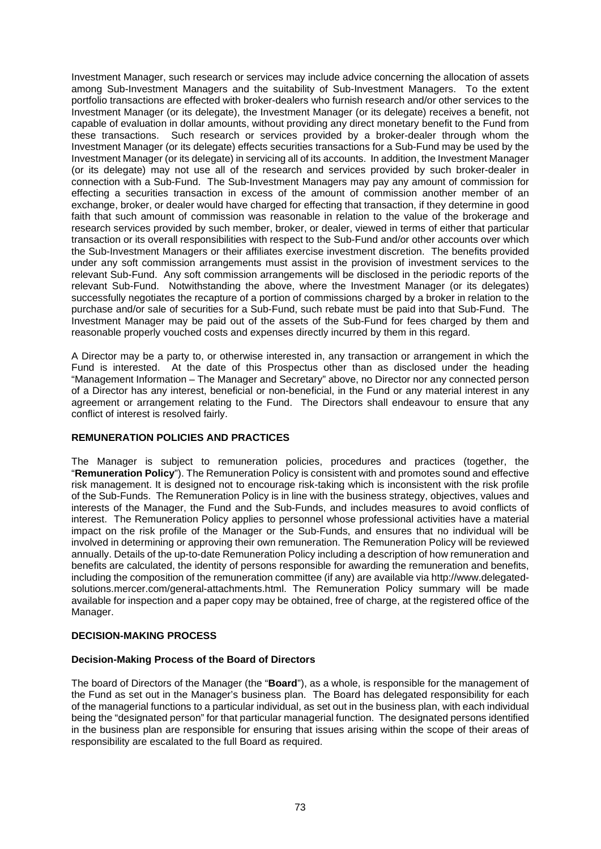Investment Manager, such research or services may include advice concerning the allocation of assets among Sub-Investment Managers and the suitability of Sub-Investment Managers. To the extent portfolio transactions are effected with broker-dealers who furnish research and/or other services to the Investment Manager (or its delegate), the Investment Manager (or its delegate) receives a benefit, not capable of evaluation in dollar amounts, without providing any direct monetary benefit to the Fund from these transactions. Such research or services provided by a broker-dealer through whom the Investment Manager (or its delegate) effects securities transactions for a Sub-Fund may be used by the Investment Manager (or its delegate) in servicing all of its accounts. In addition, the Investment Manager (or its delegate) may not use all of the research and services provided by such broker-dealer in connection with a Sub-Fund. The Sub-Investment Managers may pay any amount of commission for effecting a securities transaction in excess of the amount of commission another member of an exchange, broker, or dealer would have charged for effecting that transaction, if they determine in good faith that such amount of commission was reasonable in relation to the value of the brokerage and research services provided by such member, broker, or dealer, viewed in terms of either that particular transaction or its overall responsibilities with respect to the Sub-Fund and/or other accounts over which the Sub-Investment Managers or their affiliates exercise investment discretion. The benefits provided under any soft commission arrangements must assist in the provision of investment services to the relevant Sub-Fund. Any soft commission arrangements will be disclosed in the periodic reports of the relevant Sub-Fund. Notwithstanding the above, where the Investment Manager (or its delegates) successfully negotiates the recapture of a portion of commissions charged by a broker in relation to the purchase and/or sale of securities for a Sub-Fund, such rebate must be paid into that Sub-Fund. The Investment Manager may be paid out of the assets of the Sub-Fund for fees charged by them and reasonable properly vouched costs and expenses directly incurred by them in this regard.

A Director may be a party to, or otherwise interested in, any transaction or arrangement in which the Fund is interested. At the date of this Prospectus other than as disclosed under the heading "Management Information – The Manager and Secretary" above, no Director nor any connected person of a Director has any interest, beneficial or non-beneficial, in the Fund or any material interest in any agreement or arrangement relating to the Fund. The Directors shall endeavour to ensure that any conflict of interest is resolved fairly.

# **REMUNERATION POLICIES AND PRACTICES**

The Manager is subject to remuneration policies, procedures and practices (together, the "**Remuneration Policy**"). The Remuneration Policy is consistent with and promotes sound and effective risk management. It is designed not to encourage risk-taking which is inconsistent with the risk profile of the Sub-Funds. The Remuneration Policy is in line with the business strategy, objectives, values and interests of the Manager, the Fund and the Sub-Funds, and includes measures to avoid conflicts of interest. The Remuneration Policy applies to personnel whose professional activities have a material impact on the risk profile of the Manager or the Sub-Funds, and ensures that no individual will be involved in determining or approving their own remuneration. The Remuneration Policy will be reviewed annually. Details of the up-to-date Remuneration Policy including a description of how remuneration and benefits are calculated, the identity of persons responsible for awarding the remuneration and benefits, including the composition of the remuneration committee (if any) are available via http://www.delegatedsolutions.mercer.com/general-attachments.html. The Remuneration Policy summary will be made available for inspection and a paper copy may be obtained, free of charge, at the registered office of the Manager.

## **DECISION-MAKING PROCESS**

## **Decision-Making Process of the Board of Directors**

The board of Directors of the Manager (the "**Board**"), as a whole, is responsible for the management of the Fund as set out in the Manager's business plan. The Board has delegated responsibility for each of the managerial functions to a particular individual, as set out in the business plan, with each individual being the "designated person" for that particular managerial function. The designated persons identified in the business plan are responsible for ensuring that issues arising within the scope of their areas of responsibility are escalated to the full Board as required.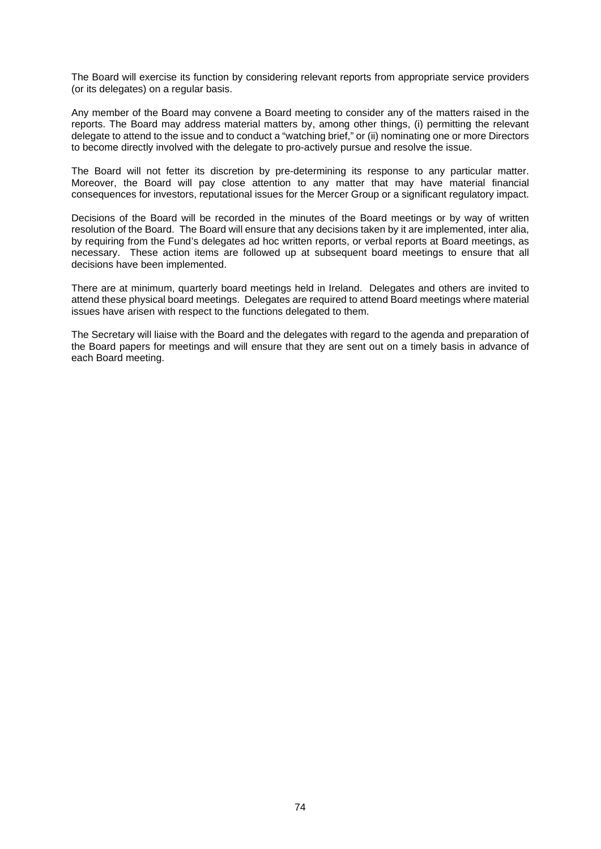The Board will exercise its function by considering relevant reports from appropriate service providers (or its delegates) on a regular basis.

Any member of the Board may convene a Board meeting to consider any of the matters raised in the reports. The Board may address material matters by, among other things, (i) permitting the relevant delegate to attend to the issue and to conduct a "watching brief," or (ii) nominating one or more Directors to become directly involved with the delegate to pro-actively pursue and resolve the issue.

The Board will not fetter its discretion by pre-determining its response to any particular matter. Moreover, the Board will pay close attention to any matter that may have material financial consequences for investors, reputational issues for the Mercer Group or a significant regulatory impact.

Decisions of the Board will be recorded in the minutes of the Board meetings or by way of written resolution of the Board. The Board will ensure that any decisions taken by it are implemented, inter alia, by requiring from the Fund's delegates ad hoc written reports, or verbal reports at Board meetings, as necessary. These action items are followed up at subsequent board meetings to ensure that all decisions have been implemented.

There are at minimum, quarterly board meetings held in Ireland. Delegates and others are invited to attend these physical board meetings. Delegates are required to attend Board meetings where material issues have arisen with respect to the functions delegated to them.

The Secretary will liaise with the Board and the delegates with regard to the agenda and preparation of the Board papers for meetings and will ensure that they are sent out on a timely basis in advance of each Board meeting.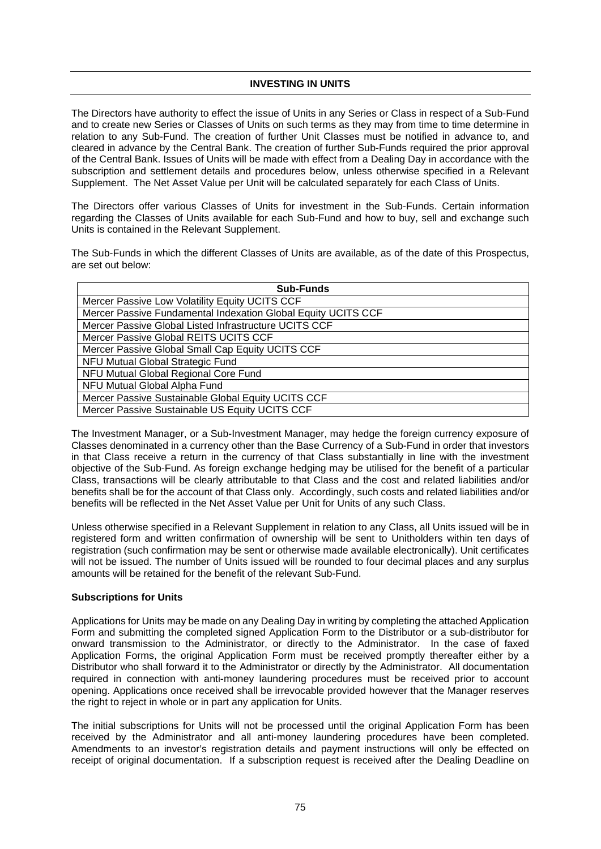#### **INVESTING IN UNITS**

The Directors have authority to effect the issue of Units in any Series or Class in respect of a Sub-Fund and to create new Series or Classes of Units on such terms as they may from time to time determine in relation to any Sub-Fund. The creation of further Unit Classes must be notified in advance to, and cleared in advance by the Central Bank. The creation of further Sub-Funds required the prior approval of the Central Bank. Issues of Units will be made with effect from a Dealing Day in accordance with the subscription and settlement details and procedures below, unless otherwise specified in a Relevant Supplement. The Net Asset Value per Unit will be calculated separately for each Class of Units.

The Directors offer various Classes of Units for investment in the Sub-Funds. Certain information regarding the Classes of Units available for each Sub-Fund and how to buy, sell and exchange such Units is contained in the Relevant Supplement.

The Sub-Funds in which the different Classes of Units are available, as of the date of this Prospectus, are set out below:

| <b>Sub-Funds</b>                                              |
|---------------------------------------------------------------|
| Mercer Passive Low Volatility Equity UCITS CCF                |
| Mercer Passive Fundamental Indexation Global Equity UCITS CCF |
| Mercer Passive Global Listed Infrastructure UCITS CCF         |
| Mercer Passive Global REITS UCITS CCF                         |
| Mercer Passive Global Small Cap Equity UCITS CCF              |
| NFU Mutual Global Strategic Fund                              |
| NFU Mutual Global Regional Core Fund                          |
| NFU Mutual Global Alpha Fund                                  |
| Mercer Passive Sustainable Global Equity UCITS CCF            |
| Mercer Passive Sustainable US Equity UCITS CCF                |

The Investment Manager, or a Sub-Investment Manager, may hedge the foreign currency exposure of Classes denominated in a currency other than the Base Currency of a Sub-Fund in order that investors in that Class receive a return in the currency of that Class substantially in line with the investment objective of the Sub-Fund. As foreign exchange hedging may be utilised for the benefit of a particular Class, transactions will be clearly attributable to that Class and the cost and related liabilities and/or benefits shall be for the account of that Class only. Accordingly, such costs and related liabilities and/or benefits will be reflected in the Net Asset Value per Unit for Units of any such Class.

Unless otherwise specified in a Relevant Supplement in relation to any Class, all Units issued will be in registered form and written confirmation of ownership will be sent to Unitholders within ten days of registration (such confirmation may be sent or otherwise made available electronically). Unit certificates will not be issued. The number of Units issued will be rounded to four decimal places and any surplus amounts will be retained for the benefit of the relevant Sub-Fund.

#### **Subscriptions for Units**

Applications for Units may be made on any Dealing Day in writing by completing the attached Application Form and submitting the completed signed Application Form to the Distributor or a sub-distributor for onward transmission to the Administrator, or directly to the Administrator. In the case of faxed Application Forms, the original Application Form must be received promptly thereafter either by a Distributor who shall forward it to the Administrator or directly by the Administrator. All documentation required in connection with anti-money laundering procedures must be received prior to account opening. Applications once received shall be irrevocable provided however that the Manager reserves the right to reject in whole or in part any application for Units.

The initial subscriptions for Units will not be processed until the original Application Form has been received by the Administrator and all anti-money laundering procedures have been completed. Amendments to an investor's registration details and payment instructions will only be effected on receipt of original documentation. If a subscription request is received after the Dealing Deadline on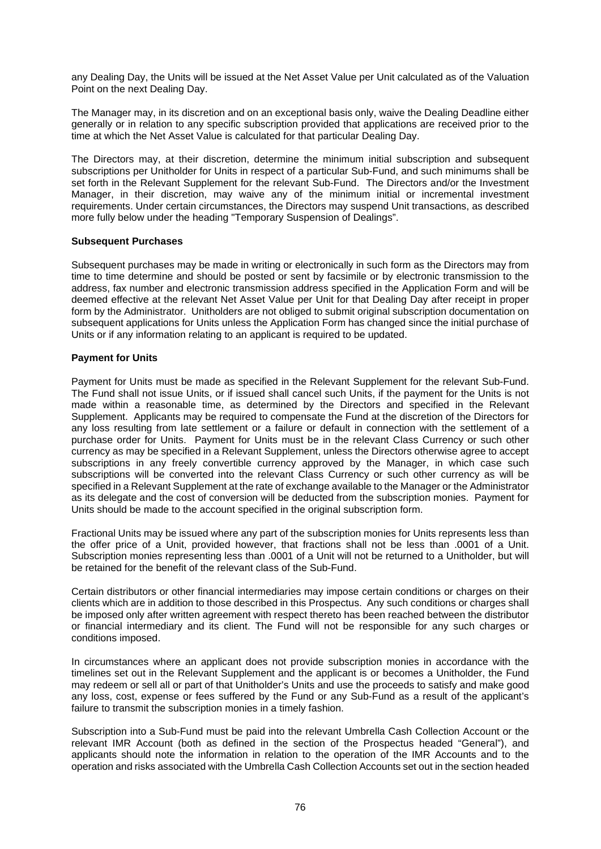any Dealing Day, the Units will be issued at the Net Asset Value per Unit calculated as of the Valuation Point on the next Dealing Day.

The Manager may, in its discretion and on an exceptional basis only, waive the Dealing Deadline either generally or in relation to any specific subscription provided that applications are received prior to the time at which the Net Asset Value is calculated for that particular Dealing Day.

The Directors may, at their discretion, determine the minimum initial subscription and subsequent subscriptions per Unitholder for Units in respect of a particular Sub-Fund, and such minimums shall be set forth in the Relevant Supplement for the relevant Sub-Fund. The Directors and/or the Investment Manager, in their discretion, may waive any of the minimum initial or incremental investment requirements. Under certain circumstances, the Directors may suspend Unit transactions, as described more fully below under the heading "Temporary Suspension of Dealings".

## **Subsequent Purchases**

Subsequent purchases may be made in writing or electronically in such form as the Directors may from time to time determine and should be posted or sent by facsimile or by electronic transmission to the address, fax number and electronic transmission address specified in the Application Form and will be deemed effective at the relevant Net Asset Value per Unit for that Dealing Day after receipt in proper form by the Administrator. Unitholders are not obliged to submit original subscription documentation on subsequent applications for Units unless the Application Form has changed since the initial purchase of Units or if any information relating to an applicant is required to be updated.

## **Payment for Units**

Payment for Units must be made as specified in the Relevant Supplement for the relevant Sub-Fund. The Fund shall not issue Units, or if issued shall cancel such Units, if the payment for the Units is not made within a reasonable time, as determined by the Directors and specified in the Relevant Supplement. Applicants may be required to compensate the Fund at the discretion of the Directors for any loss resulting from late settlement or a failure or default in connection with the settlement of a purchase order for Units. Payment for Units must be in the relevant Class Currency or such other currency as may be specified in a Relevant Supplement, unless the Directors otherwise agree to accept subscriptions in any freely convertible currency approved by the Manager, in which case such subscriptions will be converted into the relevant Class Currency or such other currency as will be specified in a Relevant Supplement at the rate of exchange available to the Manager or the Administrator as its delegate and the cost of conversion will be deducted from the subscription monies. Payment for Units should be made to the account specified in the original subscription form.

Fractional Units may be issued where any part of the subscription monies for Units represents less than the offer price of a Unit, provided however, that fractions shall not be less than .0001 of a Unit. Subscription monies representing less than .0001 of a Unit will not be returned to a Unitholder, but will be retained for the benefit of the relevant class of the Sub-Fund.

Certain distributors or other financial intermediaries may impose certain conditions or charges on their clients which are in addition to those described in this Prospectus. Any such conditions or charges shall be imposed only after written agreement with respect thereto has been reached between the distributor or financial intermediary and its client. The Fund will not be responsible for any such charges or conditions imposed.

In circumstances where an applicant does not provide subscription monies in accordance with the timelines set out in the Relevant Supplement and the applicant is or becomes a Unitholder, the Fund may redeem or sell all or part of that Unitholder's Units and use the proceeds to satisfy and make good any loss, cost, expense or fees suffered by the Fund or any Sub-Fund as a result of the applicant's failure to transmit the subscription monies in a timely fashion.

Subscription into a Sub-Fund must be paid into the relevant Umbrella Cash Collection Account or the relevant IMR Account (both as defined in the section of the Prospectus headed "General"), and applicants should note the information in relation to the operation of the IMR Accounts and to the operation and risks associated with the Umbrella Cash Collection Accounts set out in the section headed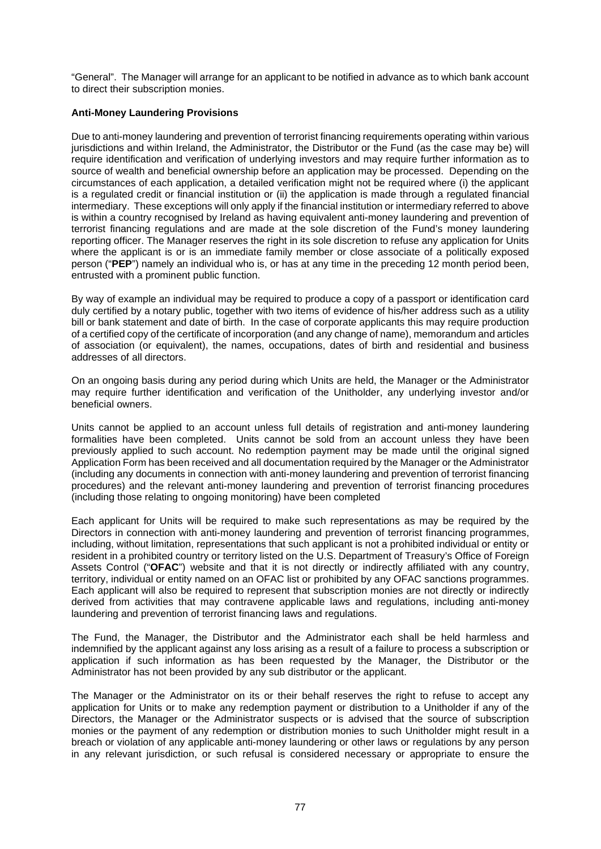"General". The Manager will arrange for an applicant to be notified in advance as to which bank account to direct their subscription monies.

## **Anti-Money Laundering Provisions**

Due to anti-money laundering and prevention of terrorist financing requirements operating within various jurisdictions and within Ireland, the Administrator, the Distributor or the Fund (as the case may be) will require identification and verification of underlying investors and may require further information as to source of wealth and beneficial ownership before an application may be processed. Depending on the circumstances of each application, a detailed verification might not be required where (i) the applicant is a regulated credit or financial institution or (ii) the application is made through a regulated financial intermediary. These exceptions will only apply if the financial institution or intermediary referred to above is within a country recognised by Ireland as having equivalent anti-money laundering and prevention of terrorist financing regulations and are made at the sole discretion of the Fund's money laundering reporting officer. The Manager reserves the right in its sole discretion to refuse any application for Units where the applicant is or is an immediate family member or close associate of a politically exposed person ("**PEP**") namely an individual who is, or has at any time in the preceding 12 month period been, entrusted with a prominent public function.

By way of example an individual may be required to produce a copy of a passport or identification card duly certified by a notary public, together with two items of evidence of his/her address such as a utility bill or bank statement and date of birth. In the case of corporate applicants this may require production of a certified copy of the certificate of incorporation (and any change of name), memorandum and articles of association (or equivalent), the names, occupations, dates of birth and residential and business addresses of all directors.

On an ongoing basis during any period during which Units are held, the Manager or the Administrator may require further identification and verification of the Unitholder, any underlying investor and/or beneficial owners.

Units cannot be applied to an account unless full details of registration and anti-money laundering formalities have been completed. Units cannot be sold from an account unless they have been previously applied to such account. No redemption payment may be made until the original signed Application Form has been received and all documentation required by the Manager or the Administrator (including any documents in connection with anti-money laundering and prevention of terrorist financing procedures) and the relevant anti-money laundering and prevention of terrorist financing procedures (including those relating to ongoing monitoring) have been completed

Each applicant for Units will be required to make such representations as may be required by the Directors in connection with anti-money laundering and prevention of terrorist financing programmes, including, without limitation, representations that such applicant is not a prohibited individual or entity or resident in a prohibited country or territory listed on the U.S. Department of Treasury's Office of Foreign Assets Control ("**OFAC**") website and that it is not directly or indirectly affiliated with any country, territory, individual or entity named on an OFAC list or prohibited by any OFAC sanctions programmes. Each applicant will also be required to represent that subscription monies are not directly or indirectly derived from activities that may contravene applicable laws and regulations, including anti-money laundering and prevention of terrorist financing laws and regulations.

The Fund, the Manager, the Distributor and the Administrator each shall be held harmless and indemnified by the applicant against any loss arising as a result of a failure to process a subscription or application if such information as has been requested by the Manager, the Distributor or the Administrator has not been provided by any sub distributor or the applicant.

The Manager or the Administrator on its or their behalf reserves the right to refuse to accept any application for Units or to make any redemption payment or distribution to a Unitholder if any of the Directors, the Manager or the Administrator suspects or is advised that the source of subscription monies or the payment of any redemption or distribution monies to such Unitholder might result in a breach or violation of any applicable anti-money laundering or other laws or regulations by any person in any relevant jurisdiction, or such refusal is considered necessary or appropriate to ensure the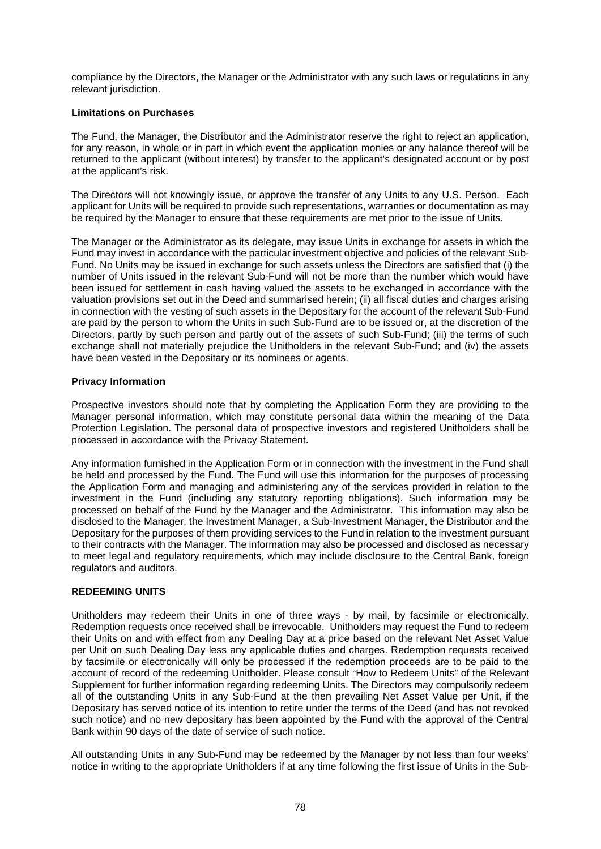compliance by the Directors, the Manager or the Administrator with any such laws or regulations in any relevant jurisdiction.

## **Limitations on Purchases**

The Fund, the Manager, the Distributor and the Administrator reserve the right to reject an application, for any reason, in whole or in part in which event the application monies or any balance thereof will be returned to the applicant (without interest) by transfer to the applicant's designated account or by post at the applicant's risk.

The Directors will not knowingly issue, or approve the transfer of any Units to any U.S. Person. Each applicant for Units will be required to provide such representations, warranties or documentation as may be required by the Manager to ensure that these requirements are met prior to the issue of Units.

The Manager or the Administrator as its delegate, may issue Units in exchange for assets in which the Fund may invest in accordance with the particular investment objective and policies of the relevant Sub-Fund. No Units may be issued in exchange for such assets unless the Directors are satisfied that (i) the number of Units issued in the relevant Sub-Fund will not be more than the number which would have been issued for settlement in cash having valued the assets to be exchanged in accordance with the valuation provisions set out in the Deed and summarised herein; (ii) all fiscal duties and charges arising in connection with the vesting of such assets in the Depositary for the account of the relevant Sub-Fund are paid by the person to whom the Units in such Sub-Fund are to be issued or, at the discretion of the Directors, partly by such person and partly out of the assets of such Sub-Fund; (iii) the terms of such exchange shall not materially prejudice the Unitholders in the relevant Sub-Fund; and (iv) the assets have been vested in the Depositary or its nominees or agents.

## **Privacy Information**

Prospective investors should note that by completing the Application Form they are providing to the Manager personal information, which may constitute personal data within the meaning of the Data Protection Legislation. The personal data of prospective investors and registered Unitholders shall be processed in accordance with the Privacy Statement.

Any information furnished in the Application Form or in connection with the investment in the Fund shall be held and processed by the Fund. The Fund will use this information for the purposes of processing the Application Form and managing and administering any of the services provided in relation to the investment in the Fund (including any statutory reporting obligations). Such information may be processed on behalf of the Fund by the Manager and the Administrator. This information may also be disclosed to the Manager, the Investment Manager, a Sub-Investment Manager, the Distributor and the Depositary for the purposes of them providing services to the Fund in relation to the investment pursuant to their contracts with the Manager. The information may also be processed and disclosed as necessary to meet legal and regulatory requirements, which may include disclosure to the Central Bank, foreign regulators and auditors.

## **REDEEMING UNITS**

Unitholders may redeem their Units in one of three ways - by mail, by facsimile or electronically. Redemption requests once received shall be irrevocable. Unitholders may request the Fund to redeem their Units on and with effect from any Dealing Day at a price based on the relevant Net Asset Value per Unit on such Dealing Day less any applicable duties and charges. Redemption requests received by facsimile or electronically will only be processed if the redemption proceeds are to be paid to the account of record of the redeeming Unitholder. Please consult "How to Redeem Units" of the Relevant Supplement for further information regarding redeeming Units. The Directors may compulsorily redeem all of the outstanding Units in any Sub-Fund at the then prevailing Net Asset Value per Unit, if the Depositary has served notice of its intention to retire under the terms of the Deed (and has not revoked such notice) and no new depositary has been appointed by the Fund with the approval of the Central Bank within 90 days of the date of service of such notice.

All outstanding Units in any Sub-Fund may be redeemed by the Manager by not less than four weeks' notice in writing to the appropriate Unitholders if at any time following the first issue of Units in the Sub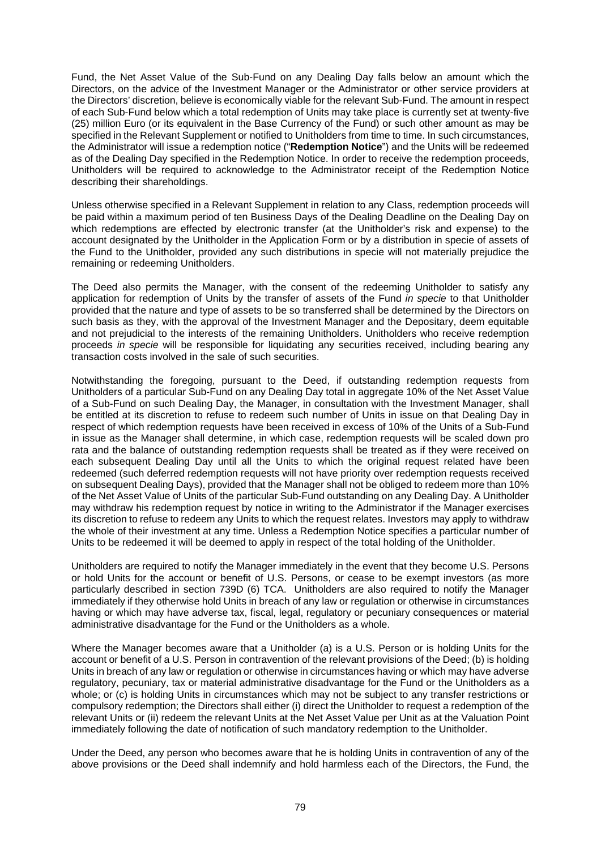Fund, the Net Asset Value of the Sub-Fund on any Dealing Day falls below an amount which the Directors, on the advice of the Investment Manager or the Administrator or other service providers at the Directors' discretion, believe is economically viable for the relevant Sub-Fund. The amount in respect of each Sub-Fund below which a total redemption of Units may take place is currently set at twenty-five (25) million Euro (or its equivalent in the Base Currency of the Fund) or such other amount as may be specified in the Relevant Supplement or notified to Unitholders from time to time. In such circumstances, the Administrator will issue a redemption notice ("**Redemption Notice**") and the Units will be redeemed as of the Dealing Day specified in the Redemption Notice. In order to receive the redemption proceeds, Unitholders will be required to acknowledge to the Administrator receipt of the Redemption Notice describing their shareholdings.

Unless otherwise specified in a Relevant Supplement in relation to any Class, redemption proceeds will be paid within a maximum period of ten Business Days of the Dealing Deadline on the Dealing Day on which redemptions are effected by electronic transfer (at the Unitholder's risk and expense) to the account designated by the Unitholder in the Application Form or by a distribution in specie of assets of the Fund to the Unitholder, provided any such distributions in specie will not materially prejudice the remaining or redeeming Unitholders.

The Deed also permits the Manager, with the consent of the redeeming Unitholder to satisfy any application for redemption of Units by the transfer of assets of the Fund *in specie* to that Unitholder provided that the nature and type of assets to be so transferred shall be determined by the Directors on such basis as they, with the approval of the Investment Manager and the Depositary, deem equitable and not prejudicial to the interests of the remaining Unitholders. Unitholders who receive redemption proceeds *in specie* will be responsible for liquidating any securities received, including bearing any transaction costs involved in the sale of such securities.

Notwithstanding the foregoing, pursuant to the Deed, if outstanding redemption requests from Unitholders of a particular Sub-Fund on any Dealing Day total in aggregate 10% of the Net Asset Value of a Sub-Fund on such Dealing Day, the Manager, in consultation with the Investment Manager, shall be entitled at its discretion to refuse to redeem such number of Units in issue on that Dealing Day in respect of which redemption requests have been received in excess of 10% of the Units of a Sub-Fund in issue as the Manager shall determine, in which case, redemption requests will be scaled down pro rata and the balance of outstanding redemption requests shall be treated as if they were received on each subsequent Dealing Day until all the Units to which the original request related have been redeemed (such deferred redemption requests will not have priority over redemption requests received on subsequent Dealing Days), provided that the Manager shall not be obliged to redeem more than 10% of the Net Asset Value of Units of the particular Sub-Fund outstanding on any Dealing Day. A Unitholder may withdraw his redemption request by notice in writing to the Administrator if the Manager exercises its discretion to refuse to redeem any Units to which the request relates. Investors may apply to withdraw the whole of their investment at any time. Unless a Redemption Notice specifies a particular number of Units to be redeemed it will be deemed to apply in respect of the total holding of the Unitholder.

Unitholders are required to notify the Manager immediately in the event that they become U.S. Persons or hold Units for the account or benefit of U.S. Persons, or cease to be exempt investors (as more particularly described in section 739D (6) TCA. Unitholders are also required to notify the Manager immediately if they otherwise hold Units in breach of any law or regulation or otherwise in circumstances having or which may have adverse tax, fiscal, legal, regulatory or pecuniary consequences or material administrative disadvantage for the Fund or the Unitholders as a whole.

Where the Manager becomes aware that a Unitholder (a) is a U.S. Person or is holding Units for the account or benefit of a U.S. Person in contravention of the relevant provisions of the Deed; (b) is holding Units in breach of any law or regulation or otherwise in circumstances having or which may have adverse regulatory, pecuniary, tax or material administrative disadvantage for the Fund or the Unitholders as a whole; or (c) is holding Units in circumstances which may not be subject to any transfer restrictions or compulsory redemption; the Directors shall either (i) direct the Unitholder to request a redemption of the relevant Units or (ii) redeem the relevant Units at the Net Asset Value per Unit as at the Valuation Point immediately following the date of notification of such mandatory redemption to the Unitholder.

Under the Deed, any person who becomes aware that he is holding Units in contravention of any of the above provisions or the Deed shall indemnify and hold harmless each of the Directors, the Fund, the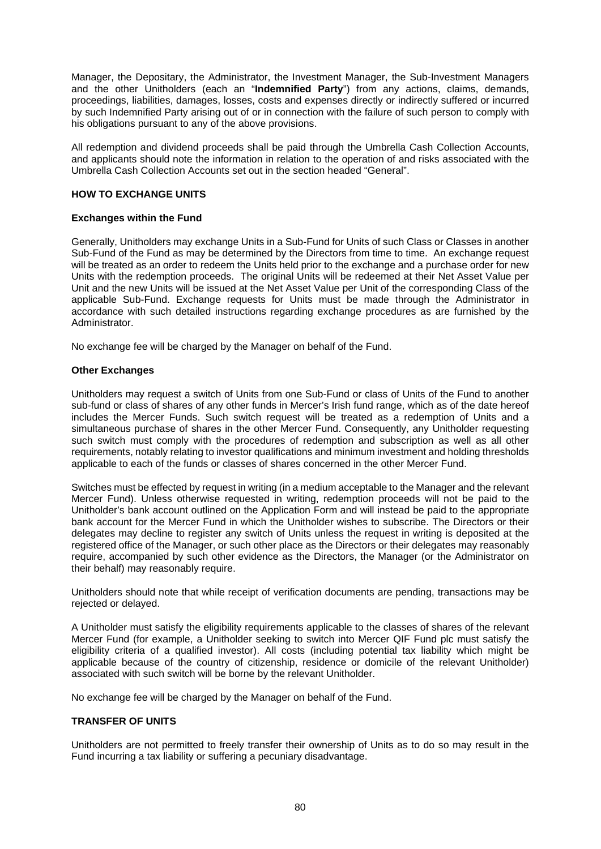Manager, the Depositary, the Administrator, the Investment Manager, the Sub-Investment Managers and the other Unitholders (each an "**Indemnified Party**") from any actions, claims, demands, proceedings, liabilities, damages, losses, costs and expenses directly or indirectly suffered or incurred by such Indemnified Party arising out of or in connection with the failure of such person to comply with his obligations pursuant to any of the above provisions.

All redemption and dividend proceeds shall be paid through the Umbrella Cash Collection Accounts, and applicants should note the information in relation to the operation of and risks associated with the Umbrella Cash Collection Accounts set out in the section headed "General".

## **HOW TO EXCHANGE UNITS**

## **Exchanges within the Fund**

Generally, Unitholders may exchange Units in a Sub-Fund for Units of such Class or Classes in another Sub-Fund of the Fund as may be determined by the Directors from time to time. An exchange request will be treated as an order to redeem the Units held prior to the exchange and a purchase order for new Units with the redemption proceeds. The original Units will be redeemed at their Net Asset Value per Unit and the new Units will be issued at the Net Asset Value per Unit of the corresponding Class of the applicable Sub-Fund. Exchange requests for Units must be made through the Administrator in accordance with such detailed instructions regarding exchange procedures as are furnished by the Administrator.

No exchange fee will be charged by the Manager on behalf of the Fund.

## **Other Exchanges**

Unitholders may request a switch of Units from one Sub-Fund or class of Units of the Fund to another sub-fund or class of shares of any other funds in Mercer's Irish fund range, which as of the date hereof includes the Mercer Funds. Such switch request will be treated as a redemption of Units and a simultaneous purchase of shares in the other Mercer Fund. Consequently, any Unitholder requesting such switch must comply with the procedures of redemption and subscription as well as all other requirements, notably relating to investor qualifications and minimum investment and holding thresholds applicable to each of the funds or classes of shares concerned in the other Mercer Fund.

Switches must be effected by request in writing (in a medium acceptable to the Manager and the relevant Mercer Fund). Unless otherwise requested in writing, redemption proceeds will not be paid to the Unitholder's bank account outlined on the Application Form and will instead be paid to the appropriate bank account for the Mercer Fund in which the Unitholder wishes to subscribe. The Directors or their delegates may decline to register any switch of Units unless the request in writing is deposited at the registered office of the Manager, or such other place as the Directors or their delegates may reasonably require, accompanied by such other evidence as the Directors, the Manager (or the Administrator on their behalf) may reasonably require.

Unitholders should note that while receipt of verification documents are pending, transactions may be rejected or delayed.

A Unitholder must satisfy the eligibility requirements applicable to the classes of shares of the relevant Mercer Fund (for example, a Unitholder seeking to switch into Mercer QIF Fund plc must satisfy the eligibility criteria of a qualified investor). All costs (including potential tax liability which might be applicable because of the country of citizenship, residence or domicile of the relevant Unitholder) associated with such switch will be borne by the relevant Unitholder.

No exchange fee will be charged by the Manager on behalf of the Fund.

## **TRANSFER OF UNITS**

Unitholders are not permitted to freely transfer their ownership of Units as to do so may result in the Fund incurring a tax liability or suffering a pecuniary disadvantage.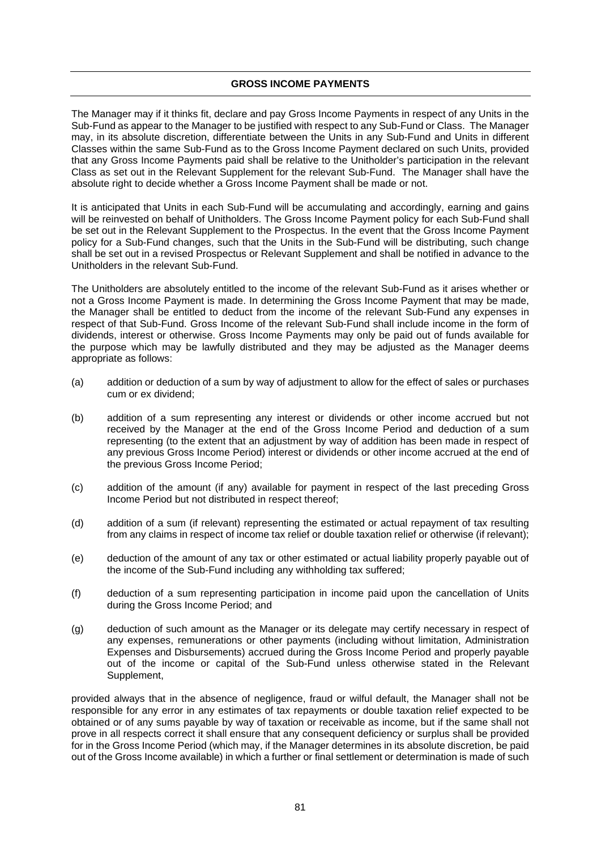### **GROSS INCOME PAYMENTS**

The Manager may if it thinks fit, declare and pay Gross Income Payments in respect of any Units in the Sub-Fund as appear to the Manager to be justified with respect to any Sub-Fund or Class. The Manager may, in its absolute discretion, differentiate between the Units in any Sub-Fund and Units in different Classes within the same Sub-Fund as to the Gross Income Payment declared on such Units, provided that any Gross Income Payments paid shall be relative to the Unitholder's participation in the relevant Class as set out in the Relevant Supplement for the relevant Sub-Fund. The Manager shall have the absolute right to decide whether a Gross Income Payment shall be made or not.

It is anticipated that Units in each Sub-Fund will be accumulating and accordingly, earning and gains will be reinvested on behalf of Unitholders. The Gross Income Payment policy for each Sub-Fund shall be set out in the Relevant Supplement to the Prospectus. In the event that the Gross Income Payment policy for a Sub-Fund changes, such that the Units in the Sub-Fund will be distributing, such change shall be set out in a revised Prospectus or Relevant Supplement and shall be notified in advance to the Unitholders in the relevant Sub-Fund.

The Unitholders are absolutely entitled to the income of the relevant Sub-Fund as it arises whether or not a Gross Income Payment is made. In determining the Gross Income Payment that may be made, the Manager shall be entitled to deduct from the income of the relevant Sub-Fund any expenses in respect of that Sub-Fund. Gross Income of the relevant Sub-Fund shall include income in the form of dividends, interest or otherwise. Gross Income Payments may only be paid out of funds available for the purpose which may be lawfully distributed and they may be adjusted as the Manager deems appropriate as follows:

- (a) addition or deduction of a sum by way of adjustment to allow for the effect of sales or purchases cum or ex dividend;
- (b) addition of a sum representing any interest or dividends or other income accrued but not received by the Manager at the end of the Gross Income Period and deduction of a sum representing (to the extent that an adjustment by way of addition has been made in respect of any previous Gross Income Period) interest or dividends or other income accrued at the end of the previous Gross Income Period;
- (c) addition of the amount (if any) available for payment in respect of the last preceding Gross Income Period but not distributed in respect thereof;
- (d) addition of a sum (if relevant) representing the estimated or actual repayment of tax resulting from any claims in respect of income tax relief or double taxation relief or otherwise (if relevant);
- (e) deduction of the amount of any tax or other estimated or actual liability properly payable out of the income of the Sub-Fund including any withholding tax suffered;
- (f) deduction of a sum representing participation in income paid upon the cancellation of Units during the Gross Income Period; and
- (g) deduction of such amount as the Manager or its delegate may certify necessary in respect of any expenses, remunerations or other payments (including without limitation, Administration Expenses and Disbursements) accrued during the Gross Income Period and properly payable out of the income or capital of the Sub-Fund unless otherwise stated in the Relevant Supplement,

provided always that in the absence of negligence, fraud or wilful default, the Manager shall not be responsible for any error in any estimates of tax repayments or double taxation relief expected to be obtained or of any sums payable by way of taxation or receivable as income, but if the same shall not prove in all respects correct it shall ensure that any consequent deficiency or surplus shall be provided for in the Gross Income Period (which may, if the Manager determines in its absolute discretion, be paid out of the Gross Income available) in which a further or final settlement or determination is made of such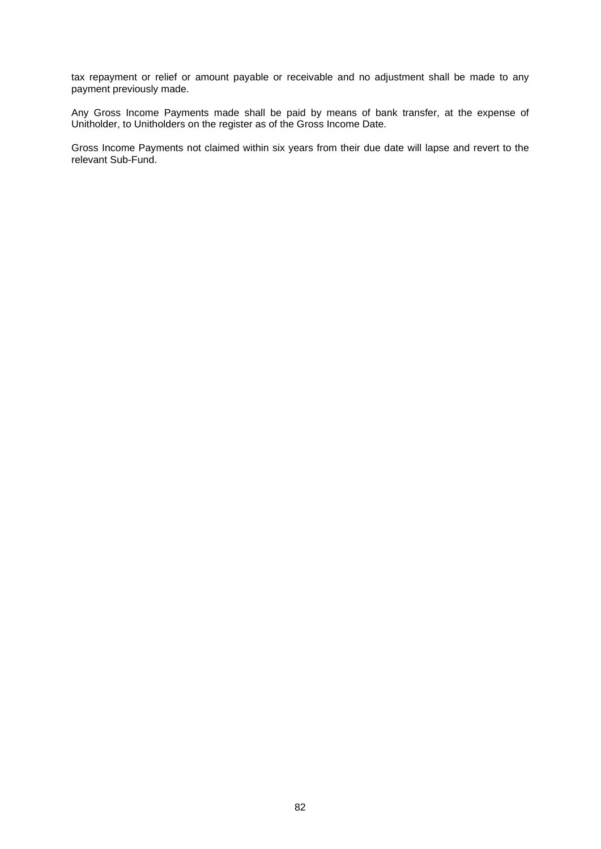tax repayment or relief or amount payable or receivable and no adjustment shall be made to any payment previously made.

Any Gross Income Payments made shall be paid by means of bank transfer, at the expense of Unitholder, to Unitholders on the register as of the Gross Income Date.

Gross Income Payments not claimed within six years from their due date will lapse and revert to the relevant Sub-Fund.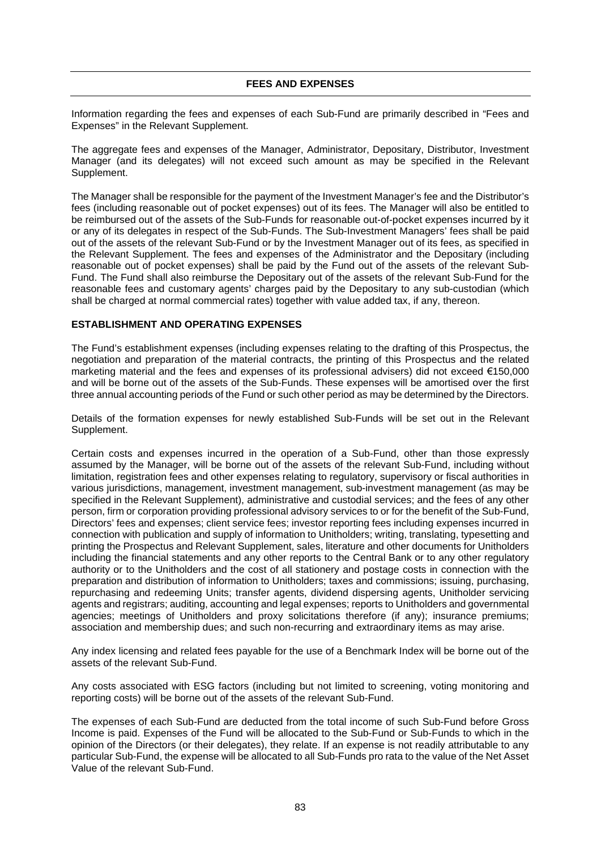Information regarding the fees and expenses of each Sub-Fund are primarily described in "Fees and Expenses" in the Relevant Supplement.

The aggregate fees and expenses of the Manager, Administrator, Depositary, Distributor, Investment Manager (and its delegates) will not exceed such amount as may be specified in the Relevant Supplement.

The Manager shall be responsible for the payment of the Investment Manager's fee and the Distributor's fees (including reasonable out of pocket expenses) out of its fees. The Manager will also be entitled to be reimbursed out of the assets of the Sub-Funds for reasonable out-of-pocket expenses incurred by it or any of its delegates in respect of the Sub-Funds. The Sub-Investment Managers' fees shall be paid out of the assets of the relevant Sub-Fund or by the Investment Manager out of its fees, as specified in the Relevant Supplement. The fees and expenses of the Administrator and the Depositary (including reasonable out of pocket expenses) shall be paid by the Fund out of the assets of the relevant Sub-Fund. The Fund shall also reimburse the Depositary out of the assets of the relevant Sub-Fund for the reasonable fees and customary agents' charges paid by the Depositary to any sub-custodian (which shall be charged at normal commercial rates) together with value added tax, if any, thereon.

## **ESTABLISHMENT AND OPERATING EXPENSES**

The Fund's establishment expenses (including expenses relating to the drafting of this Prospectus, the negotiation and preparation of the material contracts, the printing of this Prospectus and the related marketing material and the fees and expenses of its professional advisers) did not exceed €150,000 and will be borne out of the assets of the Sub-Funds. These expenses will be amortised over the first three annual accounting periods of the Fund or such other period as may be determined by the Directors.

Details of the formation expenses for newly established Sub-Funds will be set out in the Relevant Supplement.

Certain costs and expenses incurred in the operation of a Sub-Fund, other than those expressly assumed by the Manager, will be borne out of the assets of the relevant Sub-Fund, including without limitation, registration fees and other expenses relating to regulatory, supervisory or fiscal authorities in various jurisdictions, management, investment management, sub-investment management (as may be specified in the Relevant Supplement), administrative and custodial services; and the fees of any other person, firm or corporation providing professional advisory services to or for the benefit of the Sub-Fund, Directors' fees and expenses; client service fees; investor reporting fees including expenses incurred in connection with publication and supply of information to Unitholders; writing, translating, typesetting and printing the Prospectus and Relevant Supplement, sales, literature and other documents for Unitholders including the financial statements and any other reports to the Central Bank or to any other regulatory authority or to the Unitholders and the cost of all stationery and postage costs in connection with the preparation and distribution of information to Unitholders; taxes and commissions; issuing, purchasing, repurchasing and redeeming Units; transfer agents, dividend dispersing agents, Unitholder servicing agents and registrars; auditing, accounting and legal expenses; reports to Unitholders and governmental agencies; meetings of Unitholders and proxy solicitations therefore (if any); insurance premiums; association and membership dues; and such non-recurring and extraordinary items as may arise.

Any index licensing and related fees payable for the use of a Benchmark Index will be borne out of the assets of the relevant Sub-Fund.

Any costs associated with ESG factors (including but not limited to screening, voting monitoring and reporting costs) will be borne out of the assets of the relevant Sub-Fund.

The expenses of each Sub-Fund are deducted from the total income of such Sub-Fund before Gross Income is paid. Expenses of the Fund will be allocated to the Sub-Fund or Sub-Funds to which in the opinion of the Directors (or their delegates), they relate. If an expense is not readily attributable to any particular Sub-Fund, the expense will be allocated to all Sub-Funds pro rata to the value of the Net Asset Value of the relevant Sub-Fund.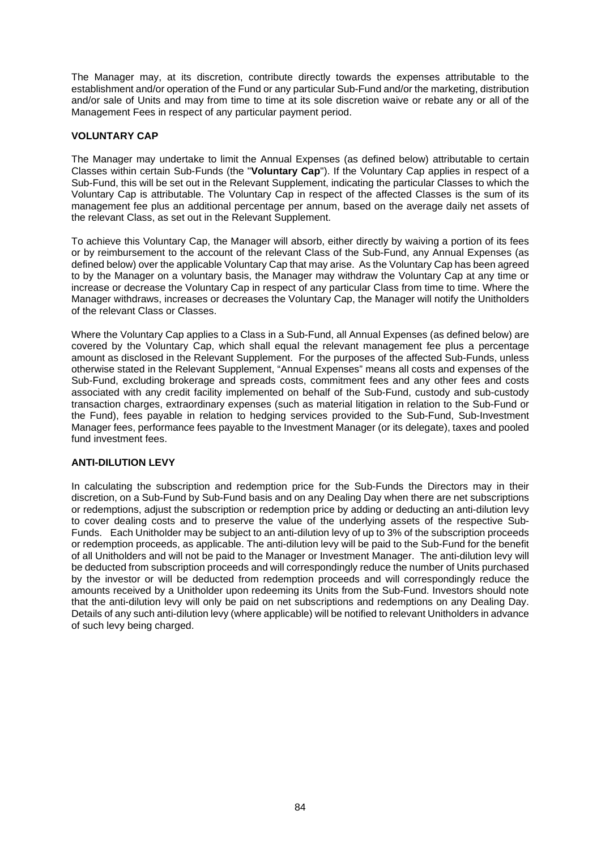The Manager may, at its discretion, contribute directly towards the expenses attributable to the establishment and/or operation of the Fund or any particular Sub-Fund and/or the marketing, distribution and/or sale of Units and may from time to time at its sole discretion waive or rebate any or all of the Management Fees in respect of any particular payment period.

## **VOLUNTARY CAP**

The Manager may undertake to limit the Annual Expenses (as defined below) attributable to certain Classes within certain Sub-Funds (the "**Voluntary Cap**"). If the Voluntary Cap applies in respect of a Sub-Fund, this will be set out in the Relevant Supplement, indicating the particular Classes to which the Voluntary Cap is attributable. The Voluntary Cap in respect of the affected Classes is the sum of its management fee plus an additional percentage per annum, based on the average daily net assets of the relevant Class, as set out in the Relevant Supplement.

To achieve this Voluntary Cap, the Manager will absorb, either directly by waiving a portion of its fees or by reimbursement to the account of the relevant Class of the Sub-Fund, any Annual Expenses (as defined below) over the applicable Voluntary Cap that may arise. As the Voluntary Cap has been agreed to by the Manager on a voluntary basis, the Manager may withdraw the Voluntary Cap at any time or increase or decrease the Voluntary Cap in respect of any particular Class from time to time. Where the Manager withdraws, increases or decreases the Voluntary Cap, the Manager will notify the Unitholders of the relevant Class or Classes.

Where the Voluntary Cap applies to a Class in a Sub-Fund, all Annual Expenses (as defined below) are covered by the Voluntary Cap, which shall equal the relevant management fee plus a percentage amount as disclosed in the Relevant Supplement. For the purposes of the affected Sub-Funds, unless otherwise stated in the Relevant Supplement, "Annual Expenses" means all costs and expenses of the Sub-Fund, excluding brokerage and spreads costs, commitment fees and any other fees and costs associated with any credit facility implemented on behalf of the Sub-Fund, custody and sub-custody transaction charges, extraordinary expenses (such as material litigation in relation to the Sub-Fund or the Fund), fees payable in relation to hedging services provided to the Sub-Fund, Sub-Investment Manager fees, performance fees payable to the Investment Manager (or its delegate), taxes and pooled fund investment fees.

## **ANTI-DILUTION LEVY**

In calculating the subscription and redemption price for the Sub-Funds the Directors may in their discretion, on a Sub-Fund by Sub-Fund basis and on any Dealing Day when there are net subscriptions or redemptions, adjust the subscription or redemption price by adding or deducting an anti-dilution levy to cover dealing costs and to preserve the value of the underlying assets of the respective Sub-Funds. Each Unitholder may be subject to an anti-dilution levy of up to 3% of the subscription proceeds or redemption proceeds, as applicable. The anti-dilution levy will be paid to the Sub-Fund for the benefit of all Unitholders and will not be paid to the Manager or Investment Manager. The anti-dilution levy will be deducted from subscription proceeds and will correspondingly reduce the number of Units purchased by the investor or will be deducted from redemption proceeds and will correspondingly reduce the amounts received by a Unitholder upon redeeming its Units from the Sub-Fund. Investors should note that the anti-dilution levy will only be paid on net subscriptions and redemptions on any Dealing Day. Details of any such anti-dilution levy (where applicable) will be notified to relevant Unitholders in advance of such levy being charged.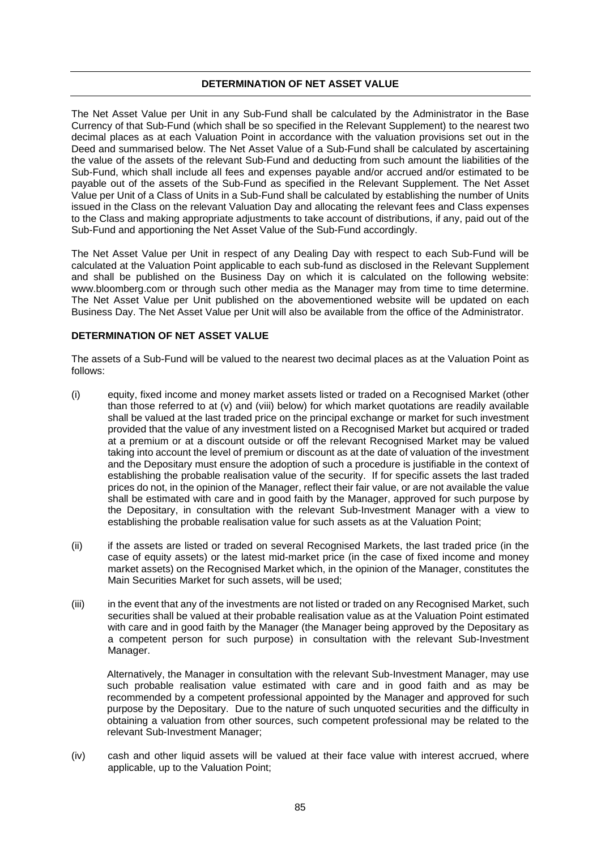## **DETERMINATION OF NET ASSET VALUE**

The Net Asset Value per Unit in any Sub-Fund shall be calculated by the Administrator in the Base Currency of that Sub-Fund (which shall be so specified in the Relevant Supplement) to the nearest two decimal places as at each Valuation Point in accordance with the valuation provisions set out in the Deed and summarised below. The Net Asset Value of a Sub-Fund shall be calculated by ascertaining the value of the assets of the relevant Sub-Fund and deducting from such amount the liabilities of the Sub-Fund, which shall include all fees and expenses payable and/or accrued and/or estimated to be payable out of the assets of the Sub-Fund as specified in the Relevant Supplement. The Net Asset Value per Unit of a Class of Units in a Sub-Fund shall be calculated by establishing the number of Units issued in the Class on the relevant Valuation Day and allocating the relevant fees and Class expenses to the Class and making appropriate adjustments to take account of distributions, if any, paid out of the Sub-Fund and apportioning the Net Asset Value of the Sub-Fund accordingly.

The Net Asset Value per Unit in respect of any Dealing Day with respect to each Sub-Fund will be calculated at the Valuation Point applicable to each sub-fund as disclosed in the Relevant Supplement and shall be published on the Business Day on which it is calculated on the following website: www.bloomberg.com or through such other media as the Manager may from time to time determine. The Net Asset Value per Unit published on the abovementioned website will be updated on each Business Day. The Net Asset Value per Unit will also be available from the office of the Administrator.

## **DETERMINATION OF NET ASSET VALUE**

The assets of a Sub-Fund will be valued to the nearest two decimal places as at the Valuation Point as follows:

- (i) equity, fixed income and money market assets listed or traded on a Recognised Market (other than those referred to at (v) and (viii) below) for which market quotations are readily available shall be valued at the last traded price on the principal exchange or market for such investment provided that the value of any investment listed on a Recognised Market but acquired or traded at a premium or at a discount outside or off the relevant Recognised Market may be valued taking into account the level of premium or discount as at the date of valuation of the investment and the Depositary must ensure the adoption of such a procedure is justifiable in the context of establishing the probable realisation value of the security. If for specific assets the last traded prices do not, in the opinion of the Manager, reflect their fair value, or are not available the value shall be estimated with care and in good faith by the Manager, approved for such purpose by the Depositary, in consultation with the relevant Sub-Investment Manager with a view to establishing the probable realisation value for such assets as at the Valuation Point;
- (ii) if the assets are listed or traded on several Recognised Markets, the last traded price (in the case of equity assets) or the latest mid-market price (in the case of fixed income and money market assets) on the Recognised Market which, in the opinion of the Manager, constitutes the Main Securities Market for such assets, will be used;
- (iii) in the event that any of the investments are not listed or traded on any Recognised Market, such securities shall be valued at their probable realisation value as at the Valuation Point estimated with care and in good faith by the Manager (the Manager being approved by the Depositary as a competent person for such purpose) in consultation with the relevant Sub-Investment Manager.

Alternatively, the Manager in consultation with the relevant Sub-Investment Manager, may use such probable realisation value estimated with care and in good faith and as may be recommended by a competent professional appointed by the Manager and approved for such purpose by the Depositary. Due to the nature of such unquoted securities and the difficulty in obtaining a valuation from other sources, such competent professional may be related to the relevant Sub-Investment Manager;

(iv) cash and other liquid assets will be valued at their face value with interest accrued, where applicable, up to the Valuation Point;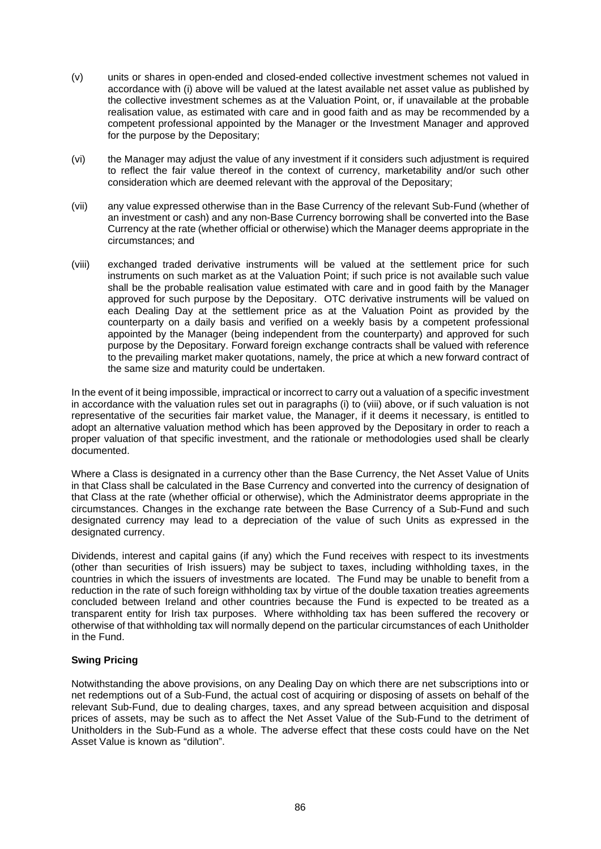- (v) units or shares in open-ended and closed-ended collective investment schemes not valued in accordance with (i) above will be valued at the latest available net asset value as published by the collective investment schemes as at the Valuation Point, or, if unavailable at the probable realisation value, as estimated with care and in good faith and as may be recommended by a competent professional appointed by the Manager or the Investment Manager and approved for the purpose by the Depositary;
- (vi) the Manager may adjust the value of any investment if it considers such adjustment is required to reflect the fair value thereof in the context of currency, marketability and/or such other consideration which are deemed relevant with the approval of the Depositary;
- (vii) any value expressed otherwise than in the Base Currency of the relevant Sub-Fund (whether of an investment or cash) and any non-Base Currency borrowing shall be converted into the Base Currency at the rate (whether official or otherwise) which the Manager deems appropriate in the circumstances; and
- (viii) exchanged traded derivative instruments will be valued at the settlement price for such instruments on such market as at the Valuation Point; if such price is not available such value shall be the probable realisation value estimated with care and in good faith by the Manager approved for such purpose by the Depositary. OTC derivative instruments will be valued on each Dealing Day at the settlement price as at the Valuation Point as provided by the counterparty on a daily basis and verified on a weekly basis by a competent professional appointed by the Manager (being independent from the counterparty) and approved for such purpose by the Depositary. Forward foreign exchange contracts shall be valued with reference to the prevailing market maker quotations, namely, the price at which a new forward contract of the same size and maturity could be undertaken.

In the event of it being impossible, impractical or incorrect to carry out a valuation of a specific investment in accordance with the valuation rules set out in paragraphs (i) to (viii) above, or if such valuation is not representative of the securities fair market value, the Manager, if it deems it necessary, is entitled to adopt an alternative valuation method which has been approved by the Depositary in order to reach a proper valuation of that specific investment, and the rationale or methodologies used shall be clearly documented.

Where a Class is designated in a currency other than the Base Currency, the Net Asset Value of Units in that Class shall be calculated in the Base Currency and converted into the currency of designation of that Class at the rate (whether official or otherwise), which the Administrator deems appropriate in the circumstances. Changes in the exchange rate between the Base Currency of a Sub-Fund and such designated currency may lead to a depreciation of the value of such Units as expressed in the designated currency.

Dividends, interest and capital gains (if any) which the Fund receives with respect to its investments (other than securities of Irish issuers) may be subject to taxes, including withholding taxes, in the countries in which the issuers of investments are located. The Fund may be unable to benefit from a reduction in the rate of such foreign withholding tax by virtue of the double taxation treaties agreements concluded between Ireland and other countries because the Fund is expected to be treated as a transparent entity for Irish tax purposes. Where withholding tax has been suffered the recovery or otherwise of that withholding tax will normally depend on the particular circumstances of each Unitholder in the Fund.

## **Swing Pricing**

Notwithstanding the above provisions, on any Dealing Day on which there are net subscriptions into or net redemptions out of a Sub-Fund, the actual cost of acquiring or disposing of assets on behalf of the relevant Sub-Fund, due to dealing charges, taxes, and any spread between acquisition and disposal prices of assets, may be such as to affect the Net Asset Value of the Sub-Fund to the detriment of Unitholders in the Sub-Fund as a whole. The adverse effect that these costs could have on the Net Asset Value is known as "dilution".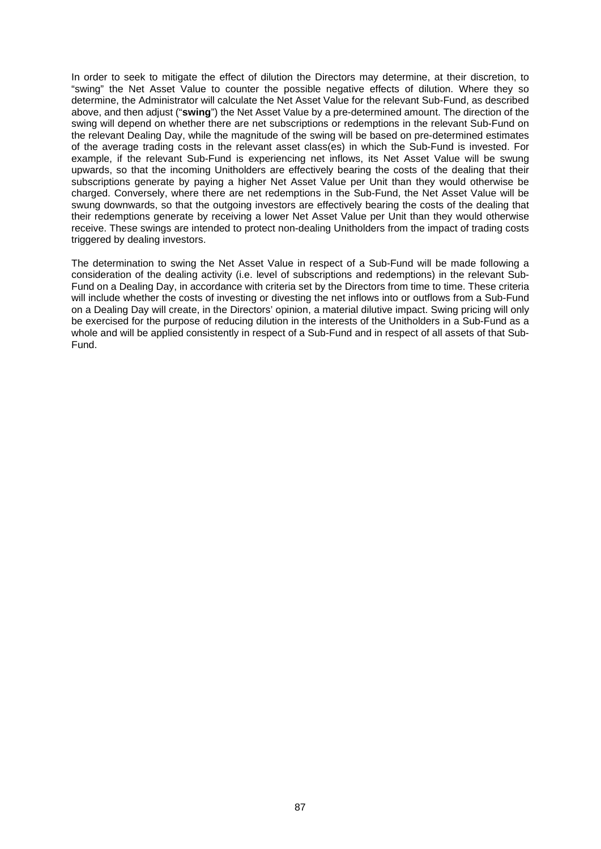In order to seek to mitigate the effect of dilution the Directors may determine, at their discretion, to "swing" the Net Asset Value to counter the possible negative effects of dilution. Where they so determine, the Administrator will calculate the Net Asset Value for the relevant Sub-Fund, as described above, and then adjust ("**swing**") the Net Asset Value by a pre-determined amount. The direction of the swing will depend on whether there are net subscriptions or redemptions in the relevant Sub-Fund on the relevant Dealing Day, while the magnitude of the swing will be based on pre-determined estimates of the average trading costs in the relevant asset class(es) in which the Sub-Fund is invested. For example, if the relevant Sub-Fund is experiencing net inflows, its Net Asset Value will be swung upwards, so that the incoming Unitholders are effectively bearing the costs of the dealing that their subscriptions generate by paying a higher Net Asset Value per Unit than they would otherwise be charged. Conversely, where there are net redemptions in the Sub-Fund, the Net Asset Value will be swung downwards, so that the outgoing investors are effectively bearing the costs of the dealing that their redemptions generate by receiving a lower Net Asset Value per Unit than they would otherwise receive. These swings are intended to protect non-dealing Unitholders from the impact of trading costs triggered by dealing investors.

The determination to swing the Net Asset Value in respect of a Sub-Fund will be made following a consideration of the dealing activity (i.e. level of subscriptions and redemptions) in the relevant Sub-Fund on a Dealing Day, in accordance with criteria set by the Directors from time to time. These criteria will include whether the costs of investing or divesting the net inflows into or outflows from a Sub-Fund on a Dealing Day will create, in the Directors' opinion, a material dilutive impact. Swing pricing will only be exercised for the purpose of reducing dilution in the interests of the Unitholders in a Sub-Fund as a whole and will be applied consistently in respect of a Sub-Fund and in respect of all assets of that Sub-Fund.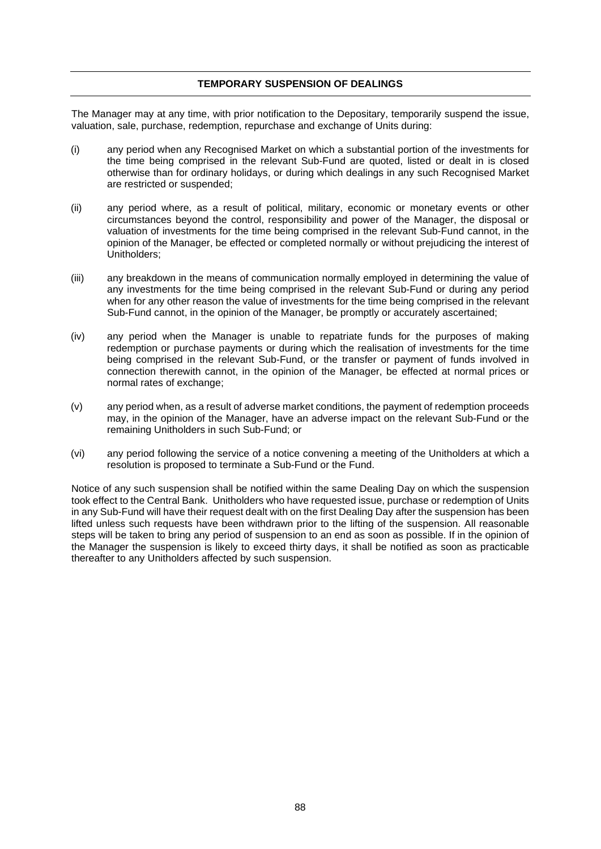## **TEMPORARY SUSPENSION OF DEALINGS**

The Manager may at any time, with prior notification to the Depositary, temporarily suspend the issue, valuation, sale, purchase, redemption, repurchase and exchange of Units during:

- (i) any period when any Recognised Market on which a substantial portion of the investments for the time being comprised in the relevant Sub-Fund are quoted, listed or dealt in is closed otherwise than for ordinary holidays, or during which dealings in any such Recognised Market are restricted or suspended;
- (ii) any period where, as a result of political, military, economic or monetary events or other circumstances beyond the control, responsibility and power of the Manager, the disposal or valuation of investments for the time being comprised in the relevant Sub-Fund cannot, in the opinion of the Manager, be effected or completed normally or without prejudicing the interest of Unitholders;
- (iii) any breakdown in the means of communication normally employed in determining the value of any investments for the time being comprised in the relevant Sub-Fund or during any period when for any other reason the value of investments for the time being comprised in the relevant Sub-Fund cannot, in the opinion of the Manager, be promptly or accurately ascertained;
- (iv) any period when the Manager is unable to repatriate funds for the purposes of making redemption or purchase payments or during which the realisation of investments for the time being comprised in the relevant Sub-Fund, or the transfer or payment of funds involved in connection therewith cannot, in the opinion of the Manager, be effected at normal prices or normal rates of exchange;
- (v) any period when, as a result of adverse market conditions, the payment of redemption proceeds may, in the opinion of the Manager, have an adverse impact on the relevant Sub-Fund or the remaining Unitholders in such Sub-Fund; or
- (vi) any period following the service of a notice convening a meeting of the Unitholders at which a resolution is proposed to terminate a Sub-Fund or the Fund.

Notice of any such suspension shall be notified within the same Dealing Day on which the suspension took effect to the Central Bank. Unitholders who have requested issue, purchase or redemption of Units in any Sub-Fund will have their request dealt with on the first Dealing Day after the suspension has been lifted unless such requests have been withdrawn prior to the lifting of the suspension. All reasonable steps will be taken to bring any period of suspension to an end as soon as possible. If in the opinion of the Manager the suspension is likely to exceed thirty days, it shall be notified as soon as practicable thereafter to any Unitholders affected by such suspension.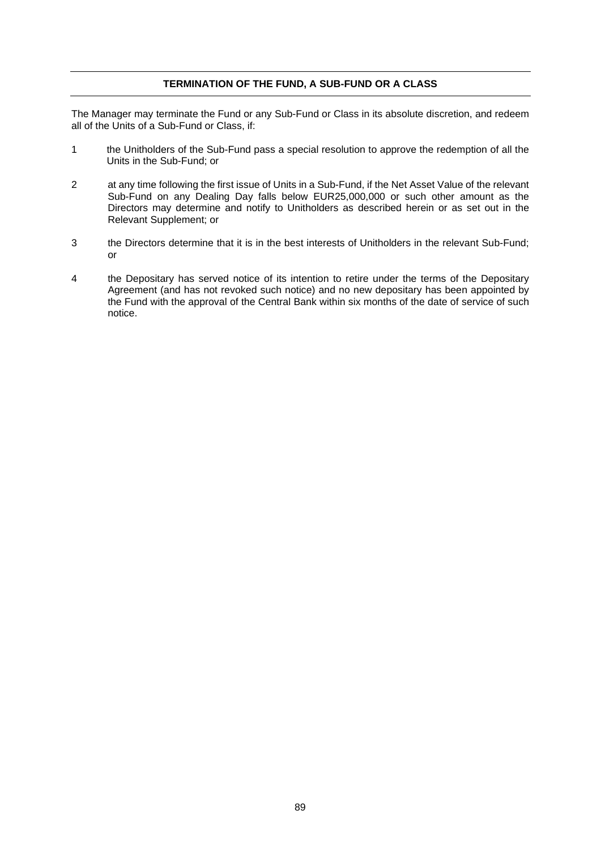## **TERMINATION OF THE FUND, A SUB-FUND OR A CLASS**

The Manager may terminate the Fund or any Sub-Fund or Class in its absolute discretion, and redeem all of the Units of a Sub-Fund or Class, if:

- 1 the Unitholders of the Sub-Fund pass a special resolution to approve the redemption of all the Units in the Sub-Fund; or
- 2 at any time following the first issue of Units in a Sub-Fund, if the Net Asset Value of the relevant Sub-Fund on any Dealing Day falls below EUR25,000,000 or such other amount as the Directors may determine and notify to Unitholders as described herein or as set out in the Relevant Supplement; or
- 3 the Directors determine that it is in the best interests of Unitholders in the relevant Sub-Fund; or
- 4 the Depositary has served notice of its intention to retire under the terms of the Depositary Agreement (and has not revoked such notice) and no new depositary has been appointed by the Fund with the approval of the Central Bank within six months of the date of service of such notice.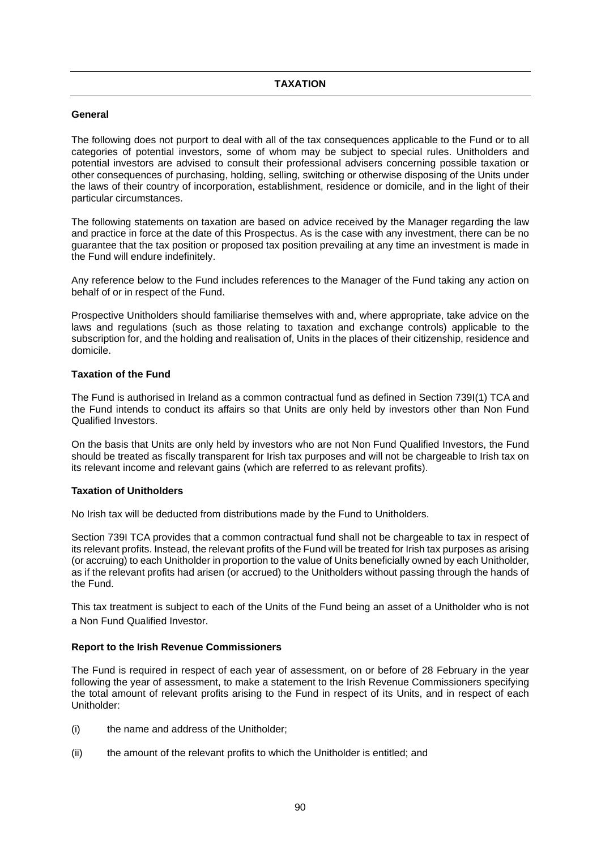## **General**

The following does not purport to deal with all of the tax consequences applicable to the Fund or to all categories of potential investors, some of whom may be subject to special rules. Unitholders and potential investors are advised to consult their professional advisers concerning possible taxation or other consequences of purchasing, holding, selling, switching or otherwise disposing of the Units under the laws of their country of incorporation, establishment, residence or domicile, and in the light of their particular circumstances.

The following statements on taxation are based on advice received by the Manager regarding the law and practice in force at the date of this Prospectus. As is the case with any investment, there can be no guarantee that the tax position or proposed tax position prevailing at any time an investment is made in the Fund will endure indefinitely.

Any reference below to the Fund includes references to the Manager of the Fund taking any action on behalf of or in respect of the Fund.

Prospective Unitholders should familiarise themselves with and, where appropriate, take advice on the laws and regulations (such as those relating to taxation and exchange controls) applicable to the subscription for, and the holding and realisation of, Units in the places of their citizenship, residence and domicile.

## **Taxation of the Fund**

The Fund is authorised in Ireland as a common contractual fund as defined in Section 739I(1) TCA and the Fund intends to conduct its affairs so that Units are only held by investors other than Non Fund Qualified Investors.

On the basis that Units are only held by investors who are not Non Fund Qualified Investors, the Fund should be treated as fiscally transparent for Irish tax purposes and will not be chargeable to Irish tax on its relevant income and relevant gains (which are referred to as relevant profits).

#### **Taxation of Unitholders**

No Irish tax will be deducted from distributions made by the Fund to Unitholders.

Section 739I TCA provides that a common contractual fund shall not be chargeable to tax in respect of its relevant profits. Instead, the relevant profits of the Fund will be treated for Irish tax purposes as arising (or accruing) to each Unitholder in proportion to the value of Units beneficially owned by each Unitholder, as if the relevant profits had arisen (or accrued) to the Unitholders without passing through the hands of the Fund.

This tax treatment is subject to each of the Units of the Fund being an asset of a Unitholder who is not a Non Fund Qualified Investor.

#### **Report to the Irish Revenue Commissioners**

The Fund is required in respect of each year of assessment, on or before of 28 February in the year following the year of assessment, to make a statement to the Irish Revenue Commissioners specifying the total amount of relevant profits arising to the Fund in respect of its Units, and in respect of each Unitholder:

- (i) the name and address of the Unitholder;
- (ii) the amount of the relevant profits to which the Unitholder is entitled; and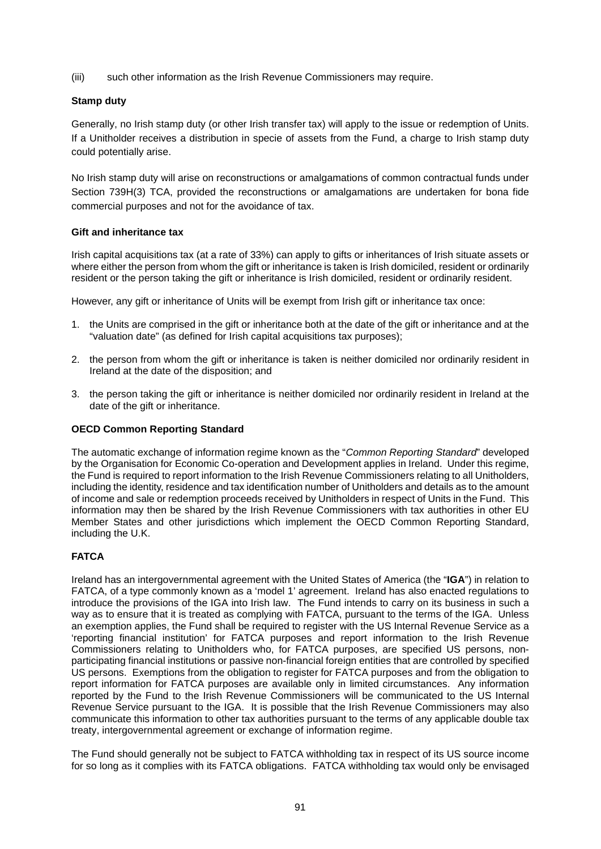(iii) such other information as the Irish Revenue Commissioners may require.

## **Stamp duty**

Generally, no Irish stamp duty (or other Irish transfer tax) will apply to the issue or redemption of Units. If a Unitholder receives a distribution in specie of assets from the Fund, a charge to Irish stamp duty could potentially arise.

No Irish stamp duty will arise on reconstructions or amalgamations of common contractual funds under Section 739H(3) TCA, provided the reconstructions or amalgamations are undertaken for bona fide commercial purposes and not for the avoidance of tax.

## **Gift and inheritance tax**

Irish capital acquisitions tax (at a rate of 33%) can apply to gifts or inheritances of Irish situate assets or where either the person from whom the gift or inheritance is taken is Irish domiciled, resident or ordinarily resident or the person taking the gift or inheritance is Irish domiciled, resident or ordinarily resident.

However, any gift or inheritance of Units will be exempt from Irish gift or inheritance tax once:

- 1. the Units are comprised in the gift or inheritance both at the date of the gift or inheritance and at the "valuation date" (as defined for Irish capital acquisitions tax purposes);
- 2. the person from whom the gift or inheritance is taken is neither domiciled nor ordinarily resident in Ireland at the date of the disposition; and
- 3. the person taking the gift or inheritance is neither domiciled nor ordinarily resident in Ireland at the date of the gift or inheritance.

## **OECD Common Reporting Standard**

The automatic exchange of information regime known as the "*Common Reporting Standard*" developed by the Organisation for Economic Co-operation and Development applies in Ireland. Under this regime, the Fund is required to report information to the Irish Revenue Commissioners relating to all Unitholders, including the identity, residence and tax identification number of Unitholders and details as to the amount of income and sale or redemption proceeds received by Unitholders in respect of Units in the Fund. This information may then be shared by the Irish Revenue Commissioners with tax authorities in other EU Member States and other jurisdictions which implement the OECD Common Reporting Standard, including the U.K.

# **FATCA**

Ireland has an intergovernmental agreement with the United States of America (the "**IGA**") in relation to FATCA, of a type commonly known as a 'model 1' agreement. Ireland has also enacted regulations to introduce the provisions of the IGA into Irish law. The Fund intends to carry on its business in such a way as to ensure that it is treated as complying with FATCA, pursuant to the terms of the IGA. Unless an exemption applies, the Fund shall be required to register with the US Internal Revenue Service as a 'reporting financial institution' for FATCA purposes and report information to the Irish Revenue Commissioners relating to Unitholders who, for FATCA purposes, are specified US persons, nonparticipating financial institutions or passive non-financial foreign entities that are controlled by specified US persons. Exemptions from the obligation to register for FATCA purposes and from the obligation to report information for FATCA purposes are available only in limited circumstances. Any information reported by the Fund to the Irish Revenue Commissioners will be communicated to the US Internal Revenue Service pursuant to the IGA. It is possible that the Irish Revenue Commissioners may also communicate this information to other tax authorities pursuant to the terms of any applicable double tax treaty, intergovernmental agreement or exchange of information regime.

The Fund should generally not be subject to FATCA withholding tax in respect of its US source income for so long as it complies with its FATCA obligations. FATCA withholding tax would only be envisaged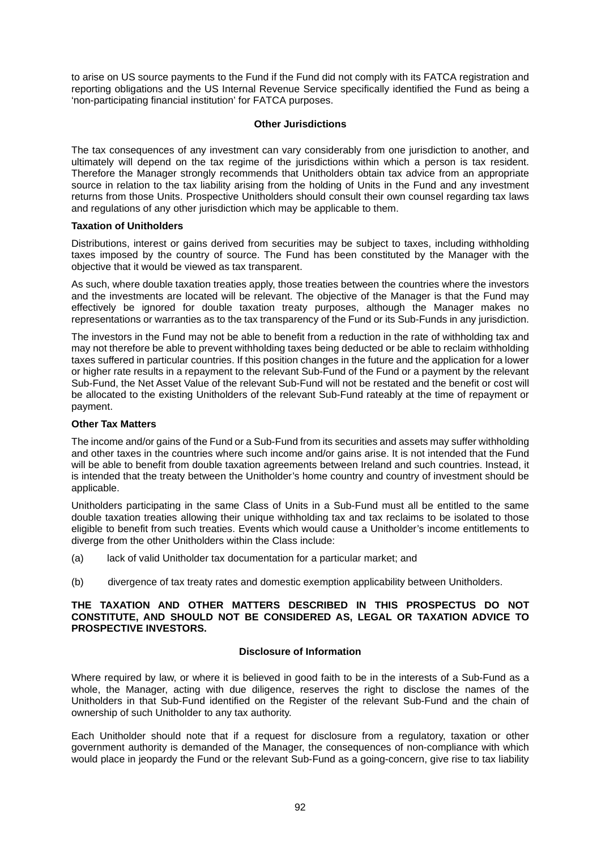to arise on US source payments to the Fund if the Fund did not comply with its FATCA registration and reporting obligations and the US Internal Revenue Service specifically identified the Fund as being a 'non-participating financial institution' for FATCA purposes.

## **Other Jurisdictions**

The tax consequences of any investment can vary considerably from one jurisdiction to another, and ultimately will depend on the tax regime of the jurisdictions within which a person is tax resident. Therefore the Manager strongly recommends that Unitholders obtain tax advice from an appropriate source in relation to the tax liability arising from the holding of Units in the Fund and any investment returns from those Units. Prospective Unitholders should consult their own counsel regarding tax laws and regulations of any other jurisdiction which may be applicable to them.

## **Taxation of Unitholders**

Distributions, interest or gains derived from securities may be subject to taxes, including withholding taxes imposed by the country of source. The Fund has been constituted by the Manager with the objective that it would be viewed as tax transparent.

As such, where double taxation treaties apply, those treaties between the countries where the investors and the investments are located will be relevant. The objective of the Manager is that the Fund may effectively be ignored for double taxation treaty purposes, although the Manager makes no representations or warranties as to the tax transparency of the Fund or its Sub-Funds in any jurisdiction.

The investors in the Fund may not be able to benefit from a reduction in the rate of withholding tax and may not therefore be able to prevent withholding taxes being deducted or be able to reclaim withholding taxes suffered in particular countries. If this position changes in the future and the application for a lower or higher rate results in a repayment to the relevant Sub-Fund of the Fund or a payment by the relevant Sub-Fund, the Net Asset Value of the relevant Sub-Fund will not be restated and the benefit or cost will be allocated to the existing Unitholders of the relevant Sub-Fund rateably at the time of repayment or payment.

## **Other Tax Matters**

The income and/or gains of the Fund or a Sub-Fund from its securities and assets may suffer withholding and other taxes in the countries where such income and/or gains arise. It is not intended that the Fund will be able to benefit from double taxation agreements between Ireland and such countries. Instead, it is intended that the treaty between the Unitholder's home country and country of investment should be applicable.

Unitholders participating in the same Class of Units in a Sub-Fund must all be entitled to the same double taxation treaties allowing their unique withholding tax and tax reclaims to be isolated to those eligible to benefit from such treaties. Events which would cause a Unitholder's income entitlements to diverge from the other Unitholders within the Class include:

- (a) lack of valid Unitholder tax documentation for a particular market; and
- (b) divergence of tax treaty rates and domestic exemption applicability between Unitholders.

#### **THE TAXATION AND OTHER MATTERS DESCRIBED IN THIS PROSPECTUS DO NOT CONSTITUTE, AND SHOULD NOT BE CONSIDERED AS, LEGAL OR TAXATION ADVICE TO PROSPECTIVE INVESTORS.**

## **Disclosure of Information**

Where required by law, or where it is believed in good faith to be in the interests of a Sub-Fund as a whole, the Manager, acting with due diligence, reserves the right to disclose the names of the Unitholders in that Sub-Fund identified on the Register of the relevant Sub-Fund and the chain of ownership of such Unitholder to any tax authority.

Each Unitholder should note that if a request for disclosure from a regulatory, taxation or other government authority is demanded of the Manager, the consequences of non-compliance with which would place in jeopardy the Fund or the relevant Sub-Fund as a going-concern, give rise to tax liability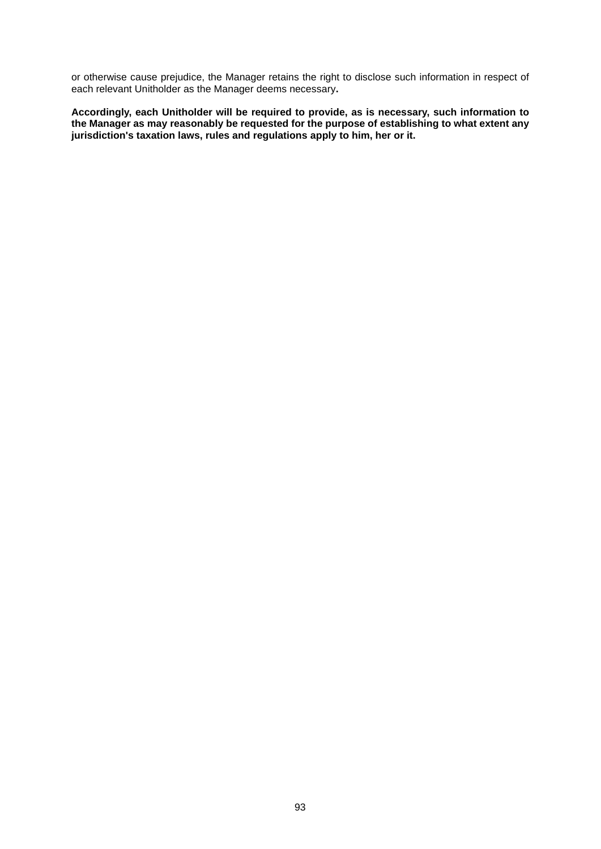or otherwise cause prejudice, the Manager retains the right to disclose such information in respect of each relevant Unitholder as the Manager deems necessary**.**

**Accordingly, each Unitholder will be required to provide, as is necessary, such information to the Manager as may reasonably be requested for the purpose of establishing to what extent any jurisdiction's taxation laws, rules and regulations apply to him, her or it.**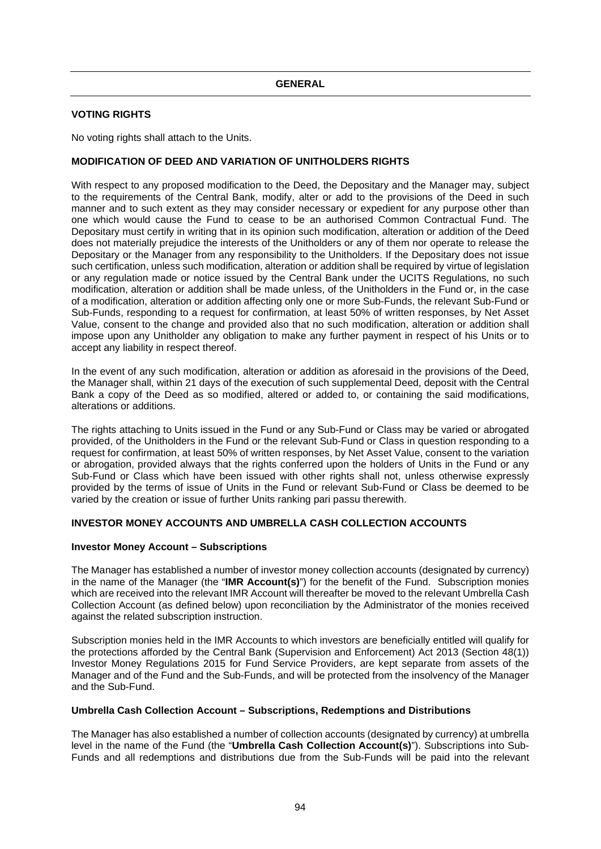## **VOTING RIGHTS**

No voting rights shall attach to the Units.

## **MODIFICATION OF DEED AND VARIATION OF UNITHOLDERS RIGHTS**

With respect to any proposed modification to the Deed, the Depositary and the Manager may, subject to the requirements of the Central Bank, modify, alter or add to the provisions of the Deed in such manner and to such extent as they may consider necessary or expedient for any purpose other than one which would cause the Fund to cease to be an authorised Common Contractual Fund. The Depositary must certify in writing that in its opinion such modification, alteration or addition of the Deed does not materially prejudice the interests of the Unitholders or any of them nor operate to release the Depositary or the Manager from any responsibility to the Unitholders. If the Depositary does not issue such certification, unless such modification, alteration or addition shall be required by virtue of legislation or any regulation made or notice issued by the Central Bank under the UCITS Regulations, no such modification, alteration or addition shall be made unless, of the Unitholders in the Fund or, in the case of a modification, alteration or addition affecting only one or more Sub-Funds, the relevant Sub-Fund or Sub-Funds, responding to a request for confirmation, at least 50% of written responses, by Net Asset Value, consent to the change and provided also that no such modification, alteration or addition shall impose upon any Unitholder any obligation to make any further payment in respect of his Units or to accept any liability in respect thereof.

In the event of any such modification, alteration or addition as aforesaid in the provisions of the Deed, the Manager shall, within 21 days of the execution of such supplemental Deed, deposit with the Central Bank a copy of the Deed as so modified, altered or added to, or containing the said modifications, alterations or additions.

The rights attaching to Units issued in the Fund or any Sub-Fund or Class may be varied or abrogated provided, of the Unitholders in the Fund or the relevant Sub-Fund or Class in question responding to a request for confirmation, at least 50% of written responses, by Net Asset Value, consent to the variation or abrogation, provided always that the rights conferred upon the holders of Units in the Fund or any Sub-Fund or Class which have been issued with other rights shall not, unless otherwise expressly provided by the terms of issue of Units in the Fund or relevant Sub-Fund or Class be deemed to be varied by the creation or issue of further Units ranking pari passu therewith.

#### **INVESTOR MONEY ACCOUNTS AND UMBRELLA CASH COLLECTION ACCOUNTS**

#### **Investor Money Account – Subscriptions**

The Manager has established a number of investor money collection accounts (designated by currency) in the name of the Manager (the "**IMR Account(s)**") for the benefit of the Fund. Subscription monies which are received into the relevant IMR Account will thereafter be moved to the relevant Umbrella Cash Collection Account (as defined below) upon reconciliation by the Administrator of the monies received against the related subscription instruction.

Subscription monies held in the IMR Accounts to which investors are beneficially entitled will qualify for the protections afforded by the Central Bank (Supervision and Enforcement) Act 2013 (Section 48(1)) Investor Money Regulations 2015 for Fund Service Providers, are kept separate from assets of the Manager and of the Fund and the Sub-Funds, and will be protected from the insolvency of the Manager and the Sub-Fund.

## **Umbrella Cash Collection Account – Subscriptions, Redemptions and Distributions**

The Manager has also established a number of collection accounts (designated by currency) at umbrella level in the name of the Fund (the "**Umbrella Cash Collection Account(s)**"). Subscriptions into Sub-Funds and all redemptions and distributions due from the Sub-Funds will be paid into the relevant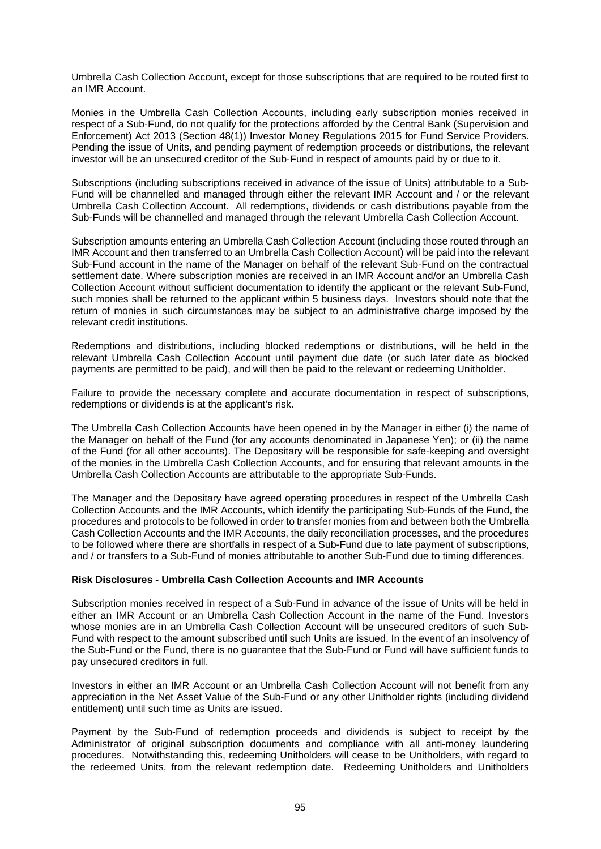Umbrella Cash Collection Account, except for those subscriptions that are required to be routed first to an IMR Account.

Monies in the Umbrella Cash Collection Accounts, including early subscription monies received in respect of a Sub-Fund, do not qualify for the protections afforded by the Central Bank (Supervision and Enforcement) Act 2013 (Section 48(1)) Investor Money Regulations 2015 for Fund Service Providers. Pending the issue of Units, and pending payment of redemption proceeds or distributions, the relevant investor will be an unsecured creditor of the Sub-Fund in respect of amounts paid by or due to it.

Subscriptions (including subscriptions received in advance of the issue of Units) attributable to a Sub-Fund will be channelled and managed through either the relevant IMR Account and / or the relevant Umbrella Cash Collection Account. All redemptions, dividends or cash distributions payable from the Sub-Funds will be channelled and managed through the relevant Umbrella Cash Collection Account.

Subscription amounts entering an Umbrella Cash Collection Account (including those routed through an IMR Account and then transferred to an Umbrella Cash Collection Account) will be paid into the relevant Sub-Fund account in the name of the Manager on behalf of the relevant Sub-Fund on the contractual settlement date. Where subscription monies are received in an IMR Account and/or an Umbrella Cash Collection Account without sufficient documentation to identify the applicant or the relevant Sub-Fund, such monies shall be returned to the applicant within 5 business days. Investors should note that the return of monies in such circumstances may be subject to an administrative charge imposed by the relevant credit institutions.

Redemptions and distributions, including blocked redemptions or distributions, will be held in the relevant Umbrella Cash Collection Account until payment due date (or such later date as blocked payments are permitted to be paid), and will then be paid to the relevant or redeeming Unitholder.

Failure to provide the necessary complete and accurate documentation in respect of subscriptions, redemptions or dividends is at the applicant's risk.

The Umbrella Cash Collection Accounts have been opened in by the Manager in either (i) the name of the Manager on behalf of the Fund (for any accounts denominated in Japanese Yen); or (ii) the name of the Fund (for all other accounts). The Depositary will be responsible for safe-keeping and oversight of the monies in the Umbrella Cash Collection Accounts, and for ensuring that relevant amounts in the Umbrella Cash Collection Accounts are attributable to the appropriate Sub-Funds.

The Manager and the Depositary have agreed operating procedures in respect of the Umbrella Cash Collection Accounts and the IMR Accounts, which identify the participating Sub-Funds of the Fund, the procedures and protocols to be followed in order to transfer monies from and between both the Umbrella Cash Collection Accounts and the IMR Accounts, the daily reconciliation processes, and the procedures to be followed where there are shortfalls in respect of a Sub-Fund due to late payment of subscriptions, and / or transfers to a Sub-Fund of monies attributable to another Sub-Fund due to timing differences.

#### **Risk Disclosures - Umbrella Cash Collection Accounts and IMR Accounts**

Subscription monies received in respect of a Sub-Fund in advance of the issue of Units will be held in either an IMR Account or an Umbrella Cash Collection Account in the name of the Fund. Investors whose monies are in an Umbrella Cash Collection Account will be unsecured creditors of such Sub-Fund with respect to the amount subscribed until such Units are issued. In the event of an insolvency of the Sub-Fund or the Fund, there is no guarantee that the Sub-Fund or Fund will have sufficient funds to pay unsecured creditors in full.

Investors in either an IMR Account or an Umbrella Cash Collection Account will not benefit from any appreciation in the Net Asset Value of the Sub-Fund or any other Unitholder rights (including dividend entitlement) until such time as Units are issued.

Payment by the Sub-Fund of redemption proceeds and dividends is subject to receipt by the Administrator of original subscription documents and compliance with all anti-money laundering procedures. Notwithstanding this, redeeming Unitholders will cease to be Unitholders, with regard to the redeemed Units, from the relevant redemption date. Redeeming Unitholders and Unitholders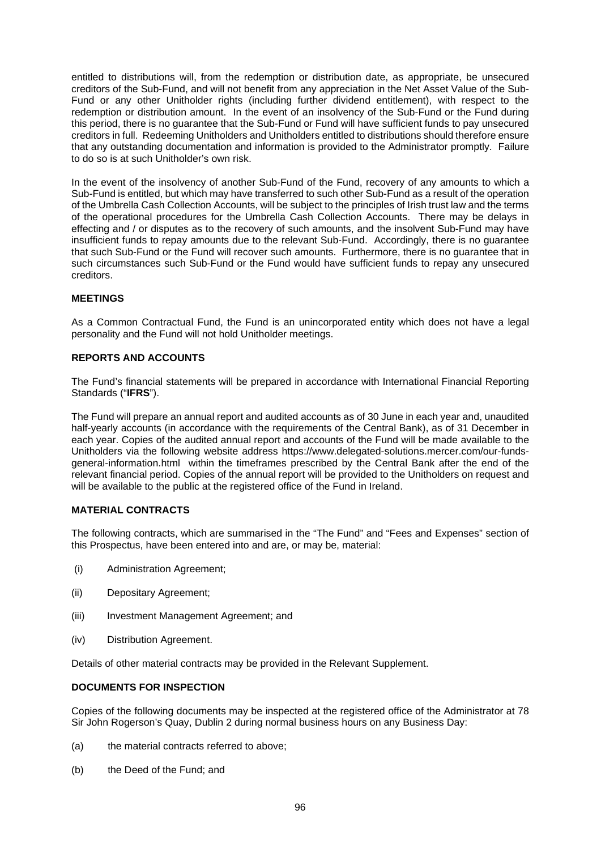entitled to distributions will, from the redemption or distribution date, as appropriate, be unsecured creditors of the Sub-Fund, and will not benefit from any appreciation in the Net Asset Value of the Sub-Fund or any other Unitholder rights (including further dividend entitlement), with respect to the redemption or distribution amount. In the event of an insolvency of the Sub-Fund or the Fund during this period, there is no guarantee that the Sub-Fund or Fund will have sufficient funds to pay unsecured creditors in full. Redeeming Unitholders and Unitholders entitled to distributions should therefore ensure that any outstanding documentation and information is provided to the Administrator promptly. Failure to do so is at such Unitholder's own risk.

In the event of the insolvency of another Sub-Fund of the Fund, recovery of any amounts to which a Sub-Fund is entitled, but which may have transferred to such other Sub-Fund as a result of the operation of the Umbrella Cash Collection Accounts, will be subject to the principles of Irish trust law and the terms of the operational procedures for the Umbrella Cash Collection Accounts. There may be delays in effecting and / or disputes as to the recovery of such amounts, and the insolvent Sub-Fund may have insufficient funds to repay amounts due to the relevant Sub-Fund. Accordingly, there is no guarantee that such Sub-Fund or the Fund will recover such amounts. Furthermore, there is no guarantee that in such circumstances such Sub-Fund or the Fund would have sufficient funds to repay any unsecured creditors.

## **MEETINGS**

As a Common Contractual Fund, the Fund is an unincorporated entity which does not have a legal personality and the Fund will not hold Unitholder meetings.

## **REPORTS AND ACCOUNTS**

The Fund's financial statements will be prepared in accordance with International Financial Reporting Standards ("**IFRS**").

The Fund will prepare an annual report and audited accounts as of 30 June in each year and, unaudited half-yearly accounts (in accordance with the requirements of the Central Bank), as of 31 December in each year. Copies of the audited annual report and accounts of the Fund will be made available to the Unitholders via the following website address https://www.delegated-solutions.mercer.com/our-fundsgeneral-information.html within the timeframes prescribed by the Central Bank after the end of the relevant financial period. Copies of the annual report will be provided to the Unitholders on request and will be available to the public at the registered office of the Fund in Ireland.

#### **MATERIAL CONTRACTS**

The following contracts, which are summarised in the "The Fund" and "Fees and Expenses" section of this Prospectus, have been entered into and are, or may be, material:

- (i) Administration Agreement;
- (ii) Depositary Agreement;
- (iii) Investment Management Agreement; and
- (iv) Distribution Agreement.

Details of other material contracts may be provided in the Relevant Supplement.

## **DOCUMENTS FOR INSPECTION**

Copies of the following documents may be inspected at the registered office of the Administrator at 78 Sir John Rogerson's Quay, Dublin 2 during normal business hours on any Business Day:

- (a) the material contracts referred to above;
- (b) the Deed of the Fund; and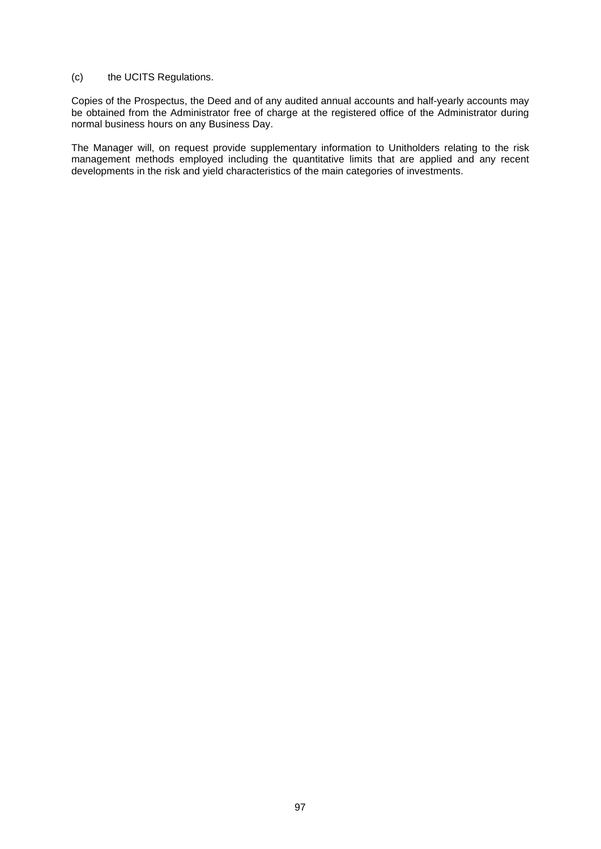## (c) the UCITS Regulations.

Copies of the Prospectus, the Deed and of any audited annual accounts and half-yearly accounts may be obtained from the Administrator free of charge at the registered office of the Administrator during normal business hours on any Business Day.

The Manager will, on request provide supplementary information to Unitholders relating to the risk management methods employed including the quantitative limits that are applied and any recent developments in the risk and yield characteristics of the main categories of investments.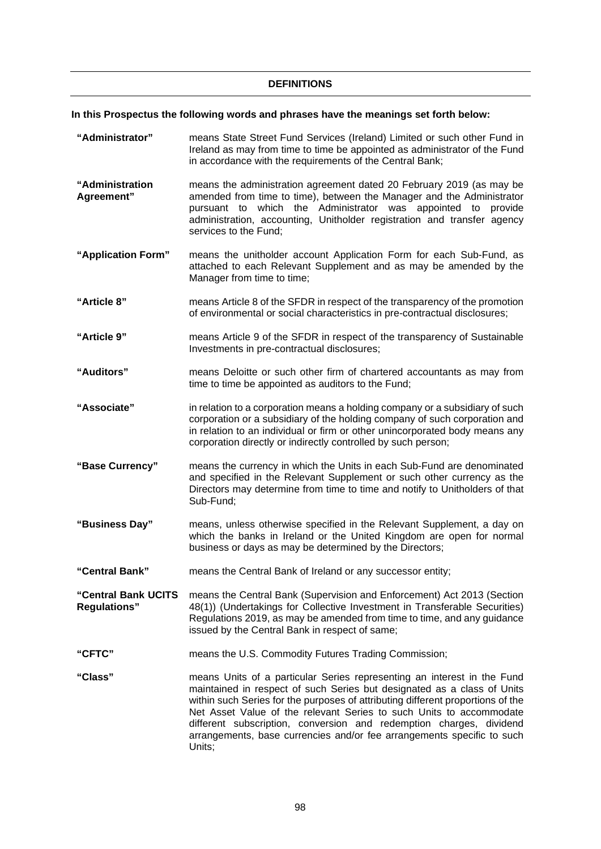#### **DEFINITIONS**

#### **In this Prospectus the following words and phrases have the meanings set forth below:**

- **"Administrator"**  means State Street Fund Services (Ireland) Limited or such other Fund in Ireland as may from time to time be appointed as administrator of the Fund in accordance with the requirements of the Central Bank;
- **"Administration Agreement"**  means the administration agreement dated 20 February 2019 (as may be amended from time to time), between the Manager and the Administrator pursuant to which the Administrator was appointed to provide administration, accounting, Unitholder registration and transfer agency services to the Fund;
- **"Application Form"** means the unitholder account Application Form for each Sub-Fund, as attached to each Relevant Supplement and as may be amended by the Manager from time to time:
- **"Article 8"** means Article 8 of the SFDR in respect of the transparency of the promotion of environmental or social characteristics in pre-contractual disclosures;
- **"Article 9"** means Article 9 of the SFDR in respect of the transparency of Sustainable Investments in pre-contractual disclosures;
- **"Auditors"**  means Deloitte or such other firm of chartered accountants as may from time to time be appointed as auditors to the Fund;
- **"Associate"**  in relation to a corporation means a holding company or a subsidiary of such corporation or a subsidiary of the holding company of such corporation and in relation to an individual or firm or other unincorporated body means any corporation directly or indirectly controlled by such person;
- **"Base Currency"** means the currency in which the Units in each Sub-Fund are denominated and specified in the Relevant Supplement or such other currency as the Directors may determine from time to time and notify to Unitholders of that Sub-Fund;
- **"Business Day"** means, unless otherwise specified in the Relevant Supplement, a day on which the banks in Ireland or the United Kingdom are open for normal business or days as may be determined by the Directors;
- **"Central Bank"** means the Central Bank of Ireland or any successor entity;

**"Central Bank UCITS Regulations"**  means the Central Bank (Supervision and Enforcement) Act 2013 (Section 48(1)) (Undertakings for Collective Investment in Transferable Securities) Regulations 2019, as may be amended from time to time, and any guidance issued by the Central Bank in respect of same;

- **"CFTC"** means the U.S. Commodity Futures Trading Commission;
- **"Class"** means Units of a particular Series representing an interest in the Fund maintained in respect of such Series but designated as a class of Units within such Series for the purposes of attributing different proportions of the Net Asset Value of the relevant Series to such Units to accommodate different subscription, conversion and redemption charges, dividend arrangements, base currencies and/or fee arrangements specific to such Units;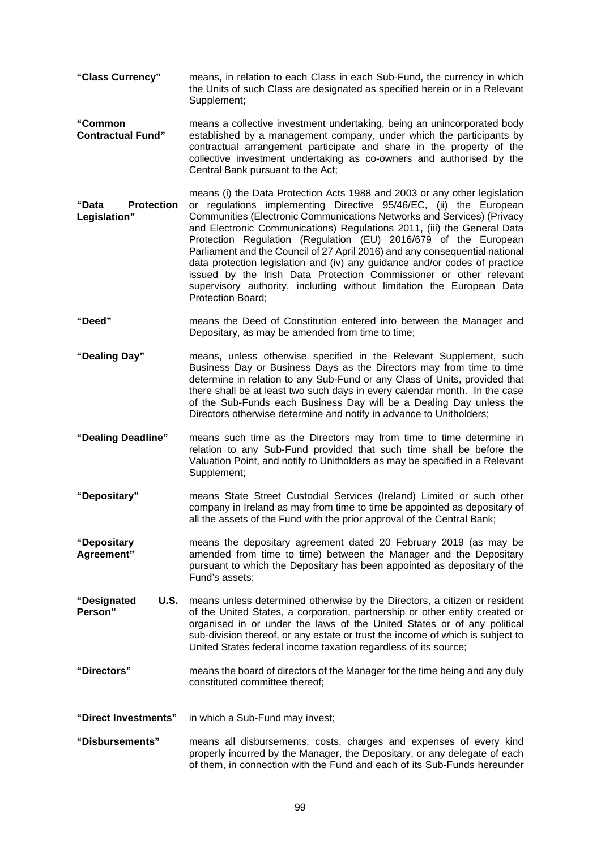- **"Class Currency"**  means, in relation to each Class in each Sub-Fund, the currency in which the Units of such Class are designated as specified herein or in a Relevant Supplement;
- **"Common Contractual Fund"**  means a collective investment undertaking, being an unincorporated body established by a management company, under which the participants by contractual arrangement participate and share in the property of the collective investment undertaking as co-owners and authorised by the Central Bank pursuant to the Act;
- **"Data Protection Legislation"**  means (i) the Data Protection Acts 1988 and 2003 or any other legislation or regulations implementing Directive 95/46/EC, (ii) the European Communities (Electronic Communications Networks and Services) (Privacy and Electronic Communications) Regulations 2011, (iii) the General Data Protection Regulation (Regulation (EU) 2016/679 of the European Parliament and the Council of 27 April 2016) and any consequential national data protection legislation and (iv) any guidance and/or codes of practice issued by the Irish Data Protection Commissioner or other relevant supervisory authority, including without limitation the European Data Protection Board;
- **"Deed"** means the Deed of Constitution entered into between the Manager and Depositary, as may be amended from time to time;
- **"Dealing Day"** means, unless otherwise specified in the Relevant Supplement, such Business Day or Business Days as the Directors may from time to time determine in relation to any Sub-Fund or any Class of Units, provided that there shall be at least two such days in every calendar month. In the case of the Sub-Funds each Business Day will be a Dealing Day unless the Directors otherwise determine and notify in advance to Unitholders;
- **"Dealing Deadline"** means such time as the Directors may from time to time determine in relation to any Sub-Fund provided that such time shall be before the Valuation Point, and notify to Unitholders as may be specified in a Relevant Supplement;
- **"Depositary"** means State Street Custodial Services (Ireland) Limited or such other company in Ireland as may from time to time be appointed as depositary of all the assets of the Fund with the prior approval of the Central Bank;
- **"Depositary Agreement"** means the depositary agreement dated 20 February 2019 (as may be amended from time to time) between the Manager and the Depositary pursuant to which the Depositary has been appointed as depositary of the Fund's assets;
- **"Designated U.S. Person"**  means unless determined otherwise by the Directors, a citizen or resident of the United States, a corporation, partnership or other entity created or organised in or under the laws of the United States or of any political sub-division thereof, or any estate or trust the income of which is subject to United States federal income taxation regardless of its source;
- **"Directors"** means the board of directors of the Manager for the time being and any duly constituted committee thereof;
- **"Direct Investments"** in which a Sub-Fund may invest;
- **"Disbursements"** means all disbursements, costs, charges and expenses of every kind properly incurred by the Manager, the Depositary, or any delegate of each of them, in connection with the Fund and each of its Sub-Funds hereunder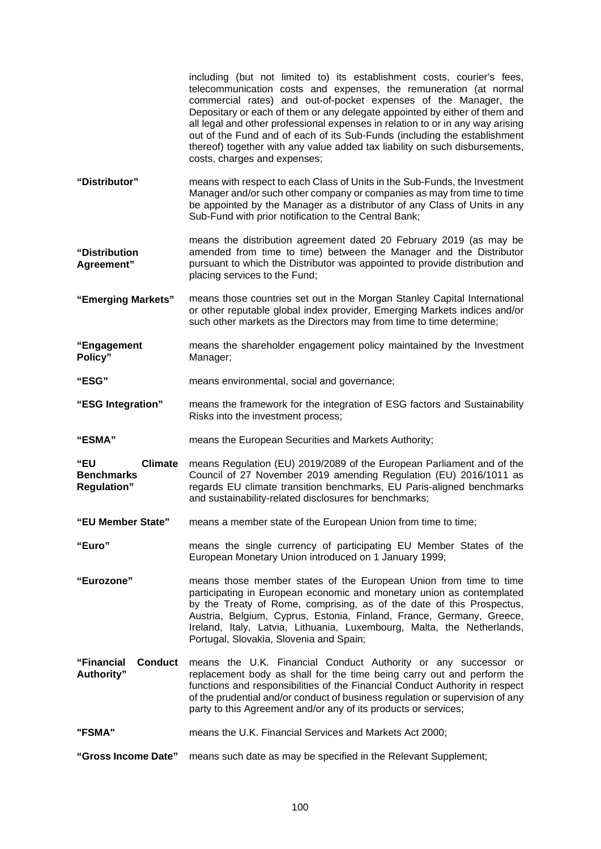|                                                                  | including (but not limited to) its establishment costs, courier's fees,<br>telecommunication costs and expenses, the remuneration (at normal<br>commercial rates) and out-of-pocket expenses of the Manager, the<br>Depositary or each of them or any delegate appointed by either of them and<br>all legal and other professional expenses in relation to or in any way arising<br>out of the Fund and of each of its Sub-Funds (including the establishment<br>thereof) together with any value added tax liability on such disbursements,<br>costs, charges and expenses; |  |
|------------------------------------------------------------------|------------------------------------------------------------------------------------------------------------------------------------------------------------------------------------------------------------------------------------------------------------------------------------------------------------------------------------------------------------------------------------------------------------------------------------------------------------------------------------------------------------------------------------------------------------------------------|--|
| "Distributor"                                                    | means with respect to each Class of Units in the Sub-Funds, the Investment<br>Manager and/or such other company or companies as may from time to time<br>be appointed by the Manager as a distributor of any Class of Units in any<br>Sub-Fund with prior notification to the Central Bank;                                                                                                                                                                                                                                                                                  |  |
| "Distribution<br>Agreement"                                      | means the distribution agreement dated 20 February 2019 (as may be<br>amended from time to time) between the Manager and the Distributor<br>pursuant to which the Distributor was appointed to provide distribution and<br>placing services to the Fund;                                                                                                                                                                                                                                                                                                                     |  |
| "Emerging Markets"                                               | means those countries set out in the Morgan Stanley Capital International<br>or other reputable global index provider, Emerging Markets indices and/or<br>such other markets as the Directors may from time to time determine;                                                                                                                                                                                                                                                                                                                                               |  |
| "Engagement<br>Policy"                                           | means the shareholder engagement policy maintained by the Investment<br>Manager;                                                                                                                                                                                                                                                                                                                                                                                                                                                                                             |  |
| "ESG"                                                            | means environmental, social and governance;                                                                                                                                                                                                                                                                                                                                                                                                                                                                                                                                  |  |
| "ESG Integration"                                                | means the framework for the integration of ESG factors and Sustainability<br>Risks into the investment process;                                                                                                                                                                                                                                                                                                                                                                                                                                                              |  |
| "ESMA"                                                           | means the European Securities and Markets Authority;                                                                                                                                                                                                                                                                                                                                                                                                                                                                                                                         |  |
| "EU<br><b>Climate</b><br><b>Benchmarks</b><br><b>Regulation"</b> | means Regulation (EU) 2019/2089 of the European Parliament and of the<br>Council of 27 November 2019 amending Regulation (EU) 2016/1011 as<br>regards EU climate transition benchmarks, EU Paris-aligned benchmarks<br>and sustainability-related disclosures for benchmarks;                                                                                                                                                                                                                                                                                                |  |
| "EU Member State"                                                | means a member state of the European Union from time to time;                                                                                                                                                                                                                                                                                                                                                                                                                                                                                                                |  |
| "Euro"                                                           | means the single currency of participating EU Member States of the<br>European Monetary Union introduced on 1 January 1999;                                                                                                                                                                                                                                                                                                                                                                                                                                                  |  |
| "Eurozone"                                                       | means those member states of the European Union from time to time<br>participating in European economic and monetary union as contemplated<br>by the Treaty of Rome, comprising, as of the date of this Prospectus,<br>Austria, Belgium, Cyprus, Estonia, Finland, France, Germany, Greece,<br>Ireland, Italy, Latvia, Lithuania, Luxembourg, Malta, the Netherlands,<br>Portugal, Slovakia, Slovenia and Spain;                                                                                                                                                             |  |
| "Financial<br><b>Conduct</b><br>Authority"                       | means the U.K. Financial Conduct Authority or any successor or<br>replacement body as shall for the time being carry out and perform the<br>functions and responsibilities of the Financial Conduct Authority in respect<br>of the prudential and/or conduct of business regulation or supervision of any<br>party to this Agreement and/or any of its products or services;                                                                                                                                                                                                 |  |
| "FSMA"                                                           | means the U.K. Financial Services and Markets Act 2000;                                                                                                                                                                                                                                                                                                                                                                                                                                                                                                                      |  |
| "Gross Income Date"                                              | means such date as may be specified in the Relevant Supplement;                                                                                                                                                                                                                                                                                                                                                                                                                                                                                                              |  |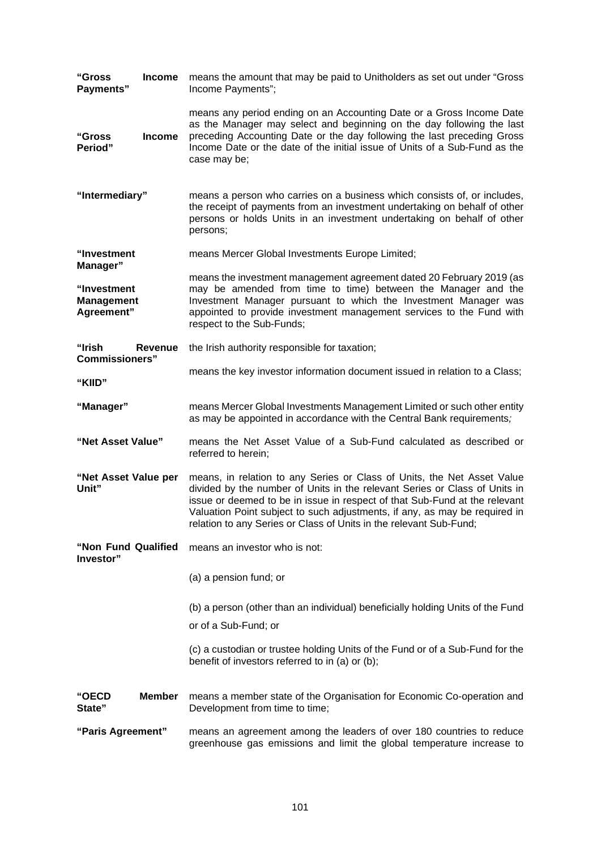| "Gross<br><b>Income</b><br>Payments"           |                                                                                                                                                                                                                                                                                                                                         | means the amount that may be paid to Unitholders as set out under "Gross"<br>Income Payments";                                                                                                                                                                                                                                                                                          |
|------------------------------------------------|-----------------------------------------------------------------------------------------------------------------------------------------------------------------------------------------------------------------------------------------------------------------------------------------------------------------------------------------|-----------------------------------------------------------------------------------------------------------------------------------------------------------------------------------------------------------------------------------------------------------------------------------------------------------------------------------------------------------------------------------------|
| "Gross<br>Period"                              | means any period ending on an Accounting Date or a Gross Income Date<br>as the Manager may select and beginning on the day following the last<br>preceding Accounting Date or the day following the last preceding Gross<br><b>Income</b><br>Income Date or the date of the initial issue of Units of a Sub-Fund as the<br>case may be; |                                                                                                                                                                                                                                                                                                                                                                                         |
| "Intermediary"                                 |                                                                                                                                                                                                                                                                                                                                         | means a person who carries on a business which consists of, or includes,<br>the receipt of payments from an investment undertaking on behalf of other<br>persons or holds Units in an investment undertaking on behalf of other<br>persons;                                                                                                                                             |
| "Investment<br>Manager"                        |                                                                                                                                                                                                                                                                                                                                         | means Mercer Global Investments Europe Limited;                                                                                                                                                                                                                                                                                                                                         |
| "Investment<br><b>Management</b><br>Agreement" |                                                                                                                                                                                                                                                                                                                                         | means the investment management agreement dated 20 February 2019 (as<br>may be amended from time to time) between the Manager and the<br>Investment Manager pursuant to which the Investment Manager was<br>appointed to provide investment management services to the Fund with<br>respect to the Sub-Funds;                                                                           |
| "Irish<br><b>Commissioners"</b>                | Revenue                                                                                                                                                                                                                                                                                                                                 | the Irish authority responsible for taxation;                                                                                                                                                                                                                                                                                                                                           |
| "KIID"                                         |                                                                                                                                                                                                                                                                                                                                         | means the key investor information document issued in relation to a Class;                                                                                                                                                                                                                                                                                                              |
| "Manager"                                      |                                                                                                                                                                                                                                                                                                                                         | means Mercer Global Investments Management Limited or such other entity<br>as may be appointed in accordance with the Central Bank requirements;                                                                                                                                                                                                                                        |
| "Net Asset Value"                              |                                                                                                                                                                                                                                                                                                                                         | means the Net Asset Value of a Sub-Fund calculated as described or<br>referred to herein;                                                                                                                                                                                                                                                                                               |
| "Net Asset Value per<br>Unit"                  |                                                                                                                                                                                                                                                                                                                                         | means, in relation to any Series or Class of Units, the Net Asset Value<br>divided by the number of Units in the relevant Series or Class of Units in<br>issue or deemed to be in issue in respect of that Sub-Fund at the relevant<br>Valuation Point subject to such adjustments, if any, as may be required in<br>relation to any Series or Class of Units in the relevant Sub-Fund; |
| "Non Fund Qualified<br>Investor"               |                                                                                                                                                                                                                                                                                                                                         | means an investor who is not:                                                                                                                                                                                                                                                                                                                                                           |
|                                                |                                                                                                                                                                                                                                                                                                                                         | (a) a pension fund; or                                                                                                                                                                                                                                                                                                                                                                  |
|                                                |                                                                                                                                                                                                                                                                                                                                         | (b) a person (other than an individual) beneficially holding Units of the Fund                                                                                                                                                                                                                                                                                                          |
|                                                |                                                                                                                                                                                                                                                                                                                                         | or of a Sub-Fund; or                                                                                                                                                                                                                                                                                                                                                                    |
|                                                |                                                                                                                                                                                                                                                                                                                                         | (c) a custodian or trustee holding Units of the Fund or of a Sub-Fund for the<br>benefit of investors referred to in (a) or (b);                                                                                                                                                                                                                                                        |
| "OECD<br>State"                                | <b>Member</b>                                                                                                                                                                                                                                                                                                                           | means a member state of the Organisation for Economic Co-operation and<br>Development from time to time;                                                                                                                                                                                                                                                                                |
| "Paris Agreement"                              |                                                                                                                                                                                                                                                                                                                                         | means an agreement among the leaders of over 180 countries to reduce<br>greenhouse gas emissions and limit the global temperature increase to                                                                                                                                                                                                                                           |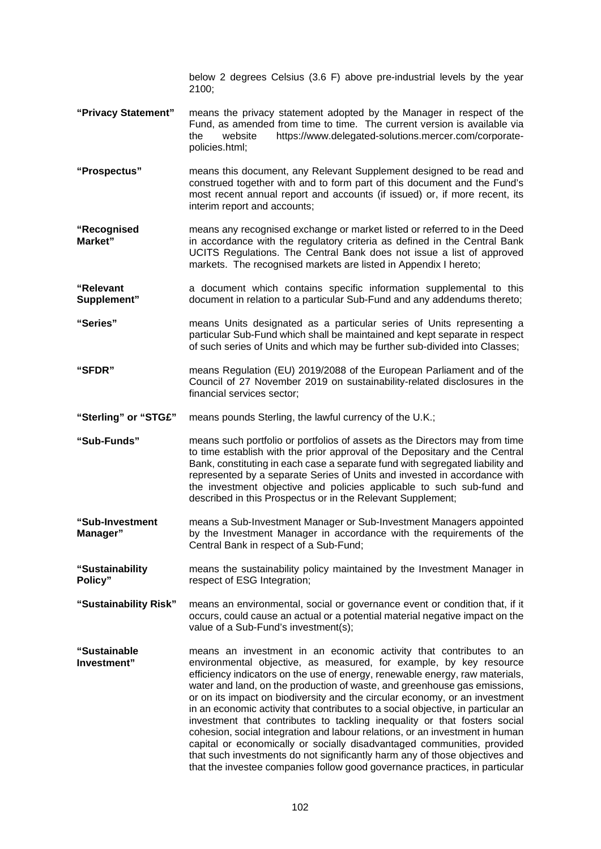below 2 degrees Celsius (3.6 F) above pre-industrial levels by the year 2100;

- **"Privacy Statement"** means the privacy statement adopted by the Manager in respect of the Fund, as amended from time to time. The current version is available via the website https://www.delegated-solutions.mercer.com/corporatepolicies.html;
- **"Prospectus"** means this document, any Relevant Supplement designed to be read and construed together with and to form part of this document and the Fund's most recent annual report and accounts (if issued) or, if more recent, its interim report and accounts;
- **"Recognised Market"**  means any recognised exchange or market listed or referred to in the Deed in accordance with the regulatory criteria as defined in the Central Bank UCITS Regulations. The Central Bank does not issue a list of approved markets. The recognised markets are listed in Appendix I hereto;
- **"Relevant Supplement"**  a document which contains specific information supplemental to this document in relation to a particular Sub-Fund and any addendums thereto;
- **"Series"** means Units designated as a particular series of Units representing a particular Sub-Fund which shall be maintained and kept separate in respect of such series of Units and which may be further sub-divided into Classes;
- **"SFDR"** means Regulation (EU) 2019/2088 of the European Parliament and of the Council of 27 November 2019 on sustainability-related disclosures in the financial services sector;
- **"Sterling" or "STG£"**  means pounds Sterling, the lawful currency of the U.K.;
- **"Sub-Funds"**  means such portfolio or portfolios of assets as the Directors may from time to time establish with the prior approval of the Depositary and the Central Bank, constituting in each case a separate fund with segregated liability and represented by a separate Series of Units and invested in accordance with the investment objective and policies applicable to such sub-fund and described in this Prospectus or in the Relevant Supplement;
- **"Sub-Investment Manager"**  means a Sub-Investment Manager or Sub-Investment Managers appointed by the Investment Manager in accordance with the requirements of the Central Bank in respect of a Sub-Fund;
- **"Sustainability Policy"**  means the sustainability policy maintained by the Investment Manager in respect of ESG Integration;
- **"Sustainability Risk"** means an environmental, social or governance event or condition that, if it occurs, could cause an actual or a potential material negative impact on the value of a Sub-Fund's investment(s);
- **"Sustainable Investment"**  means an investment in an economic activity that contributes to an environmental objective, as measured, for example, by key resource efficiency indicators on the use of energy, renewable energy, raw materials, water and land, on the production of waste, and greenhouse gas emissions, or on its impact on biodiversity and the circular economy, or an investment in an economic activity that contributes to a social objective, in particular an investment that contributes to tackling inequality or that fosters social cohesion, social integration and labour relations, or an investment in human capital or economically or socially disadvantaged communities, provided that such investments do not significantly harm any of those objectives and that the investee companies follow good governance practices, in particular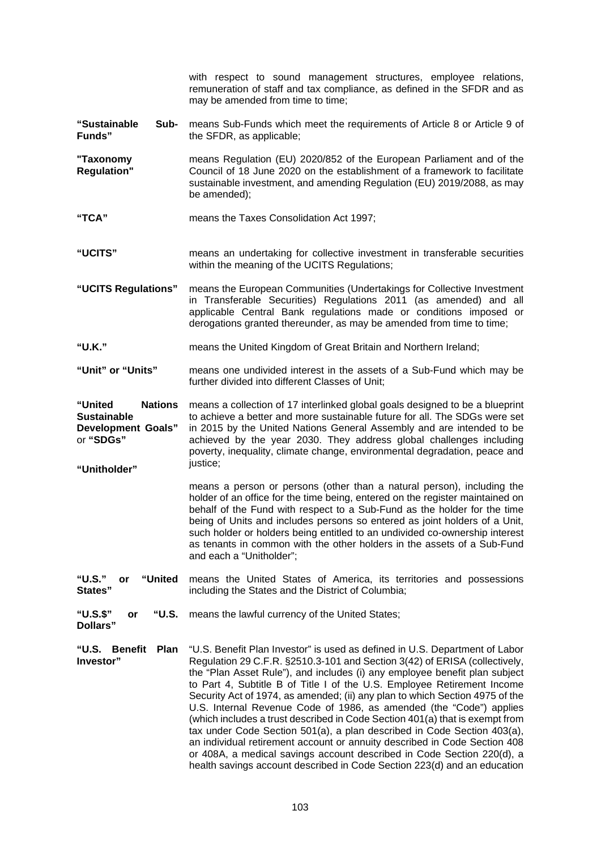|                                                                                                           | with respect to sound management structures, employee relations,<br>remuneration of staff and tax compliance, as defined in the SFDR and as<br>may be amended from time to time;                                                                                                                                                                                                                                                                                                                                                                                                                                                                                                                                                                                                                                                                                        |  |  |
|-----------------------------------------------------------------------------------------------------------|-------------------------------------------------------------------------------------------------------------------------------------------------------------------------------------------------------------------------------------------------------------------------------------------------------------------------------------------------------------------------------------------------------------------------------------------------------------------------------------------------------------------------------------------------------------------------------------------------------------------------------------------------------------------------------------------------------------------------------------------------------------------------------------------------------------------------------------------------------------------------|--|--|
| Sub-<br>"Sustainable<br>Funds"                                                                            | means Sub-Funds which meet the requirements of Article 8 or Article 9 of<br>the SFDR, as applicable;                                                                                                                                                                                                                                                                                                                                                                                                                                                                                                                                                                                                                                                                                                                                                                    |  |  |
| "Taxonomy<br><b>Regulation"</b>                                                                           | means Regulation (EU) 2020/852 of the European Parliament and of the<br>Council of 18 June 2020 on the establishment of a framework to facilitate<br>sustainable investment, and amending Regulation (EU) 2019/2088, as may<br>be amended);                                                                                                                                                                                                                                                                                                                                                                                                                                                                                                                                                                                                                             |  |  |
| "TCA"                                                                                                     | means the Taxes Consolidation Act 1997;                                                                                                                                                                                                                                                                                                                                                                                                                                                                                                                                                                                                                                                                                                                                                                                                                                 |  |  |
| "UCITS"                                                                                                   | means an undertaking for collective investment in transferable securities<br>within the meaning of the UCITS Regulations;                                                                                                                                                                                                                                                                                                                                                                                                                                                                                                                                                                                                                                                                                                                                               |  |  |
| "UCITS Regulations"                                                                                       | means the European Communities (Undertakings for Collective Investment<br>in Transferable Securities) Regulations 2011 (as amended) and all<br>applicable Central Bank regulations made or conditions imposed or<br>derogations granted thereunder, as may be amended from time to time;                                                                                                                                                                                                                                                                                                                                                                                                                                                                                                                                                                                |  |  |
| "U.K."                                                                                                    | means the United Kingdom of Great Britain and Northern Ireland;                                                                                                                                                                                                                                                                                                                                                                                                                                                                                                                                                                                                                                                                                                                                                                                                         |  |  |
| "Unit" or "Units"                                                                                         | means one undivided interest in the assets of a Sub-Fund which may be<br>further divided into different Classes of Unit;                                                                                                                                                                                                                                                                                                                                                                                                                                                                                                                                                                                                                                                                                                                                                |  |  |
| "United<br><b>Nations</b><br><b>Sustainable</b><br><b>Development Goals"</b><br>or "SDGs"<br>"Unitholder" | means a collection of 17 interlinked global goals designed to be a blueprint<br>to achieve a better and more sustainable future for all. The SDGs were set<br>in 2015 by the United Nations General Assembly and are intended to be<br>achieved by the year 2030. They address global challenges including<br>poverty, inequality, climate change, environmental degradation, peace and<br>justice;                                                                                                                                                                                                                                                                                                                                                                                                                                                                     |  |  |
|                                                                                                           | means a person or persons (other than a natural person), including the<br>holder of an office for the time being, entered on the register maintained on<br>behalf of the Fund with respect to a Sub-Fund as the holder for the time<br>being of Units and includes persons so entered as joint holders of a Unit,<br>such holder or holders being entitled to an undivided co-ownership interest<br>as tenants in common with the other holders in the assets of a Sub-Fund<br>and each a "Unitholder";                                                                                                                                                                                                                                                                                                                                                                 |  |  |
| "U.S."<br>"United<br>or<br>States"                                                                        | means the United States of America, its territories and possessions<br>including the States and the District of Columbia;                                                                                                                                                                                                                                                                                                                                                                                                                                                                                                                                                                                                                                                                                                                                               |  |  |
| "U.S.\$"<br>"U.S.<br>or<br>Dollars"                                                                       | means the lawful currency of the United States;                                                                                                                                                                                                                                                                                                                                                                                                                                                                                                                                                                                                                                                                                                                                                                                                                         |  |  |
| "U.S.<br><b>Benefit</b><br><b>Plan</b><br>Investor"                                                       | "U.S. Benefit Plan Investor" is used as defined in U.S. Department of Labor<br>Regulation 29 C.F.R. §2510.3-101 and Section 3(42) of ERISA (collectively,<br>the "Plan Asset Rule"), and includes (i) any employee benefit plan subject<br>to Part 4, Subtitle B of Title I of the U.S. Employee Retirement Income<br>Security Act of 1974, as amended; (ii) any plan to which Section 4975 of the<br>U.S. Internal Revenue Code of 1986, as amended (the "Code") applies<br>(which includes a trust described in Code Section 401(a) that is exempt from<br>tax under Code Section 501(a), a plan described in Code Section 403(a),<br>an individual retirement account or annuity described in Code Section 408<br>or 408A, a medical savings account described in Code Section 220(d), a<br>health savings account described in Code Section 223(d) and an education |  |  |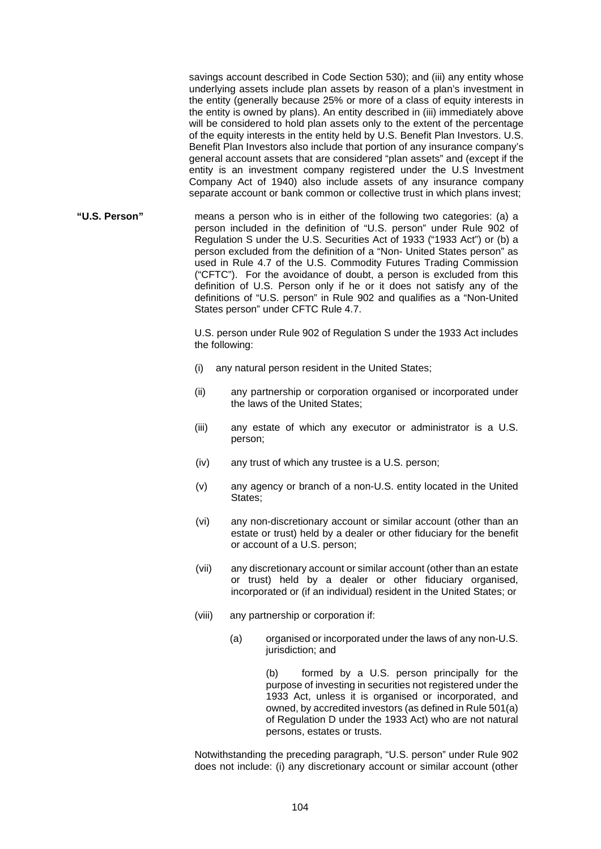savings account described in Code Section 530); and (iii) any entity whose underlying assets include plan assets by reason of a plan's investment in the entity (generally because 25% or more of a class of equity interests in the entity is owned by plans). An entity described in (iii) immediately above will be considered to hold plan assets only to the extent of the percentage of the equity interests in the entity held by U.S. Benefit Plan Investors. U.S. Benefit Plan Investors also include that portion of any insurance company's general account assets that are considered "plan assets" and (except if the entity is an investment company registered under the U.S Investment Company Act of 1940) also include assets of any insurance company separate account or bank common or collective trust in which plans invest;

**"U.S. Person"** means a person who is in either of the following two categories: (a) a person included in the definition of "U.S. person" under Rule 902 of Regulation S under the U.S. Securities Act of 1933 ("1933 Act") or (b) a person excluded from the definition of a "Non- United States person" as used in Rule 4.7 of the U.S. Commodity Futures Trading Commission ("CFTC"). For the avoidance of doubt, a person is excluded from this definition of U.S. Person only if he or it does not satisfy any of the definitions of "U.S. person" in Rule 902 and qualifies as a "Non-United States person" under CFTC Rule 4.7.

> U.S. person under Rule 902 of Regulation S under the 1933 Act includes the following:

- (i) any natural person resident in the United States;
- (ii) any partnership or corporation organised or incorporated under the laws of the United States;
- (iii) any estate of which any executor or administrator is a U.S. person;
- (iv) any trust of which any trustee is a U.S. person;
- (v) any agency or branch of a non-U.S. entity located in the United States;
- (vi) any non-discretionary account or similar account (other than an estate or trust) held by a dealer or other fiduciary for the benefit or account of a U.S. person;
- (vii) any discretionary account or similar account (other than an estate or trust) held by a dealer or other fiduciary organised, incorporated or (if an individual) resident in the United States; or
- (viii) any partnership or corporation if:
	- (a) organised or incorporated under the laws of any non-U.S. jurisdiction; and

(b) formed by a U.S. person principally for the purpose of investing in securities not registered under the 1933 Act, unless it is organised or incorporated, and owned, by accredited investors (as defined in Rule 501(a) of Regulation D under the 1933 Act) who are not natural persons, estates or trusts.

Notwithstanding the preceding paragraph, "U.S. person" under Rule 902 does not include: (i) any discretionary account or similar account (other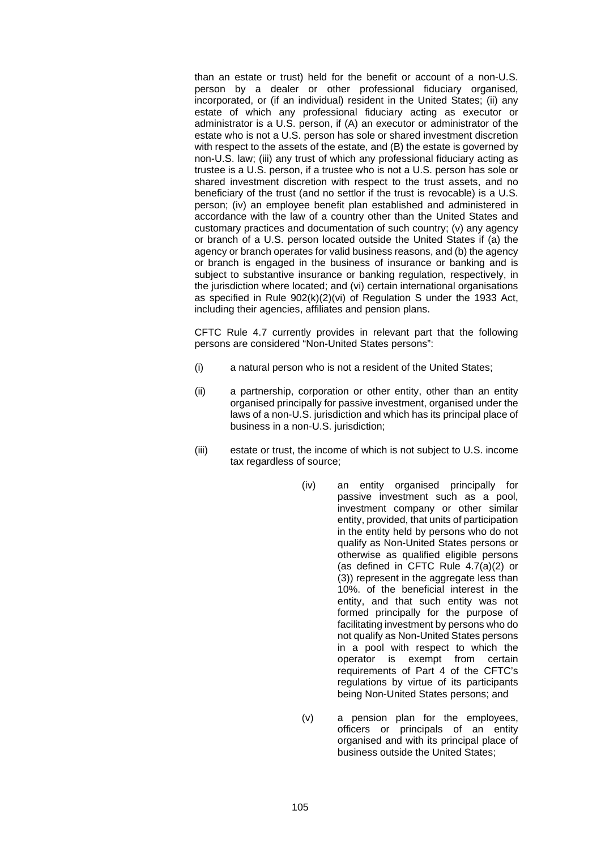than an estate or trust) held for the benefit or account of a non-U.S. person by a dealer or other professional fiduciary organised, incorporated, or (if an individual) resident in the United States; (ii) any estate of which any professional fiduciary acting as executor or administrator is a U.S. person, if (A) an executor or administrator of the estate who is not a U.S. person has sole or shared investment discretion with respect to the assets of the estate, and (B) the estate is governed by non-U.S. law; (iii) any trust of which any professional fiduciary acting as trustee is a U.S. person, if a trustee who is not a U.S. person has sole or shared investment discretion with respect to the trust assets, and no beneficiary of the trust (and no settlor if the trust is revocable) is a U.S. person; (iv) an employee benefit plan established and administered in accordance with the law of a country other than the United States and customary practices and documentation of such country; (v) any agency or branch of a U.S. person located outside the United States if (a) the agency or branch operates for valid business reasons, and (b) the agency or branch is engaged in the business of insurance or banking and is subject to substantive insurance or banking regulation, respectively, in the jurisdiction where located; and (vi) certain international organisations as specified in Rule 902(k)(2)(vi) of Regulation S under the 1933 Act, including their agencies, affiliates and pension plans.

CFTC Rule 4.7 currently provides in relevant part that the following persons are considered "Non-United States persons":

- (i) a natural person who is not a resident of the United States;
- (ii) a partnership, corporation or other entity, other than an entity organised principally for passive investment, organised under the laws of a non-U.S. jurisdiction and which has its principal place of business in a non-U.S. jurisdiction;
- (iii) estate or trust, the income of which is not subject to U.S. income tax regardless of source;
	- (iv) an entity organised principally for passive investment such as a pool, investment company or other similar entity, provided, that units of participation in the entity held by persons who do not qualify as Non-United States persons or otherwise as qualified eligible persons (as defined in CFTC Rule 4.7(a)(2) or (3)) represent in the aggregate less than 10%. of the beneficial interest in the entity, and that such entity was not formed principally for the purpose of facilitating investment by persons who do not qualify as Non-United States persons in a pool with respect to which the operator is exempt from certain requirements of Part 4 of the CFTC's regulations by virtue of its participants being Non-United States persons; and
	- (v) a pension plan for the employees, officers or principals of an entity organised and with its principal place of business outside the United States;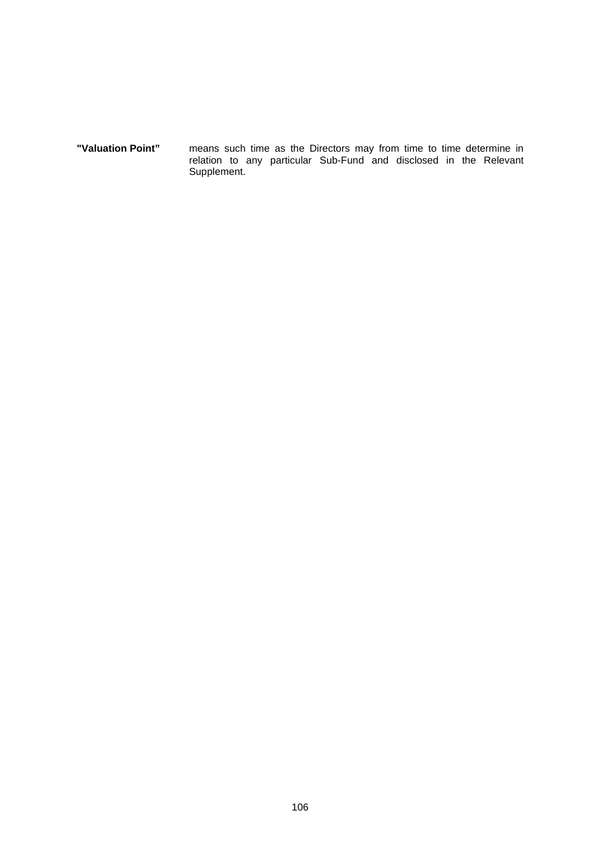**"Valuation Point"** means such time as the Directors may from time to time determine in relation to any particular Sub-Fund and disclosed in the Relevant Supplement.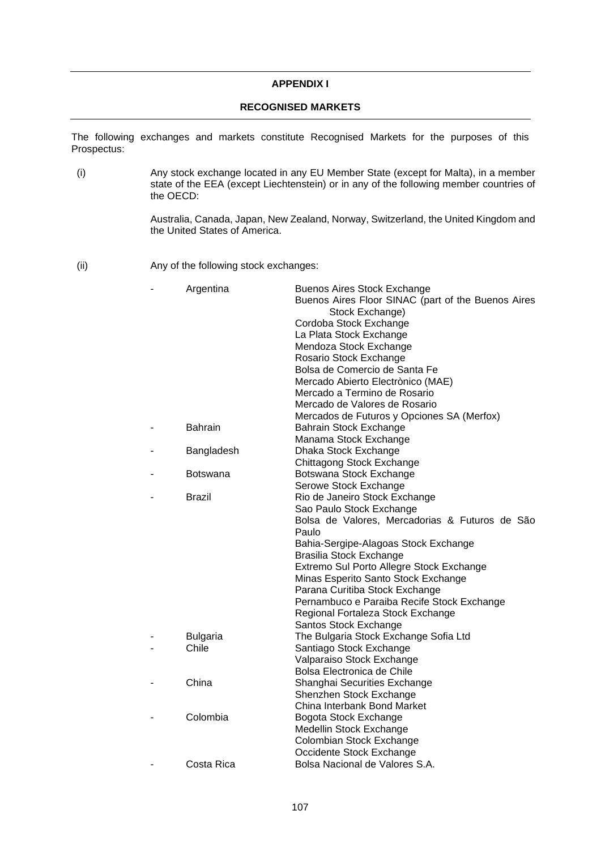## **APPENDIX I**

# **RECOGNISED MARKETS**

The following exchanges and markets constitute Recognised Markets for the purposes of this Prospectus:

(i) Any stock exchange located in any EU Member State (except for Malta), in a member state of the EEA (except Liechtenstein) or in any of the following member countries of the OECD:

> Australia, Canada, Japan, New Zealand, Norway, Switzerland, the United Kingdom and the United States of America.

(ii) Any of the following stock exchanges:

| Stock Exchange)<br>Cordoba Stock Exchange<br>La Plata Stock Exchange<br>Mendoza Stock Exchange<br>Rosario Stock Exchange<br>Bolsa de Comercio de Santa Fe<br>Mercado Abierto Electrònico (MAE)<br>Mercado a Termino de Rosario<br>Mercado de Valores de Rosario<br>Mercados de Futuros y Opciones SA (Merfox)<br><b>Bahrain</b><br>Bahrain Stock Exchange<br>Manama Stock Exchange<br>Bangladesh<br>Dhaka Stock Exchange<br>Chittagong Stock Exchange<br>Botswana Stock Exchange<br>Botswana<br>Serowe Stock Exchange<br>Brazil<br>Rio de Janeiro Stock Exchange<br>Sao Paulo Stock Exchange<br>Paulo<br>Bahia-Sergipe-Alagoas Stock Exchange<br><b>Brasilia Stock Exchange</b><br>Extremo Sul Porto Allegre Stock Exchange<br>Minas Esperito Santo Stock Exchange<br>Parana Curitiba Stock Exchange<br>Pernambuco e Paraiba Recife Stock Exchange<br>Regional Fortaleza Stock Exchange<br>Santos Stock Exchange<br>The Bulgaria Stock Exchange Sofia Ltd<br><b>Bulgaria</b><br>Chile<br>Santiago Stock Exchange | Bolsa de Valores, Mercadorias & Futuros de São<br>Valparaiso Stock Exchange<br>Bolsa Electronica de Chile<br>China<br>Shanghai Securities Exchange<br>Shenzhen Stock Exchange<br>China Interbank Bond Market<br>Colombia<br>Bogota Stock Exchange<br>Medellin Stock Exchange<br>Colombian Stock Exchange<br>Occidente Stock Exchange<br>Bolsa Nacional de Valores S.A.<br>Costa Rica | Argentina | <b>Buenos Aires Stock Exchange</b><br>Buenos Aires Floor SINAC (part of the Buenos Aires |
|------------------------------------------------------------------------------------------------------------------------------------------------------------------------------------------------------------------------------------------------------------------------------------------------------------------------------------------------------------------------------------------------------------------------------------------------------------------------------------------------------------------------------------------------------------------------------------------------------------------------------------------------------------------------------------------------------------------------------------------------------------------------------------------------------------------------------------------------------------------------------------------------------------------------------------------------------------------------------------------------------------------|--------------------------------------------------------------------------------------------------------------------------------------------------------------------------------------------------------------------------------------------------------------------------------------------------------------------------------------------------------------------------------------|-----------|------------------------------------------------------------------------------------------|
|                                                                                                                                                                                                                                                                                                                                                                                                                                                                                                                                                                                                                                                                                                                                                                                                                                                                                                                                                                                                                  |                                                                                                                                                                                                                                                                                                                                                                                      |           |                                                                                          |
|                                                                                                                                                                                                                                                                                                                                                                                                                                                                                                                                                                                                                                                                                                                                                                                                                                                                                                                                                                                                                  |                                                                                                                                                                                                                                                                                                                                                                                      |           |                                                                                          |
|                                                                                                                                                                                                                                                                                                                                                                                                                                                                                                                                                                                                                                                                                                                                                                                                                                                                                                                                                                                                                  |                                                                                                                                                                                                                                                                                                                                                                                      |           |                                                                                          |
|                                                                                                                                                                                                                                                                                                                                                                                                                                                                                                                                                                                                                                                                                                                                                                                                                                                                                                                                                                                                                  |                                                                                                                                                                                                                                                                                                                                                                                      |           |                                                                                          |
|                                                                                                                                                                                                                                                                                                                                                                                                                                                                                                                                                                                                                                                                                                                                                                                                                                                                                                                                                                                                                  |                                                                                                                                                                                                                                                                                                                                                                                      |           |                                                                                          |
|                                                                                                                                                                                                                                                                                                                                                                                                                                                                                                                                                                                                                                                                                                                                                                                                                                                                                                                                                                                                                  |                                                                                                                                                                                                                                                                                                                                                                                      |           |                                                                                          |
|                                                                                                                                                                                                                                                                                                                                                                                                                                                                                                                                                                                                                                                                                                                                                                                                                                                                                                                                                                                                                  |                                                                                                                                                                                                                                                                                                                                                                                      |           |                                                                                          |
|                                                                                                                                                                                                                                                                                                                                                                                                                                                                                                                                                                                                                                                                                                                                                                                                                                                                                                                                                                                                                  |                                                                                                                                                                                                                                                                                                                                                                                      |           |                                                                                          |
|                                                                                                                                                                                                                                                                                                                                                                                                                                                                                                                                                                                                                                                                                                                                                                                                                                                                                                                                                                                                                  |                                                                                                                                                                                                                                                                                                                                                                                      |           |                                                                                          |
|                                                                                                                                                                                                                                                                                                                                                                                                                                                                                                                                                                                                                                                                                                                                                                                                                                                                                                                                                                                                                  |                                                                                                                                                                                                                                                                                                                                                                                      |           |                                                                                          |
|                                                                                                                                                                                                                                                                                                                                                                                                                                                                                                                                                                                                                                                                                                                                                                                                                                                                                                                                                                                                                  |                                                                                                                                                                                                                                                                                                                                                                                      |           |                                                                                          |
|                                                                                                                                                                                                                                                                                                                                                                                                                                                                                                                                                                                                                                                                                                                                                                                                                                                                                                                                                                                                                  |                                                                                                                                                                                                                                                                                                                                                                                      |           |                                                                                          |
|                                                                                                                                                                                                                                                                                                                                                                                                                                                                                                                                                                                                                                                                                                                                                                                                                                                                                                                                                                                                                  |                                                                                                                                                                                                                                                                                                                                                                                      |           |                                                                                          |
|                                                                                                                                                                                                                                                                                                                                                                                                                                                                                                                                                                                                                                                                                                                                                                                                                                                                                                                                                                                                                  |                                                                                                                                                                                                                                                                                                                                                                                      |           |                                                                                          |
|                                                                                                                                                                                                                                                                                                                                                                                                                                                                                                                                                                                                                                                                                                                                                                                                                                                                                                                                                                                                                  |                                                                                                                                                                                                                                                                                                                                                                                      |           |                                                                                          |
|                                                                                                                                                                                                                                                                                                                                                                                                                                                                                                                                                                                                                                                                                                                                                                                                                                                                                                                                                                                                                  |                                                                                                                                                                                                                                                                                                                                                                                      |           |                                                                                          |
|                                                                                                                                                                                                                                                                                                                                                                                                                                                                                                                                                                                                                                                                                                                                                                                                                                                                                                                                                                                                                  |                                                                                                                                                                                                                                                                                                                                                                                      |           |                                                                                          |
|                                                                                                                                                                                                                                                                                                                                                                                                                                                                                                                                                                                                                                                                                                                                                                                                                                                                                                                                                                                                                  |                                                                                                                                                                                                                                                                                                                                                                                      |           |                                                                                          |
|                                                                                                                                                                                                                                                                                                                                                                                                                                                                                                                                                                                                                                                                                                                                                                                                                                                                                                                                                                                                                  |                                                                                                                                                                                                                                                                                                                                                                                      |           |                                                                                          |
|                                                                                                                                                                                                                                                                                                                                                                                                                                                                                                                                                                                                                                                                                                                                                                                                                                                                                                                                                                                                                  |                                                                                                                                                                                                                                                                                                                                                                                      |           |                                                                                          |
|                                                                                                                                                                                                                                                                                                                                                                                                                                                                                                                                                                                                                                                                                                                                                                                                                                                                                                                                                                                                                  |                                                                                                                                                                                                                                                                                                                                                                                      |           |                                                                                          |
|                                                                                                                                                                                                                                                                                                                                                                                                                                                                                                                                                                                                                                                                                                                                                                                                                                                                                                                                                                                                                  |                                                                                                                                                                                                                                                                                                                                                                                      |           |                                                                                          |
|                                                                                                                                                                                                                                                                                                                                                                                                                                                                                                                                                                                                                                                                                                                                                                                                                                                                                                                                                                                                                  |                                                                                                                                                                                                                                                                                                                                                                                      |           |                                                                                          |
|                                                                                                                                                                                                                                                                                                                                                                                                                                                                                                                                                                                                                                                                                                                                                                                                                                                                                                                                                                                                                  |                                                                                                                                                                                                                                                                                                                                                                                      |           |                                                                                          |
|                                                                                                                                                                                                                                                                                                                                                                                                                                                                                                                                                                                                                                                                                                                                                                                                                                                                                                                                                                                                                  |                                                                                                                                                                                                                                                                                                                                                                                      |           |                                                                                          |
|                                                                                                                                                                                                                                                                                                                                                                                                                                                                                                                                                                                                                                                                                                                                                                                                                                                                                                                                                                                                                  |                                                                                                                                                                                                                                                                                                                                                                                      |           |                                                                                          |
|                                                                                                                                                                                                                                                                                                                                                                                                                                                                                                                                                                                                                                                                                                                                                                                                                                                                                                                                                                                                                  |                                                                                                                                                                                                                                                                                                                                                                                      |           |                                                                                          |
|                                                                                                                                                                                                                                                                                                                                                                                                                                                                                                                                                                                                                                                                                                                                                                                                                                                                                                                                                                                                                  |                                                                                                                                                                                                                                                                                                                                                                                      |           |                                                                                          |
|                                                                                                                                                                                                                                                                                                                                                                                                                                                                                                                                                                                                                                                                                                                                                                                                                                                                                                                                                                                                                  |                                                                                                                                                                                                                                                                                                                                                                                      |           |                                                                                          |
|                                                                                                                                                                                                                                                                                                                                                                                                                                                                                                                                                                                                                                                                                                                                                                                                                                                                                                                                                                                                                  |                                                                                                                                                                                                                                                                                                                                                                                      |           |                                                                                          |
|                                                                                                                                                                                                                                                                                                                                                                                                                                                                                                                                                                                                                                                                                                                                                                                                                                                                                                                                                                                                                  |                                                                                                                                                                                                                                                                                                                                                                                      |           |                                                                                          |
|                                                                                                                                                                                                                                                                                                                                                                                                                                                                                                                                                                                                                                                                                                                                                                                                                                                                                                                                                                                                                  |                                                                                                                                                                                                                                                                                                                                                                                      |           |                                                                                          |
|                                                                                                                                                                                                                                                                                                                                                                                                                                                                                                                                                                                                                                                                                                                                                                                                                                                                                                                                                                                                                  |                                                                                                                                                                                                                                                                                                                                                                                      |           |                                                                                          |
|                                                                                                                                                                                                                                                                                                                                                                                                                                                                                                                                                                                                                                                                                                                                                                                                                                                                                                                                                                                                                  |                                                                                                                                                                                                                                                                                                                                                                                      |           |                                                                                          |
|                                                                                                                                                                                                                                                                                                                                                                                                                                                                                                                                                                                                                                                                                                                                                                                                                                                                                                                                                                                                                  |                                                                                                                                                                                                                                                                                                                                                                                      |           |                                                                                          |
|                                                                                                                                                                                                                                                                                                                                                                                                                                                                                                                                                                                                                                                                                                                                                                                                                                                                                                                                                                                                                  |                                                                                                                                                                                                                                                                                                                                                                                      |           |                                                                                          |
|                                                                                                                                                                                                                                                                                                                                                                                                                                                                                                                                                                                                                                                                                                                                                                                                                                                                                                                                                                                                                  |                                                                                                                                                                                                                                                                                                                                                                                      |           |                                                                                          |
|                                                                                                                                                                                                                                                                                                                                                                                                                                                                                                                                                                                                                                                                                                                                                                                                                                                                                                                                                                                                                  |                                                                                                                                                                                                                                                                                                                                                                                      |           |                                                                                          |
|                                                                                                                                                                                                                                                                                                                                                                                                                                                                                                                                                                                                                                                                                                                                                                                                                                                                                                                                                                                                                  |                                                                                                                                                                                                                                                                                                                                                                                      |           |                                                                                          |
|                                                                                                                                                                                                                                                                                                                                                                                                                                                                                                                                                                                                                                                                                                                                                                                                                                                                                                                                                                                                                  |                                                                                                                                                                                                                                                                                                                                                                                      |           |                                                                                          |
|                                                                                                                                                                                                                                                                                                                                                                                                                                                                                                                                                                                                                                                                                                                                                                                                                                                                                                                                                                                                                  |                                                                                                                                                                                                                                                                                                                                                                                      |           |                                                                                          |
|                                                                                                                                                                                                                                                                                                                                                                                                                                                                                                                                                                                                                                                                                                                                                                                                                                                                                                                                                                                                                  |                                                                                                                                                                                                                                                                                                                                                                                      |           |                                                                                          |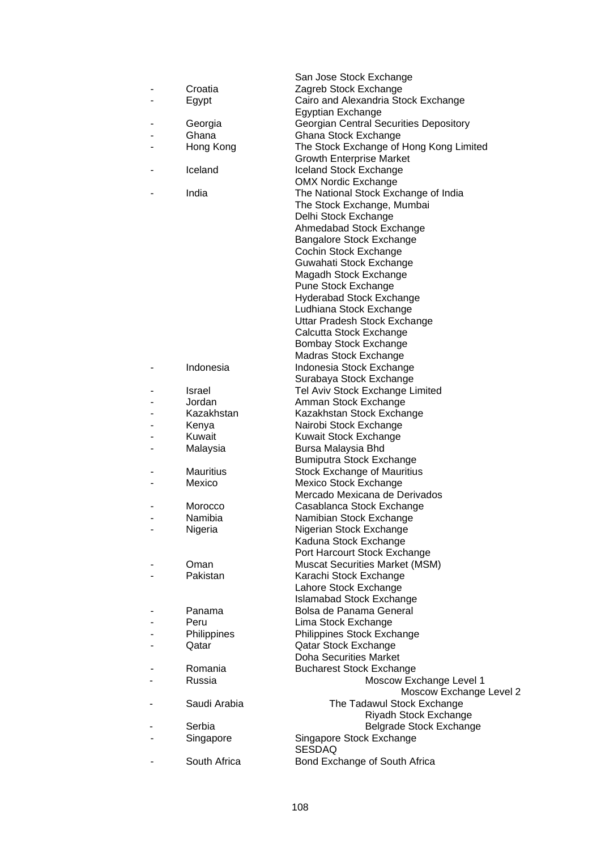|                  | San Jose Stock Exchange                                               |
|------------------|-----------------------------------------------------------------------|
| Croatia          | Zagreb Stock Exchange                                                 |
| Egypt            | Cairo and Alexandria Stock Exchange                                   |
|                  | Egyptian Exchange                                                     |
| Georgia          | <b>Georgian Central Securities Depository</b>                         |
| Ghana            | Ghana Stock Exchange                                                  |
| Hong Kong        | The Stock Exchange of Hong Kong Limited                               |
|                  | <b>Growth Enterprise Market</b>                                       |
| Iceland          | Iceland Stock Exchange                                                |
|                  | <b>OMX Nordic Exchange</b>                                            |
| India            | The National Stock Exchange of India                                  |
|                  | The Stock Exchange, Mumbai                                            |
|                  | Delhi Stock Exchange                                                  |
|                  | Ahmedabad Stock Exchange                                              |
|                  | Bangalore Stock Exchange                                              |
|                  | Cochin Stock Exchange                                                 |
|                  | Guwahati Stock Exchange                                               |
|                  | Magadh Stock Exchange                                                 |
|                  | Pune Stock Exchange                                                   |
|                  | <b>Hyderabad Stock Exchange</b>                                       |
|                  | Ludhiana Stock Exchange                                               |
|                  | Uttar Pradesh Stock Exchange                                          |
|                  | Calcutta Stock Exchange                                               |
|                  | Bombay Stock Exchange                                                 |
|                  | Madras Stock Exchange                                                 |
| Indonesia        | Indonesia Stock Exchange                                              |
|                  | Surabaya Stock Exchange                                               |
| <b>Israel</b>    | Tel Aviv Stock Exchange Limited                                       |
| Jordan           | Amman Stock Exchange                                                  |
| Kazakhstan       | Kazakhstan Stock Exchange                                             |
| Kenya            | Nairobi Stock Exchange                                                |
| Kuwait           | Kuwait Stock Exchange                                                 |
| Malaysia         | Bursa Malaysia Bhd                                                    |
|                  | Bumiputra Stock Exchange                                              |
| <b>Mauritius</b> | <b>Stock Exchange of Mauritius</b>                                    |
| Mexico           | Mexico Stock Exchange                                                 |
|                  | Mercado Mexicana de Derivados                                         |
| Morocco          | Casablanca Stock Exchange                                             |
| Namibia          | Namibian Stock Exchange                                               |
| Nigeria          | Nigerian Stock Exchange                                               |
|                  | Kaduna Stock Exchange                                                 |
| Oman             | Port Harcourt Stock Exchange<br><b>Muscat Securities Market (MSM)</b> |
| Pakistan         | Karachi Stock Exchange                                                |
|                  | Lahore Stock Exchange                                                 |
|                  | <b>Islamabad Stock Exchange</b>                                       |
| Panama           | Bolsa de Panama General                                               |
| Peru             | Lima Stock Exchange                                                   |
| Philippines      | Philippines Stock Exchange                                            |
| Qatar            | Qatar Stock Exchange                                                  |
|                  | <b>Doha Securities Market</b>                                         |
| Romania          | <b>Bucharest Stock Exchange</b>                                       |
| Russia           | Moscow Exchange Level 1                                               |
|                  | Moscow Exchange Level 2                                               |
| Saudi Arabia     | The Tadawul Stock Exchange                                            |
|                  | Riyadh Stock Exchange                                                 |
| Serbia           | Belgrade Stock Exchange                                               |
| Singapore        | Singapore Stock Exchange                                              |
|                  | <b>SESDAQ</b>                                                         |
| South Africa     | Bond Exchange of South Africa                                         |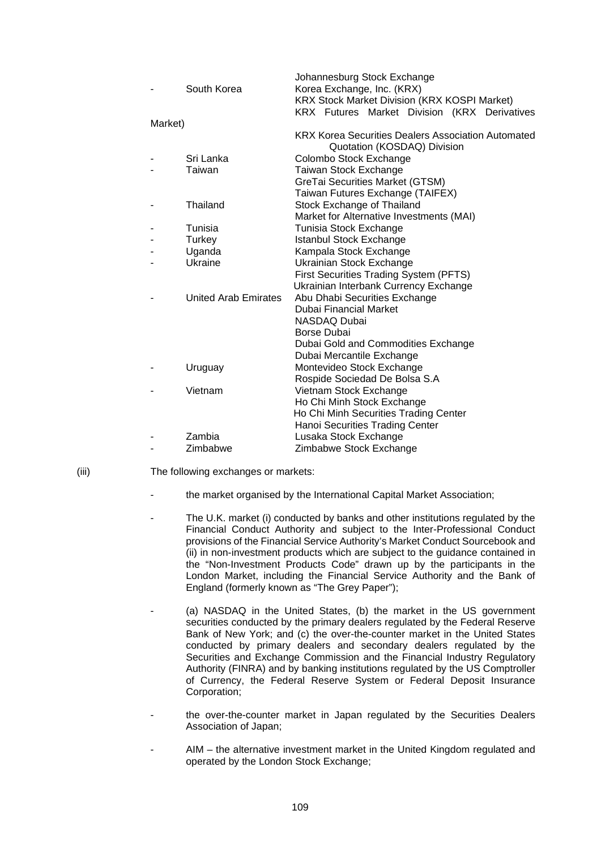|         |                             | Johannesburg Stock Exchange                         |
|---------|-----------------------------|-----------------------------------------------------|
|         | South Korea                 | Korea Exchange, Inc. (KRX)                          |
|         |                             | <b>KRX Stock Market Division (KRX KOSPI Market)</b> |
|         |                             | KRX Futures Market Division (KRX Derivatives        |
| Market) |                             |                                                     |
|         |                             | KRX Korea Securities Dealers Association Automated  |
|         |                             | Quotation (KOSDAQ) Division                         |
|         | Sri Lanka                   | Colombo Stock Exchange                              |
|         | Taiwan                      | Taiwan Stock Exchange                               |
|         |                             | GreTai Securities Market (GTSM)                     |
|         |                             | Taiwan Futures Exchange (TAIFEX)                    |
|         | Thailand                    | Stock Exchange of Thailand                          |
|         |                             | Market for Alternative Investments (MAI)            |
|         | Tunisia                     | Tunisia Stock Exchange                              |
|         | Turkey                      | <b>Istanbul Stock Exchange</b>                      |
|         | Uganda                      | Kampala Stock Exchange                              |
|         | Ukraine                     | <b>Ukrainian Stock Exchange</b>                     |
|         |                             | First Securities Trading System (PFTS)              |
|         |                             | Ukrainian Interbank Currency Exchange               |
|         | <b>United Arab Emirates</b> | Abu Dhabi Securities Exchange                       |
|         |                             | Dubai Financial Market                              |
|         |                             | <b>NASDAQ Dubai</b>                                 |
|         |                             | Borse Dubai                                         |
|         |                             | Dubai Gold and Commodities Exchange                 |
|         |                             | Dubai Mercantile Exchange                           |
|         | Uruguay                     | Montevideo Stock Exchange                           |
|         |                             | Rospide Sociedad De Bolsa S.A                       |
|         | Vietnam                     | Vietnam Stock Exchange                              |
|         |                             | Ho Chi Minh Stock Exchange                          |
|         |                             | Ho Chi Minh Securities Trading Center               |
|         |                             | Hanoi Securities Trading Center                     |
|         | Zambia                      | Lusaka Stock Exchange                               |
|         | Zimbabwe                    | Zimbabwe Stock Exchange                             |
|         |                             |                                                     |

- (iii) The following exchanges or markets:
	- the market organised by the International Capital Market Association;
	- The U.K. market (i) conducted by banks and other institutions regulated by the Financial Conduct Authority and subject to the Inter-Professional Conduct provisions of the Financial Service Authority's Market Conduct Sourcebook and (ii) in non-investment products which are subject to the guidance contained in the "Non-Investment Products Code" drawn up by the participants in the London Market, including the Financial Service Authority and the Bank of England (formerly known as "The Grey Paper");
	- (a) NASDAQ in the United States, (b) the market in the US government securities conducted by the primary dealers regulated by the Federal Reserve Bank of New York; and (c) the over-the-counter market in the United States conducted by primary dealers and secondary dealers regulated by the Securities and Exchange Commission and the Financial Industry Regulatory Authority (FINRA) and by banking institutions regulated by the US Comptroller of Currency, the Federal Reserve System or Federal Deposit Insurance Corporation;
	- the over-the-counter market in Japan regulated by the Securities Dealers Association of Japan;
	- AIM the alternative investment market in the United Kingdom regulated and operated by the London Stock Exchange;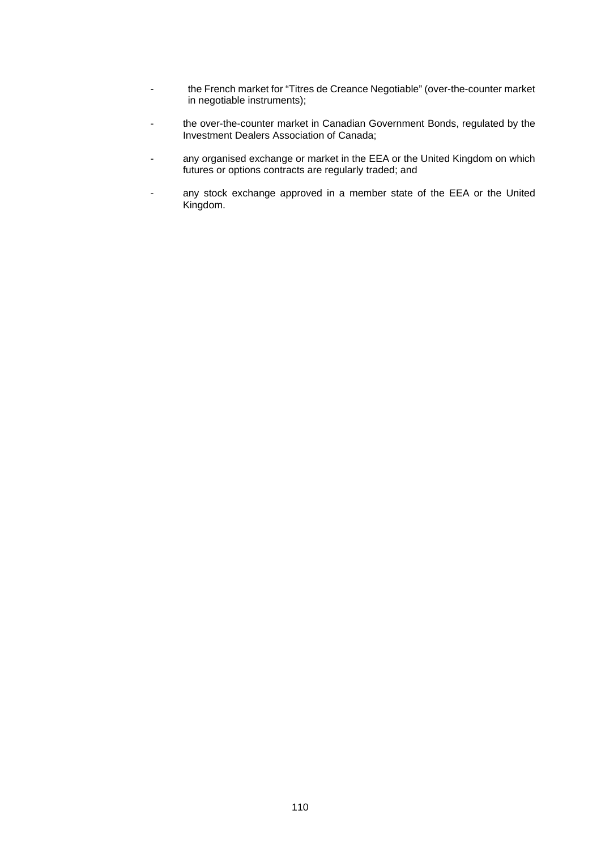- the French market for "Titres de Creance Negotiable" (over-the-counter market in negotiable instruments);
- the over-the-counter market in Canadian Government Bonds, regulated by the Investment Dealers Association of Canada;
- any organised exchange or market in the EEA or the United Kingdom on which futures or options contracts are regularly traded; and
- any stock exchange approved in a member state of the EEA or the United Kingdom.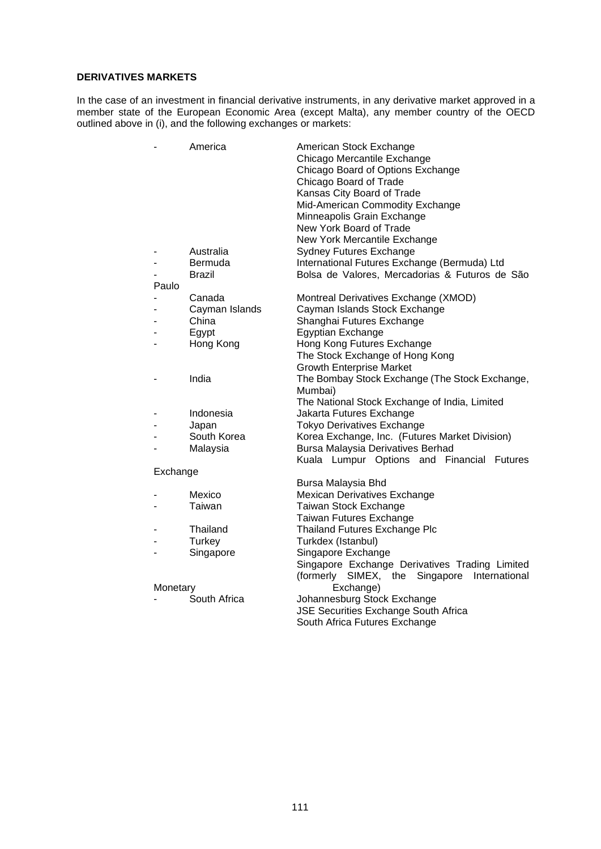## **DERIVATIVES MARKETS**

In the case of an investment in financial derivative instruments, in any derivative market approved in a member state of the European Economic Area (except Malta), any member country of the OECD outlined above in (i), and the following exchanges or markets:

| -        | America        | American Stock Exchange<br>Chicago Mercantile Exchange<br>Chicago Board of Options Exchange<br>Chicago Board of Trade<br>Kansas City Board of Trade<br>Mid-American Commodity Exchange<br>Minneapolis Grain Exchange<br>New York Board of Trade |
|----------|----------------|-------------------------------------------------------------------------------------------------------------------------------------------------------------------------------------------------------------------------------------------------|
|          |                | New York Mercantile Exchange                                                                                                                                                                                                                    |
|          | Australia      | <b>Sydney Futures Exchange</b>                                                                                                                                                                                                                  |
| -        | Bermuda        | International Futures Exchange (Bermuda) Ltd                                                                                                                                                                                                    |
| -        | Brazil         | Bolsa de Valores, Mercadorias & Futuros de São                                                                                                                                                                                                  |
| Paulo    |                |                                                                                                                                                                                                                                                 |
| -        | Canada         | Montreal Derivatives Exchange (XMOD)                                                                                                                                                                                                            |
| -        | Cayman Islands | Cayman Islands Stock Exchange                                                                                                                                                                                                                   |
| -        | China          | Shanghai Futures Exchange                                                                                                                                                                                                                       |
| -        | Egypt          | Egyptian Exchange                                                                                                                                                                                                                               |
| -        | Hong Kong      | Hong Kong Futures Exchange                                                                                                                                                                                                                      |
|          |                | The Stock Exchange of Hong Kong                                                                                                                                                                                                                 |
|          |                | <b>Growth Enterprise Market</b>                                                                                                                                                                                                                 |
|          | India          | The Bombay Stock Exchange (The Stock Exchange,                                                                                                                                                                                                  |
|          |                | Mumbai)                                                                                                                                                                                                                                         |
|          |                | The National Stock Exchange of India, Limited                                                                                                                                                                                                   |
|          | Indonesia      | Jakarta Futures Exchange                                                                                                                                                                                                                        |
|          | Japan          | <b>Tokyo Derivatives Exchange</b>                                                                                                                                                                                                               |
| -        | South Korea    | Korea Exchange, Inc. (Futures Market Division)                                                                                                                                                                                                  |
| -        | Malaysia       | Bursa Malaysia Derivatives Berhad                                                                                                                                                                                                               |
|          |                | Kuala Lumpur Options and Financial Futures                                                                                                                                                                                                      |
| Exchange |                |                                                                                                                                                                                                                                                 |
|          |                | Bursa Malaysia Bhd                                                                                                                                                                                                                              |
|          | Mexico         | Mexican Derivatives Exchange                                                                                                                                                                                                                    |
| -        | Taiwan         | Taiwan Stock Exchange                                                                                                                                                                                                                           |
|          |                | Taiwan Futures Exchange                                                                                                                                                                                                                         |
| -        | Thailand       | <b>Thailand Futures Exchange Plc</b>                                                                                                                                                                                                            |
|          | Turkey         | Turkdex (Istanbul)                                                                                                                                                                                                                              |
| -        | Singapore      | Singapore Exchange                                                                                                                                                                                                                              |
|          |                | Singapore Exchange Derivatives Trading Limited                                                                                                                                                                                                  |
|          |                | (formerly SIMEX, the Singapore<br>International                                                                                                                                                                                                 |
| Monetary |                | Exchange)                                                                                                                                                                                                                                       |
|          | South Africa   | Johannesburg Stock Exchange                                                                                                                                                                                                                     |
|          |                | JSE Securities Exchange South Africa                                                                                                                                                                                                            |
|          |                |                                                                                                                                                                                                                                                 |
|          |                | South Africa Futures Exchange                                                                                                                                                                                                                   |
|          |                |                                                                                                                                                                                                                                                 |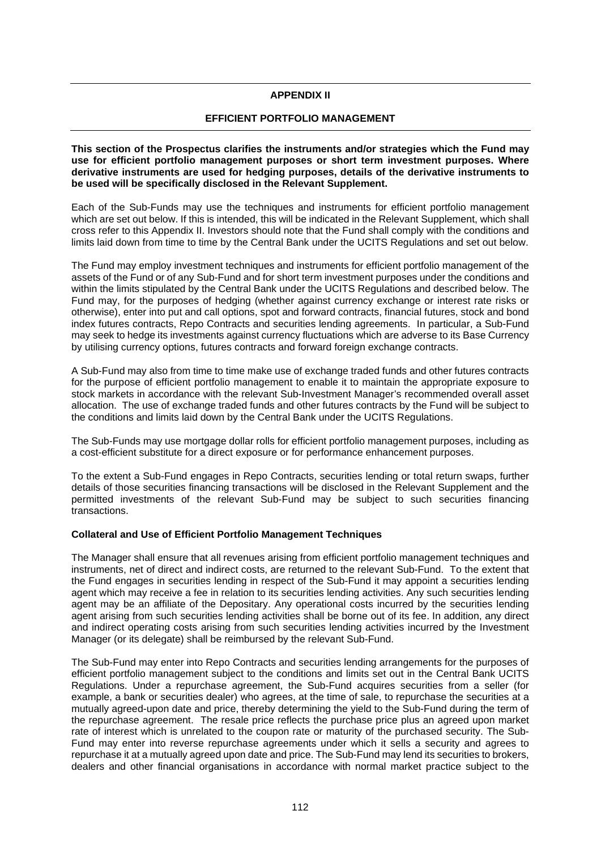## **APPENDIX II**

## **EFFICIENT PORTFOLIO MANAGEMENT**

**This section of the Prospectus clarifies the instruments and/or strategies which the Fund may use for efficient portfolio management purposes or short term investment purposes. Where derivative instruments are used for hedging purposes, details of the derivative instruments to be used will be specifically disclosed in the Relevant Supplement.** 

Each of the Sub-Funds may use the techniques and instruments for efficient portfolio management which are set out below. If this is intended, this will be indicated in the Relevant Supplement, which shall cross refer to this Appendix II. Investors should note that the Fund shall comply with the conditions and limits laid down from time to time by the Central Bank under the UCITS Regulations and set out below.

The Fund may employ investment techniques and instruments for efficient portfolio management of the assets of the Fund or of any Sub-Fund and for short term investment purposes under the conditions and within the limits stipulated by the Central Bank under the UCITS Regulations and described below. The Fund may, for the purposes of hedging (whether against currency exchange or interest rate risks or otherwise), enter into put and call options, spot and forward contracts, financial futures, stock and bond index futures contracts, Repo Contracts and securities lending agreements. In particular, a Sub-Fund may seek to hedge its investments against currency fluctuations which are adverse to its Base Currency by utilising currency options, futures contracts and forward foreign exchange contracts.

A Sub-Fund may also from time to time make use of exchange traded funds and other futures contracts for the purpose of efficient portfolio management to enable it to maintain the appropriate exposure to stock markets in accordance with the relevant Sub-Investment Manager's recommended overall asset allocation. The use of exchange traded funds and other futures contracts by the Fund will be subject to the conditions and limits laid down by the Central Bank under the UCITS Regulations.

The Sub-Funds may use mortgage dollar rolls for efficient portfolio management purposes, including as a cost-efficient substitute for a direct exposure or for performance enhancement purposes.

To the extent a Sub-Fund engages in Repo Contracts, securities lending or total return swaps, further details of those securities financing transactions will be disclosed in the Relevant Supplement and the permitted investments of the relevant Sub-Fund may be subject to such securities financing transactions.

## **Collateral and Use of Efficient Portfolio Management Techniques**

The Manager shall ensure that all revenues arising from efficient portfolio management techniques and instruments, net of direct and indirect costs, are returned to the relevant Sub-Fund. To the extent that the Fund engages in securities lending in respect of the Sub-Fund it may appoint a securities lending agent which may receive a fee in relation to its securities lending activities. Any such securities lending agent may be an affiliate of the Depositary. Any operational costs incurred by the securities lending agent arising from such securities lending activities shall be borne out of its fee. In addition, any direct and indirect operating costs arising from such securities lending activities incurred by the Investment Manager (or its delegate) shall be reimbursed by the relevant Sub-Fund.

The Sub-Fund may enter into Repo Contracts and securities lending arrangements for the purposes of efficient portfolio management subject to the conditions and limits set out in the Central Bank UCITS Regulations. Under a repurchase agreement, the Sub-Fund acquires securities from a seller (for example, a bank or securities dealer) who agrees, at the time of sale, to repurchase the securities at a mutually agreed-upon date and price, thereby determining the yield to the Sub-Fund during the term of the repurchase agreement. The resale price reflects the purchase price plus an agreed upon market rate of interest which is unrelated to the coupon rate or maturity of the purchased security. The Sub-Fund may enter into reverse repurchase agreements under which it sells a security and agrees to repurchase it at a mutually agreed upon date and price. The Sub-Fund may lend its securities to brokers, dealers and other financial organisations in accordance with normal market practice subject to the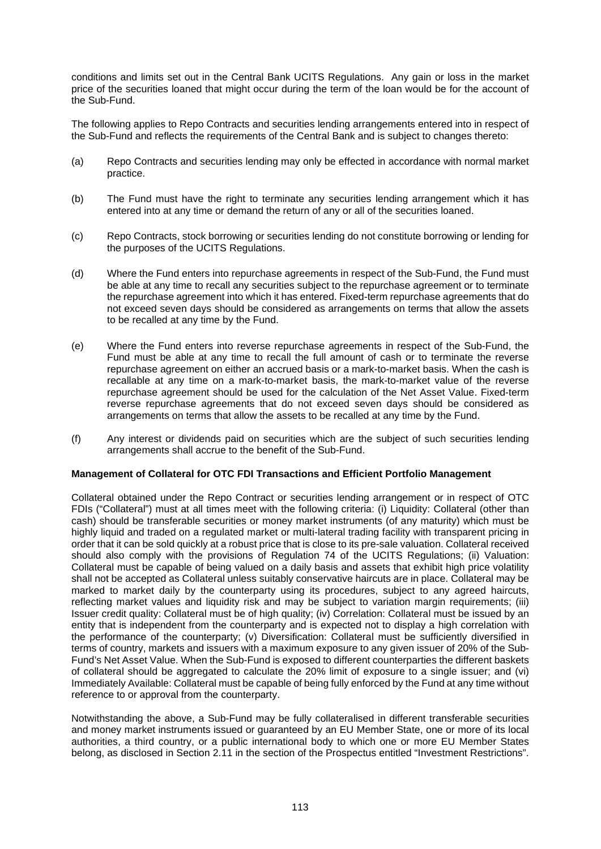conditions and limits set out in the Central Bank UCITS Regulations. Any gain or loss in the market price of the securities loaned that might occur during the term of the loan would be for the account of the Sub-Fund.

The following applies to Repo Contracts and securities lending arrangements entered into in respect of the Sub-Fund and reflects the requirements of the Central Bank and is subject to changes thereto:

- (a) Repo Contracts and securities lending may only be effected in accordance with normal market practice.
- (b) The Fund must have the right to terminate any securities lending arrangement which it has entered into at any time or demand the return of any or all of the securities loaned.
- (c) Repo Contracts, stock borrowing or securities lending do not constitute borrowing or lending for the purposes of the UCITS Regulations.
- (d) Where the Fund enters into repurchase agreements in respect of the Sub-Fund, the Fund must be able at any time to recall any securities subject to the repurchase agreement or to terminate the repurchase agreement into which it has entered. Fixed-term repurchase agreements that do not exceed seven days should be considered as arrangements on terms that allow the assets to be recalled at any time by the Fund.
- (e) Where the Fund enters into reverse repurchase agreements in respect of the Sub-Fund, the Fund must be able at any time to recall the full amount of cash or to terminate the reverse repurchase agreement on either an accrued basis or a mark-to-market basis. When the cash is recallable at any time on a mark-to-market basis, the mark-to-market value of the reverse repurchase agreement should be used for the calculation of the Net Asset Value. Fixed-term reverse repurchase agreements that do not exceed seven days should be considered as arrangements on terms that allow the assets to be recalled at any time by the Fund.
- (f) Any interest or dividends paid on securities which are the subject of such securities lending arrangements shall accrue to the benefit of the Sub-Fund.

### **Management of Collateral for OTC FDI Transactions and Efficient Portfolio Management**

Collateral obtained under the Repo Contract or securities lending arrangement or in respect of OTC FDIs ("Collateral") must at all times meet with the following criteria: (i) Liquidity: Collateral (other than cash) should be transferable securities or money market instruments (of any maturity) which must be highly liquid and traded on a regulated market or multi-lateral trading facility with transparent pricing in order that it can be sold quickly at a robust price that is close to its pre-sale valuation. Collateral received should also comply with the provisions of Regulation 74 of the UCITS Regulations; (ii) Valuation: Collateral must be capable of being valued on a daily basis and assets that exhibit high price volatility shall not be accepted as Collateral unless suitably conservative haircuts are in place. Collateral may be marked to market daily by the counterparty using its procedures, subject to any agreed haircuts, reflecting market values and liquidity risk and may be subject to variation margin requirements; (iii) Issuer credit quality: Collateral must be of high quality; (iv) Correlation: Collateral must be issued by an entity that is independent from the counterparty and is expected not to display a high correlation with the performance of the counterparty; (v) Diversification: Collateral must be sufficiently diversified in terms of country, markets and issuers with a maximum exposure to any given issuer of 20% of the Sub-Fund's Net Asset Value. When the Sub-Fund is exposed to different counterparties the different baskets of collateral should be aggregated to calculate the 20% limit of exposure to a single issuer; and (vi) Immediately Available: Collateral must be capable of being fully enforced by the Fund at any time without reference to or approval from the counterparty.

Notwithstanding the above, a Sub-Fund may be fully collateralised in different transferable securities and money market instruments issued or guaranteed by an EU Member State, one or more of its local authorities, a third country, or a public international body to which one or more EU Member States belong, as disclosed in Section 2.11 in the section of the Prospectus entitled "Investment Restrictions".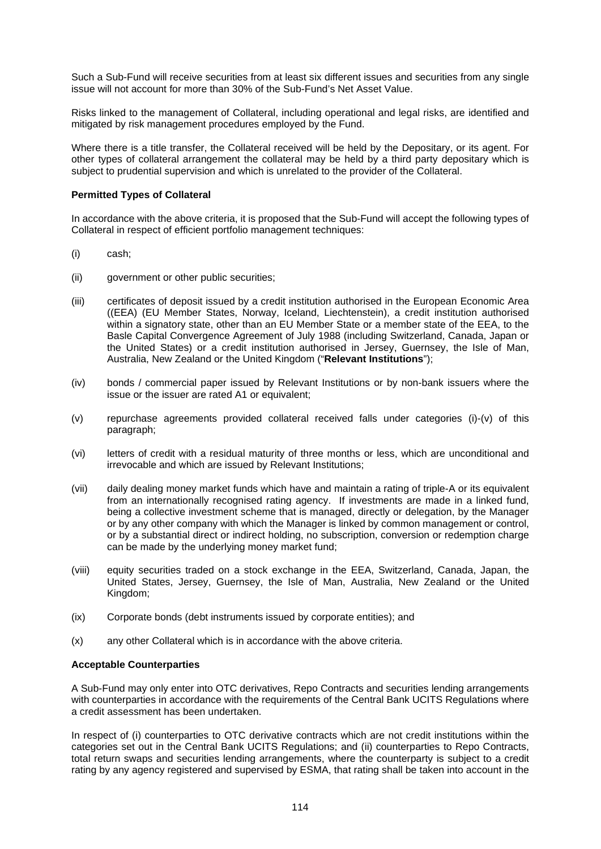Such a Sub-Fund will receive securities from at least six different issues and securities from any single issue will not account for more than 30% of the Sub-Fund's Net Asset Value.

Risks linked to the management of Collateral, including operational and legal risks, are identified and mitigated by risk management procedures employed by the Fund.

Where there is a title transfer, the Collateral received will be held by the Depositary, or its agent. For other types of collateral arrangement the collateral may be held by a third party depositary which is subject to prudential supervision and which is unrelated to the provider of the Collateral.

### **Permitted Types of Collateral**

In accordance with the above criteria, it is proposed that the Sub-Fund will accept the following types of Collateral in respect of efficient portfolio management techniques:

- (i) cash;
- (ii) government or other public securities;
- (iii) certificates of deposit issued by a credit institution authorised in the European Economic Area ((EEA) (EU Member States, Norway, Iceland, Liechtenstein), a credit institution authorised within a signatory state, other than an EU Member State or a member state of the EEA, to the Basle Capital Convergence Agreement of July 1988 (including Switzerland, Canada, Japan or the United States) or a credit institution authorised in Jersey, Guernsey, the Isle of Man, Australia, New Zealand or the United Kingdom ("**Relevant Institutions**");
- (iv) bonds / commercial paper issued by Relevant Institutions or by non-bank issuers where the issue or the issuer are rated A1 or equivalent;
- (v) repurchase agreements provided collateral received falls under categories (i)-(v) of this paragraph;
- (vi) letters of credit with a residual maturity of three months or less, which are unconditional and irrevocable and which are issued by Relevant Institutions;
- (vii) daily dealing money market funds which have and maintain a rating of triple-A or its equivalent from an internationally recognised rating agency. If investments are made in a linked fund, being a collective investment scheme that is managed, directly or delegation, by the Manager or by any other company with which the Manager is linked by common management or control, or by a substantial direct or indirect holding, no subscription, conversion or redemption charge can be made by the underlying money market fund;
- (viii) equity securities traded on a stock exchange in the EEA, Switzerland, Canada, Japan, the United States, Jersey, Guernsey, the Isle of Man, Australia, New Zealand or the United Kingdom;
- (ix) Corporate bonds (debt instruments issued by corporate entities); and
- (x) any other Collateral which is in accordance with the above criteria.

### **Acceptable Counterparties**

A Sub-Fund may only enter into OTC derivatives, Repo Contracts and securities lending arrangements with counterparties in accordance with the requirements of the Central Bank UCITS Regulations where a credit assessment has been undertaken.

In respect of (i) counterparties to OTC derivative contracts which are not credit institutions within the categories set out in the Central Bank UCITS Regulations; and (ii) counterparties to Repo Contracts, total return swaps and securities lending arrangements, where the counterparty is subject to a credit rating by any agency registered and supervised by ESMA, that rating shall be taken into account in the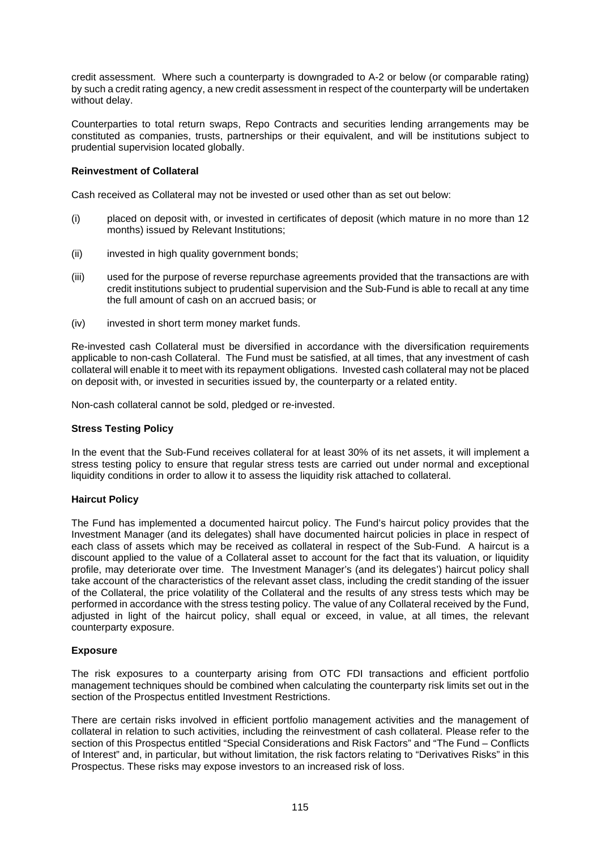credit assessment. Where such a counterparty is downgraded to A-2 or below (or comparable rating) by such a credit rating agency, a new credit assessment in respect of the counterparty will be undertaken without delay.

Counterparties to total return swaps, Repo Contracts and securities lending arrangements may be constituted as companies, trusts, partnerships or their equivalent, and will be institutions subject to prudential supervision located globally.

## **Reinvestment of Collateral**

Cash received as Collateral may not be invested or used other than as set out below:

- (i) placed on deposit with, or invested in certificates of deposit (which mature in no more than 12 months) issued by Relevant Institutions;
- (ii) invested in high quality government bonds:
- (iii) used for the purpose of reverse repurchase agreements provided that the transactions are with credit institutions subject to prudential supervision and the Sub-Fund is able to recall at any time the full amount of cash on an accrued basis; or
- (iv) invested in short term money market funds.

Re-invested cash Collateral must be diversified in accordance with the diversification requirements applicable to non-cash Collateral. The Fund must be satisfied, at all times, that any investment of cash collateral will enable it to meet with its repayment obligations. Invested cash collateral may not be placed on deposit with, or invested in securities issued by, the counterparty or a related entity.

Non-cash collateral cannot be sold, pledged or re-invested.

### **Stress Testing Policy**

In the event that the Sub-Fund receives collateral for at least 30% of its net assets, it will implement a stress testing policy to ensure that regular stress tests are carried out under normal and exceptional liquidity conditions in order to allow it to assess the liquidity risk attached to collateral.

### **Haircut Policy**

The Fund has implemented a documented haircut policy. The Fund's haircut policy provides that the Investment Manager (and its delegates) shall have documented haircut policies in place in respect of each class of assets which may be received as collateral in respect of the Sub-Fund. A haircut is a discount applied to the value of a Collateral asset to account for the fact that its valuation, or liquidity profile, may deteriorate over time. The Investment Manager's (and its delegates') haircut policy shall take account of the characteristics of the relevant asset class, including the credit standing of the issuer of the Collateral, the price volatility of the Collateral and the results of any stress tests which may be performed in accordance with the stress testing policy. The value of any Collateral received by the Fund, adjusted in light of the haircut policy, shall equal or exceed, in value, at all times, the relevant counterparty exposure.

## **Exposure**

The risk exposures to a counterparty arising from OTC FDI transactions and efficient portfolio management techniques should be combined when calculating the counterparty risk limits set out in the section of the Prospectus entitled Investment Restrictions.

There are certain risks involved in efficient portfolio management activities and the management of collateral in relation to such activities, including the reinvestment of cash collateral. Please refer to the section of this Prospectus entitled "Special Considerations and Risk Factors" and "The Fund – Conflicts of Interest" and, in particular, but without limitation, the risk factors relating to "Derivatives Risks" in this Prospectus. These risks may expose investors to an increased risk of loss.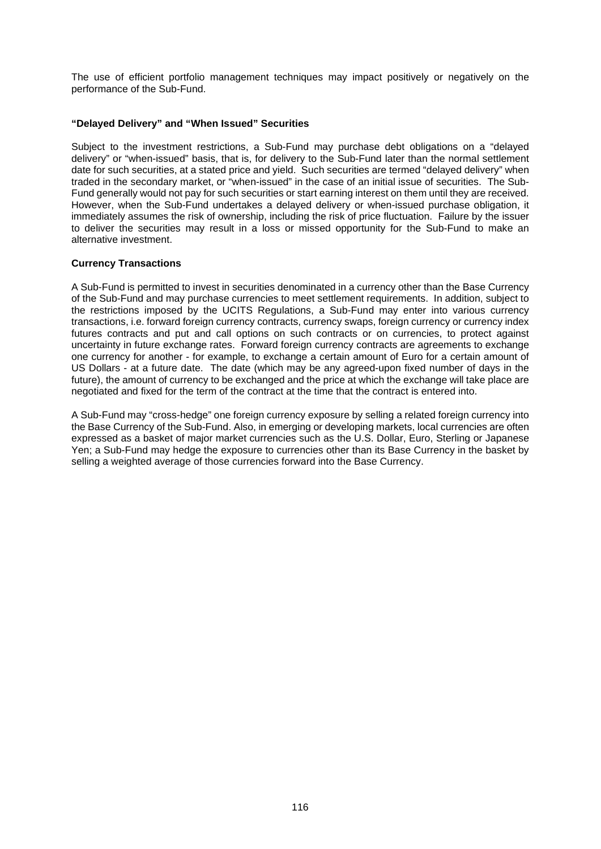The use of efficient portfolio management techniques may impact positively or negatively on the performance of the Sub-Fund.

## **"Delayed Delivery" and "When Issued" Securities**

Subject to the investment restrictions, a Sub-Fund may purchase debt obligations on a "delayed delivery" or "when-issued" basis, that is, for delivery to the Sub-Fund later than the normal settlement date for such securities, at a stated price and yield. Such securities are termed "delayed delivery" when traded in the secondary market, or "when-issued" in the case of an initial issue of securities. The Sub-Fund generally would not pay for such securities or start earning interest on them until they are received. However, when the Sub-Fund undertakes a delayed delivery or when-issued purchase obligation, it immediately assumes the risk of ownership, including the risk of price fluctuation. Failure by the issuer to deliver the securities may result in a loss or missed opportunity for the Sub-Fund to make an alternative investment.

## **Currency Transactions**

A Sub-Fund is permitted to invest in securities denominated in a currency other than the Base Currency of the Sub-Fund and may purchase currencies to meet settlement requirements. In addition, subject to the restrictions imposed by the UCITS Regulations, a Sub-Fund may enter into various currency transactions, i.e. forward foreign currency contracts, currency swaps, foreign currency or currency index futures contracts and put and call options on such contracts or on currencies, to protect against uncertainty in future exchange rates. Forward foreign currency contracts are agreements to exchange one currency for another - for example, to exchange a certain amount of Euro for a certain amount of US Dollars - at a future date. The date (which may be any agreed-upon fixed number of days in the future), the amount of currency to be exchanged and the price at which the exchange will take place are negotiated and fixed for the term of the contract at the time that the contract is entered into.

A Sub-Fund may "cross-hedge" one foreign currency exposure by selling a related foreign currency into the Base Currency of the Sub-Fund. Also, in emerging or developing markets, local currencies are often expressed as a basket of major market currencies such as the U.S. Dollar, Euro, Sterling or Japanese Yen; a Sub-Fund may hedge the exposure to currencies other than its Base Currency in the basket by selling a weighted average of those currencies forward into the Base Currency.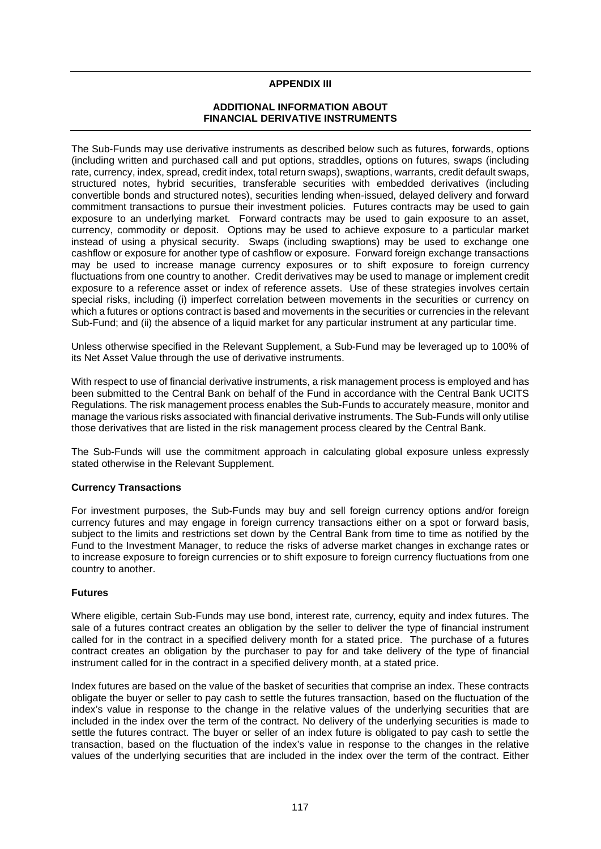## **APPENDIX III**

## **ADDITIONAL INFORMATION ABOUT FINANCIAL DERIVATIVE INSTRUMENTS**

The Sub-Funds may use derivative instruments as described below such as futures, forwards, options (including written and purchased call and put options, straddles, options on futures, swaps (including rate, currency, index, spread, credit index, total return swaps), swaptions, warrants, credit default swaps, structured notes, hybrid securities, transferable securities with embedded derivatives (including convertible bonds and structured notes), securities lending when-issued, delayed delivery and forward commitment transactions to pursue their investment policies. Futures contracts may be used to gain exposure to an underlying market. Forward contracts may be used to gain exposure to an asset, currency, commodity or deposit. Options may be used to achieve exposure to a particular market instead of using a physical security. Swaps (including swaptions) may be used to exchange one cashflow or exposure for another type of cashflow or exposure. Forward foreign exchange transactions may be used to increase manage currency exposures or to shift exposure to foreign currency fluctuations from one country to another. Credit derivatives may be used to manage or implement credit exposure to a reference asset or index of reference assets. Use of these strategies involves certain special risks, including (i) imperfect correlation between movements in the securities or currency on which a futures or options contract is based and movements in the securities or currencies in the relevant Sub-Fund; and (ii) the absence of a liquid market for any particular instrument at any particular time.

Unless otherwise specified in the Relevant Supplement, a Sub-Fund may be leveraged up to 100% of its Net Asset Value through the use of derivative instruments.

With respect to use of financial derivative instruments, a risk management process is employed and has been submitted to the Central Bank on behalf of the Fund in accordance with the Central Bank UCITS Regulations. The risk management process enables the Sub-Funds to accurately measure, monitor and manage the various risks associated with financial derivative instruments. The Sub-Funds will only utilise those derivatives that are listed in the risk management process cleared by the Central Bank.

The Sub-Funds will use the commitment approach in calculating global exposure unless expressly stated otherwise in the Relevant Supplement.

### **Currency Transactions**

For investment purposes, the Sub-Funds may buy and sell foreign currency options and/or foreign currency futures and may engage in foreign currency transactions either on a spot or forward basis, subject to the limits and restrictions set down by the Central Bank from time to time as notified by the Fund to the Investment Manager, to reduce the risks of adverse market changes in exchange rates or to increase exposure to foreign currencies or to shift exposure to foreign currency fluctuations from one country to another.

## **Futures**

Where eligible, certain Sub-Funds may use bond, interest rate, currency, equity and index futures. The sale of a futures contract creates an obligation by the seller to deliver the type of financial instrument called for in the contract in a specified delivery month for a stated price. The purchase of a futures contract creates an obligation by the purchaser to pay for and take delivery of the type of financial instrument called for in the contract in a specified delivery month, at a stated price.

Index futures are based on the value of the basket of securities that comprise an index. These contracts obligate the buyer or seller to pay cash to settle the futures transaction, based on the fluctuation of the index's value in response to the change in the relative values of the underlying securities that are included in the index over the term of the contract. No delivery of the underlying securities is made to settle the futures contract. The buyer or seller of an index future is obligated to pay cash to settle the transaction, based on the fluctuation of the index's value in response to the changes in the relative values of the underlying securities that are included in the index over the term of the contract. Either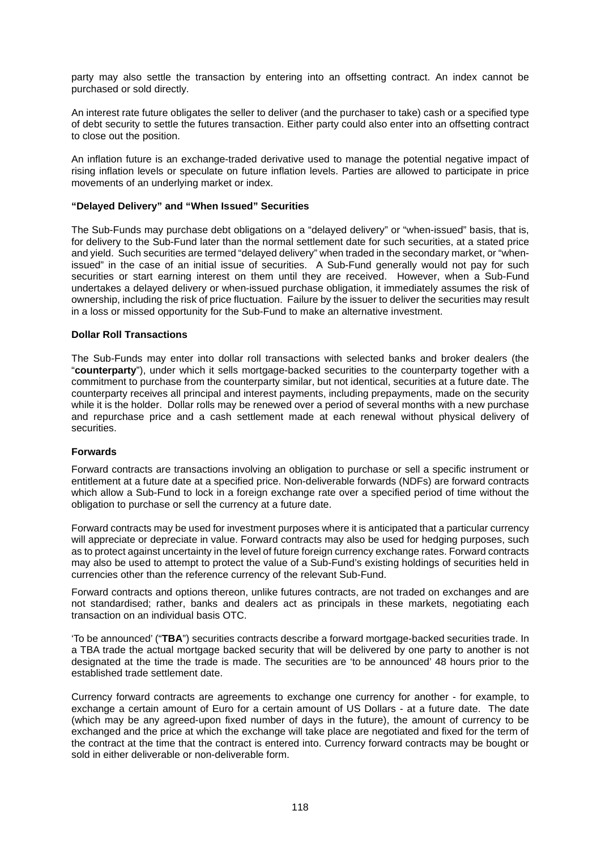party may also settle the transaction by entering into an offsetting contract. An index cannot be purchased or sold directly.

An interest rate future obligates the seller to deliver (and the purchaser to take) cash or a specified type of debt security to settle the futures transaction. Either party could also enter into an offsetting contract to close out the position.

An inflation future is an exchange-traded derivative used to manage the potential negative impact of rising inflation levels or speculate on future inflation levels. Parties are allowed to participate in price movements of an underlying market or index.

## **"Delayed Delivery" and "When Issued" Securities**

The Sub-Funds may purchase debt obligations on a "delayed delivery" or "when-issued" basis, that is, for delivery to the Sub-Fund later than the normal settlement date for such securities, at a stated price and yield. Such securities are termed "delayed delivery" when traded in the secondary market, or "whenissued" in the case of an initial issue of securities. A Sub-Fund generally would not pay for such securities or start earning interest on them until they are received. However, when a Sub-Fund undertakes a delayed delivery or when-issued purchase obligation, it immediately assumes the risk of ownership, including the risk of price fluctuation. Failure by the issuer to deliver the securities may result in a loss or missed opportunity for the Sub-Fund to make an alternative investment.

### **Dollar Roll Transactions**

The Sub-Funds may enter into dollar roll transactions with selected banks and broker dealers (the "**counterparty**"), under which it sells mortgage-backed securities to the counterparty together with a commitment to purchase from the counterparty similar, but not identical, securities at a future date. The counterparty receives all principal and interest payments, including prepayments, made on the security while it is the holder. Dollar rolls may be renewed over a period of several months with a new purchase and repurchase price and a cash settlement made at each renewal without physical delivery of securities.

## **Forwards**

Forward contracts are transactions involving an obligation to purchase or sell a specific instrument or entitlement at a future date at a specified price. Non-deliverable forwards (NDFs) are forward contracts which allow a Sub-Fund to lock in a foreign exchange rate over a specified period of time without the obligation to purchase or sell the currency at a future date.

Forward contracts may be used for investment purposes where it is anticipated that a particular currency will appreciate or depreciate in value. Forward contracts may also be used for hedging purposes, such as to protect against uncertainty in the level of future foreign currency exchange rates. Forward contracts may also be used to attempt to protect the value of a Sub-Fund's existing holdings of securities held in currencies other than the reference currency of the relevant Sub-Fund.

Forward contracts and options thereon, unlike futures contracts, are not traded on exchanges and are not standardised; rather, banks and dealers act as principals in these markets, negotiating each transaction on an individual basis OTC.

'To be announced' ("**TBA**") securities contracts describe a forward mortgage-backed securities trade. In a TBA trade the actual mortgage backed security that will be delivered by one party to another is not designated at the time the trade is made. The securities are 'to be announced' 48 hours prior to the established trade settlement date.

Currency forward contracts are agreements to exchange one currency for another - for example, to exchange a certain amount of Euro for a certain amount of US Dollars - at a future date. The date (which may be any agreed-upon fixed number of days in the future), the amount of currency to be exchanged and the price at which the exchange will take place are negotiated and fixed for the term of the contract at the time that the contract is entered into. Currency forward contracts may be bought or sold in either deliverable or non-deliverable form.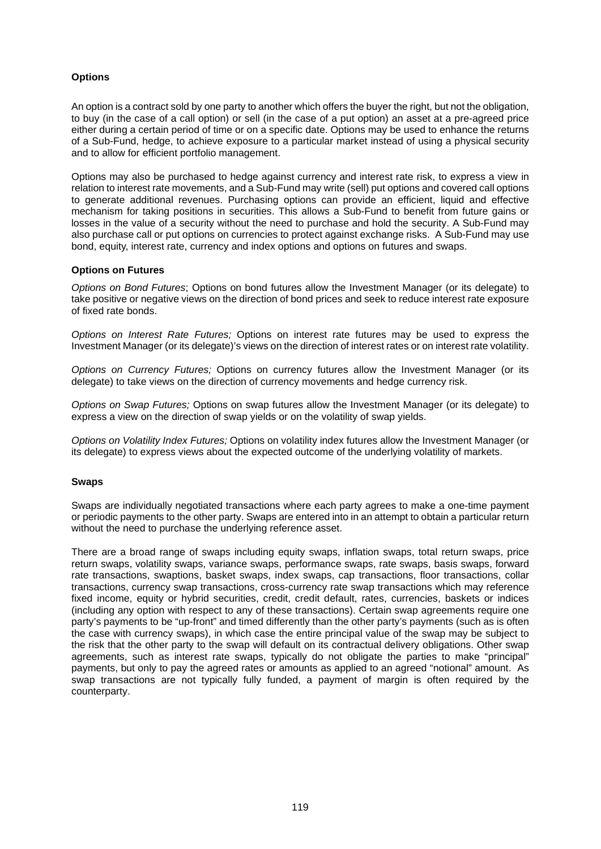## **Options**

An option is a contract sold by one party to another which offers the buyer the right, but not the obligation, to buy (in the case of a call option) or sell (in the case of a put option) an asset at a pre-agreed price either during a certain period of time or on a specific date. Options may be used to enhance the returns of a Sub-Fund, hedge, to achieve exposure to a particular market instead of using a physical security and to allow for efficient portfolio management.

Options may also be purchased to hedge against currency and interest rate risk, to express a view in relation to interest rate movements, and a Sub-Fund may write (sell) put options and covered call options to generate additional revenues. Purchasing options can provide an efficient, liquid and effective mechanism for taking positions in securities. This allows a Sub-Fund to benefit from future gains or losses in the value of a security without the need to purchase and hold the security. A Sub-Fund may also purchase call or put options on currencies to protect against exchange risks. A Sub-Fund may use bond, equity, interest rate, currency and index options and options on futures and swaps.

## **Options on Futures**

*Options on Bond Futures*; Options on bond futures allow the Investment Manager (or its delegate) to take positive or negative views on the direction of bond prices and seek to reduce interest rate exposure of fixed rate bonds.

*Options on Interest Rate Futures;* Options on interest rate futures may be used to express the Investment Manager (or its delegate)'s views on the direction of interest rates or on interest rate volatility.

*Options on Currency Futures;* Options on currency futures allow the Investment Manager (or its delegate) to take views on the direction of currency movements and hedge currency risk.

*Options on Swap Futures;* Options on swap futures allow the Investment Manager (or its delegate) to express a view on the direction of swap yields or on the volatility of swap yields.

*Options on Volatility Index Futures;* Options on volatility index futures allow the Investment Manager (or its delegate) to express views about the expected outcome of the underlying volatility of markets.

### **Swaps**

Swaps are individually negotiated transactions where each party agrees to make a one-time payment or periodic payments to the other party. Swaps are entered into in an attempt to obtain a particular return without the need to purchase the underlying reference asset.

There are a broad range of swaps including equity swaps, inflation swaps, total return swaps, price return swaps, volatility swaps, variance swaps, performance swaps, rate swaps, basis swaps, forward rate transactions, swaptions, basket swaps, index swaps, cap transactions, floor transactions, collar transactions, currency swap transactions, cross-currency rate swap transactions which may reference fixed income, equity or hybrid securities, credit, credit default, rates, currencies, baskets or indices (including any option with respect to any of these transactions). Certain swap agreements require one party's payments to be "up-front" and timed differently than the other party's payments (such as is often the case with currency swaps), in which case the entire principal value of the swap may be subject to the risk that the other party to the swap will default on its contractual delivery obligations. Other swap agreements, such as interest rate swaps, typically do not obligate the parties to make "principal" payments, but only to pay the agreed rates or amounts as applied to an agreed "notional" amount. As swap transactions are not typically fully funded, a payment of margin is often required by the counterparty.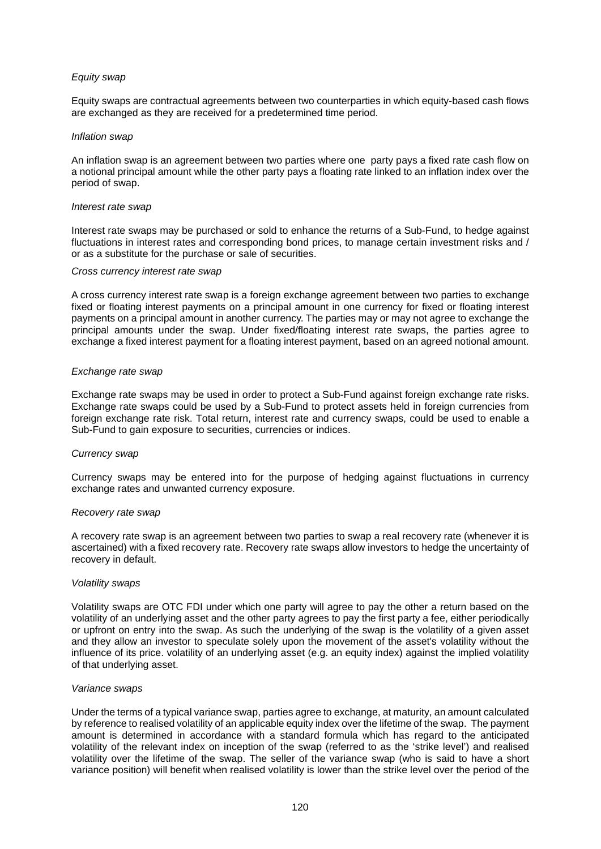## *Equity swap*

Equity swaps are contractual agreements between two counterparties in which equity-based cash flows are exchanged as they are received for a predetermined time period.

### *Inflation swap*

An inflation swap is an agreement between two parties where one party pays a fixed rate cash flow on a notional principal amount while the other party pays a floating rate linked to an inflation index over the period of swap.

#### *Interest rate swap*

Interest rate swaps may be purchased or sold to enhance the returns of a Sub-Fund, to hedge against fluctuations in interest rates and corresponding bond prices, to manage certain investment risks and / or as a substitute for the purchase or sale of securities.

#### *Cross currency interest rate swap*

A cross currency interest rate swap is a foreign exchange agreement between two parties to exchange fixed or floating interest payments on a principal amount in one currency for fixed or floating interest payments on a principal amount in another currency. The parties may or may not agree to exchange the principal amounts under the swap. Under fixed/floating interest rate swaps, the parties agree to exchange a fixed interest payment for a floating interest payment, based on an agreed notional amount.

#### *Exchange rate swap*

Exchange rate swaps may be used in order to protect a Sub-Fund against foreign exchange rate risks. Exchange rate swaps could be used by a Sub-Fund to protect assets held in foreign currencies from foreign exchange rate risk. Total return, interest rate and currency swaps, could be used to enable a Sub-Fund to gain exposure to securities, currencies or indices.

### *Currency swap*

Currency swaps may be entered into for the purpose of hedging against fluctuations in currency exchange rates and unwanted currency exposure.

#### *Recovery rate swap*

A recovery rate swap is an agreement between two parties to swap a real recovery rate (whenever it is ascertained) with a fixed recovery rate. Recovery rate swaps allow investors to hedge the uncertainty of recovery in default.

#### *Volatility swaps*

Volatility swaps are OTC FDI under which one party will agree to pay the other a return based on the volatility of an underlying asset and the other party agrees to pay the first party a fee, either periodically or upfront on entry into the swap. As such the underlying of the swap is the volatility of a given asset and they allow an investor to speculate solely upon the movement of the asset's volatility without the influence of its price. volatility of an underlying asset (e.g. an equity index) against the implied volatility of that underlying asset.

### *Variance swaps*

Under the terms of a typical variance swap, parties agree to exchange, at maturity, an amount calculated by reference to realised volatility of an applicable equity index over the lifetime of the swap. The payment amount is determined in accordance with a standard formula which has regard to the anticipated volatility of the relevant index on inception of the swap (referred to as the 'strike level') and realised volatility over the lifetime of the swap. The seller of the variance swap (who is said to have a short variance position) will benefit when realised volatility is lower than the strike level over the period of the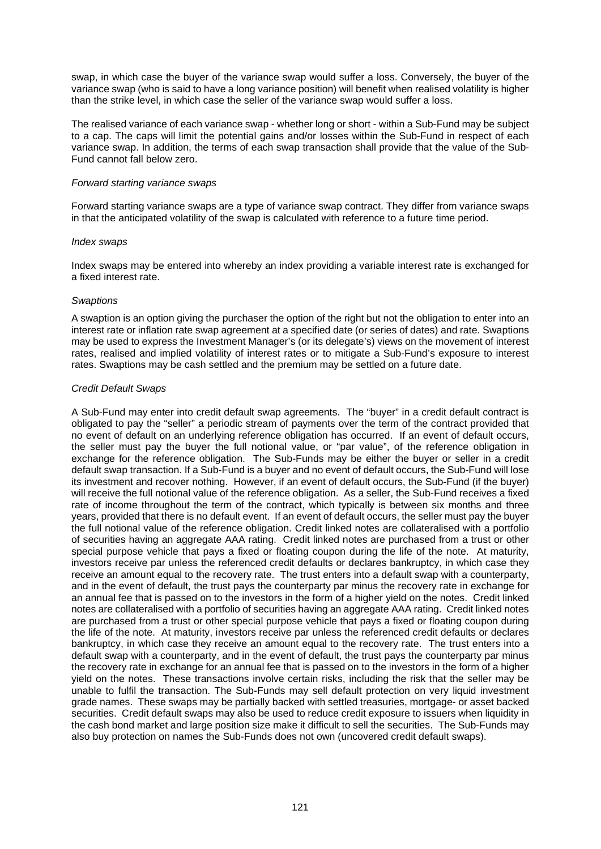swap, in which case the buyer of the variance swap would suffer a loss. Conversely, the buyer of the variance swap (who is said to have a long variance position) will benefit when realised volatility is higher than the strike level, in which case the seller of the variance swap would suffer a loss.

The realised variance of each variance swap - whether long or short - within a Sub-Fund may be subject to a cap. The caps will limit the potential gains and/or losses within the Sub-Fund in respect of each variance swap. In addition, the terms of each swap transaction shall provide that the value of the Sub-Fund cannot fall below zero.

### *Forward starting variance swaps*

Forward starting variance swaps are a type of variance swap contract. They differ from variance swaps in that the anticipated volatility of the swap is calculated with reference to a future time period.

#### *Index swaps*

Index swaps may be entered into whereby an index providing a variable interest rate is exchanged for a fixed interest rate.

#### *Swaptions*

A swaption is an option giving the purchaser the option of the right but not the obligation to enter into an interest rate or inflation rate swap agreement at a specified date (or series of dates) and rate. Swaptions may be used to express the Investment Manager's (or its delegate's) views on the movement of interest rates, realised and implied volatility of interest rates or to mitigate a Sub-Fund's exposure to interest rates. Swaptions may be cash settled and the premium may be settled on a future date.

### *Credit Default Swaps*

A Sub-Fund may enter into credit default swap agreements. The "buyer" in a credit default contract is obligated to pay the "seller" a periodic stream of payments over the term of the contract provided that no event of default on an underlying reference obligation has occurred. If an event of default occurs, the seller must pay the buyer the full notional value, or "par value", of the reference obligation in exchange for the reference obligation. The Sub-Funds may be either the buyer or seller in a credit default swap transaction. If a Sub-Fund is a buyer and no event of default occurs, the Sub-Fund will lose its investment and recover nothing. However, if an event of default occurs, the Sub-Fund (if the buyer) will receive the full notional value of the reference obligation. As a seller, the Sub-Fund receives a fixed rate of income throughout the term of the contract, which typically is between six months and three years, provided that there is no default event. If an event of default occurs, the seller must pay the buyer the full notional value of the reference obligation. Credit linked notes are collateralised with a portfolio of securities having an aggregate AAA rating. Credit linked notes are purchased from a trust or other special purpose vehicle that pays a fixed or floating coupon during the life of the note. At maturity, investors receive par unless the referenced credit defaults or declares bankruptcy, in which case they receive an amount equal to the recovery rate. The trust enters into a default swap with a counterparty, and in the event of default, the trust pays the counterparty par minus the recovery rate in exchange for an annual fee that is passed on to the investors in the form of a higher yield on the notes. Credit linked notes are collateralised with a portfolio of securities having an aggregate AAA rating. Credit linked notes are purchased from a trust or other special purpose vehicle that pays a fixed or floating coupon during the life of the note. At maturity, investors receive par unless the referenced credit defaults or declares bankruptcy, in which case they receive an amount equal to the recovery rate. The trust enters into a default swap with a counterparty, and in the event of default, the trust pays the counterparty par minus the recovery rate in exchange for an annual fee that is passed on to the investors in the form of a higher yield on the notes. These transactions involve certain risks, including the risk that the seller may be unable to fulfil the transaction. The Sub-Funds may sell default protection on very liquid investment grade names. These swaps may be partially backed with settled treasuries, mortgage- or asset backed securities. Credit default swaps may also be used to reduce credit exposure to issuers when liquidity in the cash bond market and large position size make it difficult to sell the securities. The Sub-Funds may also buy protection on names the Sub-Funds does not own (uncovered credit default swaps).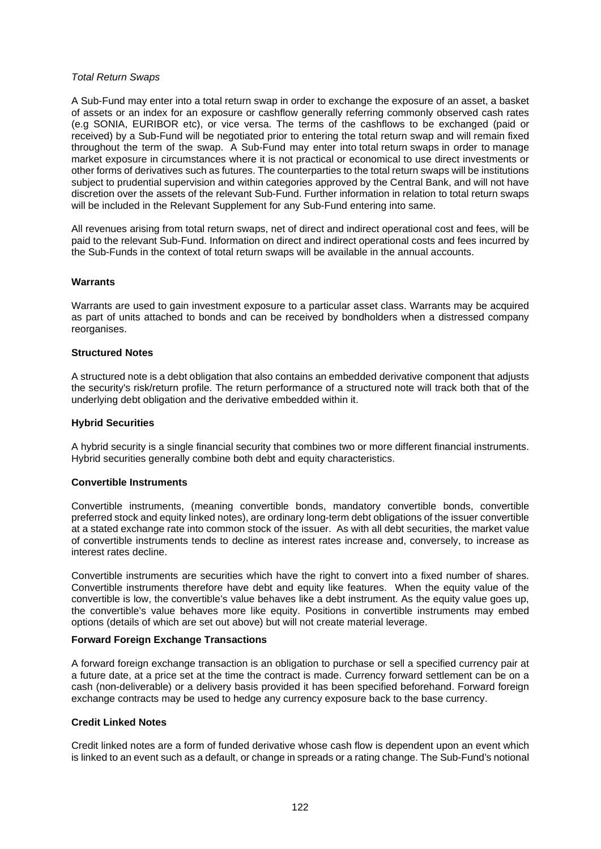### *Total Return Swaps*

A Sub-Fund may enter into a total return swap in order to exchange the exposure of an asset, a basket of assets or an index for an exposure or cashflow generally referring commonly observed cash rates (e.g SONIA, EURIBOR etc), or vice versa. The terms of the cashflows to be exchanged (paid or received) by a Sub-Fund will be negotiated prior to entering the total return swap and will remain fixed throughout the term of the swap. A Sub-Fund may enter into total return swaps in order to manage market exposure in circumstances where it is not practical or economical to use direct investments or other forms of derivatives such as futures. The counterparties to the total return swaps will be institutions subject to prudential supervision and within categories approved by the Central Bank, and will not have discretion over the assets of the relevant Sub-Fund. Further information in relation to total return swaps will be included in the Relevant Supplement for any Sub-Fund entering into same.

All revenues arising from total return swaps, net of direct and indirect operational cost and fees, will be paid to the relevant Sub-Fund. Information on direct and indirect operational costs and fees incurred by the Sub-Funds in the context of total return swaps will be available in the annual accounts.

## **Warrants**

Warrants are used to gain investment exposure to a particular asset class. Warrants may be acquired as part of units attached to bonds and can be received by bondholders when a distressed company reorganises.

## **Structured Notes**

A structured note is a debt obligation that also contains an embedded derivative component that adjusts the security's risk/return profile. The return performance of a structured note will track both that of the underlying debt obligation and the derivative embedded within it.

## **Hybrid Securities**

A hybrid security is a single financial security that combines two or more different financial instruments. Hybrid securities generally combine both debt and equity characteristics.

## **Convertible Instruments**

Convertible instruments, (meaning convertible bonds, mandatory convertible bonds, convertible preferred stock and equity linked notes), are ordinary long-term debt obligations of the issuer convertible at a stated exchange rate into common stock of the issuer. As with all debt securities, the market value of convertible instruments tends to decline as interest rates increase and, conversely, to increase as interest rates decline.

Convertible instruments are securities which have the right to convert into a fixed number of shares. Convertible instruments therefore have debt and equity like features. When the equity value of the convertible is low, the convertible's value behaves like a debt instrument. As the equity value goes up, the convertible's value behaves more like equity. Positions in convertible instruments may embed options (details of which are set out above) but will not create material leverage.

### **Forward Foreign Exchange Transactions**

A forward foreign exchange transaction is an obligation to purchase or sell a specified currency pair at a future date, at a price set at the time the contract is made. Currency forward settlement can be on a cash (non-deliverable) or a delivery basis provided it has been specified beforehand. Forward foreign exchange contracts may be used to hedge any currency exposure back to the base currency.

## **Credit Linked Notes**

Credit linked notes are a form of funded derivative whose cash flow is dependent upon an event which is linked to an event such as a default, or change in spreads or a rating change. The Sub-Fund's notional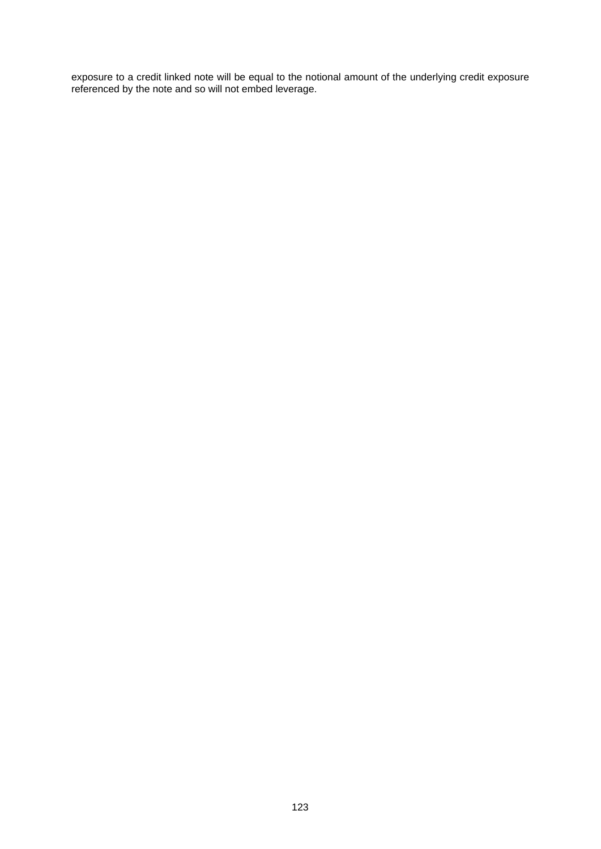exposure to a credit linked note will be equal to the notional amount of the underlying credit exposure referenced by the note and so will not embed leverage.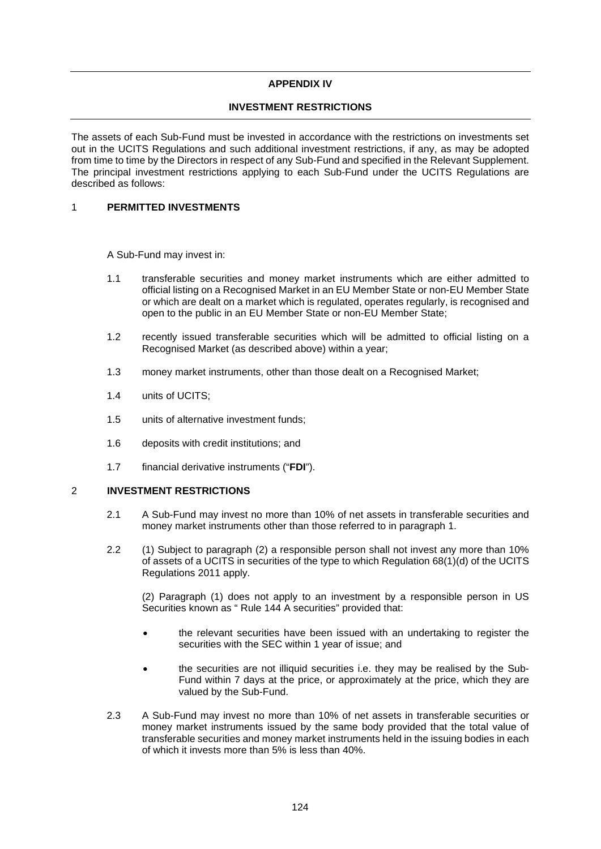## **APPENDIX IV**

## **INVESTMENT RESTRICTIONS**

The assets of each Sub-Fund must be invested in accordance with the restrictions on investments set out in the UCITS Regulations and such additional investment restrictions, if any, as may be adopted from time to time by the Directors in respect of any Sub-Fund and specified in the Relevant Supplement. The principal investment restrictions applying to each Sub-Fund under the UCITS Regulations are described as follows:

## 1 **PERMITTED INVESTMENTS**

A Sub-Fund may invest in:

- 1.1 transferable securities and money market instruments which are either admitted to official listing on a Recognised Market in an EU Member State or non-EU Member State or which are dealt on a market which is regulated, operates regularly, is recognised and open to the public in an EU Member State or non-EU Member State;
- 1.2 recently issued transferable securities which will be admitted to official listing on a Recognised Market (as described above) within a year;
- 1.3 money market instruments, other than those dealt on a Recognised Market;
- 1.4 units of UCITS;
- 1.5 units of alternative investment funds;
- 1.6 deposits with credit institutions; and
- 1.7 financial derivative instruments ("**FDI**").

## 2 **INVESTMENT RESTRICTIONS**

- 2.1 A Sub-Fund may invest no more than 10% of net assets in transferable securities and money market instruments other than those referred to in paragraph 1.
- 2.2 (1) Subject to paragraph (2) a responsible person shall not invest any more than 10% of assets of a UCITS in securities of the type to which Regulation 68(1)(d) of the UCITS Regulations 2011 apply.

(2) Paragraph (1) does not apply to an investment by a responsible person in US Securities known as " Rule 144 A securities" provided that:

- the relevant securities have been issued with an undertaking to register the securities with the SEC within 1 year of issue; and
- the securities are not illiquid securities i.e. they may be realised by the Sub-Fund within 7 days at the price, or approximately at the price, which they are valued by the Sub-Fund.
- 2.3 A Sub-Fund may invest no more than 10% of net assets in transferable securities or money market instruments issued by the same body provided that the total value of transferable securities and money market instruments held in the issuing bodies in each of which it invests more than 5% is less than 40%.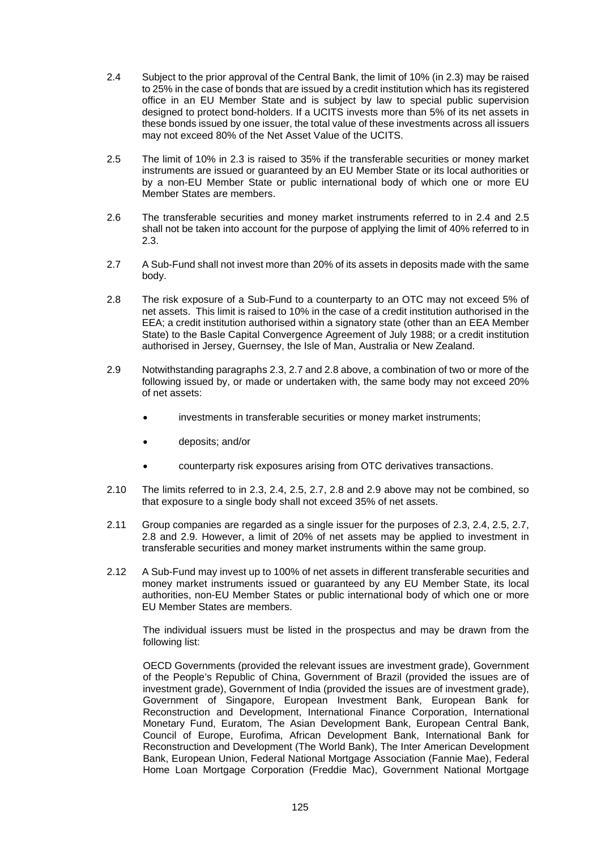- 2.4 Subject to the prior approval of the Central Bank, the limit of 10% (in 2.3) may be raised to 25% in the case of bonds that are issued by a credit institution which has its registered office in an EU Member State and is subject by law to special public supervision designed to protect bond-holders. If a UCITS invests more than 5% of its net assets in these bonds issued by one issuer, the total value of these investments across all issuers may not exceed 80% of the Net Asset Value of the UCITS.
- 2.5 The limit of 10% in 2.3 is raised to 35% if the transferable securities or money market instruments are issued or guaranteed by an EU Member State or its local authorities or by a non-EU Member State or public international body of which one or more EU Member States are members.
- 2.6 The transferable securities and money market instruments referred to in 2.4 and 2.5 shall not be taken into account for the purpose of applying the limit of 40% referred to in  $2.3$
- 2.7 A Sub-Fund shall not invest more than 20% of its assets in deposits made with the same body.
- 2.8 The risk exposure of a Sub-Fund to a counterparty to an OTC may not exceed 5% of net assets. This limit is raised to 10% in the case of a credit institution authorised in the EEA; a credit institution authorised within a signatory state (other than an EEA Member State) to the Basle Capital Convergence Agreement of July 1988; or a credit institution authorised in Jersey, Guernsey, the Isle of Man, Australia or New Zealand.
- 2.9 Notwithstanding paragraphs 2.3, 2.7 and 2.8 above, a combination of two or more of the following issued by, or made or undertaken with, the same body may not exceed 20% of net assets:
	- investments in transferable securities or money market instruments;
	- deposits; and/or
	- counterparty risk exposures arising from OTC derivatives transactions.
- 2.10 The limits referred to in 2.3, 2.4, 2.5, 2.7, 2.8 and 2.9 above may not be combined, so that exposure to a single body shall not exceed 35% of net assets.
- 2.11 Group companies are regarded as a single issuer for the purposes of 2.3, 2.4, 2.5, 2.7, 2.8 and 2.9. However, a limit of 20% of net assets may be applied to investment in transferable securities and money market instruments within the same group.
- 2.12 A Sub-Fund may invest up to 100% of net assets in different transferable securities and money market instruments issued or guaranteed by any EU Member State, its local authorities, non-EU Member States or public international body of which one or more EU Member States are members.

The individual issuers must be listed in the prospectus and may be drawn from the following list:

OECD Governments (provided the relevant issues are investment grade), Government of the People's Republic of China, Government of Brazil (provided the issues are of investment grade), Government of India (provided the issues are of investment grade), Government of Singapore, European Investment Bank, European Bank for Reconstruction and Development, International Finance Corporation, International Monetary Fund, Euratom, The Asian Development Bank, European Central Bank, Council of Europe, Eurofima, African Development Bank, International Bank for Reconstruction and Development (The World Bank), The Inter American Development Bank, European Union, Federal National Mortgage Association (Fannie Mae), Federal Home Loan Mortgage Corporation (Freddie Mac), Government National Mortgage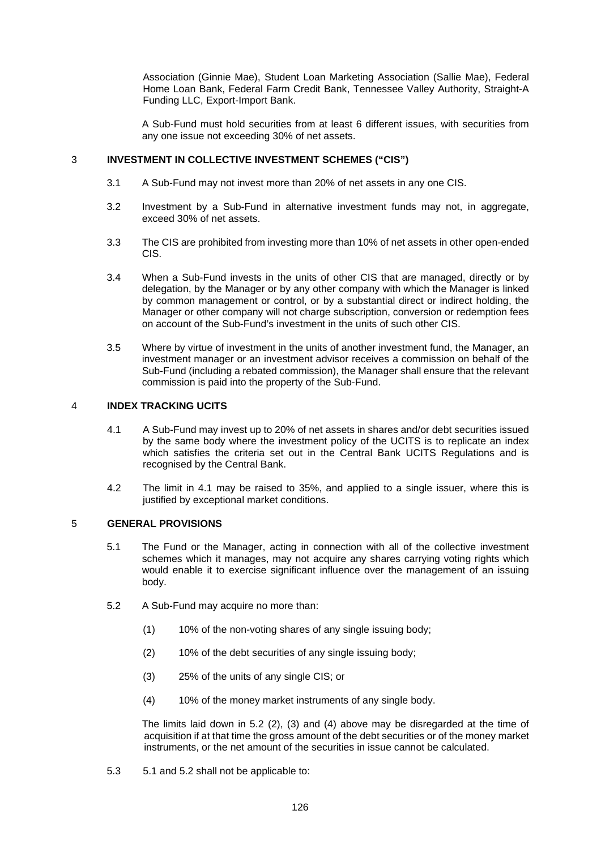Association (Ginnie Mae), Student Loan Marketing Association (Sallie Mae), Federal Home Loan Bank, Federal Farm Credit Bank, Tennessee Valley Authority, Straight-A Funding LLC, Export-Import Bank.

A Sub-Fund must hold securities from at least 6 different issues, with securities from any one issue not exceeding 30% of net assets.

## 3 **INVESTMENT IN COLLECTIVE INVESTMENT SCHEMES ("CIS")**

- 3.1 A Sub-Fund may not invest more than 20% of net assets in any one CIS.
- 3.2 Investment by a Sub-Fund in alternative investment funds may not, in aggregate, exceed 30% of net assets.
- 3.3 The CIS are prohibited from investing more than 10% of net assets in other open-ended CIS.
- 3.4 When a Sub-Fund invests in the units of other CIS that are managed, directly or by delegation, by the Manager or by any other company with which the Manager is linked by common management or control, or by a substantial direct or indirect holding, the Manager or other company will not charge subscription, conversion or redemption fees on account of the Sub-Fund's investment in the units of such other CIS.
- 3.5 Where by virtue of investment in the units of another investment fund, the Manager, an investment manager or an investment advisor receives a commission on behalf of the Sub-Fund (including a rebated commission), the Manager shall ensure that the relevant commission is paid into the property of the Sub-Fund.

## 4 **INDEX TRACKING UCITS**

- 4.1 A Sub-Fund may invest up to 20% of net assets in shares and/or debt securities issued by the same body where the investment policy of the UCITS is to replicate an index which satisfies the criteria set out in the Central Bank UCITS Regulations and is recognised by the Central Bank.
- 4.2 The limit in 4.1 may be raised to 35%, and applied to a single issuer, where this is justified by exceptional market conditions.

## 5 **GENERAL PROVISIONS**

- 5.1 The Fund or the Manager, acting in connection with all of the collective investment schemes which it manages, may not acquire any shares carrying voting rights which would enable it to exercise significant influence over the management of an issuing body.
- 5.2 A Sub-Fund may acquire no more than:
	- (1) 10% of the non-voting shares of any single issuing body;
	- (2) 10% of the debt securities of any single issuing body;
	- (3) 25% of the units of any single CIS; or
	- (4) 10% of the money market instruments of any single body.

The limits laid down in 5.2 (2), (3) and (4) above may be disregarded at the time of acquisition if at that time the gross amount of the debt securities or of the money market instruments, or the net amount of the securities in issue cannot be calculated.

5.3 5.1 and 5.2 shall not be applicable to: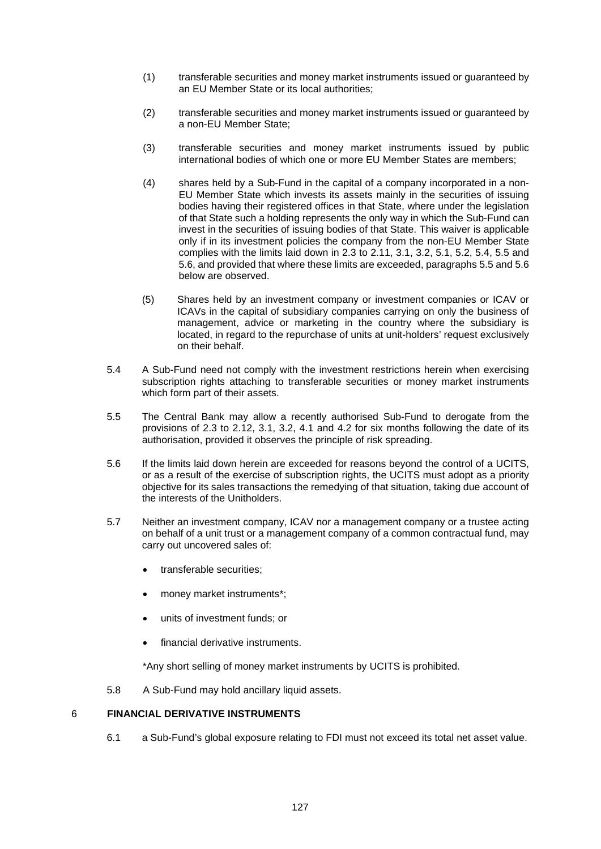- (1) transferable securities and money market instruments issued or guaranteed by an EU Member State or its local authorities;
- (2) transferable securities and money market instruments issued or guaranteed by a non-EU Member State;
- (3) transferable securities and money market instruments issued by public international bodies of which one or more EU Member States are members;
- (4) shares held by a Sub-Fund in the capital of a company incorporated in a non-EU Member State which invests its assets mainly in the securities of issuing bodies having their registered offices in that State, where under the legislation of that State such a holding represents the only way in which the Sub-Fund can invest in the securities of issuing bodies of that State. This waiver is applicable only if in its investment policies the company from the non-EU Member State complies with the limits laid down in 2.3 to 2.11, 3.1, 3.2, 5.1, 5.2, 5.4, 5.5 and 5.6, and provided that where these limits are exceeded, paragraphs 5.5 and 5.6 below are observed.
- (5) Shares held by an investment company or investment companies or ICAV or ICAVs in the capital of subsidiary companies carrying on only the business of management, advice or marketing in the country where the subsidiary is located, in regard to the repurchase of units at unit-holders' request exclusively on their behalf.
- 5.4 A Sub-Fund need not comply with the investment restrictions herein when exercising subscription rights attaching to transferable securities or money market instruments which form part of their assets.
- 5.5 The Central Bank may allow a recently authorised Sub-Fund to derogate from the provisions of 2.3 to 2.12, 3.1, 3.2, 4.1 and 4.2 for six months following the date of its authorisation, provided it observes the principle of risk spreading.
- 5.6 If the limits laid down herein are exceeded for reasons beyond the control of a UCITS, or as a result of the exercise of subscription rights, the UCITS must adopt as a priority objective for its sales transactions the remedying of that situation, taking due account of the interests of the Unitholders.
- 5.7 Neither an investment company, ICAV nor a management company or a trustee acting on behalf of a unit trust or a management company of a common contractual fund, may carry out uncovered sales of:
	- transferable securities;
	- money market instruments\*;
	- units of investment funds; or
	- financial derivative instruments.

\*Any short selling of money market instruments by UCITS is prohibited.

5.8 A Sub-Fund may hold ancillary liquid assets.

## 6 **FINANCIAL DERIVATIVE INSTRUMENTS**

6.1 a Sub-Fund's global exposure relating to FDI must not exceed its total net asset value.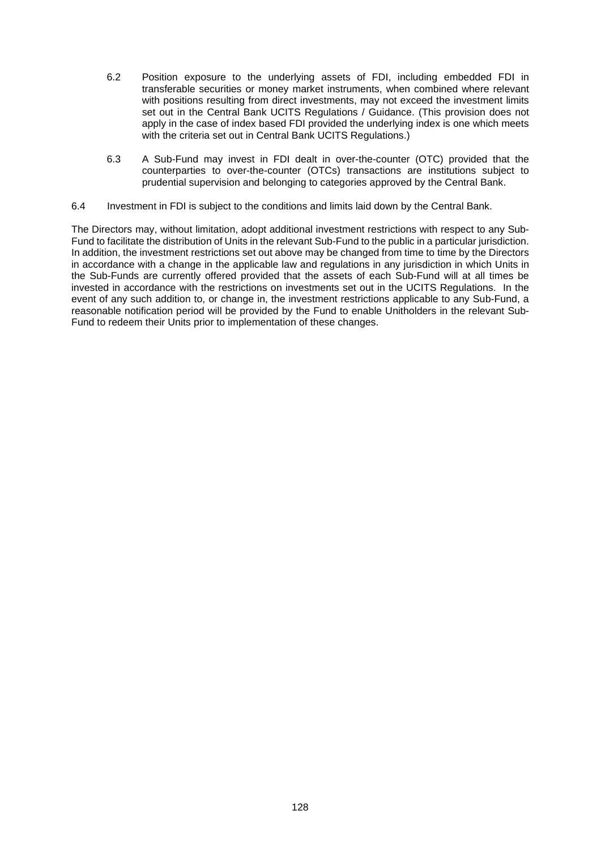- 6.2 Position exposure to the underlying assets of FDI, including embedded FDI in transferable securities or money market instruments, when combined where relevant with positions resulting from direct investments, may not exceed the investment limits set out in the Central Bank UCITS Regulations / Guidance. (This provision does not apply in the case of index based FDI provided the underlying index is one which meets with the criteria set out in Central Bank UCITS Regulations.)
- 6.3 A Sub-Fund may invest in FDI dealt in over-the-counter (OTC) provided that the counterparties to over-the-counter (OTCs) transactions are institutions subject to prudential supervision and belonging to categories approved by the Central Bank.
- 6.4 Investment in FDI is subject to the conditions and limits laid down by the Central Bank.

The Directors may, without limitation, adopt additional investment restrictions with respect to any Sub-Fund to facilitate the distribution of Units in the relevant Sub-Fund to the public in a particular jurisdiction. In addition, the investment restrictions set out above may be changed from time to time by the Directors in accordance with a change in the applicable law and regulations in any jurisdiction in which Units in the Sub-Funds are currently offered provided that the assets of each Sub-Fund will at all times be invested in accordance with the restrictions on investments set out in the UCITS Regulations. In the event of any such addition to, or change in, the investment restrictions applicable to any Sub-Fund, a reasonable notification period will be provided by the Fund to enable Unitholders in the relevant Sub-Fund to redeem their Units prior to implementation of these changes.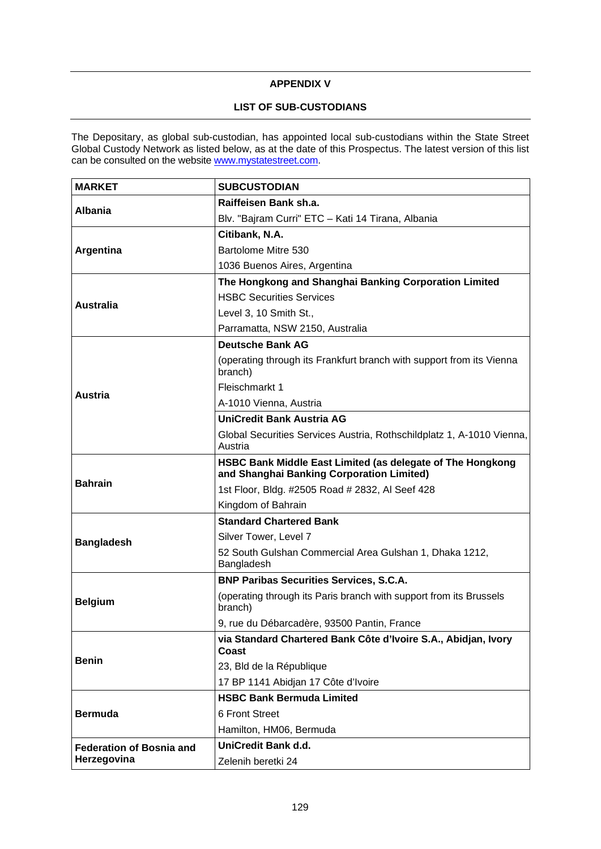## **APPENDIX V**

# **LIST OF SUB-CUSTODIANS**

The Depositary, as global sub-custodian, has appointed local sub-custodians within the State Street Global Custody Network as listed below, as at the date of this Prospectus. The latest version of this list can be consulted on the website [www.mystatestreet.com.](http://www.mystatestreet.com/)

| <b>MARKET</b>                   | <b>SUBCUSTODIAN</b>                                                                                     |
|---------------------------------|---------------------------------------------------------------------------------------------------------|
| <b>Albania</b>                  | Raiffeisen Bank sh.a.                                                                                   |
|                                 | Blv. "Bajram Curri" ETC - Kati 14 Tirana, Albania                                                       |
|                                 | Citibank, N.A.                                                                                          |
| Argentina                       | Bartolome Mitre 530                                                                                     |
|                                 | 1036 Buenos Aires, Argentina                                                                            |
|                                 | The Hongkong and Shanghai Banking Corporation Limited                                                   |
| <b>Australia</b>                | <b>HSBC Securities Services</b>                                                                         |
|                                 | Level 3, 10 Smith St.,                                                                                  |
|                                 | Parramatta, NSW 2150, Australia                                                                         |
|                                 | <b>Deutsche Bank AG</b>                                                                                 |
|                                 | (operating through its Frankfurt branch with support from its Vienna<br>branch)                         |
| <b>Austria</b>                  | Fleischmarkt 1                                                                                          |
|                                 | A-1010 Vienna, Austria                                                                                  |
|                                 | UniCredit Bank Austria AG                                                                               |
|                                 | Global Securities Services Austria, Rothschildplatz 1, A-1010 Vienna,<br>Austria                        |
|                                 | HSBC Bank Middle East Limited (as delegate of The Hongkong<br>and Shanghai Banking Corporation Limited) |
| <b>Bahrain</b>                  | 1st Floor, Bldg. #2505 Road # 2832, Al Seef 428                                                         |
|                                 | Kingdom of Bahrain                                                                                      |
|                                 | <b>Standard Chartered Bank</b>                                                                          |
| <b>Bangladesh</b>               | Silver Tower, Level 7                                                                                   |
|                                 | 52 South Gulshan Commercial Area Gulshan 1, Dhaka 1212,<br>Bangladesh                                   |
|                                 | <b>BNP Paribas Securities Services, S.C.A.</b>                                                          |
| <b>Belgium</b>                  | (operating through its Paris branch with support from its Brussels<br>branch)                           |
|                                 | 9, rue du Débarcadère, 93500 Pantin, France                                                             |
|                                 | via Standard Chartered Bank Côte d'Ivoire S.A., Abidjan, Ivory<br>Coast                                 |
| <b>Benin</b>                    | 23, Bld de la République                                                                                |
|                                 | 17 BP 1141 Abidjan 17 Côte d'Ivoire                                                                     |
|                                 | <b>HSBC Bank Bermuda Limited</b>                                                                        |
| <b>Bermuda</b>                  | 6 Front Street                                                                                          |
|                                 | Hamilton, HM06, Bermuda                                                                                 |
| <b>Federation of Bosnia and</b> | UniCredit Bank d.d.                                                                                     |
| Herzegovina                     | Zelenih beretki 24                                                                                      |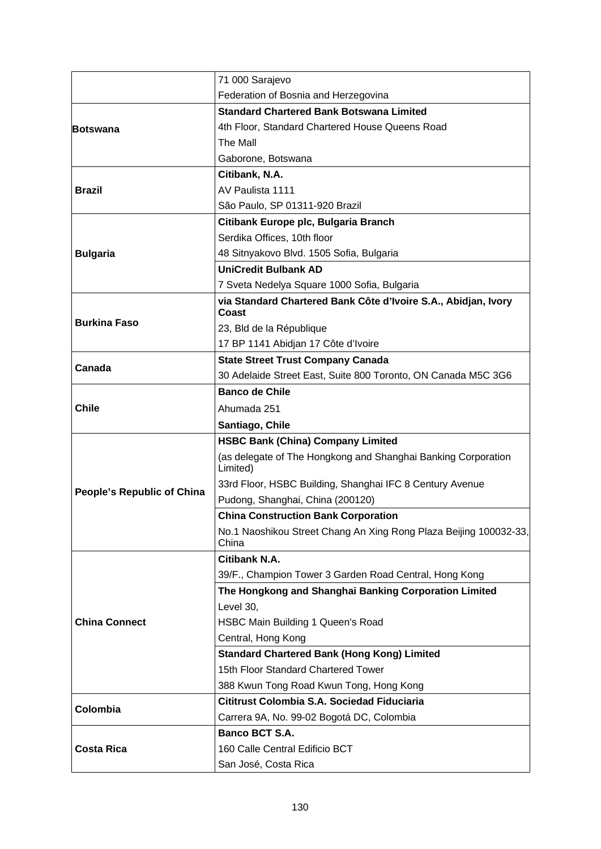|                                   | 71 000 Sarajevo                                                            |
|-----------------------------------|----------------------------------------------------------------------------|
|                                   | Federation of Bosnia and Herzegovina                                       |
|                                   | <b>Standard Chartered Bank Botswana Limited</b>                            |
| <b>Botswana</b>                   | 4th Floor, Standard Chartered House Queens Road                            |
|                                   | The Mall                                                                   |
|                                   | Gaborone, Botswana                                                         |
|                                   | Citibank, N.A.                                                             |
| <b>Brazil</b>                     | AV Paulista 1111                                                           |
|                                   | São Paulo, SP 01311-920 Brazil                                             |
|                                   | Citibank Europe plc, Bulgaria Branch                                       |
|                                   | Serdika Offices, 10th floor                                                |
| <b>Bulgaria</b>                   | 48 Sitnyakovo Blvd. 1505 Sofia, Bulgaria                                   |
|                                   | <b>UniCredit Bulbank AD</b>                                                |
|                                   | 7 Sveta Nedelya Square 1000 Sofia, Bulgaria                                |
|                                   | via Standard Chartered Bank Côte d'Ivoire S.A., Abidjan, Ivory<br>Coast    |
| <b>Burkina Faso</b>               | 23, Bld de la République                                                   |
|                                   | 17 BP 1141 Abidjan 17 Côte d'Ivoire                                        |
|                                   | <b>State Street Trust Company Canada</b>                                   |
| Canada                            | 30 Adelaide Street East, Suite 800 Toronto, ON Canada M5C 3G6              |
|                                   | <b>Banco de Chile</b>                                                      |
| <b>Chile</b>                      | Ahumada 251                                                                |
|                                   | Santiago, Chile                                                            |
|                                   | <b>HSBC Bank (China) Company Limited</b>                                   |
|                                   | (as delegate of The Hongkong and Shanghai Banking Corporation<br>Limited)  |
|                                   | 33rd Floor, HSBC Building, Shanghai IFC 8 Century Avenue                   |
| <b>People's Republic of China</b> | Pudong, Shanghai, China (200120)                                           |
|                                   | <b>China Construction Bank Corporation</b>                                 |
|                                   | No.1 Naoshikou Street Chang An Xing Rong Plaza Beijing 100032-33,<br>China |
|                                   | <b>Citibank N.A.</b>                                                       |
|                                   | 39/F., Champion Tower 3 Garden Road Central, Hong Kong                     |
|                                   | The Hongkong and Shanghai Banking Corporation Limited                      |
|                                   | Level 30,                                                                  |
| <b>China Connect</b>              | HSBC Main Building 1 Queen's Road                                          |
|                                   | Central, Hong Kong                                                         |
|                                   | <b>Standard Chartered Bank (Hong Kong) Limited</b>                         |
|                                   | 15th Floor Standard Chartered Tower                                        |
|                                   | 388 Kwun Tong Road Kwun Tong, Hong Kong                                    |
| Colombia                          | Cititrust Colombia S.A. Sociedad Fiduciaria                                |
|                                   | Carrera 9A, No. 99-02 Bogotá DC, Colombia                                  |
|                                   | <b>Banco BCT S.A.</b>                                                      |
| <b>Costa Rica</b>                 | 160 Calle Central Edificio BCT                                             |
|                                   |                                                                            |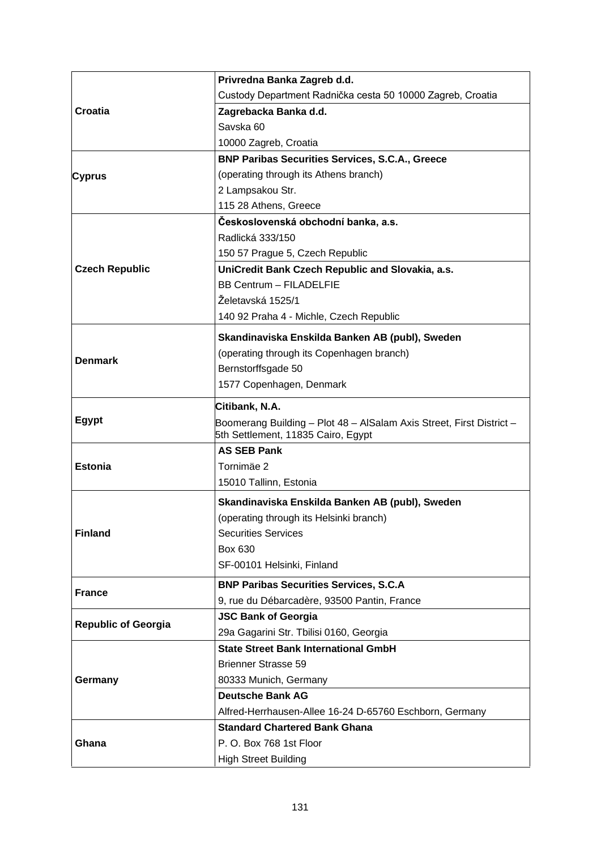|                            | Privredna Banka Zagreb d.d.                                          |
|----------------------------|----------------------------------------------------------------------|
|                            | Custody Department Radnička cesta 50 10000 Zagreb, Croatia           |
| Croatia                    | Zagrebacka Banka d.d.                                                |
|                            | Savska 60                                                            |
|                            | 10000 Zagreb, Croatia                                                |
|                            | <b>BNP Paribas Securities Services, S.C.A., Greece</b>               |
| <b>Cyprus</b>              | (operating through its Athens branch)                                |
|                            | 2 Lampsakou Str.                                                     |
|                            | 115 28 Athens, Greece                                                |
|                            | Československá obchodní banka, a.s.                                  |
|                            | Radlická 333/150                                                     |
|                            | 150 57 Prague 5, Czech Republic                                      |
| <b>Czech Republic</b>      | UniCredit Bank Czech Republic and Slovakia, a.s.                     |
|                            | <b>BB Centrum - FILADELFIE</b>                                       |
|                            | Želetavská 1525/1                                                    |
|                            | 140 92 Praha 4 - Michle, Czech Republic                              |
|                            | Skandinaviska Enskilda Banken AB (publ), Sweden                      |
|                            | (operating through its Copenhagen branch)                            |
| <b>Denmark</b>             | Bernstorffsgade 50                                                   |
|                            | 1577 Copenhagen, Denmark                                             |
|                            | Citibank, N.A.                                                       |
| <b>Egypt</b>               | Boomerang Building - Plot 48 - AlSalam Axis Street, First District - |
|                            |                                                                      |
|                            | 5th Settlement, 11835 Cairo, Egypt                                   |
|                            | <b>AS SEB Pank</b>                                                   |
| <b>Estonia</b>             | Tornimäe 2                                                           |
|                            | 15010 Tallinn, Estonia                                               |
|                            | Skandinaviska Enskilda Banken AB (publ), Sweden                      |
|                            | (operating through its Helsinki branch)                              |
| <b>Finland</b>             | <b>Securities Services</b>                                           |
|                            | Box 630                                                              |
|                            | SF-00101 Helsinki, Finland                                           |
|                            | <b>BNP Paribas Securities Services, S.C.A</b>                        |
| <b>France</b>              | 9, rue du Débarcadère, 93500 Pantin, France                          |
|                            | <b>JSC Bank of Georgia</b>                                           |
| <b>Republic of Georgia</b> | 29a Gagarini Str. Tbilisi 0160, Georgia                              |
|                            | <b>State Street Bank International GmbH</b>                          |
|                            | <b>Brienner Strasse 59</b>                                           |
| Germany                    | 80333 Munich, Germany                                                |
|                            | <b>Deutsche Bank AG</b>                                              |
|                            | Alfred-Herrhausen-Allee 16-24 D-65760 Eschborn, Germany              |
|                            | <b>Standard Chartered Bank Ghana</b>                                 |
| Ghana                      | P.O. Box 768 1st Floor                                               |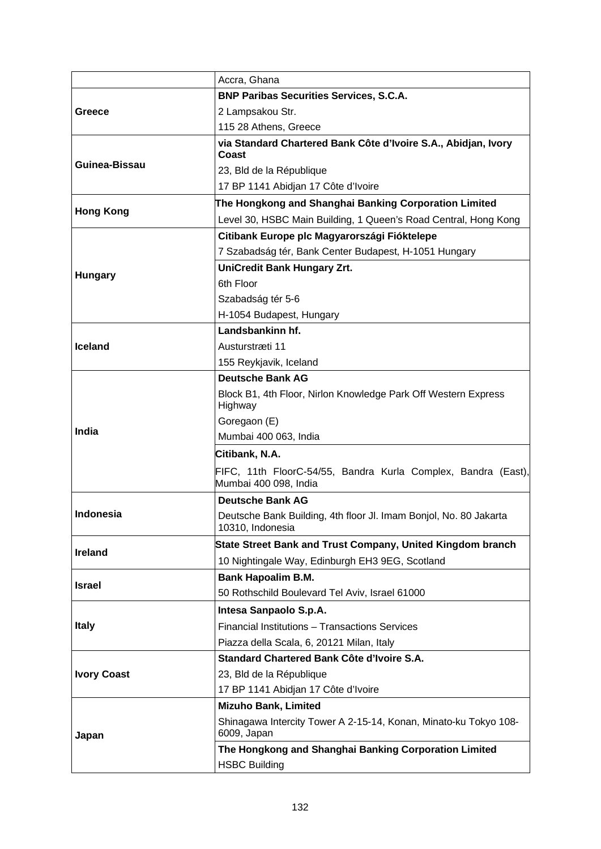|                    | Accra, Ghana                                                                           |
|--------------------|----------------------------------------------------------------------------------------|
|                    | <b>BNP Paribas Securities Services, S.C.A.</b>                                         |
| Greece             | 2 Lampsakou Str.                                                                       |
|                    | 115 28 Athens, Greece                                                                  |
|                    | via Standard Chartered Bank Côte d'Ivoire S.A., Abidjan, Ivory<br>Coast                |
| Guinea-Bissau      | 23, Bld de la République                                                               |
|                    | 17 BP 1141 Abidjan 17 Côte d'Ivoire                                                    |
|                    | The Hongkong and Shanghai Banking Corporation Limited                                  |
| <b>Hong Kong</b>   | Level 30, HSBC Main Building, 1 Queen's Road Central, Hong Kong                        |
|                    | Citibank Europe plc Magyarországi Fióktelepe                                           |
|                    | 7 Szabadság tér, Bank Center Budapest, H-1051 Hungary                                  |
|                    | <b>UniCredit Bank Hungary Zrt.</b>                                                     |
| <b>Hungary</b>     | 6th Floor                                                                              |
|                    | Szabadság tér 5-6                                                                      |
|                    | H-1054 Budapest, Hungary                                                               |
|                    | Landsbankinn hf.                                                                       |
| <b>Iceland</b>     | Austurstræti 11                                                                        |
|                    | 155 Reykjavik, Iceland                                                                 |
|                    | <b>Deutsche Bank AG</b>                                                                |
|                    | Block B1, 4th Floor, Nirlon Knowledge Park Off Western Express<br>Highway              |
|                    | Goregaon (E)                                                                           |
| India              | Mumbai 400 063, India                                                                  |
|                    | Citibank, N.A.                                                                         |
|                    | FIFC, 11th FloorC-54/55, Bandra Kurla Complex, Bandra (East),<br>Mumbai 400 098, India |
|                    | <b>Deutsche Bank AG</b>                                                                |
| <b>Indonesia</b>   | Deutsche Bank Building, 4th floor Jl. Imam Bonjol, No. 80 Jakarta<br>10310, Indonesia  |
| <b>Ireland</b>     | State Street Bank and Trust Company, United Kingdom branch                             |
|                    | 10 Nightingale Way, Edinburgh EH3 9EG, Scotland                                        |
| <b>Israel</b>      | <b>Bank Hapoalim B.M.</b>                                                              |
|                    | 50 Rothschild Boulevard Tel Aviv, Israel 61000                                         |
|                    | Intesa Sanpaolo S.p.A.                                                                 |
| <b>Italy</b>       | Financial Institutions - Transactions Services                                         |
|                    | Piazza della Scala, 6, 20121 Milan, Italy                                              |
|                    | Standard Chartered Bank Côte d'Ivoire S.A.                                             |
| <b>Ivory Coast</b> | 23, Bld de la République                                                               |
|                    | 17 BP 1141 Abidjan 17 Côte d'Ivoire                                                    |
|                    | <b>Mizuho Bank, Limited</b>                                                            |
| Japan              | Shinagawa Intercity Tower A 2-15-14, Konan, Minato-ku Tokyo 108-<br>6009, Japan        |
|                    | The Hongkong and Shanghai Banking Corporation Limited<br><b>HSBC Building</b>          |
|                    |                                                                                        |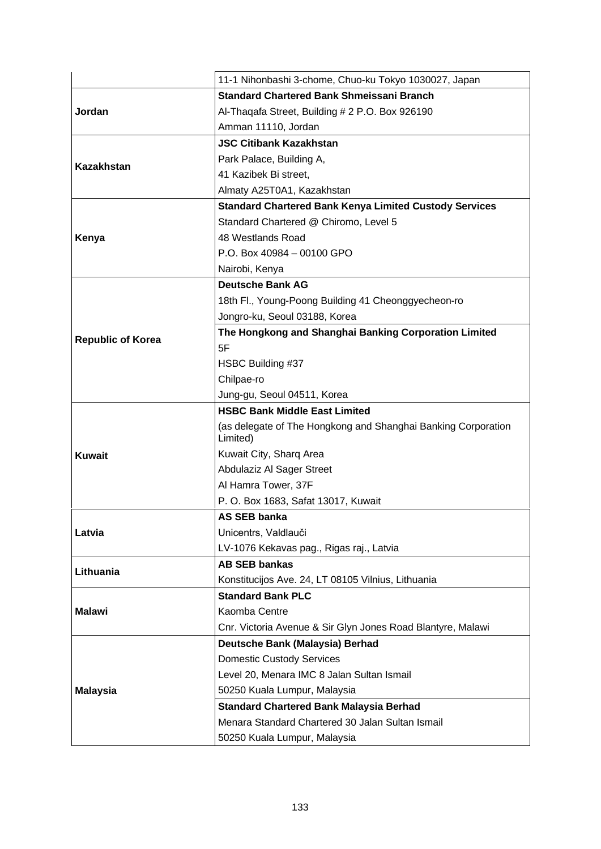|                          | 11-1 Nihonbashi 3-chome, Chuo-ku Tokyo 1030027, Japan                     |
|--------------------------|---------------------------------------------------------------------------|
|                          | <b>Standard Chartered Bank Shmeissani Branch</b>                          |
| Jordan                   | Al-Thaqafa Street, Building # 2 P.O. Box 926190                           |
|                          | Amman 11110, Jordan                                                       |
|                          | <b>JSC Citibank Kazakhstan</b>                                            |
|                          | Park Palace, Building A,                                                  |
| <b>Kazakhstan</b>        | 41 Kazibek Bi street,                                                     |
|                          | Almaty A25T0A1, Kazakhstan                                                |
|                          | <b>Standard Chartered Bank Kenya Limited Custody Services</b>             |
|                          | Standard Chartered @ Chiromo, Level 5                                     |
| Kenya                    | 48 Westlands Road                                                         |
|                          | P.O. Box 40984 - 00100 GPO                                                |
|                          | Nairobi, Kenya                                                            |
|                          | <b>Deutsche Bank AG</b>                                                   |
|                          | 18th Fl., Young-Poong Building 41 Cheonggyecheon-ro                       |
|                          | Jongro-ku, Seoul 03188, Korea                                             |
|                          | The Hongkong and Shanghai Banking Corporation Limited                     |
| <b>Republic of Korea</b> | 5F                                                                        |
|                          | HSBC Building #37                                                         |
|                          | Chilpae-ro                                                                |
|                          | Jung-gu, Seoul 04511, Korea                                               |
|                          | <b>HSBC Bank Middle East Limited</b>                                      |
|                          | (as delegate of The Hongkong and Shanghai Banking Corporation<br>Limited) |
| <b>Kuwait</b>            | Kuwait City, Sharq Area                                                   |
|                          | Abdulaziz Al Sager Street                                                 |
|                          | Al Hamra Tower, 37F                                                       |
|                          | P. O. Box 1683, Safat 13017, Kuwait                                       |
|                          | <b>AS SEB banka</b>                                                       |
| Latvia                   | Unicentrs, Valdlauči                                                      |
|                          | LV-1076 Kekavas pag., Rigas raj., Latvia                                  |
| Lithuania                | <b>AB SEB bankas</b>                                                      |
|                          | Konstitucijos Ave. 24, LT 08105 Vilnius, Lithuania                        |
|                          | <b>Standard Bank PLC</b>                                                  |
| <b>Malawi</b>            | Kaomba Centre                                                             |
|                          | Cnr. Victoria Avenue & Sir Glyn Jones Road Blantyre, Malawi               |
|                          | Deutsche Bank (Malaysia) Berhad                                           |
|                          | <b>Domestic Custody Services</b>                                          |
|                          | Level 20, Menara IMC 8 Jalan Sultan Ismail                                |
| <b>Malaysia</b>          | 50250 Kuala Lumpur, Malaysia                                              |
|                          | <b>Standard Chartered Bank Malaysia Berhad</b>                            |
|                          | Menara Standard Chartered 30 Jalan Sultan Ismail                          |
|                          | 50250 Kuala Lumpur, Malaysia                                              |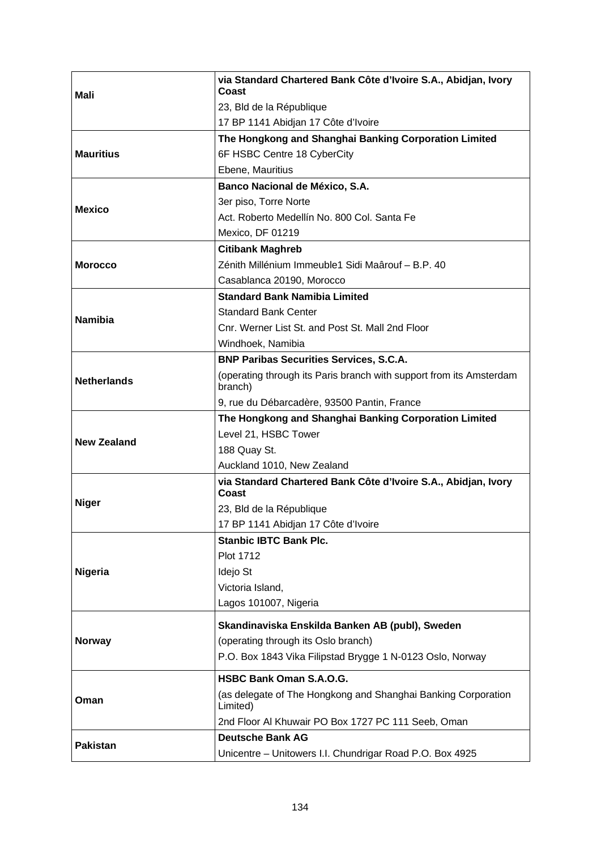| Mali               | via Standard Chartered Bank Côte d'Ivoire S.A., Abidjan, Ivory<br>Coast        |
|--------------------|--------------------------------------------------------------------------------|
|                    | 23, Bld de la République                                                       |
|                    | 17 BP 1141 Abidjan 17 Côte d'Ivoire                                            |
|                    | The Hongkong and Shanghai Banking Corporation Limited                          |
| <b>Mauritius</b>   | 6F HSBC Centre 18 CyberCity                                                    |
|                    | Ebene, Mauritius                                                               |
|                    | Banco Nacional de México, S.A.                                                 |
|                    | 3er piso, Torre Norte                                                          |
| <b>Mexico</b>      | Act. Roberto Medellín No. 800 Col. Santa Fe                                    |
|                    | Mexico, DF 01219                                                               |
|                    | <b>Citibank Maghreb</b>                                                        |
| <b>Morocco</b>     | Zénith Millénium Immeuble1 Sidi Maârouf - B.P. 40                              |
|                    | Casablanca 20190, Morocco                                                      |
|                    | <b>Standard Bank Namibia Limited</b>                                           |
|                    | <b>Standard Bank Center</b>                                                    |
| <b>Namibia</b>     | Cnr. Werner List St. and Post St. Mall 2nd Floor                               |
|                    | Windhoek, Namibia                                                              |
|                    | <b>BNP Paribas Securities Services, S.C.A.</b>                                 |
| <b>Netherlands</b> | (operating through its Paris branch with support from its Amsterdam<br>branch) |
|                    | 9, rue du Débarcadère, 93500 Pantin, France                                    |
|                    | The Hongkong and Shanghai Banking Corporation Limited                          |
| <b>New Zealand</b> | Level 21, HSBC Tower                                                           |
|                    | 188 Quay St.                                                                   |
|                    | Auckland 1010, New Zealand                                                     |
|                    | via Standard Chartered Bank Côte d'Ivoire S.A., Abidjan, Ivory<br>Coast        |
| <b>Niger</b>       | 23, Bld de la République                                                       |
|                    | 17 BP 1141 Abidjan 17 Côte d'Ivoire                                            |
|                    | <b>Stanbic IBTC Bank Plc.</b>                                                  |
|                    | Plot 1712                                                                      |
| <b>Nigeria</b>     | Idejo St                                                                       |
|                    | Victoria Island,                                                               |
|                    | Lagos 101007, Nigeria                                                          |
|                    | Skandinaviska Enskilda Banken AB (publ), Sweden                                |
| <b>Norway</b>      | (operating through its Oslo branch)                                            |
|                    | P.O. Box 1843 Vika Filipstad Brygge 1 N-0123 Oslo, Norway                      |
|                    | HSBC Bank Oman S.A.O.G.                                                        |
| Oman               | (as delegate of The Hongkong and Shanghai Banking Corporation<br>Limited)      |
|                    | 2nd Floor Al Khuwair PO Box 1727 PC 111 Seeb, Oman                             |
| <b>Pakistan</b>    | <b>Deutsche Bank AG</b>                                                        |
|                    | Unicentre - Unitowers I.I. Chundrigar Road P.O. Box 4925                       |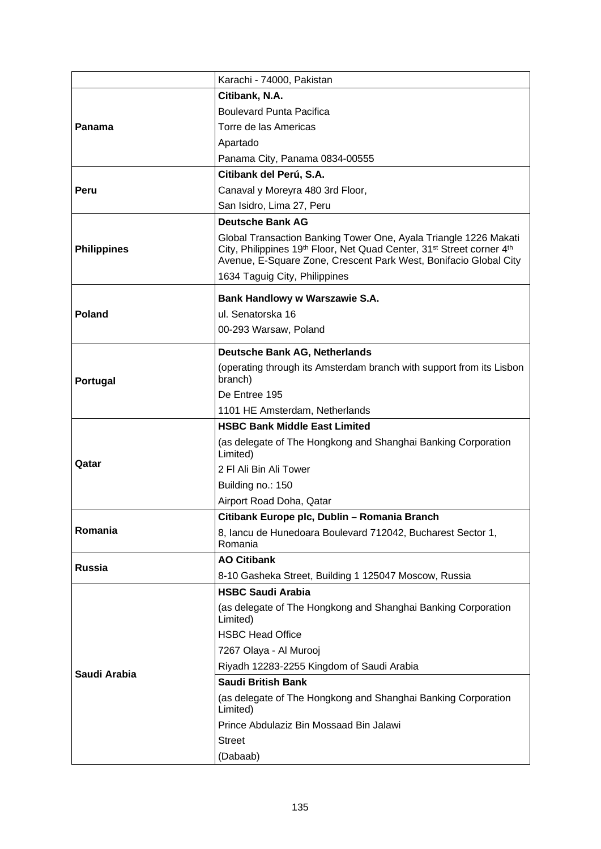|                    | Karachi - 74000, Pakistan                                                                                                                                                                                                 |
|--------------------|---------------------------------------------------------------------------------------------------------------------------------------------------------------------------------------------------------------------------|
|                    | Citibank, N.A.                                                                                                                                                                                                            |
|                    | <b>Boulevard Punta Pacifica</b>                                                                                                                                                                                           |
| Panama             | Torre de las Americas                                                                                                                                                                                                     |
|                    | Apartado                                                                                                                                                                                                                  |
|                    | Panama City, Panama 0834-00555                                                                                                                                                                                            |
|                    | Citibank del Perú, S.A.                                                                                                                                                                                                   |
| Peru               | Canaval y Moreyra 480 3rd Floor,                                                                                                                                                                                          |
|                    | San Isidro, Lima 27, Peru                                                                                                                                                                                                 |
|                    | <b>Deutsche Bank AG</b>                                                                                                                                                                                                   |
| <b>Philippines</b> | Global Transaction Banking Tower One, Ayala Triangle 1226 Makati<br>City, Philippines 19th Floor, Net Quad Center, 31 <sup>st</sup> Street corner 4th<br>Avenue, E-Square Zone, Crescent Park West, Bonifacio Global City |
|                    | 1634 Taguig City, Philippines                                                                                                                                                                                             |
|                    | <b>Bank Handlowy w Warszawie S.A.</b>                                                                                                                                                                                     |
| <b>Poland</b>      | ul. Senatorska 16                                                                                                                                                                                                         |
|                    | 00-293 Warsaw, Poland                                                                                                                                                                                                     |
|                    | <b>Deutsche Bank AG, Netherlands</b>                                                                                                                                                                                      |
|                    | (operating through its Amsterdam branch with support from its Lisbon                                                                                                                                                      |
| <b>Portugal</b>    | branch)                                                                                                                                                                                                                   |
|                    | De Entree 195                                                                                                                                                                                                             |
|                    | 1101 HE Amsterdam, Netherlands                                                                                                                                                                                            |
|                    | <b>HSBC Bank Middle East Limited</b>                                                                                                                                                                                      |
|                    | (as delegate of The Hongkong and Shanghai Banking Corporation<br>Limited)                                                                                                                                                 |
| Qatar              | 2 FI Ali Bin Ali Tower                                                                                                                                                                                                    |
|                    | Building no.: 150                                                                                                                                                                                                         |
|                    | Airport Road Doha, Qatar                                                                                                                                                                                                  |
|                    | Citibank Europe plc, Dublin - Romania Branch                                                                                                                                                                              |
| Romania            | 8, Iancu de Hunedoara Boulevard 712042, Bucharest Sector 1,<br>Romania                                                                                                                                                    |
| <b>Russia</b>      | <b>AO Citibank</b>                                                                                                                                                                                                        |
|                    | 8-10 Gasheka Street, Building 1 125047 Moscow, Russia                                                                                                                                                                     |
|                    | <b>HSBC Saudi Arabia</b>                                                                                                                                                                                                  |
|                    | (as delegate of The Hongkong and Shanghai Banking Corporation<br>Limited)                                                                                                                                                 |
|                    | <b>HSBC Head Office</b>                                                                                                                                                                                                   |
|                    | 7267 Olaya - Al Murooj                                                                                                                                                                                                    |
| Saudi Arabia       | Riyadh 12283-2255 Kingdom of Saudi Arabia                                                                                                                                                                                 |
|                    | <b>Saudi British Bank</b>                                                                                                                                                                                                 |
|                    | (as delegate of The Hongkong and Shanghai Banking Corporation<br>Limited)                                                                                                                                                 |
|                    | Prince Abdulaziz Bin Mossaad Bin Jalawi                                                                                                                                                                                   |
|                    | <b>Street</b>                                                                                                                                                                                                             |
|                    | (Dabaab)                                                                                                                                                                                                                  |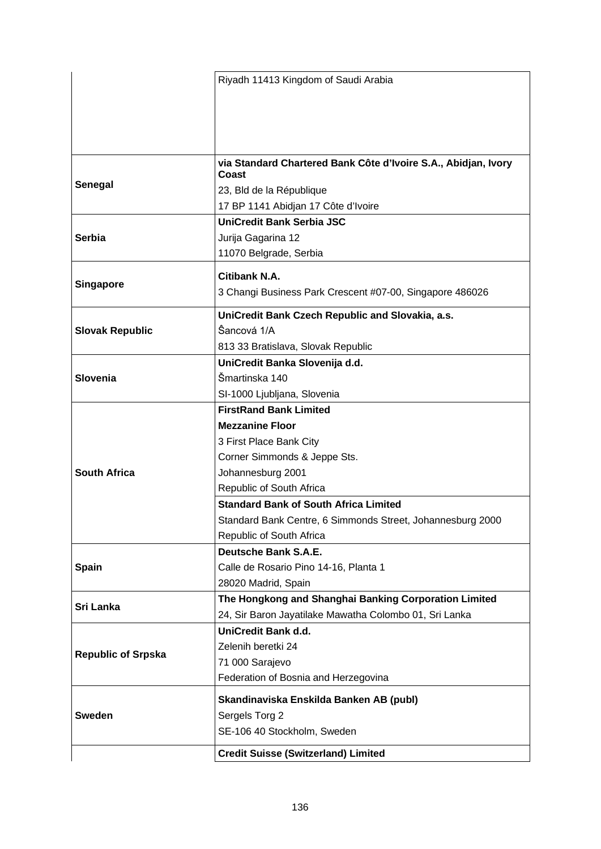|                           | Riyadh 11413 Kingdom of Saudi Arabia                                    |
|---------------------------|-------------------------------------------------------------------------|
|                           |                                                                         |
|                           |                                                                         |
|                           |                                                                         |
|                           |                                                                         |
|                           |                                                                         |
|                           | via Standard Chartered Bank Côte d'Ivoire S.A., Abidjan, Ivory<br>Coast |
| Senegal                   | 23, Bld de la République                                                |
|                           | 17 BP 1141 Abidjan 17 Côte d'Ivoire                                     |
|                           | <b>UniCredit Bank Serbia JSC</b>                                        |
| Serbia                    | Jurija Gagarina 12                                                      |
|                           | 11070 Belgrade, Serbia                                                  |
|                           |                                                                         |
|                           | Citibank N.A.                                                           |
| <b>Singapore</b>          | 3 Changi Business Park Crescent #07-00, Singapore 486026                |
|                           | UniCredit Bank Czech Republic and Slovakia, a.s.                        |
| <b>Slovak Republic</b>    | Ŝancová 1/A                                                             |
|                           | 813 33 Bratislava, Slovak Republic                                      |
|                           | UniCredit Banka Slovenija d.d.                                          |
| <b>Slovenia</b>           | Šmartinska 140                                                          |
|                           | SI-1000 Ljubljana, Slovenia                                             |
|                           | <b>FirstRand Bank Limited</b>                                           |
|                           | <b>Mezzanine Floor</b>                                                  |
|                           | 3 First Place Bank City                                                 |
|                           | Corner Simmonds & Jeppe Sts.                                            |
| <b>South Africa</b>       | Johannesburg 2001                                                       |
|                           | Republic of South Africa                                                |
|                           | <b>Standard Bank of South Africa Limited</b>                            |
|                           | Standard Bank Centre, 6 Simmonds Street, Johannesburg 2000              |
|                           | Republic of South Africa                                                |
|                           | <b>Deutsche Bank S.A.E.</b>                                             |
| <b>Spain</b>              | Calle de Rosario Pino 14-16, Planta 1                                   |
|                           | 28020 Madrid, Spain                                                     |
|                           | The Hongkong and Shanghai Banking Corporation Limited                   |
| Sri Lanka                 | 24, Sir Baron Jayatilake Mawatha Colombo 01, Sri Lanka                  |
|                           | UniCredit Bank d.d.                                                     |
|                           | Zelenih beretki 24                                                      |
| <b>Republic of Srpska</b> | 71 000 Sarajevo                                                         |
|                           | Federation of Bosnia and Herzegovina                                    |
|                           | Skandinaviska Enskilda Banken AB (publ)                                 |
| <b>Sweden</b>             | Sergels Torg 2                                                          |
|                           | SE-106 40 Stockholm, Sweden                                             |
|                           |                                                                         |
|                           | <b>Credit Suisse (Switzerland) Limited</b>                              |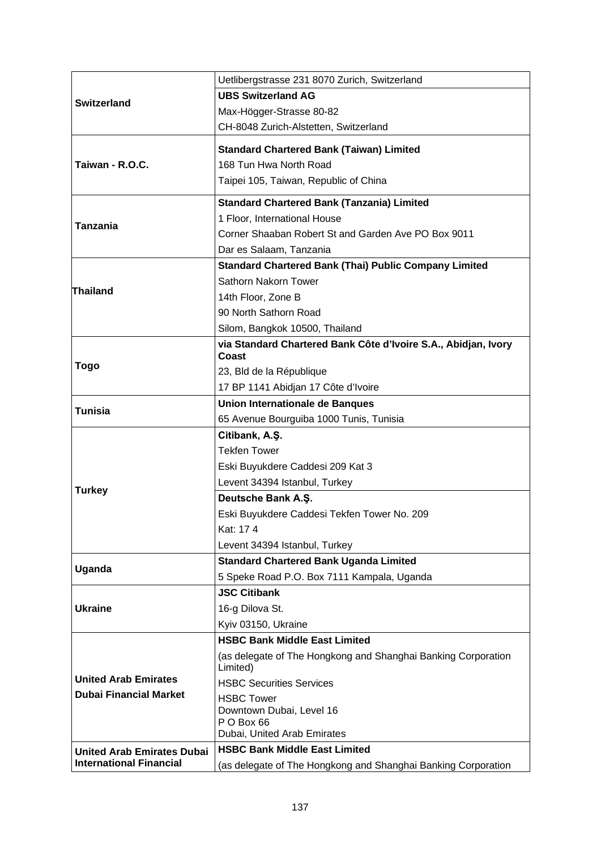|                                   | Uetlibergstrasse 231 8070 Zurich, Switzerland                  |
|-----------------------------------|----------------------------------------------------------------|
| <b>Switzerland</b>                | <b>UBS Switzerland AG</b>                                      |
|                                   | Max-Högger-Strasse 80-82                                       |
|                                   | CH-8048 Zurich-Alstetten, Switzerland                          |
|                                   | <b>Standard Chartered Bank (Taiwan) Limited</b>                |
| Taiwan - R.O.C.                   | 168 Tun Hwa North Road                                         |
|                                   | Taipei 105, Taiwan, Republic of China                          |
|                                   | <b>Standard Chartered Bank (Tanzania) Limited</b>              |
|                                   | 1 Floor, International House                                   |
| <b>Tanzania</b>                   | Corner Shaaban Robert St and Garden Ave PO Box 9011            |
|                                   | Dar es Salaam, Tanzania                                        |
|                                   | <b>Standard Chartered Bank (Thai) Public Company Limited</b>   |
|                                   | Sathorn Nakorn Tower                                           |
| <b>Thailand</b>                   | 14th Floor, Zone B                                             |
|                                   | 90 North Sathorn Road                                          |
|                                   | Silom, Bangkok 10500, Thailand                                 |
|                                   | via Standard Chartered Bank Côte d'Ivoire S.A., Abidjan, Ivory |
|                                   | Coast                                                          |
| <b>Togo</b>                       | 23, Bld de la République                                       |
|                                   | 17 BP 1141 Abidjan 17 Côte d'Ivoire                            |
| <b>Tunisia</b>                    | <b>Union Internationale de Banques</b>                         |
|                                   | 65 Avenue Bourguiba 1000 Tunis, Tunisia                        |
|                                   | Citibank, A.Ş.<br><b>Tekfen Tower</b>                          |
|                                   |                                                                |
|                                   | Eski Buyukdere Caddesi 209 Kat 3                               |
| <b>Turkey</b>                     | Levent 34394 Istanbul, Turkey<br>Deutsche Bank A.Ş.            |
|                                   | Eski Buyukdere Caddesi Tekfen Tower No. 209                    |
|                                   | Kat: 174                                                       |
|                                   | Levent 34394 Istanbul, Turkey                                  |
|                                   | <b>Standard Chartered Bank Uganda Limited</b>                  |
| Uganda                            | 5 Speke Road P.O. Box 7111 Kampala, Uganda                     |
|                                   | <b>JSC Citibank</b>                                            |
| <b>Ukraine</b>                    | 16-g Dilova St.                                                |
|                                   | Kyiv 03150, Ukraine                                            |
|                                   | <b>HSBC Bank Middle East Limited</b>                           |
|                                   | (as delegate of The Hongkong and Shanghai Banking Corporation  |
|                                   | Limited)                                                       |
| <b>United Arab Emirates</b>       | <b>HSBC Securities Services</b>                                |
| <b>Dubai Financial Market</b>     | <b>HSBC Tower</b>                                              |
|                                   | Downtown Dubai, Level 16                                       |
|                                   | P O Box 66<br>Dubai, United Arab Emirates                      |
| <b>United Arab Emirates Dubai</b> | <b>HSBC Bank Middle East Limited</b>                           |
| <b>International Financial</b>    | (as delegate of The Hongkong and Shanghai Banking Corporation  |
|                                   |                                                                |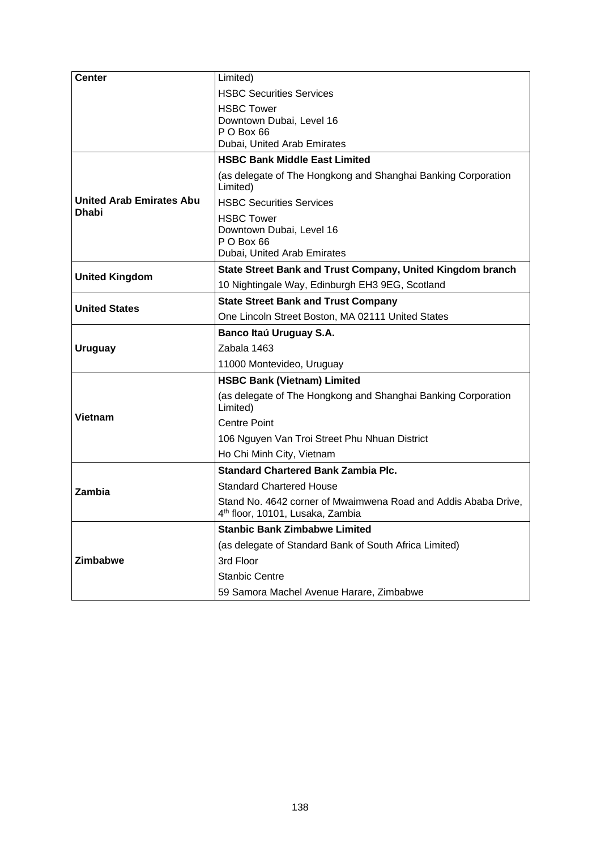| <b>Center</b>                   | Limited)                                                                                                       |
|---------------------------------|----------------------------------------------------------------------------------------------------------------|
|                                 | <b>HSBC Securities Services</b>                                                                                |
|                                 | <b>HSBC Tower</b>                                                                                              |
|                                 | Downtown Dubai, Level 16                                                                                       |
|                                 | P O Box 66<br>Dubai, United Arab Emirates                                                                      |
|                                 | <b>HSBC Bank Middle East Limited</b>                                                                           |
|                                 | (as delegate of The Hongkong and Shanghai Banking Corporation                                                  |
|                                 | Limited)                                                                                                       |
| <b>United Arab Emirates Abu</b> | <b>HSBC Securities Services</b>                                                                                |
| Dhabi                           | <b>HSBC Tower</b>                                                                                              |
|                                 | Downtown Dubai, Level 16                                                                                       |
|                                 | PO Box 66<br>Dubai, United Arab Emirates                                                                       |
|                                 | State Street Bank and Trust Company, United Kingdom branch                                                     |
| <b>United Kingdom</b>           |                                                                                                                |
|                                 | 10 Nightingale Way, Edinburgh EH3 9EG, Scotland                                                                |
| <b>United States</b>            | <b>State Street Bank and Trust Company</b>                                                                     |
|                                 | One Lincoln Street Boston, MA 02111 United States                                                              |
|                                 | Banco Itaú Uruguay S.A.                                                                                        |
| <b>Uruguay</b>                  | Zabala 1463                                                                                                    |
|                                 | 11000 Montevideo, Uruguay                                                                                      |
|                                 | <b>HSBC Bank (Vietnam) Limited</b>                                                                             |
|                                 | (as delegate of The Hongkong and Shanghai Banking Corporation<br>Limited)                                      |
| Vietnam                         | <b>Centre Point</b>                                                                                            |
|                                 | 106 Nguyen Van Troi Street Phu Nhuan District                                                                  |
|                                 | Ho Chi Minh City, Vietnam                                                                                      |
|                                 | <b>Standard Chartered Bank Zambia Plc.</b>                                                                     |
| Zambia                          | <b>Standard Chartered House</b>                                                                                |
|                                 | Stand No. 4642 corner of Mwaimwena Road and Addis Ababa Drive,<br>4 <sup>th</sup> floor, 10101, Lusaka, Zambia |
|                                 | <b>Stanbic Bank Zimbabwe Limited</b>                                                                           |
|                                 | (as delegate of Standard Bank of South Africa Limited)                                                         |
| Zimbabwe                        | 3rd Floor                                                                                                      |
|                                 | <b>Stanbic Centre</b>                                                                                          |
|                                 | 59 Samora Machel Avenue Harare, Zimbabwe                                                                       |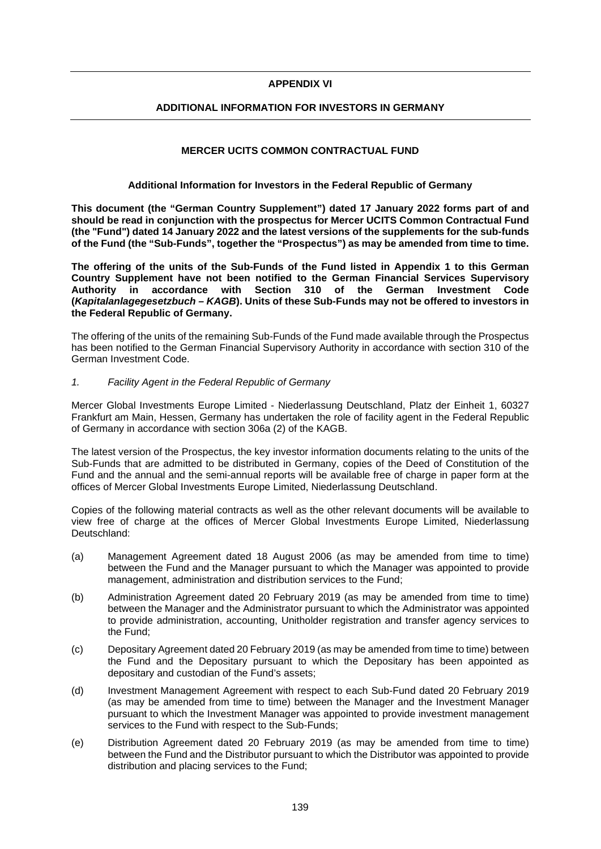### **APPENDIX VI**

## **ADDITIONAL INFORMATION FOR INVESTORS IN GERMANY**

## **MERCER UCITS COMMON CONTRACTUAL FUND**

### **Additional Information for Investors in the Federal Republic of Germany**

**This document (the "German Country Supplement") dated 17 January 2022 forms part of and should be read in conjunction with the prospectus for Mercer UCITS Common Contractual Fund (the "Fund") dated 14 January 2022 and the latest versions of the supplements for the sub-funds of the Fund (the "Sub-Funds", together the "Prospectus") as may be amended from time to time.** 

**The offering of the units of the Sub-Funds of the Fund listed in Appendix 1 to this German Country Supplement have not been notified to the German Financial Services Supervisory Authority in accordance with Section 310 of the German Investment Code (***Kapitalanlagegesetzbuch – KAGB***). Units of these Sub-Funds may not be offered to investors in the Federal Republic of Germany.** 

The offering of the units of the remaining Sub-Funds of the Fund made available through the Prospectus has been notified to the German Financial Supervisory Authority in accordance with section 310 of the German Investment Code.

### *1. Facility Agent in the Federal Republic of Germany*

Mercer Global Investments Europe Limited - Niederlassung Deutschland, Platz der Einheit 1, 60327 Frankfurt am Main, Hessen, Germany has undertaken the role of facility agent in the Federal Republic of Germany in accordance with section 306a (2) of the KAGB.

The latest version of the Prospectus, the key investor information documents relating to the units of the Sub-Funds that are admitted to be distributed in Germany, copies of the Deed of Constitution of the Fund and the annual and the semi-annual reports will be available free of charge in paper form at the offices of Mercer Global Investments Europe Limited, Niederlassung Deutschland.

Copies of the following material contracts as well as the other relevant documents will be available to view free of charge at the offices of Mercer Global Investments Europe Limited, Niederlassung Deutschland:

- (a) Management Agreement dated 18 August 2006 (as may be amended from time to time) between the Fund and the Manager pursuant to which the Manager was appointed to provide management, administration and distribution services to the Fund;
- (b) Administration Agreement dated 20 February 2019 (as may be amended from time to time) between the Manager and the Administrator pursuant to which the Administrator was appointed to provide administration, accounting, Unitholder registration and transfer agency services to the Fund;
- (c) Depositary Agreement dated 20 February 2019 (as may be amended from time to time) between the Fund and the Depositary pursuant to which the Depositary has been appointed as depositary and custodian of the Fund's assets;
- (d) Investment Management Agreement with respect to each Sub-Fund dated 20 February 2019 (as may be amended from time to time) between the Manager and the Investment Manager pursuant to which the Investment Manager was appointed to provide investment management services to the Fund with respect to the Sub-Funds;
- (e) Distribution Agreement dated 20 February 2019 (as may be amended from time to time) between the Fund and the Distributor pursuant to which the Distributor was appointed to provide distribution and placing services to the Fund;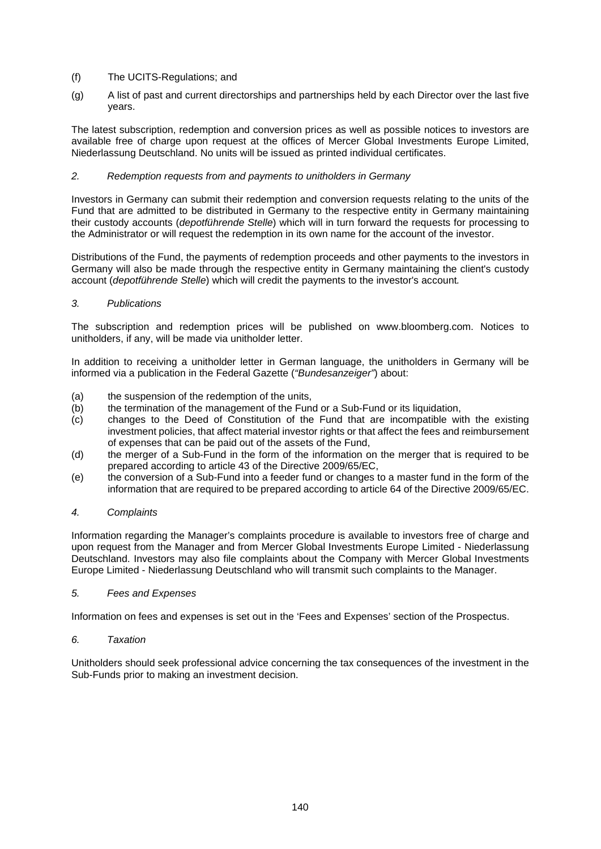- (f) The UCITS-Regulations; and
- (g) A list of past and current directorships and partnerships held by each Director over the last five years.

The latest subscription, redemption and conversion prices as well as possible notices to investors are available free of charge upon request at the offices of Mercer Global Investments Europe Limited, Niederlassung Deutschland. No units will be issued as printed individual certificates.

## *2. Redemption requests from and payments to unitholders in Germany*

Investors in Germany can submit their redemption and conversion requests relating to the units of the Fund that are admitted to be distributed in Germany to the respective entity in Germany maintaining their custody accounts (*depotführende Stelle*) which will in turn forward the requests for processing to the Administrator or will request the redemption in its own name for the account of the investor.

Distributions of the Fund, the payments of redemption proceeds and other payments to the investors in Germany will also be made through the respective entity in Germany maintaining the client's custody account (*depotführende Stelle*) which will credit the payments to the investor's account*.* 

## *3. Publications*

The subscription and redemption prices will be published on www.bloomberg.com. Notices to unitholders, if any, will be made via unitholder letter.

In addition to receiving a unitholder letter in German language, the unitholders in Germany will be informed via a publication in the Federal Gazette (*"Bundesanzeiger"*) about:

- (a) the suspension of the redemption of the units,
- (b) the termination of the management of the Fund or a Sub-Fund or its liquidation,
- (c) changes to the Deed of Constitution of the Fund that are incompatible with the existing investment policies, that affect material investor rights or that affect the fees and reimbursement of expenses that can be paid out of the assets of the Fund,
- (d) the merger of a Sub-Fund in the form of the information on the merger that is required to be prepared according to article 43 of the Directive 2009/65/EC,
- (e) the conversion of a Sub-Fund into a feeder fund or changes to a master fund in the form of the information that are required to be prepared according to article 64 of the Directive 2009/65/EC.

## *4. Complaints*

Information regarding the Manager's complaints procedure is available to investors free of charge and upon request from the Manager and from Mercer Global Investments Europe Limited - Niederlassung Deutschland. Investors may also file complaints about the Company with Mercer Global Investments Europe Limited - Niederlassung Deutschland who will transmit such complaints to the Manager.

## *5. Fees and Expenses*

Information on fees and expenses is set out in the 'Fees and Expenses' section of the Prospectus.

## *6. Taxation*

Unitholders should seek professional advice concerning the tax consequences of the investment in the Sub-Funds prior to making an investment decision.